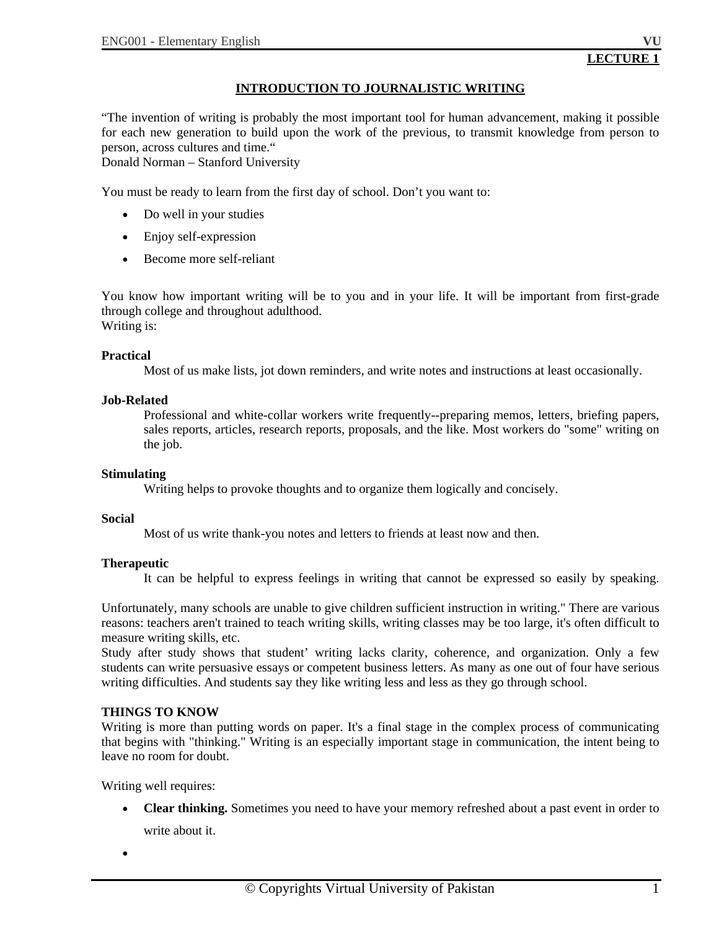## **INTRODUCTION TO JOURNALISTIC WRITING**

"The invention of writing is probably the most important tool for human advancement, making it possible for each new generation to build upon the work of the previous, to transmit knowledge from person to person, across cultures and time."

Donald Norman – Stanford University

You must be ready to learn from the first day of school. Don't you want to:

- Do well in your studies
- Enjoy self-expression
- Become more self-reliant

You know how important writing will be to you and in your life. It will be important from first-grade through college and throughout adulthood. Writing is:

## **Practical**

Most of us make lists, jot down reminders, and write notes and instructions at least occasionally.

## **Job-Related**

Professional and white-collar workers write frequently--preparing memos, letters, briefing papers, sales reports, articles, research reports, proposals, and the like. Most workers do "some" writing on the job.

## **Stimulating**

Writing helps to provoke thoughts and to organize them logically and concisely.

## **Social**

Most of us write thank-you notes and letters to friends at least now and then.

## **Therapeutic**

It can be helpful to express feelings in writing that cannot be expressed so easily by speaking.

Unfortunately, many schools are unable to give children sufficient instruction in writing." There are various reasons: teachers aren't trained to teach writing skills, writing classes may be too large, it's often difficult to measure writing skills, etc.

Study after study shows that student' writing lacks clarity, coherence, and organization. Only a few students can write persuasive essays or competent business letters. As many as one out of four have serious writing difficulties. And students say they like writing less and less as they go through school.

# **THINGS TO KNOW**

Writing is more than putting words on paper. It's a final stage in the complex process of communicating that begins with "thinking." Writing is an especially important stage in communication, the intent being to leave no room for doubt.

Writing well requires:

- **Clear thinking.** Sometimes you need to have your memory refreshed about a past event in order to write about it.
- •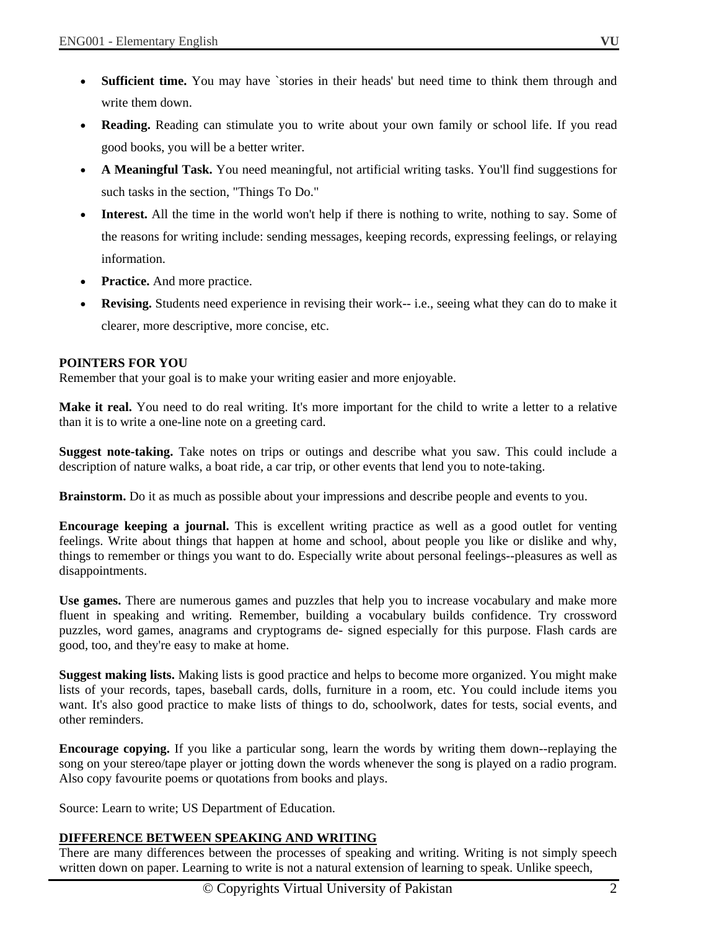- **Sufficient time.** You may have `stories in their heads' but need time to think them through and write them down.
- **Reading.** Reading can stimulate you to write about your own family or school life. If you read good books, you will be a better writer.
- **A Meaningful Task.** You need meaningful, not artificial writing tasks. You'll find suggestions for such tasks in the section, "Things To Do."
- **Interest.** All the time in the world won't help if there is nothing to write, nothing to say. Some of the reasons for writing include: sending messages, keeping records, expressing feelings, or relaying information.
- **Practice.** And more practice.
- **Revising.** Students need experience in revising their work-- i.e., seeing what they can do to make it clearer, more descriptive, more concise, etc.

# **POINTERS FOR YOU**

Remember that your goal is to make your writing easier and more enjoyable.

**Make it real.** You need to do real writing. It's more important for the child to write a letter to a relative than it is to write a one-line note on a greeting card.

**Suggest note-taking.** Take notes on trips or outings and describe what you saw. This could include a description of nature walks, a boat ride, a car trip, or other events that lend you to note-taking.

**Brainstorm.** Do it as much as possible about your impressions and describe people and events to you.

**Encourage keeping a journal.** This is excellent writing practice as well as a good outlet for venting feelings. Write about things that happen at home and school, about people you like or dislike and why, things to remember or things you want to do. Especially write about personal feelings--pleasures as well as disappointments.

**Use games.** There are numerous games and puzzles that help you to increase vocabulary and make more fluent in speaking and writing. Remember, building a vocabulary builds confidence. Try crossword puzzles, word games, anagrams and cryptograms de- signed especially for this purpose. Flash cards are good, too, and they're easy to make at home.

**Suggest making lists.** Making lists is good practice and helps to become more organized. You might make lists of your records, tapes, baseball cards, dolls, furniture in a room, etc. You could include items you want. It's also good practice to make lists of things to do, schoolwork, dates for tests, social events, and other reminders.

**Encourage copying.** If you like a particular song, learn the words by writing them down--replaying the song on your stereo/tape player or jotting down the words whenever the song is played on a radio program. Also copy favourite poems or quotations from books and plays.

Source: Learn to write; US Department of Education.

# **DIFFERENCE BETWEEN SPEAKING AND WRITING**

There are many differences between the processes of speaking and writing. Writing is not simply speech written down on paper. Learning to write is not a natural extension of learning to speak. Unlike speech,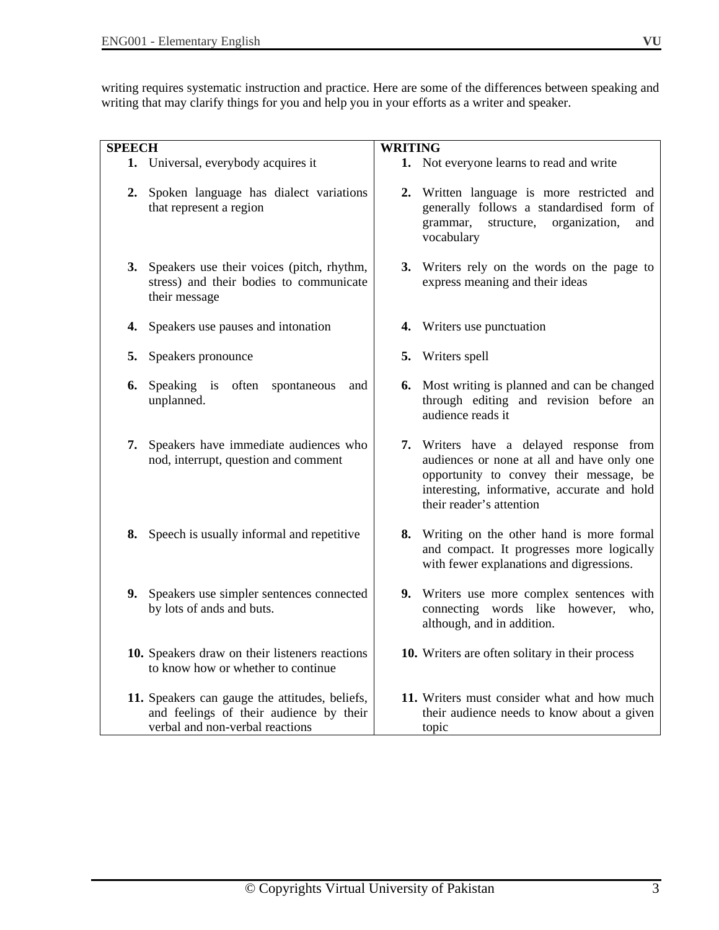writing requires systematic instruction and practice. Here are some of the differences between speaking and writing that may clarify things for you and help you in your efforts as a writer and speaker.

|    | <b>SPEECH</b>                                                                                                                |    | <b>WRITING</b>                                                                                                                                                                                              |  |  |
|----|------------------------------------------------------------------------------------------------------------------------------|----|-------------------------------------------------------------------------------------------------------------------------------------------------------------------------------------------------------------|--|--|
|    | 1. Universal, everybody acquires it                                                                                          |    | 1. Not everyone learns to read and write                                                                                                                                                                    |  |  |
|    | 2. Spoken language has dialect variations<br>that represent a region                                                         |    | 2. Written language is more restricted and<br>generally follows a standardised form of<br>grammar,<br>structure,<br>organization,<br>and<br>vocabulary                                                      |  |  |
|    | 3. Speakers use their voices (pitch, rhythm,<br>stress) and their bodies to communicate<br>their message                     |    | 3. Writers rely on the words on the page to<br>express meaning and their ideas                                                                                                                              |  |  |
| 4. | Speakers use pauses and intonation                                                                                           | 4. | Writers use punctuation                                                                                                                                                                                     |  |  |
| 5. | Speakers pronounce                                                                                                           | 5. | Writers spell                                                                                                                                                                                               |  |  |
| 6. | Speaking is often<br>spontaneous<br>and<br>unplanned.                                                                        |    | <b>6.</b> Most writing is planned and can be changed<br>through editing and revision before an<br>audience reads it                                                                                         |  |  |
|    | 7. Speakers have immediate audiences who<br>nod, interrupt, question and comment                                             |    | 7. Writers have a delayed response from<br>audiences or none at all and have only one<br>opportunity to convey their message, be<br>interesting, informative, accurate and hold<br>their reader's attention |  |  |
|    | 8. Speech is usually informal and repetitive                                                                                 |    | 8. Writing on the other hand is more formal<br>and compact. It progresses more logically<br>with fewer explanations and digressions.                                                                        |  |  |
|    | 9. Speakers use simpler sentences connected<br>by lots of ands and buts.                                                     |    | 9. Writers use more complex sentences with<br>connecting words like however,<br>who,<br>although, and in addition.                                                                                          |  |  |
|    | 10. Speakers draw on their listeners reactions<br>to know how or whether to continue                                         |    | 10. Writers are often solitary in their process                                                                                                                                                             |  |  |
|    | 11. Speakers can gauge the attitudes, beliefs,<br>and feelings of their audience by their<br>verbal and non-verbal reactions |    | 11. Writers must consider what and how much<br>their audience needs to know about a given<br>topic                                                                                                          |  |  |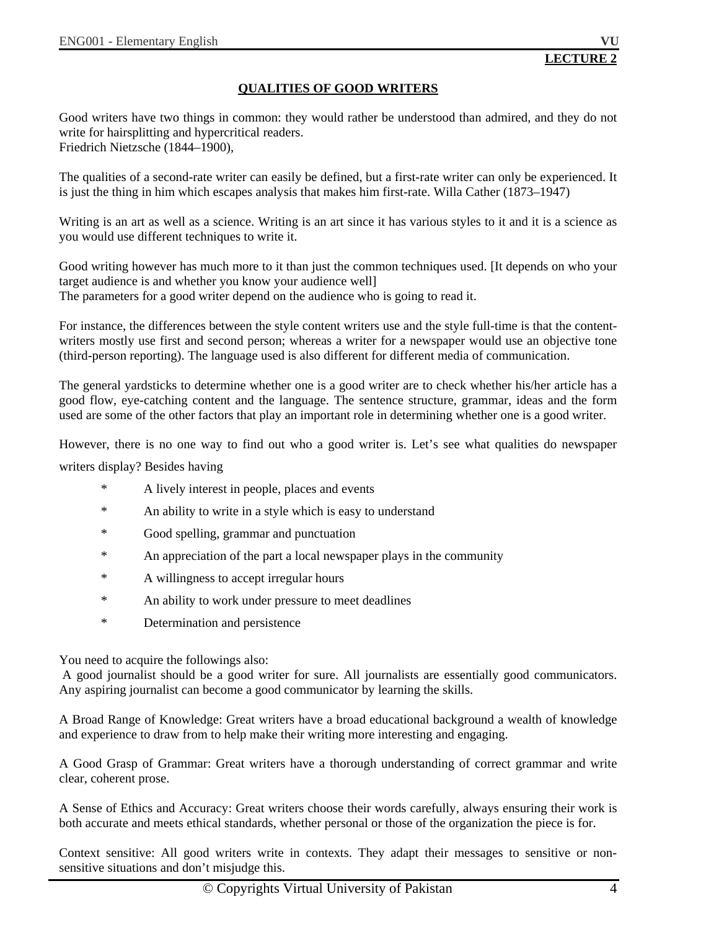# **QUALITIES OF GOOD WRITERS**

Good writers have two things in common: they would rather be understood than admired, and they do not write for hairsplitting and hypercritical readers. Friedrich Nietzsche (1844–1900),

The qualities of a second-rate writer can easily be defined, but a first-rate writer can only be experienced. It is just the thing in him which escapes analysis that makes him first-rate. Willa Cather (1873–1947)

Writing is an art as well as a science. Writing is an art since it has various styles to it and it is a science as you would use different techniques to write it.

Good writing however has much more to it than just the common techniques used. [It depends on who your target audience is and whether you know your audience well] The parameters for a good writer depend on the audience who is going to read it.

For instance, the differences between the style content writers use and the style full-time is that the contentwriters mostly use first and second person; whereas a writer for a newspaper would use an objective tone (third-person reporting). The language used is also different for different media of communication.

The general yardsticks to determine whether one is a good writer are to check whether his/her article has a good flow, eye-catching content and the language. The sentence structure, grammar, ideas and the form used are some of the other factors that play an important role in determining whether one is a good writer.

However, there is no one way to find out who a good writer is. Let's see what qualities do newspaper

writers display? Besides having

- \* A lively interest in people, places and events
- \* An ability to write in a style which is easy to understand
- \* Good spelling, grammar and punctuation
- \* An appreciation of the part a local newspaper plays in the community
- \* A willingness to accept irregular hours
- \* An ability to work under pressure to meet deadlines
- \* Determination and persistence

You need to acquire the followings also:

 A good journalist should be a good writer for sure. All journalists are essentially good communicators. Any aspiring journalist can become a good communicator by learning the skills.

A Broad Range of Knowledge: Great writers have a broad educational background a wealth of knowledge and experience to draw from to help make their writing more interesting and engaging.

A Good Grasp of Grammar: Great writers have a thorough understanding of correct grammar and write clear, coherent prose.

A Sense of Ethics and Accuracy: Great writers choose their words carefully, always ensuring their work is both accurate and meets ethical standards, whether personal or those of the organization the piece is for.

Context sensitive: All good writers write in contexts. They adapt their messages to sensitive or nonsensitive situations and don't misjudge this.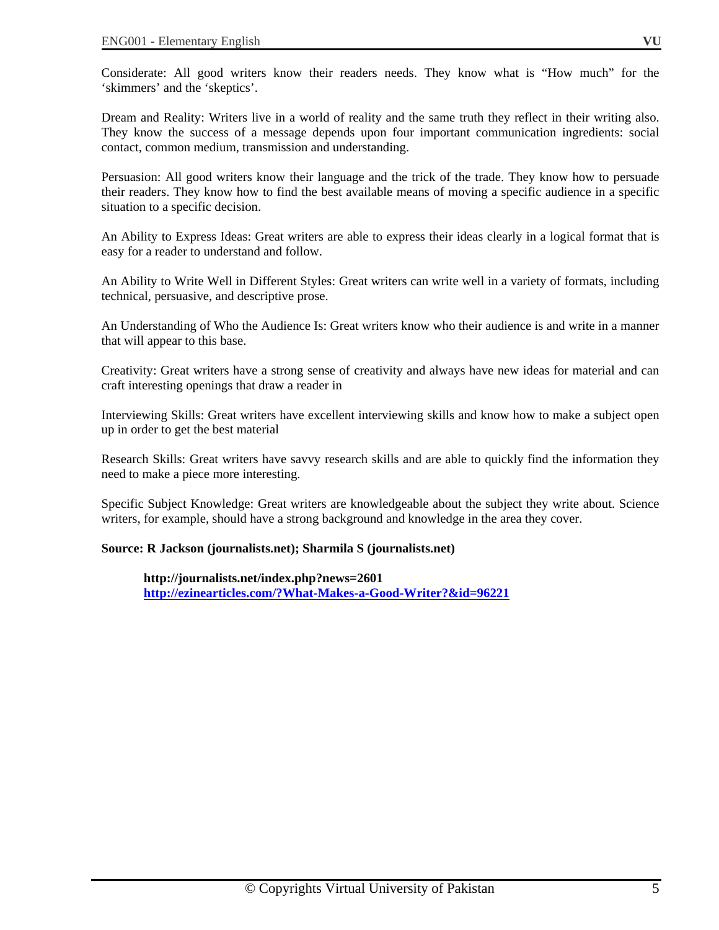Considerate: All good writers know their readers needs. They know what is "How much" for the 'skimmers' and the 'skeptics'.

Dream and Reality: Writers live in a world of reality and the same truth they reflect in their writing also. They know the success of a message depends upon four important communication ingredients: social contact, common medium, transmission and understanding.

Persuasion: All good writers know their language and the trick of the trade. They know how to persuade their readers. They know how to find the best available means of moving a specific audience in a specific situation to a specific decision.

An Ability to Express Ideas: Great writers are able to express their ideas clearly in a logical format that is easy for a reader to understand and follow.

An Ability to Write Well in Different Styles: Great writers can write well in a variety of formats, including technical, persuasive, and descriptive prose.

An Understanding of Who the Audience Is: Great writers know who their audience is and write in a manner that will appear to this base.

Creativity: Great writers have a strong sense of creativity and always have new ideas for material and can craft interesting openings that draw a reader in

Interviewing Skills: Great writers have excellent interviewing skills and know how to make a subject open up in order to get the best material

Research Skills: Great writers have savvy research skills and are able to quickly find the information they need to make a piece more interesting.

Specific Subject Knowledge: Great writers are knowledgeable about the subject they write about. Science writers, for example, should have a strong background and knowledge in the area they cover.

# **Source: R Jackson (journalists.net); Sharmila S (journalists.net)**

**http://journalists.net/index.php?news=2601 http://ezinearticles.com/?What-Makes-a-Good-Writer?&id=96221**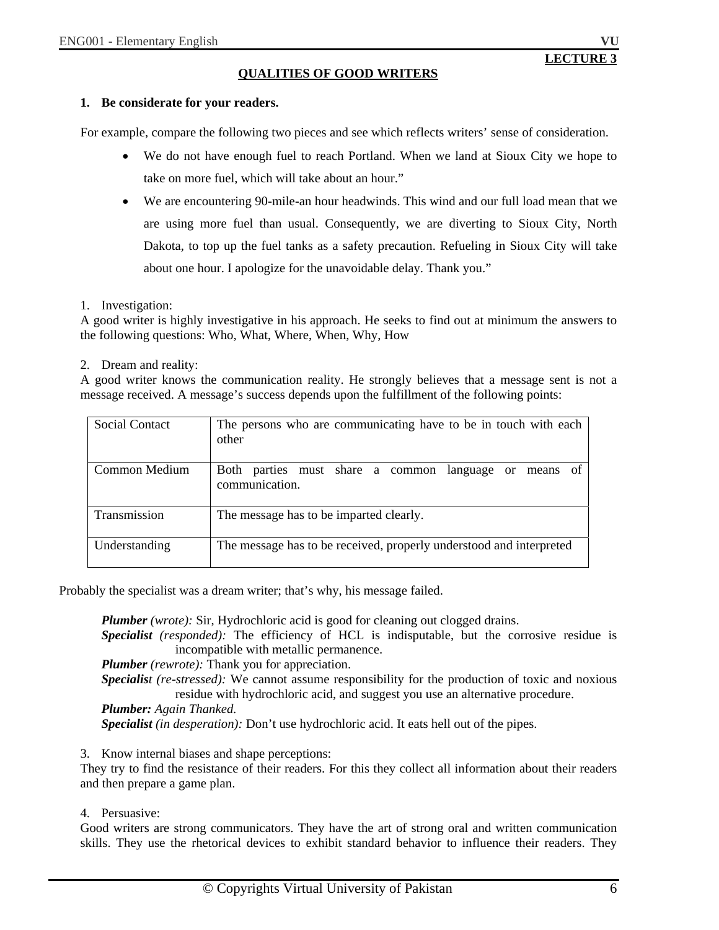## **QUALITIES OF GOOD WRITERS**

## **1. Be considerate for your readers.**

For example, compare the following two pieces and see which reflects writers' sense of consideration.

- We do not have enough fuel to reach Portland. When we land at Sioux City we hope to take on more fuel, which will take about an hour."
- We are encountering 90-mile-an hour headwinds. This wind and our full load mean that we are using more fuel than usual. Consequently, we are diverting to Sioux City, North Dakota, to top up the fuel tanks as a safety precaution. Refueling in Sioux City will take about one hour. I apologize for the unavoidable delay. Thank you."

#### 1. Investigation:

A good writer is highly investigative in his approach. He seeks to find out at minimum the answers to the following questions: Who, What, Where, When, Why, How

#### 2. Dream and reality:

A good writer knows the communication reality. He strongly believes that a message sent is not a message received. A message's success depends upon the fulfillment of the following points:

| Social Contact | The persons who are communicating have to be in touch with each<br>other                |  |
|----------------|-----------------------------------------------------------------------------------------|--|
| Common Medium  | parties must share a common<br><b>Both</b><br>language or<br>means of<br>communication. |  |
| Transmission   | The message has to be imparted clearly.                                                 |  |
| Understanding  | The message has to be received, properly understood and interpreted                     |  |

Probably the specialist was a dream writer; that's why, his message failed.

*Plumber (wrote):* Sir, Hydrochloric acid is good for cleaning out clogged drains.

*Specialist (responded):* The efficiency of HCL is indisputable, but the corrosive residue is incompatible with metallic permanence.

 *Plumber (rewrote):* Thank you for appreciation.

*Specialist (re-stressed):* We cannot assume responsibility for the production of toxic and noxious residue with hydrochloric acid, and suggest you use an alternative procedure.

 *Plumber: Again Thanked. Specialist (in desperation):* Don't use hydrochloric acid. It eats hell out of the pipes.

3. Know internal biases and shape perceptions:

They try to find the resistance of their readers. For this they collect all information about their readers and then prepare a game plan.

## 4. Persuasive:

Good writers are strong communicators. They have the art of strong oral and written communication skills. They use the rhetorical devices to exhibit standard behavior to influence their readers. They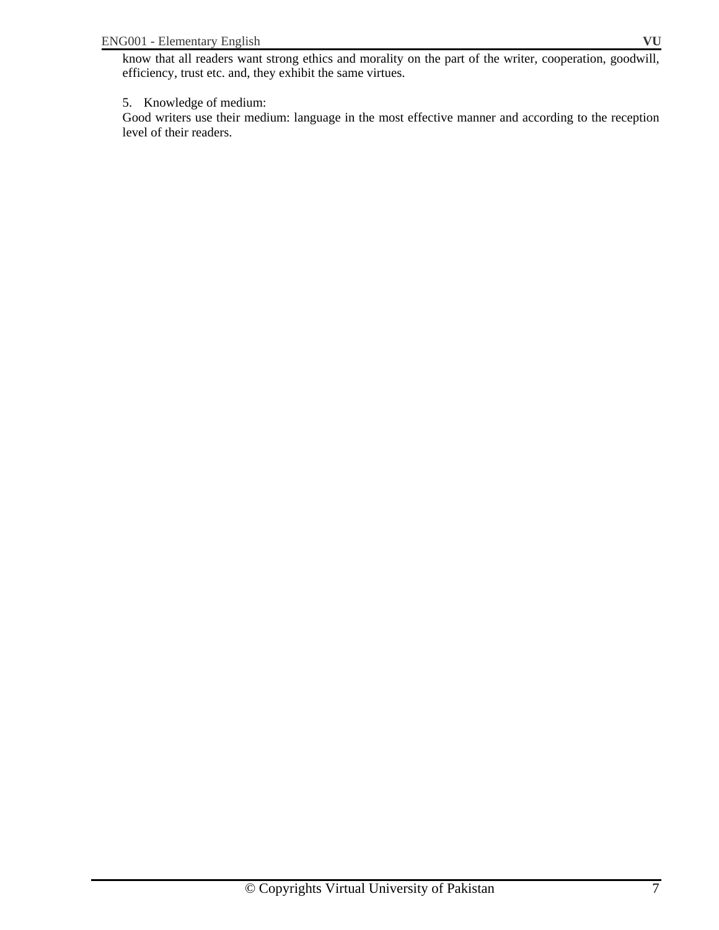know that all readers want strong ethics and morality on the part of the writer, cooperation, goodwill, efficiency, trust etc. and, they exhibit the same virtues.

5. Knowledge of medium:

Good writers use their medium: language in the most effective manner and according to the reception level of their readers.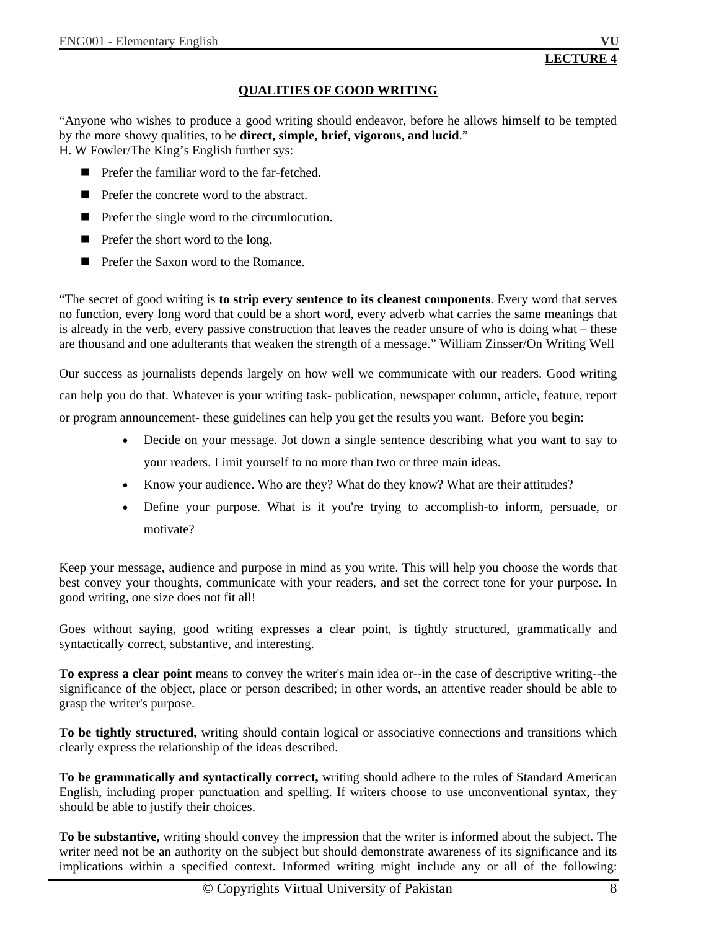# **QUALITIES OF GOOD WRITING**

"Anyone who wishes to produce a good writing should endeavor, before he allows himself to be tempted by the more showy qualities, to be **direct, simple, brief, vigorous, and lucid**." H. W Fowler/The King's English further sys:

**Prefer the familiar word to the far-fetched.** 

- **Prefer the concrete word to the abstract.**
- $\blacksquare$  Prefer the single word to the circumlocution.
- **Prefer the short word to the long.**
- **Prefer the Saxon word to the Romance.**

"The secret of good writing is **to strip every sentence to its cleanest components**. Every word that serves no function, every long word that could be a short word, every adverb what carries the same meanings that is already in the verb, every passive construction that leaves the reader unsure of who is doing what – these are thousand and one adulterants that weaken the strength of a message." William Zinsser/On Writing Well

Our success as journalists depends largely on how well we communicate with our readers. Good writing can help you do that. Whatever is your writing task- publication, newspaper column, article, feature, report or program announcement- these guidelines can help you get the results you want. Before you begin:

- Decide on your message. Jot down a single sentence describing what you want to say to your readers. Limit yourself to no more than two or three main ideas.
- Know your audience. Who are they? What do they know? What are their attitudes?
- Define your purpose. What is it you're trying to accomplish-to inform, persuade, or motivate?

Keep your message, audience and purpose in mind as you write. This will help you choose the words that best convey your thoughts, communicate with your readers, and set the correct tone for your purpose. In good writing, one size does not fit all!

Goes without saying, good writing expresses a clear point, is tightly structured, grammatically and syntactically correct, substantive, and interesting.

**To express a clear point** means to convey the writer's main idea or--in the case of descriptive writing--the significance of the object, place or person described; in other words, an attentive reader should be able to grasp the writer's purpose.

**To be tightly structured,** writing should contain logical or associative connections and transitions which clearly express the relationship of the ideas described.

**To be grammatically and syntactically correct,** writing should adhere to the rules of Standard American English, including proper punctuation and spelling. If writers choose to use unconventional syntax, they should be able to justify their choices.

**To be substantive,** writing should convey the impression that the writer is informed about the subject. The writer need not be an authority on the subject but should demonstrate awareness of its significance and its implications within a specified context. Informed writing might include any or all of the following: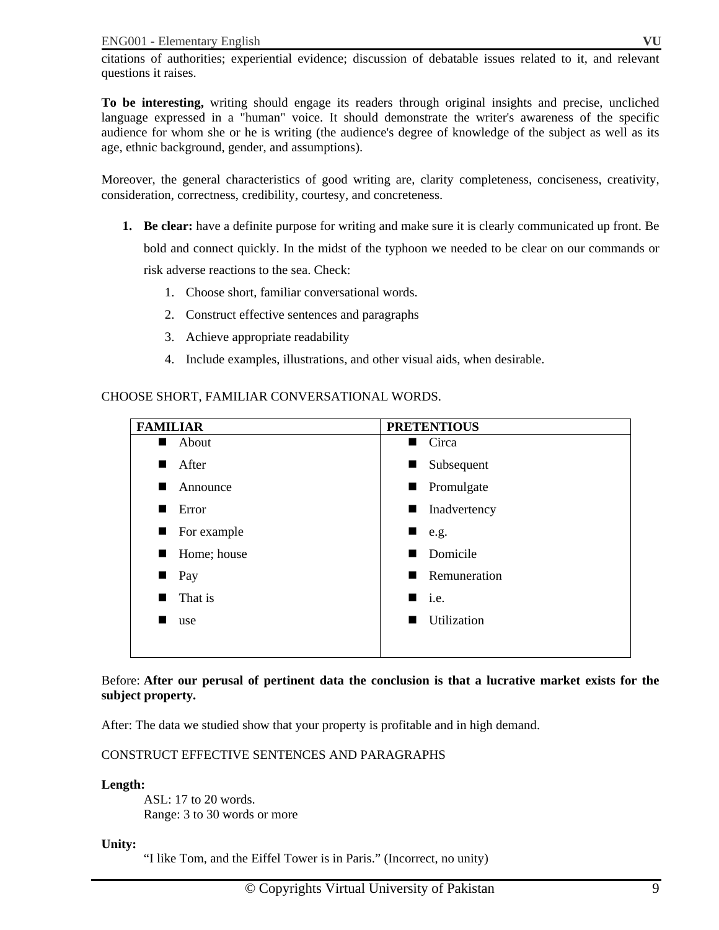citations of authorities; experiential evidence; discussion of debatable issues related to it, and relevant questions it raises.

**To be interesting,** writing should engage its readers through original insights and precise, uncliched language expressed in a "human" voice. It should demonstrate the writer's awareness of the specific audience for whom she or he is writing (the audience's degree of knowledge of the subject as well as its age, ethnic background, gender, and assumptions).

Moreover, the general characteristics of good writing are, clarity completeness, conciseness, creativity, consideration, correctness, credibility, courtesy, and concreteness.

- **1. Be clear:** have a definite purpose for writing and make sure it is clearly communicated up front. Be bold and connect quickly. In the midst of the typhoon we needed to be clear on our commands or risk adverse reactions to the sea. Check:
	- 1. Choose short, familiar conversational words.
	- 2. Construct effective sentences and paragraphs
	- 3. Achieve appropriate readability
	- 4. Include examples, illustrations, and other visual aids, when desirable.

## CHOOSE SHORT, FAMILIAR CONVERSATIONAL WORDS.

## Before: **After our perusal of pertinent data the conclusion is that a lucrative market exists for the subject property.**

After: The data we studied show that your property is profitable and in high demand.

## CONSTRUCT EFFECTIVE SENTENCES AND PARAGRAPHS

## **Length:**

 ASL: 17 to 20 words. Range: 3 to 30 words or more

**Unity:**

"I like Tom, and the Eiffel Tower is in Paris." (Incorrect, no unity)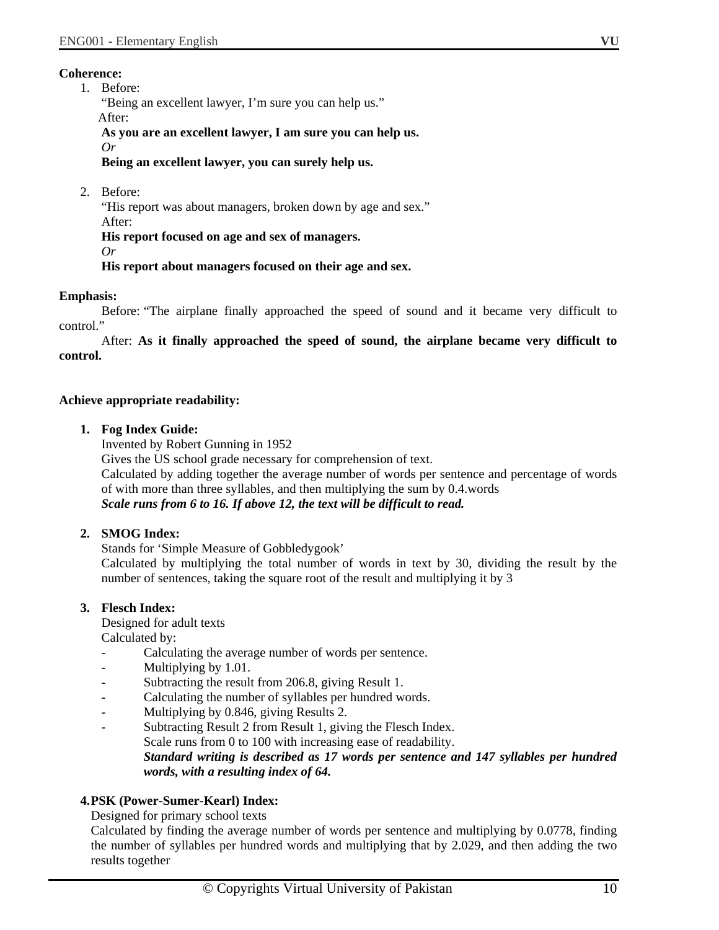## **Coherence:**

1. Before:

"Being an excellent lawyer, I'm sure you can help us."

After:

# **As you are an excellent lawyer, I am sure you can help us.**

*Or* 

# **Being an excellent lawyer, you can surely help us.**

2. Before:

 "His report was about managers, broken down by age and sex." After:

**His report focused on age and sex of managers.** 

 $Or$ 

**His report about managers focused on their age and sex.** 

# **Emphasis:**

Before: "The airplane finally approached the speed of sound and it became very difficult to control."

 After: **As it finally approached the speed of sound, the airplane became very difficult to control.** 

# **Achieve appropriate readability:**

## **1. Fog Index Guide:**

Invented by Robert Gunning in 1952

Gives the US school grade necessary for comprehension of text.

Calculated by adding together the average number of words per sentence and percentage of words of with more than three syllables, and then multiplying the sum by 0.4.words *Scale runs from 6 to 16. If above 12, the text will be difficult to read.* 

# **2. SMOG Index:**

Stands for 'Simple Measure of Gobbledygook'

Calculated by multiplying the total number of words in text by 30, dividing the result by the number of sentences, taking the square root of the result and multiplying it by 3

# **3. Flesch Index:**

Designed for adult texts

Calculated by:

- Calculating the average number of words per sentence.
- Multiplying by 1.01.
- Subtracting the result from 206.8, giving Result 1.
- Calculating the number of syllables per hundred words.
- Multiplying by 0.846, giving Results 2.
- Subtracting Result 2 from Result 1, giving the Flesch Index.
- Scale runs from 0 to 100 with increasing ease of readability.

*Standard writing is described as 17 words per sentence and 147 syllables per hundred words, with a resulting index of 64.* 

# **4.PSK (Power-Sumer-Kearl) Index:**

Designed for primary school texts

Calculated by finding the average number of words per sentence and multiplying by 0.0778, finding the number of syllables per hundred words and multiplying that by 2.029, and then adding the two results together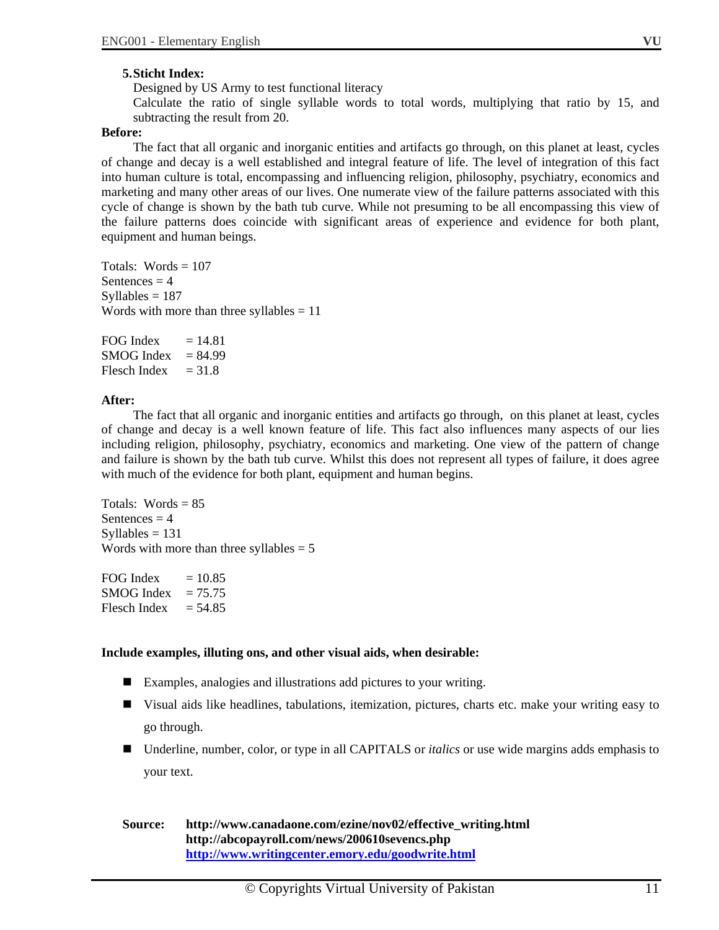## **5.Sticht Index:**

Designed by US Army to test functional literacy

Calculate the ratio of single syllable words to total words, multiplying that ratio by 15, and subtracting the result from 20.

#### **Before:**

 The fact that all organic and inorganic entities and artifacts go through, on this planet at least, cycles of change and decay is a well established and integral feature of life. The level of integration of this fact into human culture is total, encompassing and influencing religion, philosophy, psychiatry, economics and marketing and many other areas of our lives. One numerate view of the failure patterns associated with this cycle of change is shown by the bath tub curve. While not presuming to be all encompassing this view of the failure patterns does coincide with significant areas of experience and evidence for both plant, equipment and human beings.

Totals: Words  $= 107$ Sentences  $= 4$  $Syllabels = 187$ Words with more than three syllables  $= 11$ 

FOG Index  $= 14.81$ SMOG Index  $= 84.99$ Flesch Index  $= 31.8$ 

#### **After:**

 The fact that all organic and inorganic entities and artifacts go through, on this planet at least, cycles of change and decay is a well known feature of life. This fact also influences many aspects of our lies including religion, philosophy, psychiatry, economics and marketing. One view of the pattern of change and failure is shown by the bath tub curve. Whilst this does not represent all types of failure, it does agree with much of the evidence for both plant, equipment and human begins.

```
Totals: Words = 85Sentences = 4Syllabels = 131Words with more than three syllables = 5
```
FOG Index  $= 10.85$ SMOG Index  $= 75.75$ Flesch Index  $= 54.85$ 

#### **Include examples, illuting ons, and other visual aids, when desirable:**

- Examples, analogies and illustrations add pictures to your writing.
- Visual aids like headlines, tabulations, itemization, pictures, charts etc. make your writing easy to go through.
- Underline, number, color, or type in all CAPITALS or *italics* or use wide margins adds emphasis to your text.

**Source: http://www.canadaone.com/ezine/nov02/effective\_writing.html http://abcopayroll.com/news/200610sevencs.php http://www.writingcenter.emory.edu/goodwrite.html**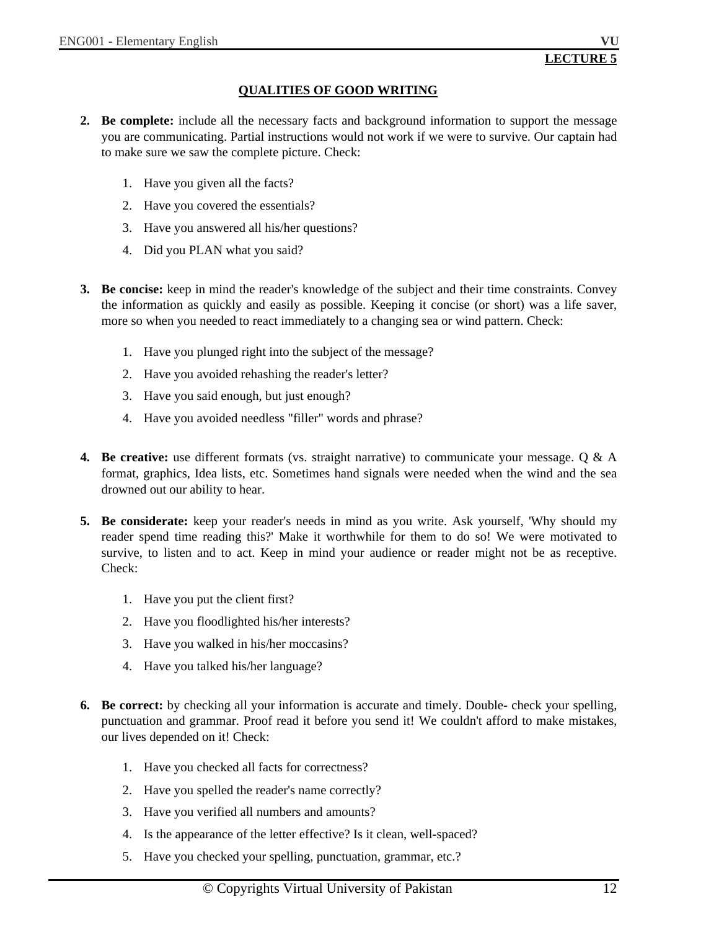# **QUALITIES OF GOOD WRITING**

- **2. Be complete:** include all the necessary facts and background information to support the message you are communicating. Partial instructions would not work if we were to survive. Our captain had to make sure we saw the complete picture. Check:
	- 1. Have you given all the facts?
	- 2. Have you covered the essentials?
	- 3. Have you answered all his/her questions?
	- 4. Did you PLAN what you said?
- **3. Be concise:** keep in mind the reader's knowledge of the subject and their time constraints. Convey the information as quickly and easily as possible. Keeping it concise (or short) was a life saver, more so when you needed to react immediately to a changing sea or wind pattern. Check:
	- 1. Have you plunged right into the subject of the message?
	- 2. Have you avoided rehashing the reader's letter?
	- 3. Have you said enough, but just enough?
	- 4. Have you avoided needless "filler" words and phrase?
- **4. Be creative:** use different formats (vs. straight narrative) to communicate your message. Q & A format, graphics, Idea lists, etc. Sometimes hand signals were needed when the wind and the sea drowned out our ability to hear.
- **5. Be considerate:** keep your reader's needs in mind as you write. Ask yourself, 'Why should my reader spend time reading this?' Make it worthwhile for them to do so! We were motivated to survive, to listen and to act. Keep in mind your audience or reader might not be as receptive. Check:
	- 1. Have you put the client first?
	- 2. Have you floodlighted his/her interests?
	- 3. Have you walked in his/her moccasins?
	- 4. Have you talked his/her language?
- **6. Be correct:** by checking all your information is accurate and timely. Double- check your spelling, punctuation and grammar. Proof read it before you send it! We couldn't afford to make mistakes, our lives depended on it! Check:
	- 1. Have you checked all facts for correctness?
	- 2. Have you spelled the reader's name correctly?
	- 3. Have you verified all numbers and amounts?
	- 4. Is the appearance of the letter effective? Is it clean, well-spaced?
	- 5. Have you checked your spelling, punctuation, grammar, etc.?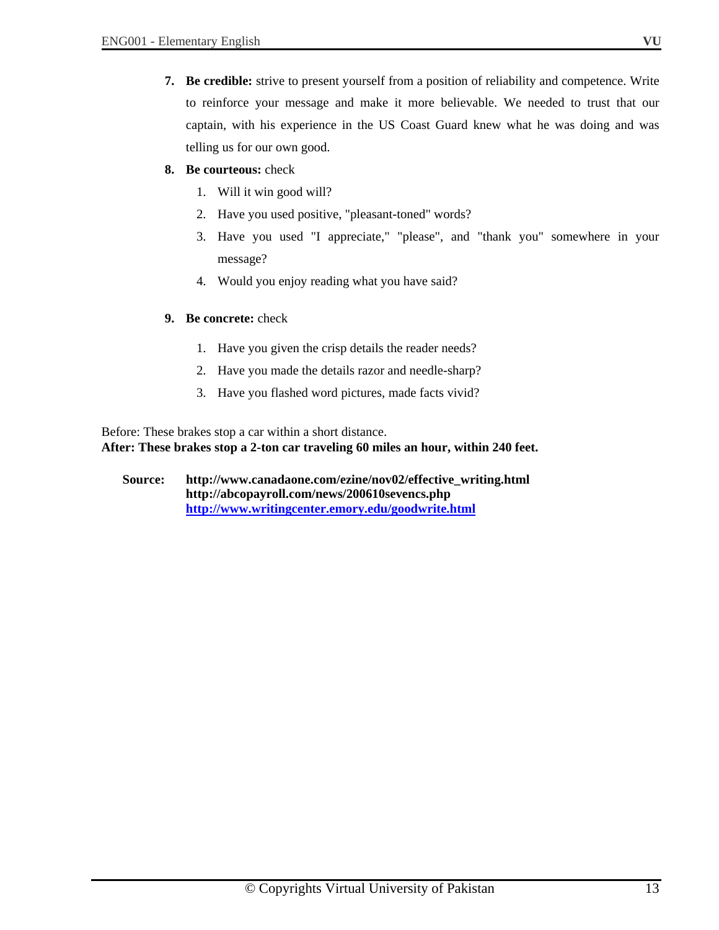**7. Be credible:** strive to present yourself from a position of reliability and competence. Write to reinforce your message and make it more believable. We needed to trust that our captain, with his experience in the US Coast Guard knew what he was doing and was telling us for our own good.

## **8. Be courteous:** check

- 1. Will it win good will?
- 2. Have you used positive, "pleasant-toned" words?
- 3. Have you used "I appreciate," "please", and "thank you" somewhere in your message?
- 4. Would you enjoy reading what you have said?

## **9. Be concrete:** check

- 1. Have you given the crisp details the reader needs?
- 2. Have you made the details razor and needle-sharp?
- 3. Have you flashed word pictures, made facts vivid?

Before: These brakes stop a car within a short distance. **After: These brakes stop a 2-ton car traveling 60 miles an hour, within 240 feet.** 

**Source: http://www.canadaone.com/ezine/nov02/effective\_writing.html http://abcopayroll.com/news/200610sevencs.php http://www.writingcenter.emory.edu/goodwrite.html**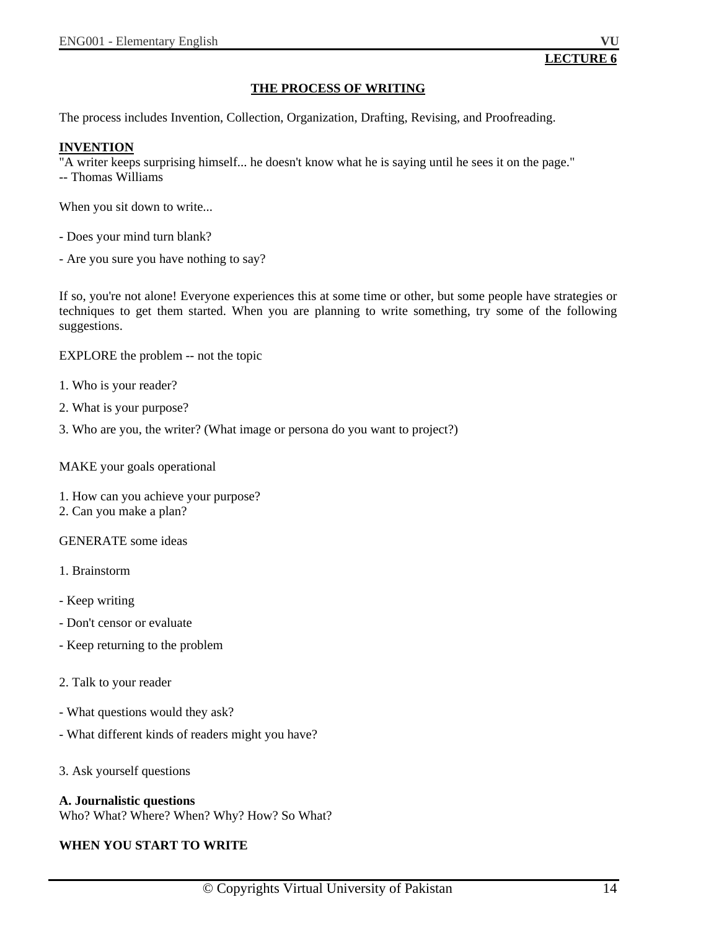## **THE PROCESS OF WRITING**

The process includes Invention, Collection, Organization, Drafting, Revising, and Proofreading.

## **INVENTION**

"A writer keeps surprising himself... he doesn't know what he is saying until he sees it on the page." -- Thomas Williams

When you sit down to write...

- Does your mind turn blank?
- Are you sure you have nothing to say?

If so, you're not alone! Everyone experiences this at some time or other, but some people have strategies or techniques to get them started. When you are planning to write something, try some of the following suggestions.

EXPLORE the problem -- not the topic

- 1. Who is your reader?
- 2. What is your purpose?
- 3. Who are you, the writer? (What image or persona do you want to project?)

## MAKE your goals operational

- 1. How can you achieve your purpose?
- 2. Can you make a plan?

GENERATE some ideas

- 1. Brainstorm
- Keep writing
- Don't censor or evaluate
- Keep returning to the problem
- 2. Talk to your reader
- What questions would they ask?
- What different kinds of readers might you have?
- 3. Ask yourself questions

## **A. Journalistic questions**

Who? What? Where? When? Why? How? So What?

# **WHEN YOU START TO WRITE**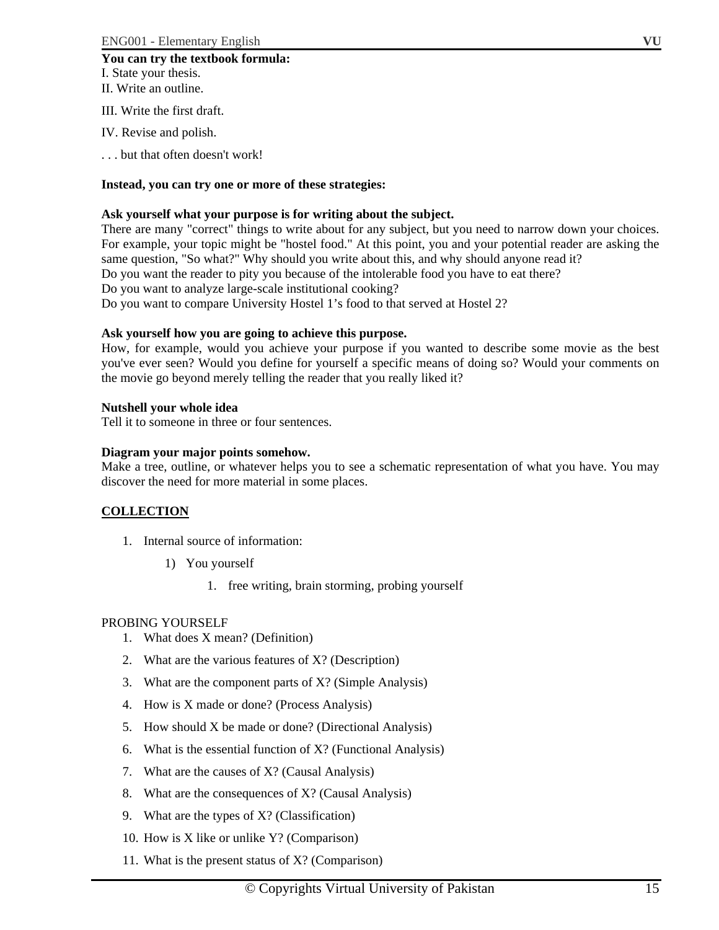# **You can try the textbook formula:**

I. State your thesis. II. Write an outline.

III. Write the first draft.

IV. Revise and polish.

. . . but that often doesn't work!

## **Instead, you can try one or more of these strategies:**

## **Ask yourself what your purpose is for writing about the subject.**

There are many "correct" things to write about for any subject, but you need to narrow down your choices. For example, your topic might be "hostel food." At this point, you and your potential reader are asking the same question, "So what?" Why should you write about this, and why should anyone read it? Do you want the reader to pity you because of the intolerable food you have to eat there? Do you want to analyze large-scale institutional cooking? Do you want to compare University Hostel 1's food to that served at Hostel 2?

## **Ask yourself how you are going to achieve this purpose.**

How, for example, would you achieve your purpose if you wanted to describe some movie as the best you've ever seen? Would you define for yourself a specific means of doing so? Would your comments on the movie go beyond merely telling the reader that you really liked it?

## **Nutshell your whole idea**

Tell it to someone in three or four sentences.

## **Diagram your major points somehow.**

Make a tree, outline, or whatever helps you to see a schematic representation of what you have. You may discover the need for more material in some places.

# **COLLECTION**

- 1. Internal source of information:
	- 1) You yourself
		- 1. free writing, brain storming, probing yourself

# PROBING YOURSELF

- 1. What does X mean? (Definition)
- 2. What are the various features of X? (Description)
- 3. What are the component parts of X? (Simple Analysis)
- 4. How is X made or done? (Process Analysis)
- 5. How should X be made or done? (Directional Analysis)
- 6. What is the essential function of  $X$ ? (Functional Analysis)
- 7. What are the causes of X? (Causal Analysis)
- 8. What are the consequences of X? (Causal Analysis)
- 9. What are the types of X? (Classification)
- 10. How is X like or unlike Y? (Comparison)
- 11. What is the present status of X? (Comparison)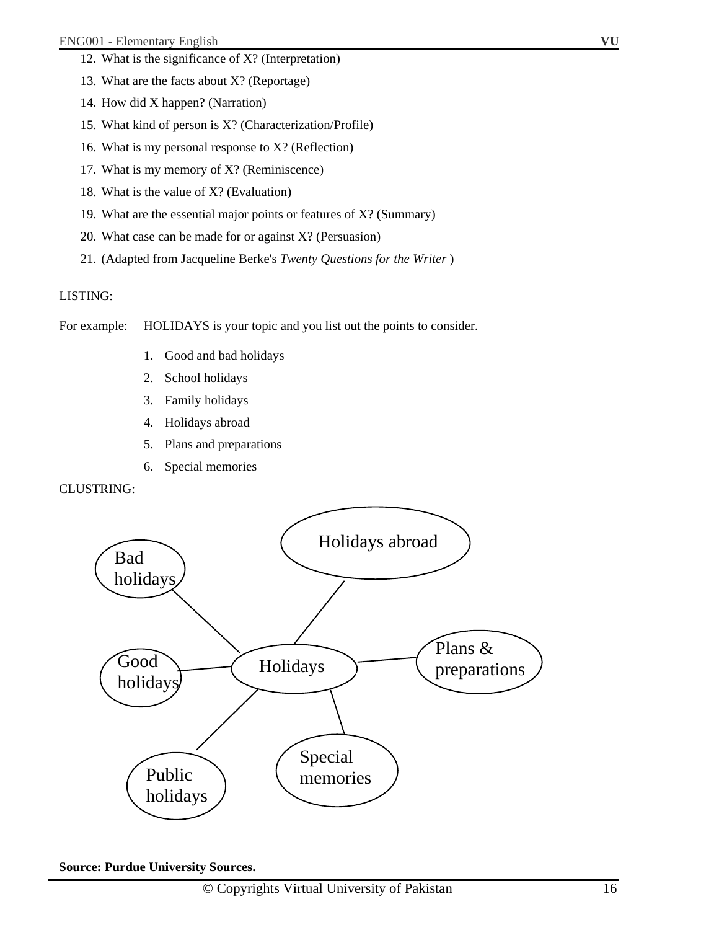## ENG001 - Elementary English **VU**

- 12. What is the significance of X? (Interpretation)
- 13. What are the facts about X? (Reportage)
- 14. How did X happen? (Narration)
- 15. What kind of person is X? (Characterization/Profile)
- 16. What is my personal response to X? (Reflection)
- 17. What is my memory of X? (Reminiscence)
- 18. What is the value of X? (Evaluation)
- 19. What are the essential major points or features of X? (Summary)
- 20. What case can be made for or against X? (Persuasion)
- 21. (Adapted from Jacqueline Berke's *Twenty Questions for the Writer* )

# LISTING:

For example: HOLIDAYS is your topic and you list out the points to consider.

- 1. Good and bad holidays
- 2. School holidays
- 3. Family holidays
- 4. Holidays abroad
- 5. Plans and preparations
- 6. Special memories

# CLUSTRING:



**Source: Purdue University Sources.**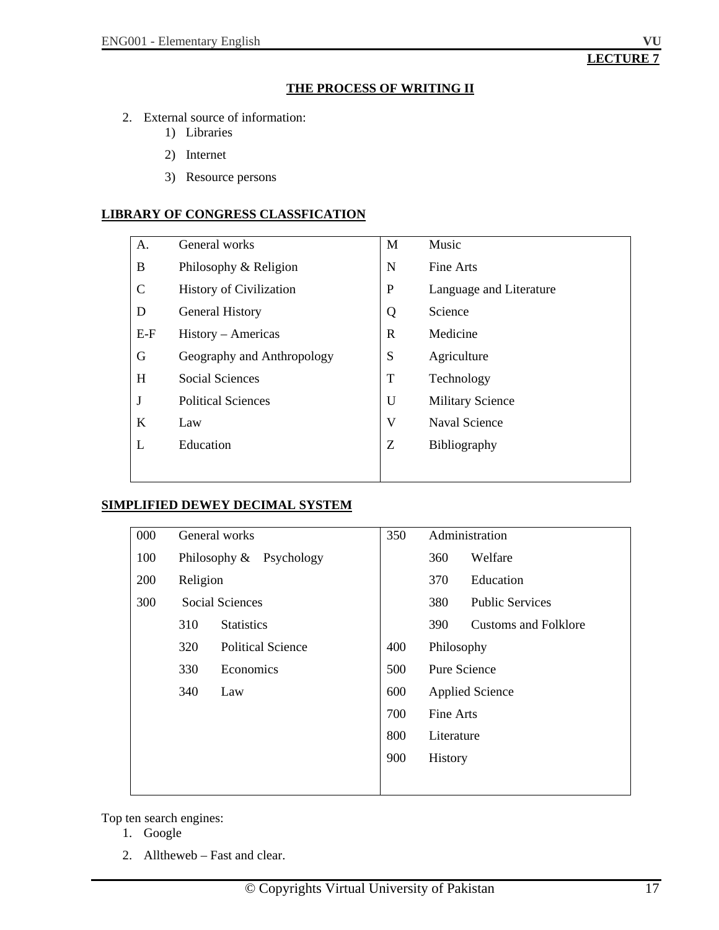## **THE PROCESS OF WRITING II**

- 2. External source of information:
	- 1) Libraries
	- 2) Internet
	- 3) Resource persons

## **LIBRARY OF CONGRESS CLASSFICATION**

| A.           | General works                  | M            | Music                   |
|--------------|--------------------------------|--------------|-------------------------|
| B            | Philosophy & Religion          | N            | Fine Arts               |
| $\mathsf{C}$ | <b>History of Civilization</b> | P            | Language and Literature |
| D            | <b>General History</b>         | Q            | Science                 |
| $E-F$        | History – Americas             | R            | Medicine                |
| G            | Geography and Anthropology     | S            | Agriculture             |
| $H_{\rm}$    | <b>Social Sciences</b>         | T            | Technology              |
| $\bf J$      | <b>Political Sciences</b>      | $\mathbf{U}$ | <b>Military Science</b> |
| K            | Law                            | V            | Naval Science           |
| L            | Education                      | Ζ            | Bibliography            |
|              |                                |              |                         |

# **SIMPLIFIED DEWEY DECIMAL SYSTEM**

| 000 |                        | General works                 | 350 |            | Administration         |
|-----|------------------------|-------------------------------|-----|------------|------------------------|
| 100 |                        | Philosophy $\&$<br>Psychology |     | 360        | Welfare                |
| 200 | Religion               |                               |     | 370        | Education              |
| 300 | <b>Social Sciences</b> |                               |     | 380        | <b>Public Services</b> |
|     | 310                    | <b>Statistics</b>             |     | 390        | Customs and Folklore   |
|     | 320                    | <b>Political Science</b>      | 400 | Philosophy |                        |
|     | 330                    | Economics                     | 500 |            | <b>Pure Science</b>    |
|     | 340                    | Law                           | 600 |            | <b>Applied Science</b> |
|     |                        |                               | 700 | Fine Arts  |                        |
|     |                        |                               | 800 | Literature |                        |
|     |                        |                               | 900 | History    |                        |
|     |                        |                               |     |            |                        |

Top ten search engines:

- 1. Google
- 2. Alltheweb Fast and clear.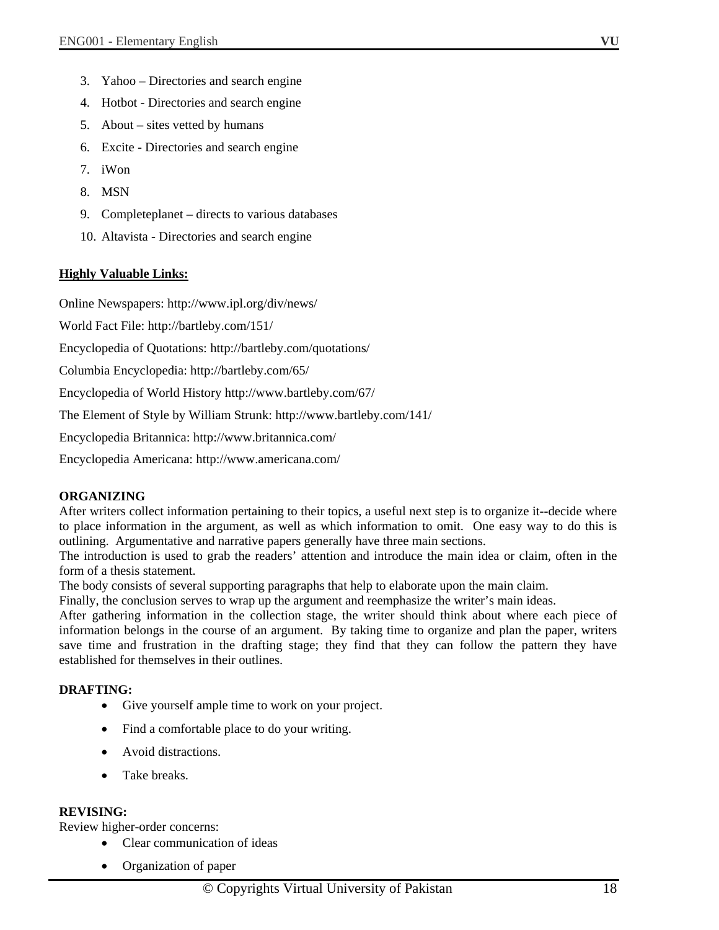- 3. Yahoo Directories and search engine
- 4. Hotbot Directories and search engine
- 5. About sites vetted by humans
- 6. Excite Directories and search engine
- 7. iWon
- 8. MSN
- 9. Completeplanet directs to various databases
- 10. Altavista Directories and search engine

## **Highly Valuable Links:**

Online Newspapers: http://www.ipl.org/div/news/

World Fact File: http://bartleby.com/151/

Encyclopedia of Quotations: http://bartleby.com/quotations/

Columbia Encyclopedia: http://bartleby.com/65/

Encyclopedia of World History http://www.bartleby.com/67/

The Element of Style by William Strunk: http://www.bartleby.com/141/

Encyclopedia Britannica: http://www.britannica.com/

Encyclopedia Americana: http://www.americana.com/

## **ORGANIZING**

After writers collect information pertaining to their topics, a useful next step is to organize it--decide where to place information in the argument, as well as which information to omit. One easy way to do this is outlining. Argumentative and narrative papers generally have three main sections.

The introduction is used to grab the readers' attention and introduce the main idea or claim, often in the form of a thesis statement.

The body consists of several supporting paragraphs that help to elaborate upon the main claim.

Finally, the conclusion serves to wrap up the argument and reemphasize the writer's main ideas.

After gathering information in the collection stage, the writer should think about where each piece of information belongs in the course of an argument. By taking time to organize and plan the paper, writers save time and frustration in the drafting stage; they find that they can follow the pattern they have established for themselves in their outlines.

## **DRAFTING:**

- Give yourself ample time to work on your project.
- Find a comfortable place to do your writing.
- Avoid distractions.
- Take breaks.

### **REVISING:**

Review higher-order concerns:

- Clear communication of ideas
- Organization of paper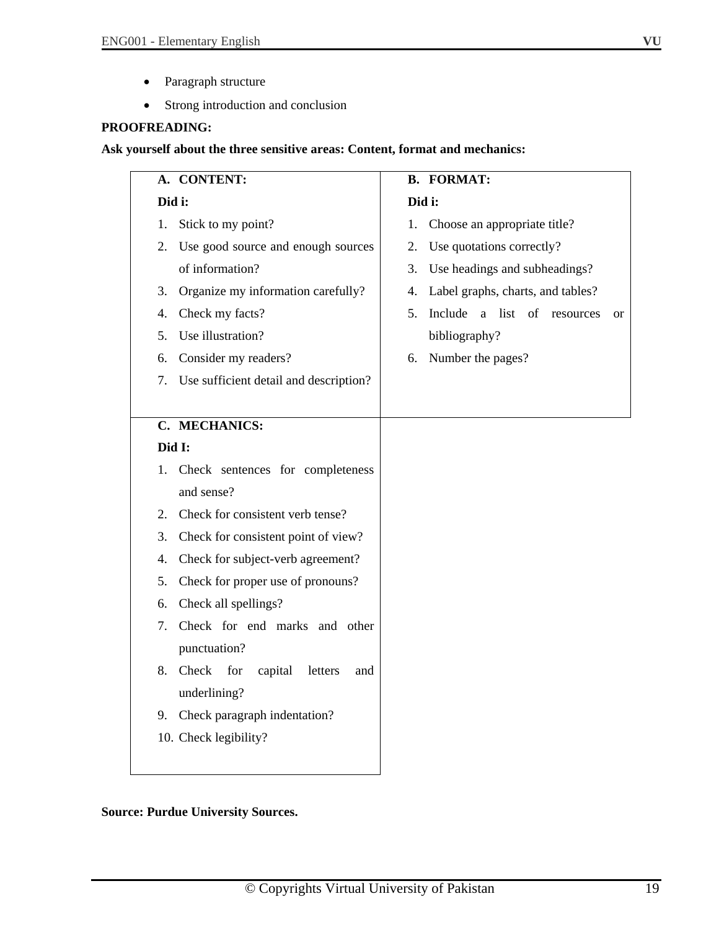- Paragraph structure
- Strong introduction and conclusion

# **PROOFREADING:**

# **Ask yourself about the three sensitive areas: Content, format and mechanics:**

| A. CONTENT:                                  | <b>B. FORMAT:</b>                                     |
|----------------------------------------------|-------------------------------------------------------|
| Did i:                                       | Did i:                                                |
| Stick to my point?<br>1.                     | Choose an appropriate title?<br>1.                    |
| Use good source and enough sources<br>2.     | Use quotations correctly?<br>2.                       |
| of information?                              | Use headings and subheadings?<br>3.                   |
| Organize my information carefully?<br>3.     | Label graphs, charts, and tables?<br>4.               |
| Check my facts?<br>$\overline{4}$ .          | a list of resources<br>Include<br>5.<br><sub>or</sub> |
| Use illustration?<br>5.                      | bibliography?                                         |
| Consider my readers?<br>6.                   | Number the pages?<br>6.                               |
| Use sufficient detail and description?<br>7. |                                                       |
|                                              |                                                       |
| C. MECHANICS:                                |                                                       |
| Did I:                                       |                                                       |
| Check sentences for completeness<br>1.       |                                                       |
| and sense?                                   |                                                       |
| Check for consistent verb tense?<br>2.       |                                                       |
| 3.<br>Check for consistent point of view?    |                                                       |
| Check for subject-verb agreement?<br>4.      |                                                       |
| 5.<br>Check for proper use of pronouns?      |                                                       |
| Check all spellings?<br>6.                   |                                                       |
| Check for end marks and other<br>7.          |                                                       |
| punctuation?                                 |                                                       |
| Check for<br>capital<br>letters<br>8.<br>and |                                                       |
| underlining?                                 |                                                       |
| Check paragraph indentation?<br>9.           |                                                       |
| 10. Check legibility?                        |                                                       |
|                                              |                                                       |

# **Source: Purdue University Sources.**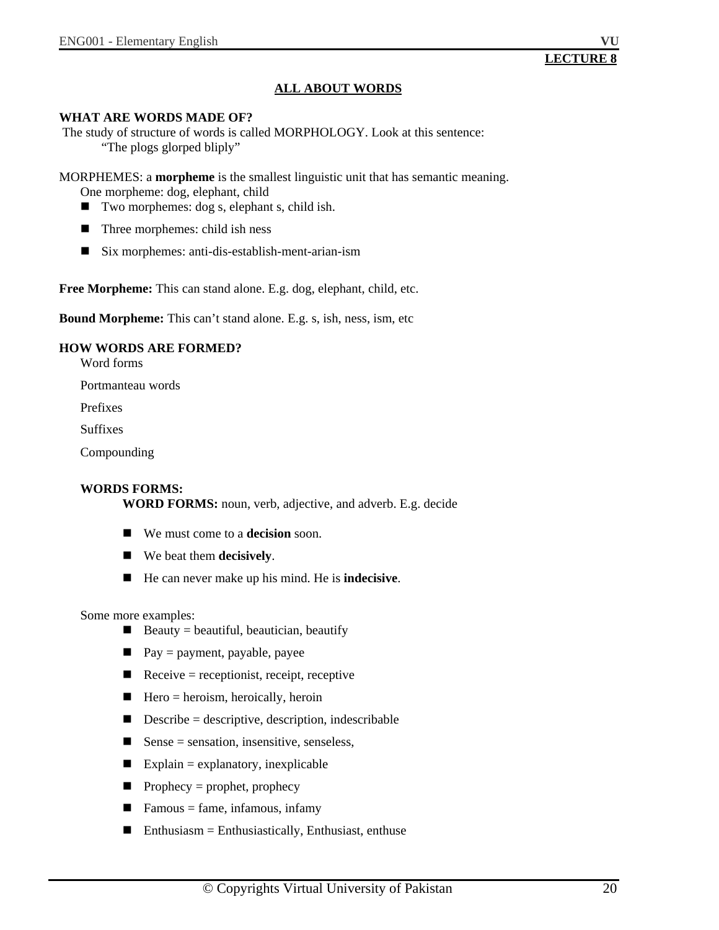# **ALL ABOUT WORDS**

### **WHAT ARE WORDS MADE OF?**

 The study of structure of words is called MORPHOLOGY. Look at this sentence: "The plogs glorped bliply"

MORPHEMES: a **morpheme** is the smallest linguistic unit that has semantic meaning.

One morpheme: dog, elephant, child

- Two morphemes: dog s, elephant s, child ish.
- Three morphemes: child ish ness
- Six morphemes: anti-dis-establish-ment-arian-ism

**Free Morpheme:** This can stand alone. E.g. dog, elephant, child, etc.

**Bound Morpheme:** This can't stand alone. E.g. s, ish, ness, ism, etc

## **HOW WORDS ARE FORMED?**

Word forms

Portmanteau words

Prefixes

Suffixes

Compounding

## **WORDS FORMS:**

**WORD FORMS:** noun, verb, adjective, and adverb. E.g. decide

- We must come to a **decision** soon.
- We beat them **decisively**.
- He can never make up his mind. He is **indecisive**.

#### Some more examples:

- $\blacksquare$  Beauty = beautiful, beautician, beautify
- $\blacksquare$  Pay = payment, payable, payee
- Receive = receptionist, receipt, receptive
- $Hero = \text{heroism}, \text{heroically}, \text{heroin}$
- $\blacksquare$  Describe = descriptive, description, indescribable
- Sense = sensation, insensitive, senseless,
- Explain = explanatory, inexplicable
- $\blacksquare$  Prophecy = prophet, prophecy
- $\blacksquare$  Famous = fame, infamous, infamy
- $\blacksquare$  Enthusiasm = Enthusiastically, Enthusiast, enthuse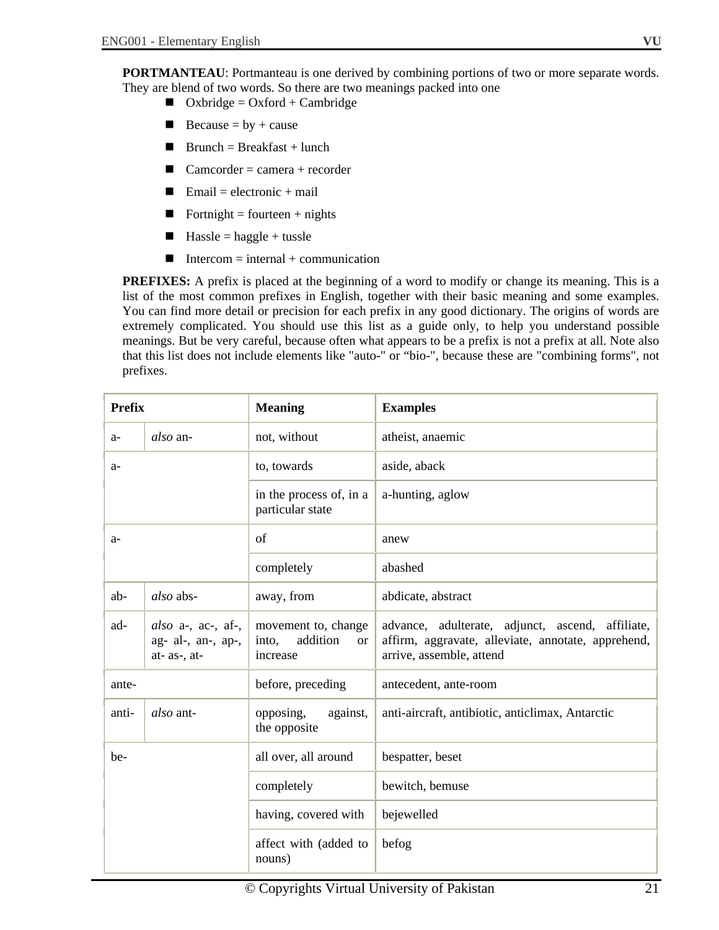**PORTMANTEAU:** Portmanteau is one derived by combining portions of two or more separate words. They are blend of two words. So there are two meanings packed into one

- $\Box$  Oxbridge = Oxford + Cambridge
- Because =  $by + cause$
- **Brunch** = Breakfast + lunch
- Camcorder = camera + recorder
- $\blacksquare$  Email = electronic + mail
- Fortnight = fourteen + nights
- $Hassle = haggle + tussle$
- Intercom  $=$  internal  $+$  communication

**PREFIXES:** A prefix is placed at the beginning of a word to modify or change its meaning. This is a list of the most common prefixes in English, together with their basic meaning and some examples. You can find more detail or precision for each prefix in any good dictionary. The origins of words are extremely complicated. You should use this list as a guide only, to help you understand possible meanings. But be very careful, because often what appears to be a prefix is not a prefix at all. Note also that this list does not include elements like "auto-" or "bio-", because these are "combining forms", not prefixes.

| <b>Prefix</b> |                                                                  | <b>Meaning</b>                                                        | <b>Examples</b>                                                                                                                       |  |
|---------------|------------------------------------------------------------------|-----------------------------------------------------------------------|---------------------------------------------------------------------------------------------------------------------------------------|--|
| $a-$          | <i>also</i> an-                                                  | not, without                                                          | atheist, anaemic                                                                                                                      |  |
| $a-$          |                                                                  | to, towards                                                           | aside, aback                                                                                                                          |  |
|               |                                                                  | in the process of, in a<br>particular state                           | a-hunting, aglow                                                                                                                      |  |
| $a-$          |                                                                  | of                                                                    | anew                                                                                                                                  |  |
|               |                                                                  | completely                                                            | abashed                                                                                                                               |  |
| ab-           | also abs-                                                        | away, from                                                            | abdicate, abstract                                                                                                                    |  |
| ad-           | also $a-$ , $ac-$ , $af-$ ,<br>ag- al-, an-, ap-,<br>at-as-, at- | movement to, change<br>addition<br>into,<br><sub>or</sub><br>increase | advance, adulterate, adjunct, ascend,<br>affiliate,<br>affirm, aggravate, alleviate, annotate, apprehend,<br>arrive, assemble, attend |  |
| ante-         |                                                                  | before, preceding                                                     | antecedent, ante-room                                                                                                                 |  |
| anti-         | <i>also</i> ant-                                                 | opposing,<br>against,<br>the opposite                                 | anti-aircraft, antibiotic, anticlimax, Antarctic                                                                                      |  |
| be-           |                                                                  | all over, all around                                                  | bespatter, beset                                                                                                                      |  |
|               |                                                                  | completely                                                            | bewitch, bemuse                                                                                                                       |  |
|               |                                                                  | having, covered with                                                  | bejewelled                                                                                                                            |  |
|               |                                                                  | affect with (added to<br>nouns)                                       | befog                                                                                                                                 |  |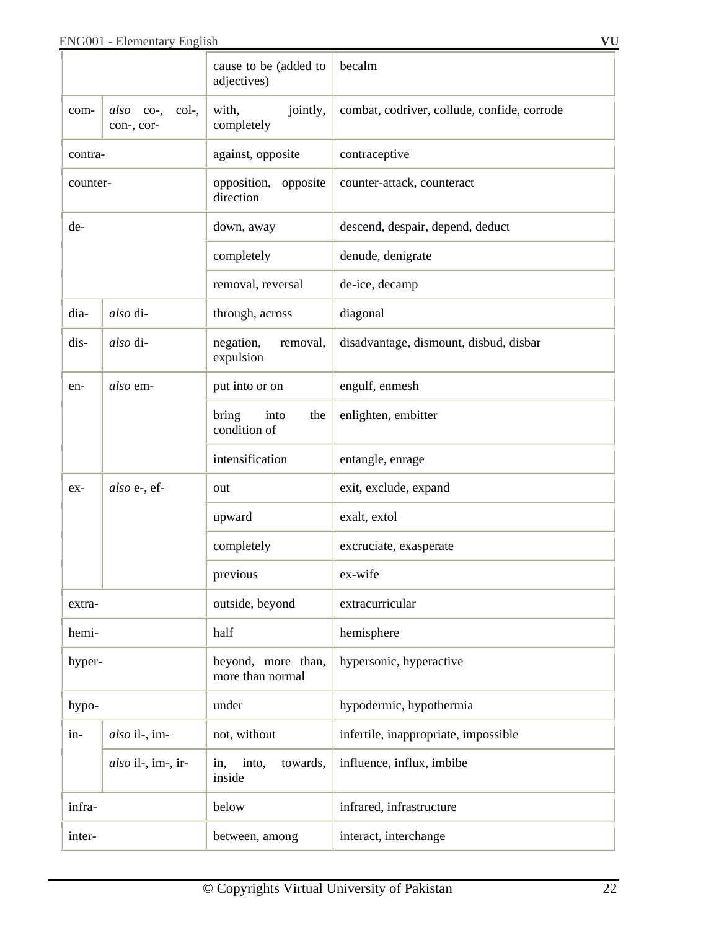|          |                                    | cause to be (added to<br>adjectives)   | becalm                                      |  |
|----------|------------------------------------|----------------------------------------|---------------------------------------------|--|
| com-     | $also$ co-,<br>col-,<br>con-, cor- | with,<br>jointly,<br>completely        | combat, codriver, collude, confide, corrode |  |
| contra-  |                                    | against, opposite                      | contraceptive                               |  |
| counter- |                                    | opposition, opposite<br>direction      | counter-attack, counteract                  |  |
| de-      |                                    | down, away                             | descend, despair, depend, deduct            |  |
|          |                                    | completely                             | denude, denigrate                           |  |
|          |                                    | removal, reversal                      | de-ice, decamp                              |  |
| dia-     | also di-                           | through, across                        | diagonal                                    |  |
| dis-     | also di-                           | negation,<br>removal,<br>expulsion     | disadvantage, dismount, disbud, disbar      |  |
| en-      | also em-                           | put into or on                         | engulf, enmesh                              |  |
|          |                                    | bring<br>the<br>into<br>condition of   | enlighten, embitter                         |  |
|          |                                    | intensification                        | entangle, enrage                            |  |
| $ex-$    | $also$ e-, ef-                     | out                                    | exit, exclude, expand                       |  |
|          |                                    | upward                                 | exalt, extol                                |  |
|          |                                    | completely                             | excruciate, exasperate                      |  |
|          |                                    | previous                               | ex-wife                                     |  |
| extra-   |                                    | outside, beyond                        | extracurricular                             |  |
| hemi-    |                                    | half                                   | hemisphere                                  |  |
| hyper-   |                                    | beyond, more than,<br>more than normal | hypersonic, hyperactive                     |  |
| hypo-    |                                    | under                                  | hypodermic, hypothermia                     |  |
| in-      | also il-, im-                      | not, without                           | infertile, inappropriate, impossible        |  |
|          | $also$ il-, im-, ir-               | into,<br>towards,<br>in,<br>inside     | influence, influx, imbibe                   |  |
| infra-   |                                    | below                                  | infrared, infrastructure                    |  |
| inter-   |                                    | between, among                         | interact, interchange                       |  |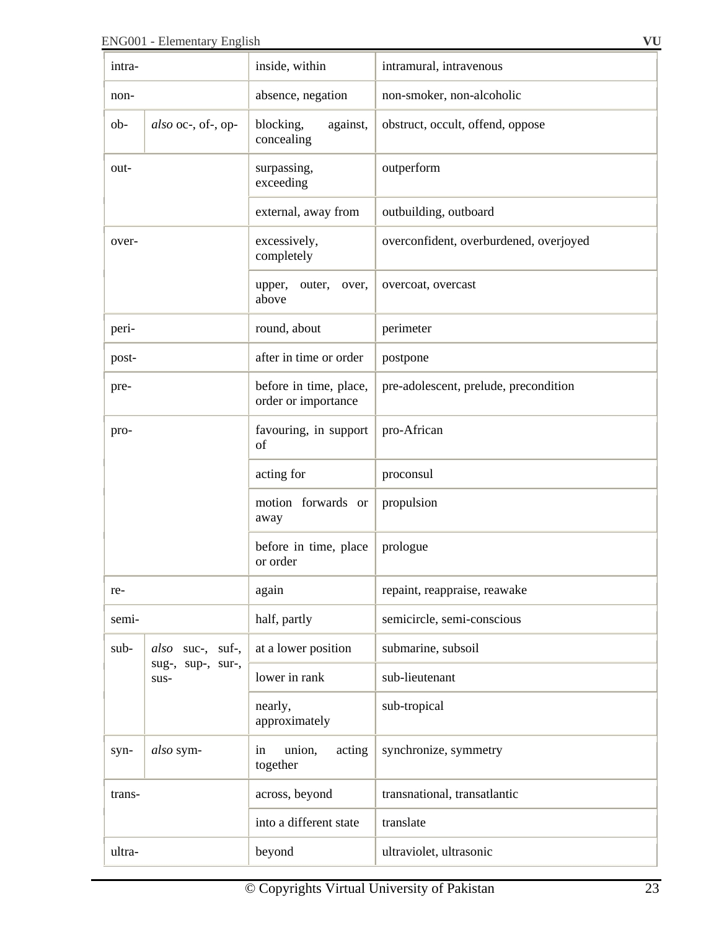| intra- |                           | inside, within                                | intramural, intravenous                |  |
|--------|---------------------------|-----------------------------------------------|----------------------------------------|--|
| non-   |                           | absence, negation                             | non-smoker, non-alcoholic              |  |
| ob-    | also oc-, of-, op-        | blocking,<br>against,<br>concealing           | obstruct, occult, offend, oppose       |  |
| out-   |                           | surpassing,<br>exceeding                      | outperform                             |  |
|        |                           | external, away from                           | outbuilding, outboard                  |  |
| over-  |                           | excessively,<br>completely                    | overconfident, overburdened, overjoyed |  |
|        |                           | outer,<br>over,<br>upper,<br>above            | overcoat, overcast                     |  |
| peri-  |                           | round, about                                  | perimeter                              |  |
| post-  |                           | after in time or order                        | postpone                               |  |
| pre-   |                           | before in time, place,<br>order or importance | pre-adolescent, prelude, precondition  |  |
| pro-   |                           | favouring, in support<br>of                   | pro-African                            |  |
|        |                           | acting for                                    | proconsul                              |  |
|        |                           | motion forwards or<br>away                    | propulsion                             |  |
|        |                           | before in time, place<br>or order             | prologue                               |  |
| re-    |                           |                                               |                                        |  |
| semi-  |                           | again                                         | repaint, reappraise, reawake           |  |
|        |                           | half, partly                                  | semicircle, semi-conscious             |  |
| sub-   | also suc-, suf-,          | at a lower position                           | submarine, subsoil                     |  |
|        | sug-, sup-, sur-,<br>sus- | lower in rank                                 | sub-lieutenant                         |  |
|        |                           | nearly,<br>approximately                      | sub-tropical                           |  |
| syn-   | also sym-                 | union,<br>acting<br>in<br>together            | synchronize, symmetry                  |  |
| trans- |                           | across, beyond                                | transnational, transatlantic           |  |
|        |                           | into a different state                        | translate                              |  |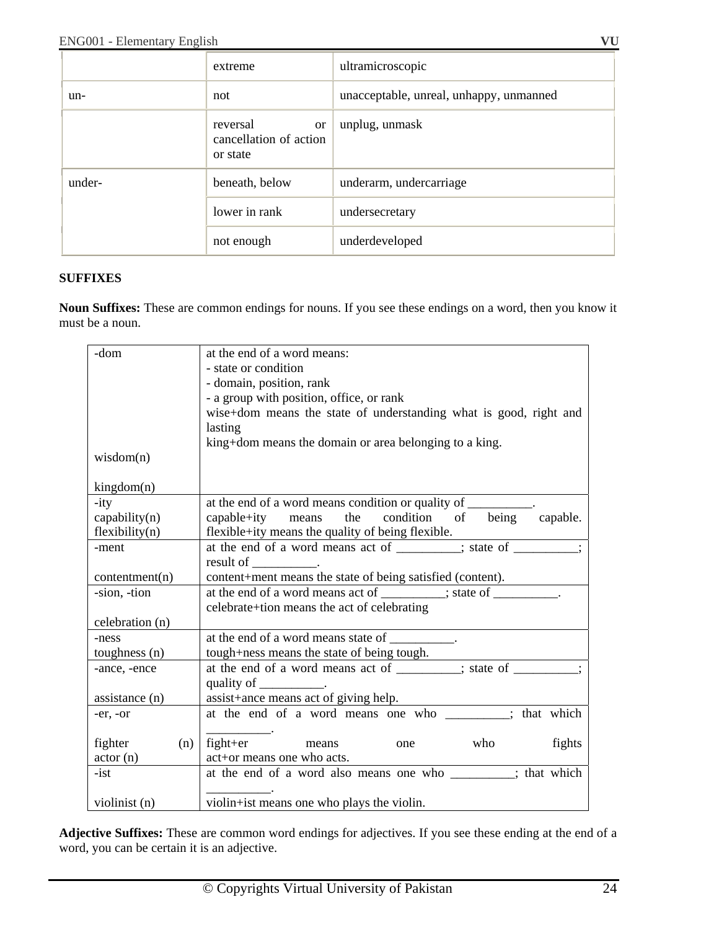|        | extreme                                                         | ultramicroscopic                        |
|--------|-----------------------------------------------------------------|-----------------------------------------|
| un-    | not                                                             | unacceptable, unreal, unhappy, unmanned |
|        | reversal<br><sub>or</sub><br>cancellation of action<br>or state | unplug, unmask                          |
| under- | beneath, below                                                  | underarm, undercarriage                 |
|        | lower in rank                                                   | undersecretary                          |
|        | not enough                                                      | underdeveloped                          |

# **SUFFIXES**

**Noun Suffixes:** These are common endings for nouns. If you see these endings on a word, then you know it must be a noun.

| -dom            | at the end of a word means:                                       |
|-----------------|-------------------------------------------------------------------|
|                 | - state or condition                                              |
|                 | - domain, position, rank                                          |
|                 | - a group with position, office, or rank                          |
|                 | wise+dom means the state of understanding what is good, right and |
|                 | lasting                                                           |
|                 | king+dom means the domain or area belonging to a king.            |
| wisdom(n)       |                                                                   |
|                 |                                                                   |
| kingdom(n)      |                                                                   |
| -ity            | at the end of a word means condition or quality of __________.    |
| capability(n)   | capable+ity means the condition of being capable.                 |
| flexibility(n)  | flexible+ity means the quality of being flexible.                 |
| -ment           | at the end of a word means act of _______; state of ______;       |
|                 | result of ___________.                                            |
| content(m)      | content+ment means the state of being satisfied (content).        |
| -sion, -tion    | at the end of a word means act of ________; state of ________.    |
|                 | celebrate+tion means the act of celebrating                       |
| celebration (n) |                                                                   |
| -ness           | at the end of a word means state of __________.                   |
| toughness $(n)$ | tough+ness means the state of being tough.                        |
| -ance, -ence    | at the end of a word means act of _______; state of ______;       |
|                 | quality of $\_\_\_\_\_\_\_\_\_\$ .                                |
| assistance (n)  | assist+ance means act of giving help.                             |
| $-er, -or$      | at the end of a word means one who _______; that which            |
|                 |                                                                   |
| fighter<br>(n)  | fight+er means<br>one who fights                                  |
| actor(n)        | act+or means one who acts.                                        |
| -ist            | at the end of a word also means one who _______; that which       |
|                 |                                                                   |
| violinist (n)   | violin+ist means one who plays the violin.                        |

**Adjective Suffixes:** These are common word endings for adjectives. If you see these ending at the end of a word, you can be certain it is an adjective.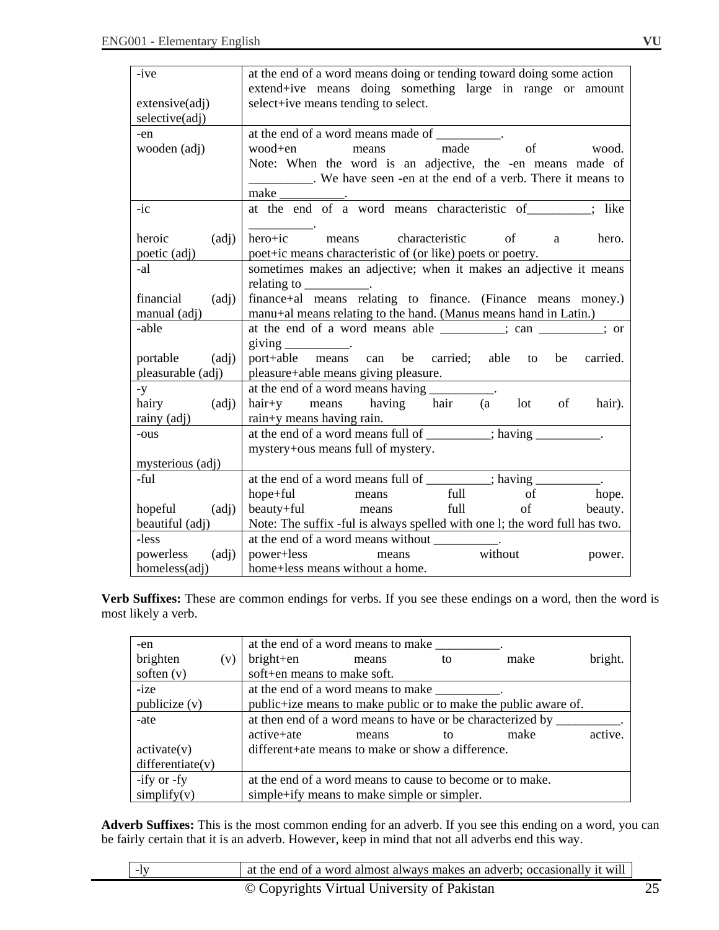| -ive                                                             | at the end of a word means doing or tending toward doing some action                                                                                                                                                                                                                                                                                                                               |
|------------------------------------------------------------------|----------------------------------------------------------------------------------------------------------------------------------------------------------------------------------------------------------------------------------------------------------------------------------------------------------------------------------------------------------------------------------------------------|
|                                                                  | extend+ive means doing something large in range or amount                                                                                                                                                                                                                                                                                                                                          |
| extensive(adj)                                                   | select+ive means tending to select.                                                                                                                                                                                                                                                                                                                                                                |
| selective(adj)                                                   |                                                                                                                                                                                                                                                                                                                                                                                                    |
| -en                                                              | at the end of a word means made of __________.                                                                                                                                                                                                                                                                                                                                                     |
| wooden (adj)                                                     | made<br>wood+en<br>of<br>means<br>wood.                                                                                                                                                                                                                                                                                                                                                            |
|                                                                  | Note: When the word is an adjective, the -en means made of                                                                                                                                                                                                                                                                                                                                         |
|                                                                  | U. We have seen -en at the end of a verb. There it means to                                                                                                                                                                                                                                                                                                                                        |
|                                                                  | $make \_\_\_\_\_\_\_\_\_\_\_\_\_$                                                                                                                                                                                                                                                                                                                                                                  |
| $-ic$                                                            | at the end of a word means characteristic of ______; like                                                                                                                                                                                                                                                                                                                                          |
| heroic<br>(adj)                                                  | hero+ic means characteristic of a<br>hero.                                                                                                                                                                                                                                                                                                                                                         |
| poetic (adj)                                                     | poet+ic means characteristic of (or like) poets or poetry.                                                                                                                                                                                                                                                                                                                                         |
| -al                                                              | sometimes makes an adjective; when it makes an adjective it means                                                                                                                                                                                                                                                                                                                                  |
|                                                                  | relating to $\_\_\_\_\_\_\_\$ .                                                                                                                                                                                                                                                                                                                                                                    |
| financial<br>(adj)                                               | finance+al means relating to finance. (Finance means money.)                                                                                                                                                                                                                                                                                                                                       |
| manual (adj)                                                     | manu+al means relating to the hand. (Manus means hand in Latin.)                                                                                                                                                                                                                                                                                                                                   |
| -able                                                            | at the end of a word means able _______; can ______; or                                                                                                                                                                                                                                                                                                                                            |
|                                                                  | giving ___________.                                                                                                                                                                                                                                                                                                                                                                                |
| $\text{(adj)}$<br>portable                                       | port+able means can be carried; able to be<br>carried.                                                                                                                                                                                                                                                                                                                                             |
| pleasurable (adj)                                                | pleasure+able means giving pleasure.                                                                                                                                                                                                                                                                                                                                                               |
| $-y$                                                             | at the end of a word means having __________.                                                                                                                                                                                                                                                                                                                                                      |
| $\begin{array}{c}\n\text{-y} \\ \text{hairy}\n\end{array}$ (adj) | hair+y means having hair (a lot<br>of<br>hair).                                                                                                                                                                                                                                                                                                                                                    |
| rainy (adj)                                                      | rain+y means having rain.                                                                                                                                                                                                                                                                                                                                                                          |
| $-ous$                                                           | at the end of a word means full of _______; having ________.                                                                                                                                                                                                                                                                                                                                       |
|                                                                  | mystery+ous means full of mystery.                                                                                                                                                                                                                                                                                                                                                                 |
| mysterious (adj)                                                 |                                                                                                                                                                                                                                                                                                                                                                                                    |
| -ful                                                             | at the end of a word means full of $\frac{1}{\sqrt{1-\frac{1}{\sqrt{1-\frac{1}{\sqrt{1-\frac{1}{\sqrt{1-\frac{1}{\sqrt{1-\frac{1}{\sqrt{1-\frac{1}{\sqrt{1-\frac{1}{\sqrt{1-\frac{1}{\sqrt{1-\frac{1}{\sqrt{1-\frac{1}{\sqrt{1-\frac{1}{\sqrt{1-\frac{1}{\sqrt{1-\frac{1}{\sqrt{1-\frac{1}{\sqrt{1-\frac{1}{\sqrt{1-\frac{1}{\sqrt{1-\frac{1}{\sqrt{1-\frac{1}{\sqrt{1-\frac{1}{\sqrt{1-\frac{1}{$ |
|                                                                  | full<br>hope+ful<br>of hope.<br>means                                                                                                                                                                                                                                                                                                                                                              |
| hopeful (adj)                                                    | full<br>beauty+ful<br>of beauty.<br>means                                                                                                                                                                                                                                                                                                                                                          |
| beautiful (adj)                                                  | Note: The suffix -ful is always spelled with one 1; the word full has two.                                                                                                                                                                                                                                                                                                                         |
| -less                                                            | at the end of a word means without __________.                                                                                                                                                                                                                                                                                                                                                     |
| powerless (adj)                                                  | without<br>power+less<br>means<br>power.                                                                                                                                                                                                                                                                                                                                                           |
|                                                                  | home+less means without a home.                                                                                                                                                                                                                                                                                                                                                                    |

**Verb Suffixes:** These are common endings for verbs. If you see these endings on a word, then the word is most likely a verb.

| -en             | at the end of a word means to make                              |       |    |      |         |
|-----------------|-----------------------------------------------------------------|-------|----|------|---------|
| brighten<br>(v) | bright+en means                                                 |       | to | make | bright. |
| soften $(v)$    | soft+en means to make soft.                                     |       |    |      |         |
| -ize            | at the end of a word means to make                              |       |    |      |         |
| publicize (v)   | public+ize means to make public or to make the public aware of. |       |    |      |         |
| -ate            | at then end of a word means to have or be characterized by      |       |    |      |         |
|                 | active+ate                                                      | means | to | make | active. |
| active(v)       | different+ate means to make or show a difference.               |       |    |      |         |
| difference(v)   |                                                                 |       |    |      |         |
| -ify or -fy     | at the end of a word means to cause to become or to make.       |       |    |      |         |
| simplify(v)     | simple+ify means to make simple or simpler.                     |       |    |      |         |

**Adverb Suffixes:** This is the most common ending for an adverb. If you see this ending on a word, you can be fairly certain that it is an adverb. However, keep in mind that not all adverbs end this way.

| $l -lv$ | at the end of a word almost always makes an adverb; occasionally it will |  |
|---------|--------------------------------------------------------------------------|--|
|         | © Copyrights Virtual University of Pakistan                              |  |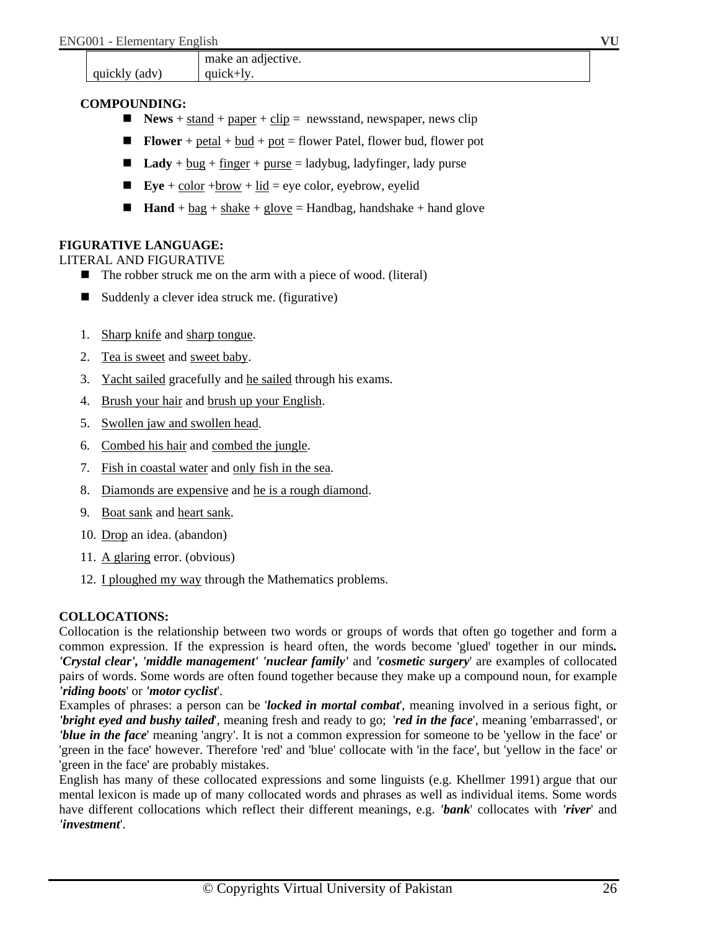|           | make an adjective. |
|-----------|--------------------|
| quickly ( | quick+l            |
| (adv      | $\mathbf{I}$       |

# **COMPOUNDING:**

- **News** + stand + paper + clip = newsstand, newspaper, news clip
- **Flower** + <u>petal</u> + <u>bud</u> + <u>pot</u> = flower Patel, flower bud, flower pot
- **Lady** +  $\underline{bug}$  +  $\underline{finger}$  +  $\underline{pure}$  = ladybug, ladyfinger, lady purse
- **Eye** +  $\frac{\text{color}}{\text{color}} + \frac{\text{color}}{\text{color}} + \frac{\text{color}}{\text{color}}}{2$  = eye color, eyebrow, eyelid
- **Hand** + bag + shake + glove = Handbag, handshake + hand glove

# **FIGURATIVE LANGUAGE:**

LITERAL AND FIGURATIVE

- $\blacksquare$  The robber struck me on the arm with a piece of wood. (literal)
- Suddenly a clever idea struck me. (figurative)
- 1. Sharp knife and sharp tongue.
- 2. Tea is sweet and sweet baby.
- 3. Yacht sailed gracefully and he sailed through his exams.
- 4. Brush your hair and brush up your English.
- 5. Swollen jaw and swollen head.
- 6. Combed his hair and combed the jungle.
- 7. Fish in coastal water and only fish in the sea.
- 8. Diamonds are expensive and he is a rough diamond.
- 9. Boat sank and heart sank.
- 10. Drop an idea. (abandon)
- 11. A glaring error. (obvious)
- 12. I ploughed my way through the Mathematics problems.

# **COLLOCATIONS:**

Collocation is the relationship between two words or groups of words that often go together and form a common expression. If the expression is heard often, the words become 'glued' together in our minds*. 'Crystal clear', 'middle management' 'nuclear family'* and *'cosmetic surgery*' are examples of collocated pairs of words. Some words are often found together because they make up a compound noun, for example *'riding boots*' or *'motor cyclist*'.

Examples of phrases: a person can be '*locked in mortal combat*', meaning involved in a serious fight, or *'bright eyed and bushy tailed*', meaning fresh and ready to go; '*red in the face*', meaning 'embarrassed', or *'blue in the face*' meaning 'angry'. It is not a common expression for someone to be 'yellow in the face' or 'green in the face' however. Therefore 'red' and 'blue' collocate with 'in the face', but 'yellow in the face' or 'green in the face' are probably mistakes.

English has many of these collocated expressions and some linguists (e.g. Khellmer 1991) argue that our mental lexicon is made up of many collocated words and phrases as well as individual items. Some words have different collocations which reflect their different meanings, e.g. *'bank*' collocates with *'river*' and *'investment*'.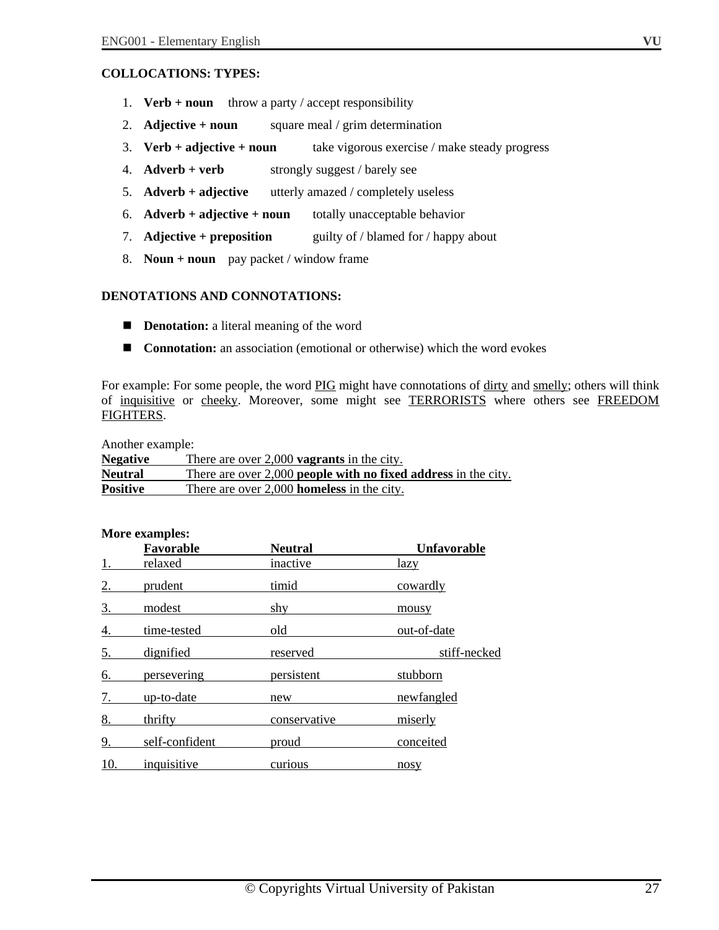## **COLLOCATIONS: TYPES:**

- 1. **Verb + noun** throw a party / accept responsibility
- 2. **Adjective + noun** square meal / grim determination
- 3. **Verb + adjective + noun** take vigorous exercise / make steady progress
- 4. **Adverb + verb** strongly suggest / barely see
- 5. **Adverb + adjective** utterly amazed / completely useless
- 6. **Adverb + adjective + noun** totally unacceptable behavior
- 7. **Adjective + preposition** guilty of / blamed for / happy about
- 8. **Noun + noun** pay packet / window frame

## **DENOTATIONS AND CONNOTATIONS:**

- **Denotation:** a literal meaning of the word
- **Connotation:** an association (emotional or otherwise) which the word evokes

For example: For some people, the word PIG might have connotations of dirty and smelly; others will think of inquisitive or cheeky. Moreover, some might see TERRORISTS where others see FREEDOM FIGHTERS.

Another example: **Negative** There are over 2,000 **vagrants** in the city. **Neutral** There are over 2,000 **people with no fixed address** in the city. **Positive** There are over 2,000 **homeless** in the city.

#### **More examples:**

|                  | Favorable      | <b>Neutral</b> | <b>Unfavorable</b> |
|------------------|----------------|----------------|--------------------|
| 1.               | relaxed        | inactive       | <u>lazy</u>        |
| 2.               | prudent        | timid          | cowardly           |
| $\overline{3}$ . | modest         | shy            | mousy              |
| 4.               | time-tested    | old            | out-of-date        |
| 5.               | dignified      | reserved       | stiff-necked       |
| <u>6.</u>        | persevering    | persistent     | stubborn           |
| 7.               | up-to-date     | new            | newfangled         |
| 8.               | thrifty        | conservative   | miserly            |
| 9.               | self-confident | proud          | conceited          |
| 10.              | inquisitive    | curious        | nosy               |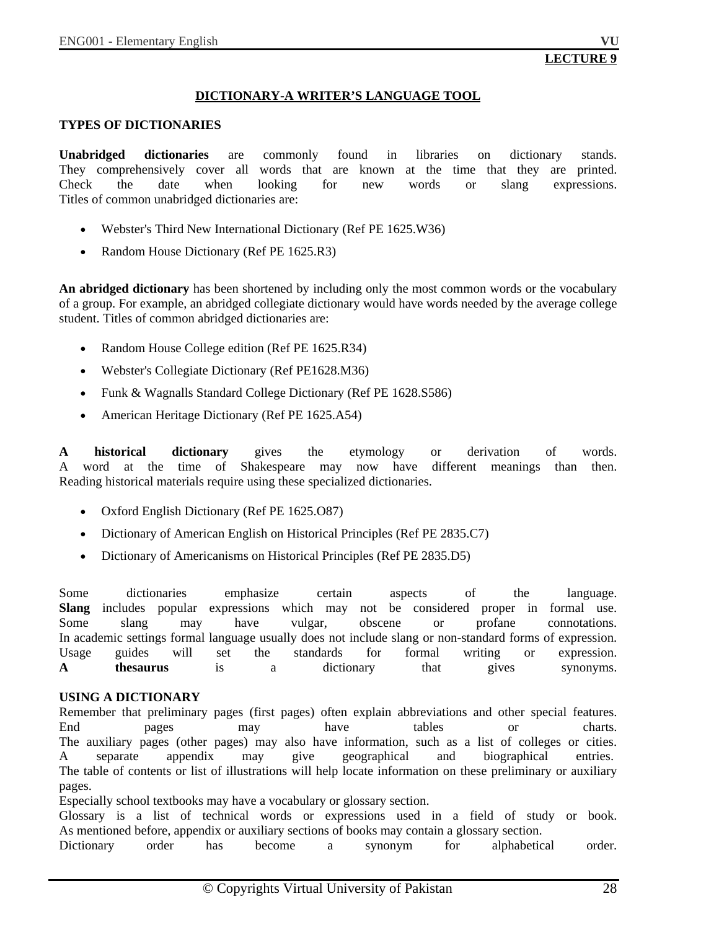# **DICTIONARY-A WRITER'S LANGUAGE TOOL**

## **TYPES OF DICTIONARIES**

**Unabridged dictionaries** are commonly found in libraries on dictionary stands. They comprehensively cover all words that are known at the time that they are printed. Check the date when looking for new words or slang expressions. Titles of common unabridged dictionaries are:

- Webster's Third New International Dictionary (Ref PE 1625.W36)
- Random House Dictionary (Ref PE 1625.R3)

**An abridged dictionary** has been shortened by including only the most common words or the vocabulary of a group. For example, an abridged collegiate dictionary would have words needed by the average college student. Titles of common abridged dictionaries are:

- Random House College edition (Ref PE 1625.R34)
- Webster's Collegiate Dictionary (Ref PE1628.M36)
- Funk & Wagnalls Standard College Dictionary (Ref PE 1628.S586)
- American Heritage Dictionary (Ref PE 1625.A54)

**A historical dictionary** gives the etymology or derivation of words. A word at the time of Shakespeare may now have different meanings than then. Reading historical materials require using these specialized dictionaries.

- Oxford English Dictionary (Ref PE 1625.O87)
- Dictionary of American English on Historical Principles (Ref PE 2835.C7)
- Dictionary of Americanisms on Historical Principles (Ref PE 2835.D5)

Some dictionaries emphasize certain aspects of the language. **Slang** includes popular expressions which may not be considered proper in formal use. Some slang may have vulgar, obscene or profane connotations. In academic settings formal language usually does not include slang or non-standard forms of expression. Usage guides will set the standards for formal writing or expression. **A thesaurus** is a dictionary that gives synonyms.

## **USING A DICTIONARY**

Remember that preliminary pages (first pages) often explain abbreviations and other special features. End pages may have tables or charts. The auxiliary pages (other pages) may also have information, such as a list of colleges or cities. A separate appendix may give geographical and biographical entries. The table of contents or list of illustrations will help locate information on these preliminary or auxiliary pages.

Especially school textbooks may have a vocabulary or glossary section.

Glossary is a list of technical words or expressions used in a field of study or book. As mentioned before, appendix or auxiliary sections of books may contain a glossary section.

Dictionary order has become a synonym for alphabetical order.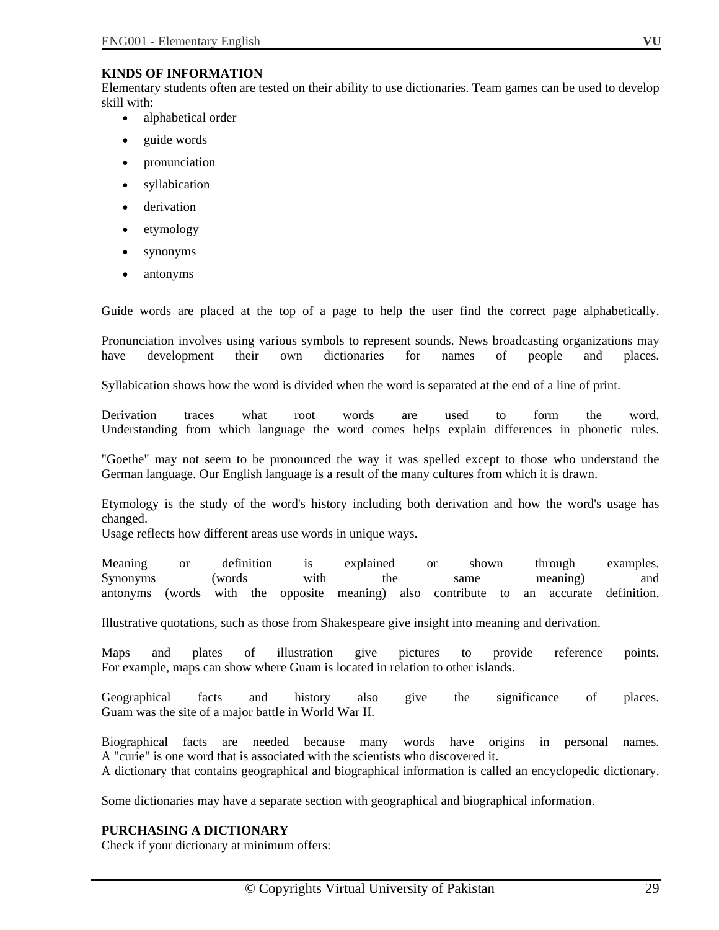## **KINDS OF INFORMATION**

Elementary students often are tested on their ability to use dictionaries. Team games can be used to develop skill with:

- alphabetical order
- guide words
- pronunciation
- syllabication
- derivation
- etymology
- synonyms
- antonyms

Guide words are placed at the top of a page to help the user find the correct page alphabetically.

Pronunciation involves using various symbols to represent sounds. News broadcasting organizations may have development their own dictionaries for names of people and places.

Syllabication shows how the word is divided when the word is separated at the end of a line of print.

Derivation traces what root words are used to form the word. Understanding from which language the word comes helps explain differences in phonetic rules.

"Goethe" may not seem to be pronounced the way it was spelled except to those who understand the German language. Our English language is a result of the many cultures from which it is drawn.

Etymology is the study of the word's history including both derivation and how the word's usage has changed.

Usage reflects how different areas use words in unique ways.

Meaning or definition is explained or shown through examples. Synonyms (words with the same meaning) and antonyms (words with the opposite meaning) also contribute to an accurate definition.

Illustrative quotations, such as those from Shakespeare give insight into meaning and derivation.

Maps and plates of illustration give pictures to provide reference points. For example, maps can show where Guam is located in relation to other islands.

Geographical facts and history also give the significance of places. Guam was the site of a major battle in World War II.

Biographical facts are needed because many words have origins in personal names. A "curie" is one word that is associated with the scientists who discovered it. A dictionary that contains geographical and biographical information is called an encyclopedic dictionary.

Some dictionaries may have a separate section with geographical and biographical information.

# **PURCHASING A DICTIONARY**

Check if your dictionary at minimum offers: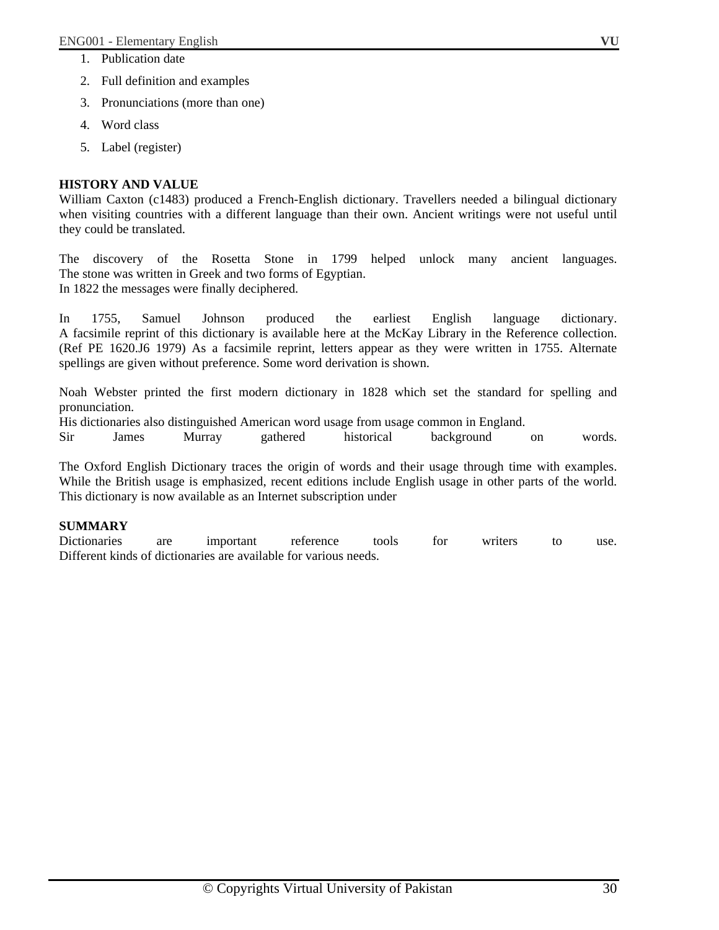- 1. Publication date
- 2. Full definition and examples
- 3. Pronunciations (more than one)
- 4. Word class
- 5. Label (register)

# **HISTORY AND VALUE**

William Caxton (c1483) produced a French-English dictionary. Travellers needed a bilingual dictionary when visiting countries with a different language than their own. Ancient writings were not useful until they could be translated.

The discovery of the Rosetta Stone in 1799 helped unlock many ancient languages. The stone was written in Greek and two forms of Egyptian. In 1822 the messages were finally deciphered.

In 1755, Samuel Johnson produced the earliest English language dictionary. A facsimile reprint of this dictionary is available here at the McKay Library in the Reference collection. (Ref PE 1620.J6 1979) As a facsimile reprint, letters appear as they were written in 1755. Alternate spellings are given without preference. Some word derivation is shown.

Noah Webster printed the first modern dictionary in 1828 which set the standard for spelling and pronunciation.

His dictionaries also distinguished American word usage from usage common in England.

Sir James Murray gathered historical background on words.

The Oxford English Dictionary traces the origin of words and their usage through time with examples. While the British usage is emphasized, recent editions include English usage in other parts of the world. This dictionary is now available as an Internet subscription under

# **SUMMARY**

Dictionaries are important reference tools for writers to use. Different kinds of dictionaries are available for various needs.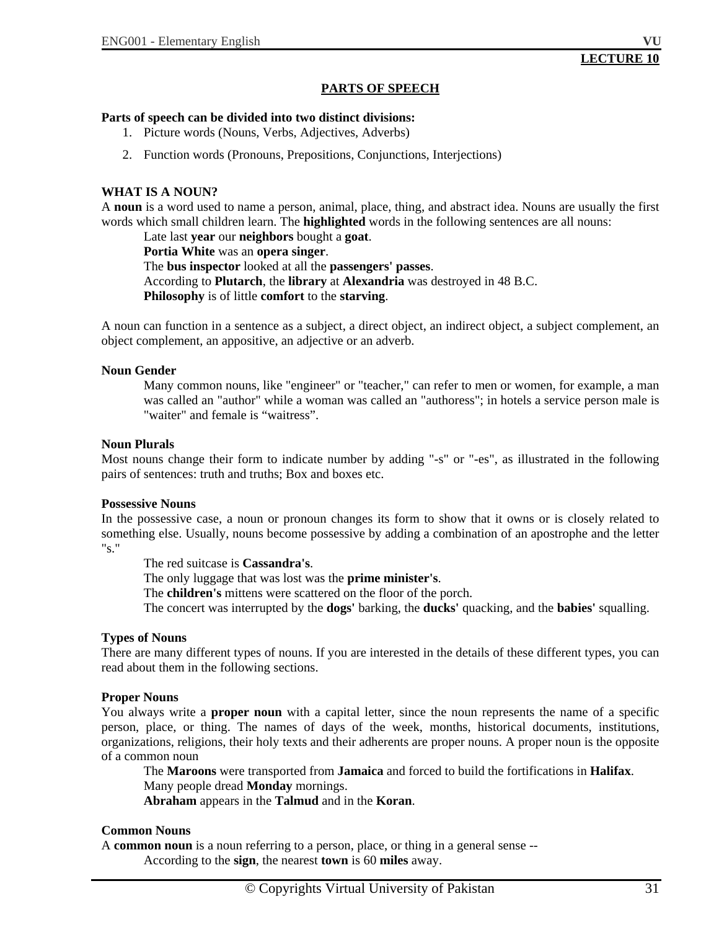# **PARTS OF SPEECH**

#### **Parts of speech can be divided into two distinct divisions:**

- 1. Picture words (Nouns, Verbs, Adjectives, Adverbs)
- 2. Function words (Pronouns, Prepositions, Conjunctions, Interjections)

## **WHAT IS A NOUN?**

A **noun** is a word used to name a person, animal, place, thing, and abstract idea. Nouns are usually the first words which small children learn. The **highlighted** words in the following sentences are all nouns:

Late last **year** our **neighbors** bought a **goat**.

**Portia White** was an **opera singer**.

The **bus inspector** looked at all the **passengers' passes**. According to **Plutarch**, the **library** at **Alexandria** was destroyed in 48 B.C. **Philosophy** is of little **comfort** to the **starving**.

A noun can function in a sentence as a subject, a direct object, an indirect object, a subject complement, an object complement, an appositive, an adjective or an adverb.

#### **Noun Gender**

Many common nouns, like "engineer" or "teacher," can refer to men or women, for example, a man was called an "author" while a woman was called an "authoress"; in hotels a service person male is "waiter" and female is "waitress".

#### **Noun Plurals**

Most nouns change their form to indicate number by adding "-s" or "-es", as illustrated in the following pairs of sentences: truth and truths; Box and boxes etc.

## **Possessive Nouns**

In the possessive case, a noun or pronoun changes its form to show that it owns or is closely related to something else. Usually, nouns become possessive by adding a combination of an apostrophe and the letter "s."

The red suitcase is **Cassandra's**.

The only luggage that was lost was the **prime minister's**.

The **children's** mittens were scattered on the floor of the porch.

The concert was interrupted by the **dogs'** barking, the **ducks'** quacking, and the **babies'** squalling.

## **Types of Nouns**

There are many different types of nouns. If you are interested in the details of these different types, you can read about them in the following sections.

## **Proper Nouns**

You always write a **proper noun** with a capital letter, since the noun represents the name of a specific person, place, or thing. The names of days of the week, months, historical documents, institutions, organizations, religions, their holy texts and their adherents are proper nouns. A proper noun is the opposite of a common noun

The **Maroons** were transported from **Jamaica** and forced to build the fortifications in **Halifax**. Many people dread **Monday** mornings.

**Abraham** appears in the **Talmud** and in the **Koran**.

## **Common Nouns**

A **common noun** is a noun referring to a person, place, or thing in a general sense -- According to the **sign**, the nearest **town** is 60 **miles** away.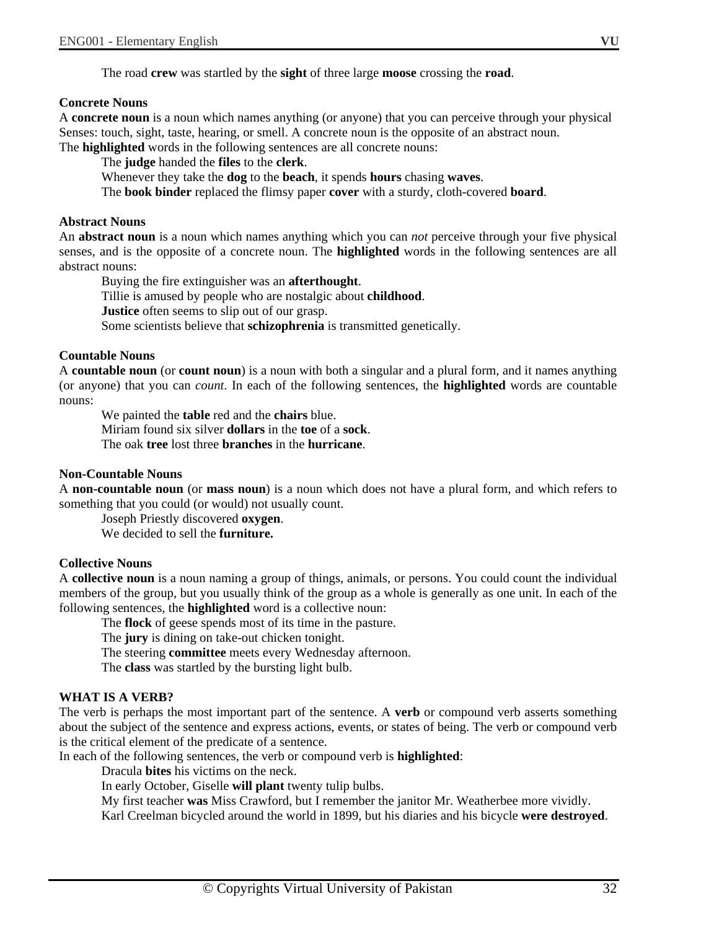The road **crew** was startled by the **sight** of three large **moose** crossing the **road**.

## **Concrete Nouns**

A **concrete noun** is a noun which names anything (or anyone) that you can perceive through your physical Senses: touch, sight, taste, hearing, or smell. A concrete noun is the opposite of an abstract noun. The **highlighted** words in the following sentences are all concrete nouns:

The **judge** handed the **files** to the **clerk**.

Whenever they take the **dog** to the **beach**, it spends **hours** chasing **waves**.

The **book binder** replaced the flimsy paper **cover** with a sturdy, cloth-covered **board**.

## **Abstract Nouns**

An **abstract noun** is a noun which names anything which you can *not* perceive through your five physical senses, and is the opposite of a concrete noun. The **highlighted** words in the following sentences are all abstract nouns:

Buying the fire extinguisher was an **afterthought**.

Tillie is amused by people who are nostalgic about **childhood**.

**Justice** often seems to slip out of our grasp.

Some scientists believe that **schizophrenia** is transmitted genetically.

## **Countable Nouns**

A **countable noun** (or **count noun**) is a noun with both a singular and a plural form, and it names anything (or anyone) that you can *count*. In each of the following sentences, the **highlighted** words are countable nouns:

We painted the **table** red and the **chairs** blue.

Miriam found six silver **dollars** in the **toe** of a **sock**.

The oak **tree** lost three **branches** in the **hurricane**.

## **Non-Countable Nouns**

A **non-countable noun** (or **mass noun**) is a noun which does not have a plural form, and which refers to something that you could (or would) not usually count.

Joseph Priestly discovered **oxygen**.

We decided to sell the **furniture.**

# **Collective Nouns**

A **collective noun** is a noun naming a group of things, animals, or persons. You could count the individual members of the group, but you usually think of the group as a whole is generally as one unit. In each of the following sentences, the **highlighted** word is a collective noun:

The **flock** of geese spends most of its time in the pasture.

The **jury** is dining on take-out chicken tonight.

The steering **committee** meets every Wednesday afternoon.

The **class** was startled by the bursting light bulb.

# **WHAT IS A VERB?**

The verb is perhaps the most important part of the sentence. A **verb** or compound verb asserts something about the subject of the sentence and express actions, events, or states of being. The verb or compound verb is the critical element of the predicate of a sentence.

In each of the following sentences, the verb or compound verb is **highlighted**:

Dracula **bites** his victims on the neck.

In early October, Giselle **will plant** twenty tulip bulbs.

My first teacher **was** Miss Crawford, but I remember the janitor Mr. Weatherbee more vividly.

Karl Creelman bicycled around the world in 1899, but his diaries and his bicycle **were destroyed**.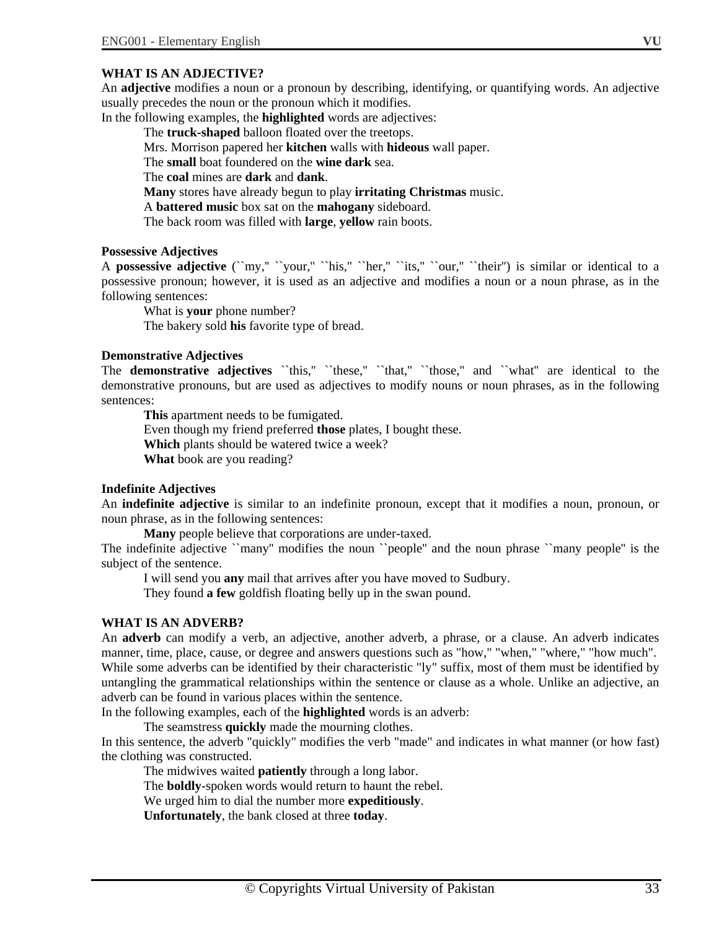## **WHAT IS AN ADJECTIVE?**

An **adjective** modifies a noun or a pronoun by describing, identifying, or quantifying words. An adjective usually precedes the noun or the pronoun which it modifies.

In the following examples, the **highlighted** words are adjectives:

The **truck-shaped** balloon floated over the treetops.

Mrs. Morrison papered her **kitchen** walls with **hideous** wall paper.

The **small** boat foundered on the **wine dark** sea.

The **coal** mines are **dark** and **dank**.

**Many** stores have already begun to play **irritating Christmas** music.

A **battered music** box sat on the **mahogany** sideboard.

The back room was filled with **large**, **yellow** rain boots.

## **Possessive Adjectives**

A **possessive adjective** (``my," ``your," ``his," ``her," ``its," ``our," ``their") is similar or identical to a possessive pronoun; however, it is used as an adjective and modifies a noun or a noun phrase, as in the following sentences:

What is **your** phone number? The bakery sold **his** favorite type of bread.

## **Demonstrative Adjectives**

The **demonstrative adjectives** ``this,'' ``these,'' ``that,'' ``those,'' and ``what'' are identical to the demonstrative pronouns, but are used as adjectives to modify nouns or noun phrases, as in the following sentences:

**This** apartment needs to be fumigated.

Even though my friend preferred **those** plates, I bought these.

**Which** plants should be watered twice a week?

**What** book are you reading?

## **Indefinite Adjectives**

An **indefinite adjective** is similar to an indefinite pronoun, except that it modifies a noun, pronoun, or noun phrase, as in the following sentences:

**Many** people believe that corporations are under-taxed.

The indefinite adjective ``many'' modifies the noun ``people'' and the noun phrase ``many people'' is the subject of the sentence.

I will send you **any** mail that arrives after you have moved to Sudbury.

They found **a few** goldfish floating belly up in the swan pound.

## **WHAT IS AN ADVERB?**

An **adverb** can modify a verb, an adjective, another adverb, a phrase, or a clause. An adverb indicates manner, time, place, cause, or degree and answers questions such as "how," "when," "where," "how much". While some adverbs can be identified by their characteristic "ly" suffix, most of them must be identified by untangling the grammatical relationships within the sentence or clause as a whole. Unlike an adjective, an adverb can be found in various places within the sentence.

In the following examples, each of the **highlighted** words is an adverb:

The seamstress **quickly** made the mourning clothes.

In this sentence, the adverb "quickly" modifies the verb "made" and indicates in what manner (or how fast) the clothing was constructed.

The midwives waited **patiently** through a long labor.

The **boldly**-spoken words would return to haunt the rebel.

We urged him to dial the number more **expeditiously**.

**Unfortunately**, the bank closed at three **today**.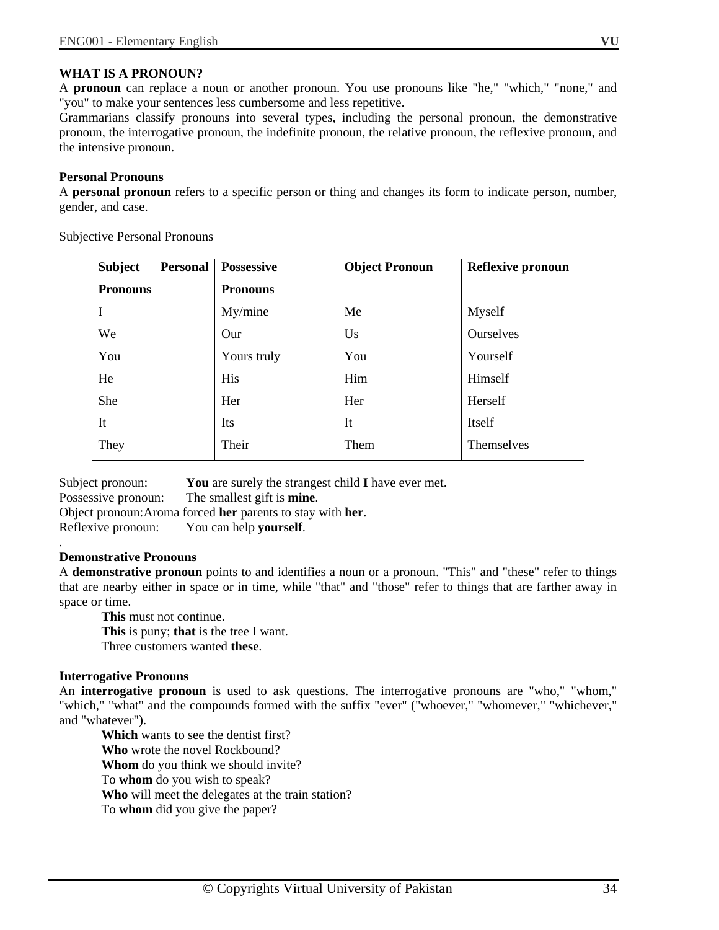# **WHAT IS A PRONOUN?**

A **pronoun** can replace a noun or another pronoun. You use pronouns like "he," "which," "none," and "you" to make your sentences less cumbersome and less repetitive.

Grammarians classify pronouns into several types, including the personal pronoun, the demonstrative pronoun, the interrogative pronoun, the indefinite pronoun, the relative pronoun, the reflexive pronoun, and the intensive pronoun.

## **Personal Pronouns**

A **personal pronoun** refers to a specific person or thing and changes its form to indicate person, number, gender, and case.

| <b>Subject</b><br><b>Personal</b> | <b>Possessive</b> | <b>Object Pronoun</b> | <b>Reflexive pronoun</b> |
|-----------------------------------|-------------------|-----------------------|--------------------------|
| <b>Pronouns</b>                   | <b>Pronouns</b>   |                       |                          |
| I                                 | My/mine           | Me                    | Myself                   |
| We                                | Our               | Us                    | Ourselves                |
| You                               | Yours truly       | You                   | Yourself                 |
| He                                | <b>His</b>        | Him                   | Himself                  |
| She                               | Her               | Her                   | Herself                  |
| It                                | Its               | It                    | Itself                   |
| They                              | Their             | Them                  | Themselves               |

Subjective Personal Pronouns

Subject pronoun: **You** are surely the strangest child **I** have ever met.

Possessive pronoun: The smallest gift is **mine**.

Object pronoun: Aroma forced **her** parents to stay with **her**.

Reflexive pronoun: You can help **yourself**.

## **Demonstrative Pronouns**

.

A **demonstrative pronoun** points to and identifies a noun or a pronoun. "This" and "these" refer to things that are nearby either in space or in time, while "that" and "those" refer to things that are farther away in space or time.

**This** must not continue. **This** is puny; **that** is the tree I want. Three customers wanted **these**.

## **Interrogative Pronouns**

An **interrogative pronoun** is used to ask questions. The interrogative pronouns are "who," "whom," "which," "what" and the compounds formed with the suffix "ever" ("whoever," "whomever," "whichever," and "whatever").

**Which** wants to see the dentist first? **Who** wrote the novel Rockbound? **Whom** do you think we should invite? To **whom** do you wish to speak? **Who** will meet the delegates at the train station? To **whom** did you give the paper?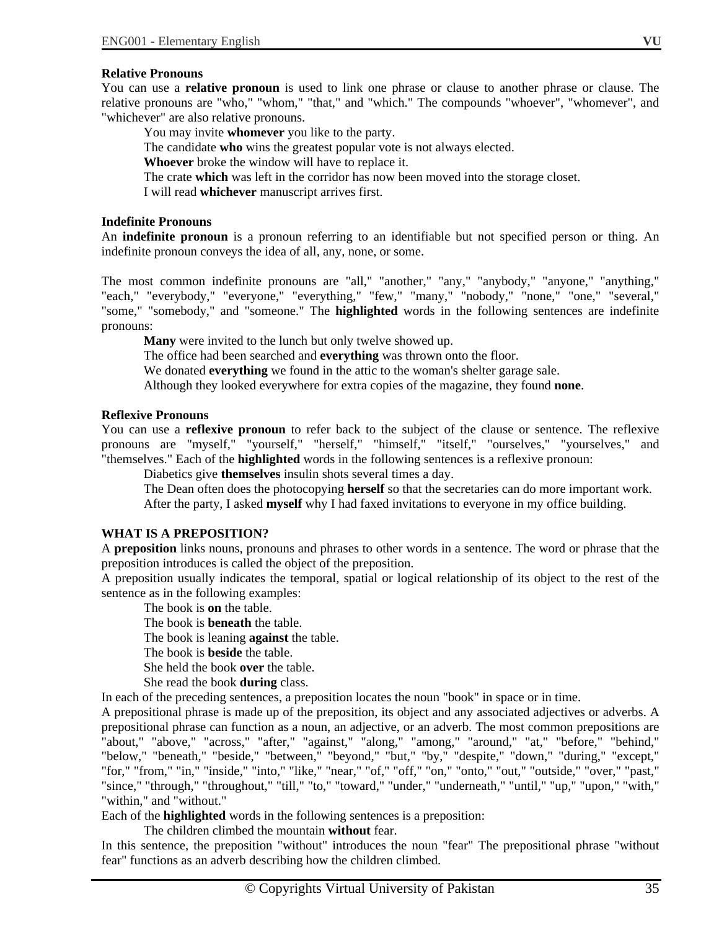#### **Relative Pronouns**

You can use a **relative pronoun** is used to link one phrase or clause to another phrase or clause. The relative pronouns are "who," "whom," "that," and "which." The compounds "whoever", "whomever", and "whichever" are also relative pronouns.

You may invite **whomever** you like to the party.

The candidate **who** wins the greatest popular vote is not always elected.

**Whoever** broke the window will have to replace it.

The crate **which** was left in the corridor has now been moved into the storage closet.

I will read **whichever** manuscript arrives first.

#### **Indefinite Pronouns**

An **indefinite pronoun** is a pronoun referring to an identifiable but not specified person or thing. An indefinite pronoun conveys the idea of all, any, none, or some.

The most common indefinite pronouns are "all," "another," "any," "anybody," "anyone," "anything," "each," "everybody," "everyone," "everything," "few," "many," "nobody," "none," "one," "several," "some," "somebody," and "someone." The **highlighted** words in the following sentences are indefinite pronouns:

**Many** were invited to the lunch but only twelve showed up.

The office had been searched and **everything** was thrown onto the floor.

We donated **everything** we found in the attic to the woman's shelter garage sale.

Although they looked everywhere for extra copies of the magazine, they found **none**.

#### **Reflexive Pronouns**

You can use a **reflexive pronoun** to refer back to the subject of the clause or sentence. The reflexive pronouns are "myself," "yourself," "herself," "himself," "itself," "ourselves," "yourselves," and "themselves." Each of the **highlighted** words in the following sentences is a reflexive pronoun:

Diabetics give **themselves** insulin shots several times a day.

The Dean often does the photocopying **herself** so that the secretaries can do more important work. After the party, I asked **myself** why I had faxed invitations to everyone in my office building.

## **WHAT IS A PREPOSITION?**

A **preposition** links nouns, pronouns and phrases to other words in a sentence. The word or phrase that the preposition introduces is called the object of the preposition.

A preposition usually indicates the temporal, spatial or logical relationship of its object to the rest of the sentence as in the following examples:

The book is **on** the table.

The book is **beneath** the table.

The book is leaning **against** the table.

The book is **beside** the table.

She held the book **over** the table.

She read the book **during** class.

In each of the preceding sentences, a preposition locates the noun "book" in space or in time.

A prepositional phrase is made up of the preposition, its object and any associated adjectives or adverbs. A prepositional phrase can function as a noun, an adjective, or an adverb. The most common prepositions are "about," "above," "across," "after," "against," "along," "among," "around," "at," "before," "behind," "below," "beneath," "beside," "between," "beyond," "but," "by," "despite," "down," "during," "except," "for," "from," "in," "inside," "into," "like," "near," "of," "off," "on," "onto," "out," "outside," "over," "past," "since," "through," "throughout," "till," "to," "toward," "under," "underneath," "until," "up," "upon," "with," "within," and "without."

Each of the **highlighted** words in the following sentences is a preposition:

The children climbed the mountain **without** fear.

In this sentence, the preposition "without" introduces the noun "fear" The prepositional phrase "without fear" functions as an adverb describing how the children climbed.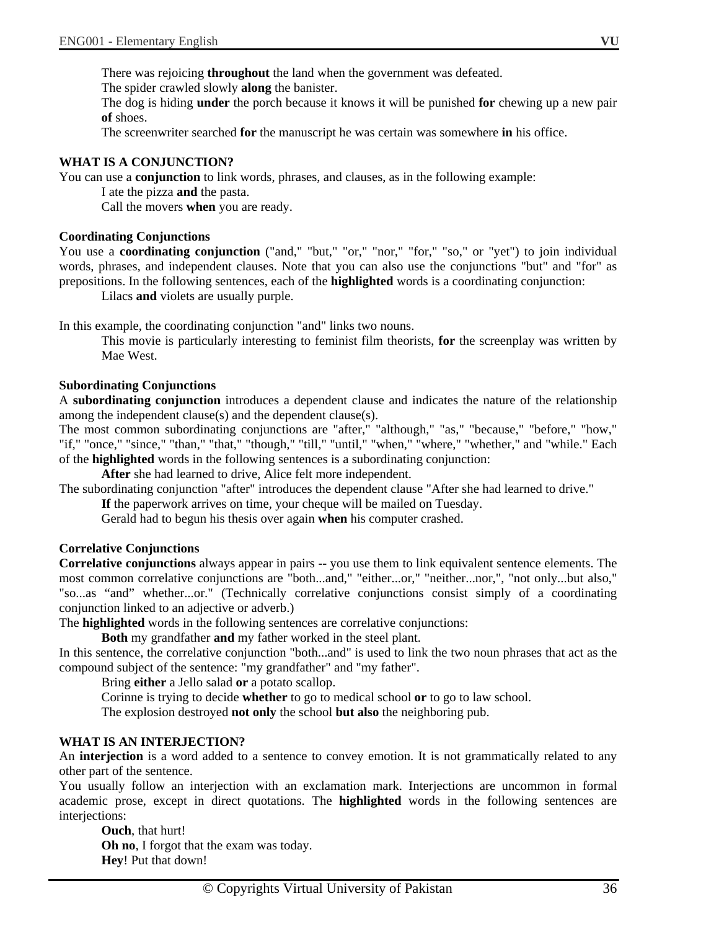There was rejoicing **throughout** the land when the government was defeated.

The spider crawled slowly **along** the banister.

The dog is hiding **under** the porch because it knows it will be punished **for** chewing up a new pair **of** shoes.

The screenwriter searched **for** the manuscript he was certain was somewhere **in** his office.

## **WHAT IS A CONJUNCTION?**

You can use a **conjunction** to link words, phrases, and clauses, as in the following example:

I ate the pizza **and** the pasta.

Call the movers **when** you are ready.

## **Coordinating Conjunctions**

You use a **coordinating conjunction** ("and," "but," "or," "nor," "for," "so," or "yet") to join individual words, phrases, and independent clauses. Note that you can also use the conjunctions "but" and "for" as prepositions. In the following sentences, each of the **highlighted** words is a coordinating conjunction:

Lilacs **and** violets are usually purple.

In this example, the coordinating conjunction "and" links two nouns.

This movie is particularly interesting to feminist film theorists, **for** the screenplay was written by Mae West.

## **Subordinating Conjunctions**

A **subordinating conjunction** introduces a dependent clause and indicates the nature of the relationship among the independent clause(s) and the dependent clause(s).

The most common subordinating conjunctions are "after," "although," "as," "because," "before," "how," "if," "once," "since," "than," "that," "though," "till," "until," "when," "where," "whether," and "while." Each of the **highlighted** words in the following sentences is a subordinating conjunction:

**After** she had learned to drive, Alice felt more independent.

The subordinating conjunction "after" introduces the dependent clause "After she had learned to drive."

**If** the paperwork arrives on time, your cheque will be mailed on Tuesday.

Gerald had to begun his thesis over again **when** his computer crashed.

# **Correlative Conjunctions**

**Correlative conjunctions** always appear in pairs -- you use them to link equivalent sentence elements. The most common correlative conjunctions are "both...and," "either...or," "neither...nor,", "not only...but also," "so...as "and" whether...or." (Technically correlative conjunctions consist simply of a coordinating conjunction linked to an adjective or adverb.)

The **highlighted** words in the following sentences are correlative conjunctions:

**Both** my grandfather **and** my father worked in the steel plant.

In this sentence, the correlative conjunction "both...and" is used to link the two noun phrases that act as the compound subject of the sentence: "my grandfather" and "my father".

Bring **either** a Jello salad **or** a potato scallop.

Corinne is trying to decide **whether** to go to medical school **or** to go to law school.

The explosion destroyed **not only** the school **but also** the neighboring pub.

# **WHAT IS AN INTERJECTION?**

An **interjection** is a word added to a sentence to convey emotion. It is not grammatically related to any other part of the sentence.

You usually follow an interjection with an exclamation mark. Interjections are uncommon in formal academic prose, except in direct quotations. The **highlighted** words in the following sentences are interjections:

**Ouch**, that hurt! **Oh no**, I forgot that the exam was today. **Hey**! Put that down!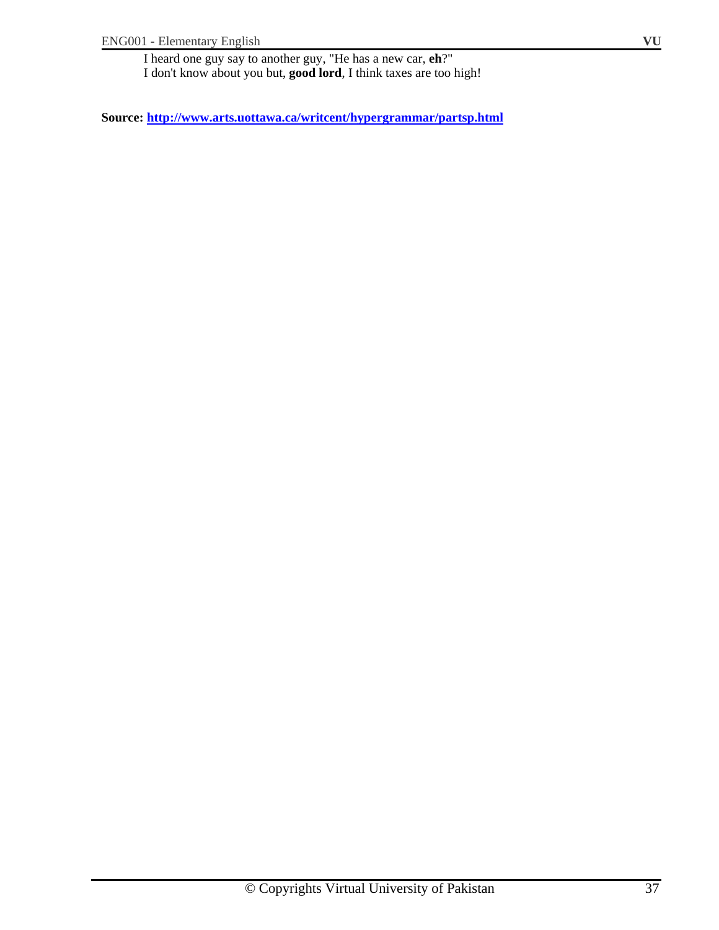I heard one guy say to another guy, "He has a new car, **eh**?" I don't know about you but, **good lord**, I think taxes are too high!

**Source: http://www.arts.uottawa.ca/writcent/hypergrammar/partsp.html**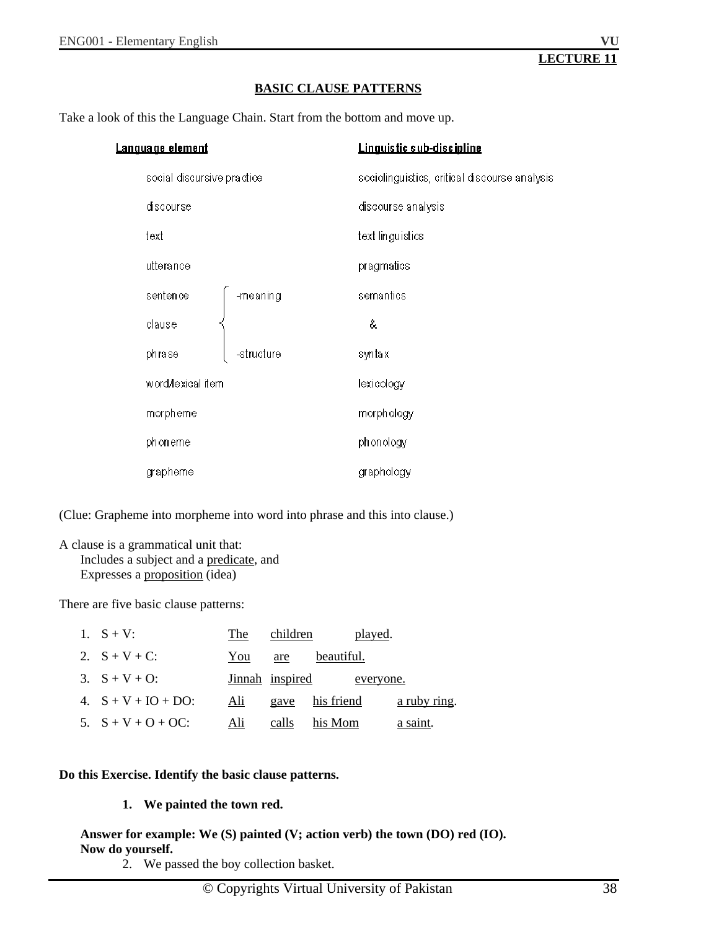## **BASIC CLAUSE PATTERNS**

Take a look of this the Language Chain. Start from the bottom and move up.

(Clue: Grapheme into morpheme into word into phrase and this into clause.)

## A clause is a grammatical unit that:

Includes a subject and a predicate, and Expresses a proposition (idea)

There are five basic clause patterns:

| 1. $S + V$ :           | The | children        |                 | played.   |              |
|------------------------|-----|-----------------|-----------------|-----------|--------------|
| 2. $S + V + C$ :       | You | are             | beautiful.      |           |              |
| 3. $S + V + O$ :       |     | Jinnah inspired |                 | everyone. |              |
| 4. $S + V + IO + DO$ : | Ali |                 | gave his friend |           | a ruby ring. |
| 5. $S + V + O + OC$    | Ali | calls           | his Mom         |           | a saint.     |

## **Do this Exercise. Identify the basic clause patterns.**

## **1. We painted the town red.**

## **Answer for example: We (S) painted (V; action verb) the town (DO) red (IO). Now do yourself.**

2. We passed the boy collection basket.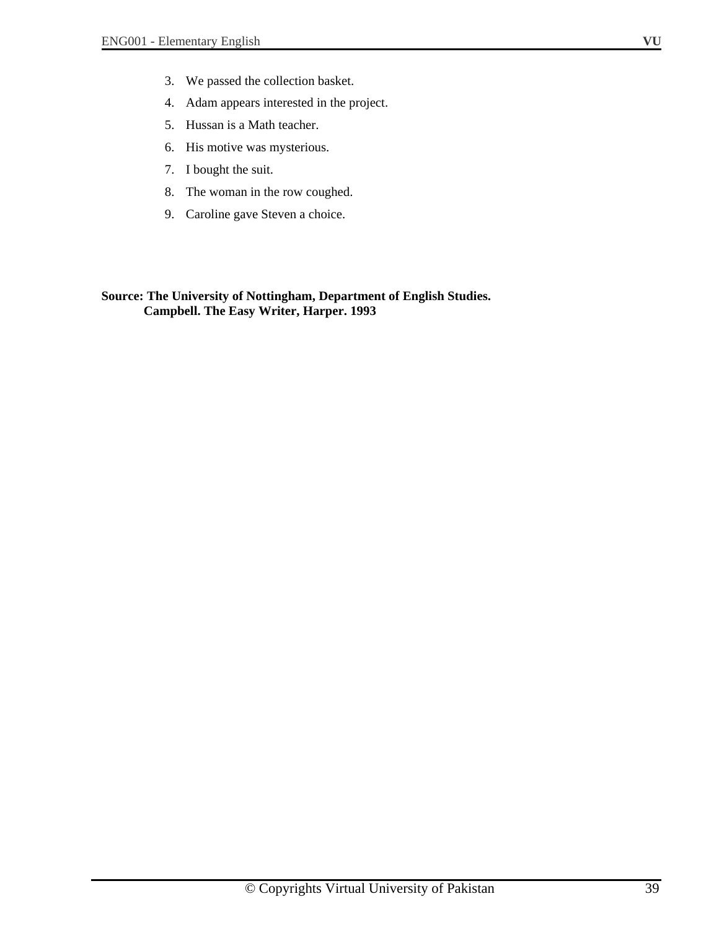- 3. We passed the collection basket.
- 4. Adam appears interested in the project.
- 5. Hussan is a Math teacher.
- 6. His motive was mysterious.
- 7. I bought the suit.
- 8. The woman in the row coughed.
- 9. Caroline gave Steven a choice.

**Source: The University of Nottingham, Department of English Studies. Campbell. The Easy Writer, Harper. 1993**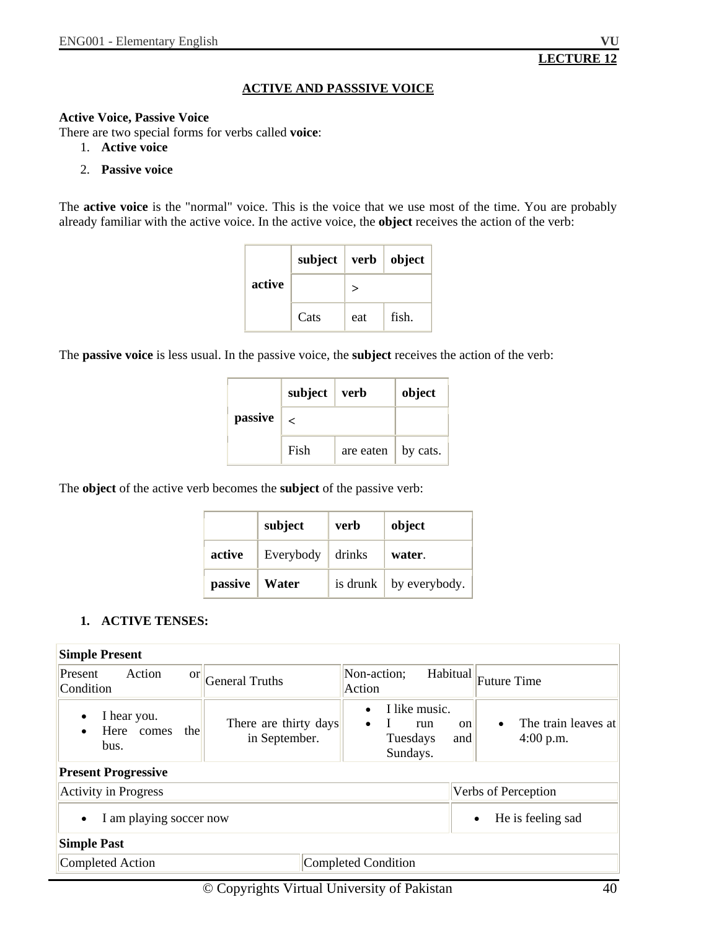## **ACTIVE AND PASSSIVE VOICE**

#### **Active Voice, Passive Voice**

There are two special forms for verbs called **voice**:

- 1. **Active voice**
	- 2. **Passive voice**

The **active voice** is the "normal" voice. This is the voice that we use most of the time. You are probably already familiar with the active voice. In the active voice, the **object** receives the action of the verb:

|        | subject   verb   object |     |       |  |
|--------|-------------------------|-----|-------|--|
| active |                         |     |       |  |
|        | Cats                    | eat | fish. |  |

The **passive voice** is less usual. In the passive voice, the **subject** receives the action of the verb:

|         | subject $\vert$ verb |           | object   |
|---------|----------------------|-----------|----------|
| passive |                      |           |          |
|         | Fish                 | are eaten | by cats. |

The **object** of the active verb becomes the **subject** of the passive verb:

|         | subject   | verb   | object                         |
|---------|-----------|--------|--------------------------------|
| active  | Everybody | drinks | water.                         |
| passive | Water     |        | is drunk $\vert$ by everybody. |

## **1. ACTIVE TENSES:**

| <b>Simple Present</b>                                                  |                                        |                                                                                                     |                                                 |  |  |
|------------------------------------------------------------------------|----------------------------------------|-----------------------------------------------------------------------------------------------------|-------------------------------------------------|--|--|
| Action<br>Present<br><sub>or</sub><br>Condition                        | General Truths                         | Non-action;<br>Habitual<br>Action                                                                   | Future Time                                     |  |  |
| I hear you.<br>$\bullet$<br>Here comes<br>the<br>$\bullet$<br>bus.     | There are thirty days<br>in September. | I like music.<br>$\bullet$<br>$\mathbf{I}$<br>run<br>on<br>$\bullet$<br>Tuesdays<br>and<br>Sundays. | The train leaves at<br>$\bullet$<br>$4:00$ p.m. |  |  |
| <b>Present Progressive</b>                                             |                                        |                                                                                                     |                                                 |  |  |
| <b>Activity in Progress</b>                                            | Verbs of Perception                    |                                                                                                     |                                                 |  |  |
| I am playing soccer now<br>He is feeling sad<br>$\bullet$<br>$\bullet$ |                                        |                                                                                                     |                                                 |  |  |
| <b>Simple Past</b>                                                     |                                        |                                                                                                     |                                                 |  |  |
| Completed Action<br>Completed Condition                                |                                        |                                                                                                     |                                                 |  |  |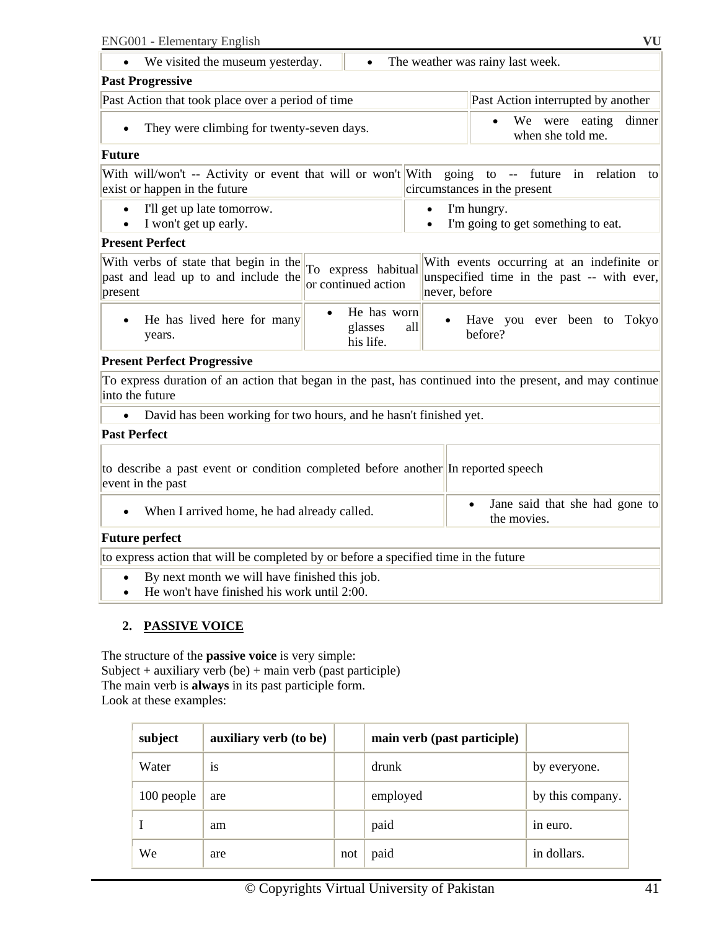| <b>ENG001 - Elementary English</b>                                                                        |                                            |                        | VU                                                                                                        |
|-----------------------------------------------------------------------------------------------------------|--------------------------------------------|------------------------|-----------------------------------------------------------------------------------------------------------|
| We visited the museum yesterday.                                                                          | $\bullet$                                  |                        | The weather was rainy last week.                                                                          |
| <b>Past Progressive</b>                                                                                   |                                            |                        |                                                                                                           |
| Past Action that took place over a period of time                                                         |                                            |                        | Past Action interrupted by another                                                                        |
| They were climbing for twenty-seven days.                                                                 |                                            |                        | We were eating<br>dinner<br>$\bullet$<br>when she told me.                                                |
| Future                                                                                                    |                                            |                        |                                                                                                           |
| With will/won't -- Activity or event that will or won't With going to --<br>exist or happen in the future |                                            |                        | future in relation<br>to<br>circumstances in the present                                                  |
| I'll get up late tomorrow.<br>$\bullet$<br>I won't get up early.<br>$\bullet$                             |                                            | $\bullet$<br>$\bullet$ | I'm hungry.<br>I'm going to get something to eat.                                                         |
| <b>Present Perfect</b>                                                                                    |                                            |                        |                                                                                                           |
| With verbs of state that begin in the<br>past and lead up to and include the<br>present                   | To express habitual<br>or continued action |                        | With events occurring at an indefinite or<br>unspecified time in the past -- with ever,<br>never, before  |
| He has lived here for many<br>years.                                                                      | He has worn<br>glasses<br>his life.        | all                    | Have you ever been to Tokyo<br>before?                                                                    |
| <b>Present Perfect Progressive</b>                                                                        |                                            |                        |                                                                                                           |
| into the future                                                                                           |                                            |                        | To express duration of an action that began in the past, has continued into the present, and may continue |
| David has been working for two hours, and he hasn't finished yet.<br>$\bullet$                            |                                            |                        |                                                                                                           |
| <b>Past Perfect</b>                                                                                       |                                            |                        |                                                                                                           |
| to describe a past event or condition completed before another In reported speech<br>event in the past    |                                            |                        |                                                                                                           |
| When I arrived home, he had already called.                                                               |                                            |                        | Jane said that she had gone to<br>the movies.                                                             |
| <b>Future perfect</b>                                                                                     |                                            |                        |                                                                                                           |
| to express action that will be completed by or before a specified time in the future                      |                                            |                        |                                                                                                           |
| By next month we will have finished this job.<br>$\bullet$<br>He won't have finished his work until 2:00. |                                            |                        |                                                                                                           |
|                                                                                                           |                                            |                        |                                                                                                           |

# **2. PASSIVE VOICE**

The structure of the **passive voice** is very simple: Subject + auxiliary verb (be) + main verb (past participle) The main verb is **always** in its past participle form. Look at these examples:

| subject    | auxiliary verb (to be) |     | main verb (past participle) |                  |
|------------|------------------------|-----|-----------------------------|------------------|
| Water      | <b>1S</b>              |     | drunk                       | by everyone.     |
| 100 people | are                    |     | employed                    | by this company. |
|            | am                     |     | paid                        | in euro.         |
| We         | are                    | not | paid                        | in dollars.      |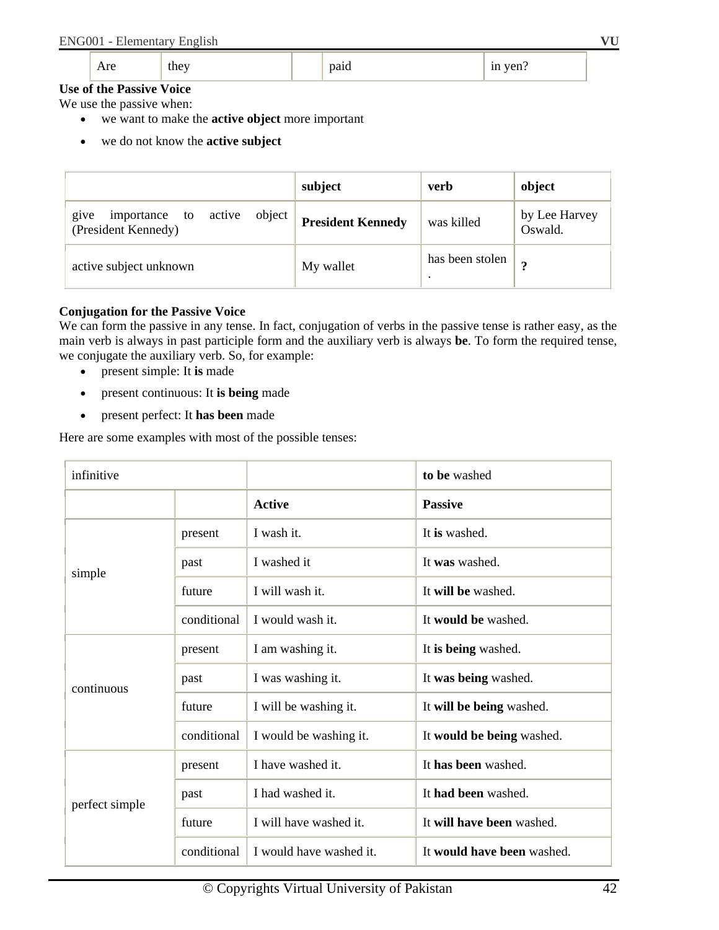| uк<br>.<br>$  -$ | - | .<br><br>. |
|------------------|---|------------|
|------------------|---|------------|

**Use of the Passive Voice**  We use the passive when:

- we want to make the **active object** more important
- we do not know the **active subject**

|                                                               | subject                  | verb            | object                   |
|---------------------------------------------------------------|--------------------------|-----------------|--------------------------|
| object<br>importance to active<br>give<br>(President Kennedy) | <b>President Kennedy</b> | was killed      | by Lee Harvey<br>Oswald. |
| active subject unknown                                        | My wallet                | has been stolen | ച                        |

# **Conjugation for the Passive Voice**

We can form the passive in any tense. In fact, conjugation of verbs in the passive tense is rather easy, as the main verb is always in past participle form and the auxiliary verb is always **be**. To form the required tense, we conjugate the auxiliary verb. So, for example:

- present simple: It **is** made
- present continuous: It **is being** made
- present perfect: It **has been** made

Here are some examples with most of the possible tenses:

| infinitive     |             |                         | to be washed               |
|----------------|-------------|-------------------------|----------------------------|
|                |             | <b>Active</b>           | <b>Passive</b>             |
|                | present     | I wash it.              | It is washed.              |
| simple         | past        | I washed it             | It was washed.             |
|                | future      | I will wash it.         | It will be washed.         |
|                | conditional | I would wash it.        | It would be washed.        |
|                | present     | I am washing it.        | It is being washed.        |
| continuous     | past        | I was washing it.       | It was being washed.       |
|                | future      | I will be washing it.   | It will be being washed.   |
|                | conditional | I would be washing it.  | It would be being washed.  |
|                | present     | I have washed it.       | It has been washed.        |
| perfect simple | past        | I had washed it.        | It had been washed.        |
|                | future      | I will have washed it.  | It will have been washed.  |
|                | conditional | I would have washed it. | It would have been washed. |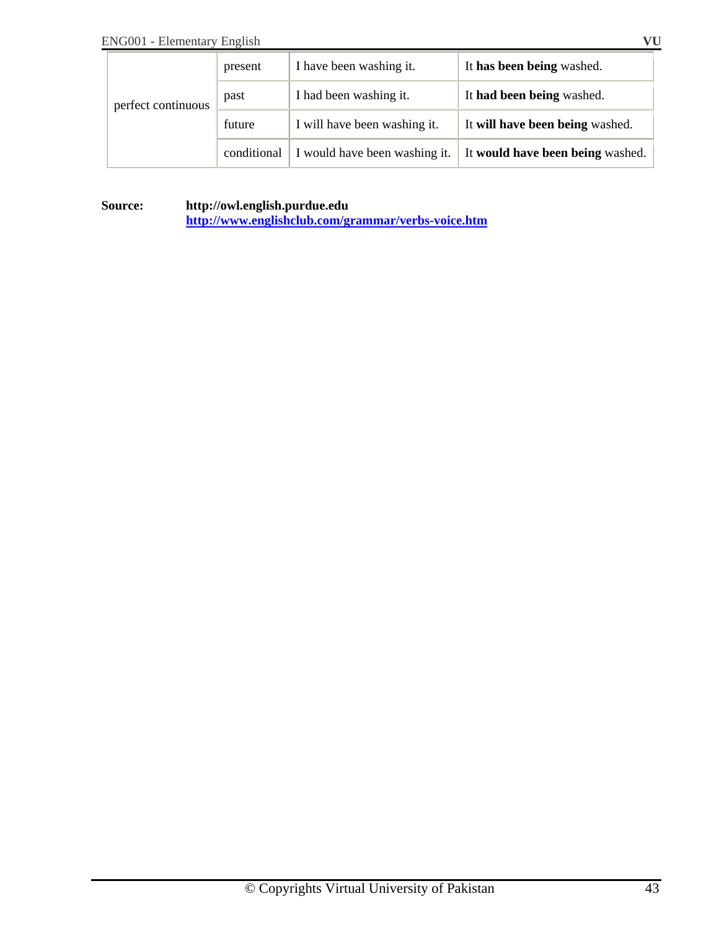|                    | present     | I have been washing it.       | It has been being washed.        |
|--------------------|-------------|-------------------------------|----------------------------------|
| perfect continuous | past        | I had been washing it.        | It had been being washed.        |
|                    | future      | I will have been washing it.  | It will have been being washed.  |
|                    | conditional | I would have been washing it. | It would have been being washed. |

**Source: http://owl.english.purdue.edu http://www.englishclub.com/grammar/verbs-voice.htm**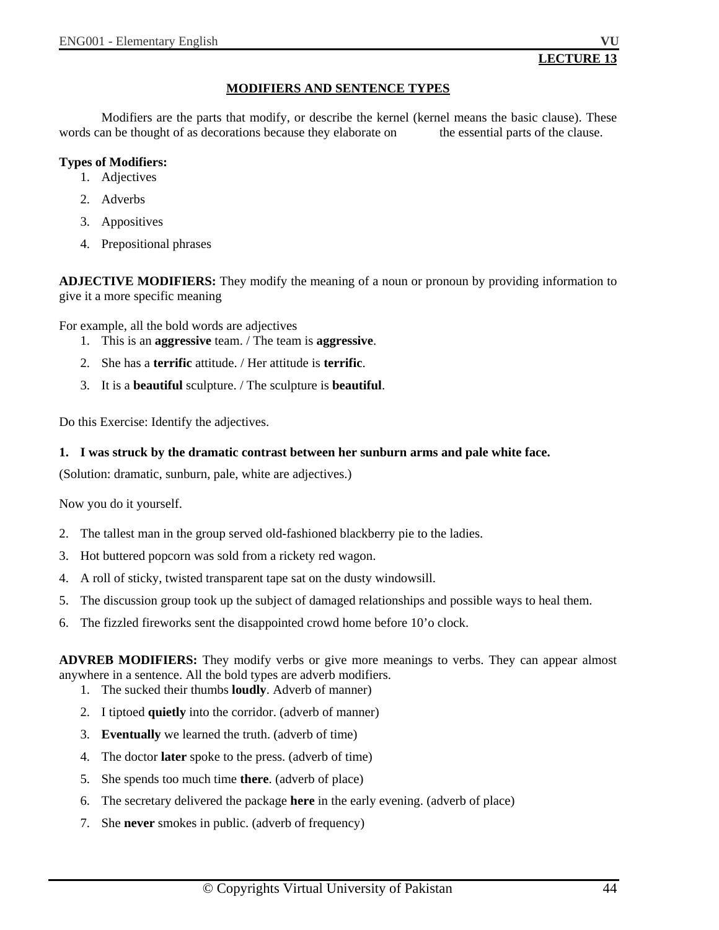## **MODIFIERS AND SENTENCE TYPES**

Modifiers are the parts that modify, or describe the kernel (kernel means the basic clause). These words can be thought of as decorations because they elaborate on the essential parts of the clause.

## **Types of Modifiers:**

- 1. Adjectives
- 2. Adverbs
- 3. Appositives
- 4. Prepositional phrases

**ADJECTIVE MODIFIERS:** They modify the meaning of a noun or pronoun by providing information to give it a more specific meaning

For example, all the bold words are adjectives

- 1. This is an **aggressive** team. / The team is **aggressive**.
- 2. She has a **terrific** attitude. / Her attitude is **terrific**.
- 3. It is a **beautiful** sculpture. / The sculpture is **beautiful**.

Do this Exercise: Identify the adjectives.

## **1. I was struck by the dramatic contrast between her sunburn arms and pale white face.**

(Solution: dramatic, sunburn, pale, white are adjectives.)

Now you do it yourself.

- 2. The tallest man in the group served old-fashioned blackberry pie to the ladies.
- 3. Hot buttered popcorn was sold from a rickety red wagon.
- 4. A roll of sticky, twisted transparent tape sat on the dusty windowsill.
- 5. The discussion group took up the subject of damaged relationships and possible ways to heal them.
- 6. The fizzled fireworks sent the disappointed crowd home before 10'o clock.

**ADVREB MODIFIERS:** They modify verbs or give more meanings to verbs. They can appear almost anywhere in a sentence. All the bold types are adverb modifiers.

- 1. The sucked their thumbs **loudly**. Adverb of manner)
- 2. I tiptoed **quietly** into the corridor. (adverb of manner)
- 3. **Eventually** we learned the truth. (adverb of time)
- 4. The doctor **later** spoke to the press. (adverb of time)
- 5. She spends too much time **there**. (adverb of place)
- 6. The secretary delivered the package **here** in the early evening. (adverb of place)
- 7. She **never** smokes in public. (adverb of frequency)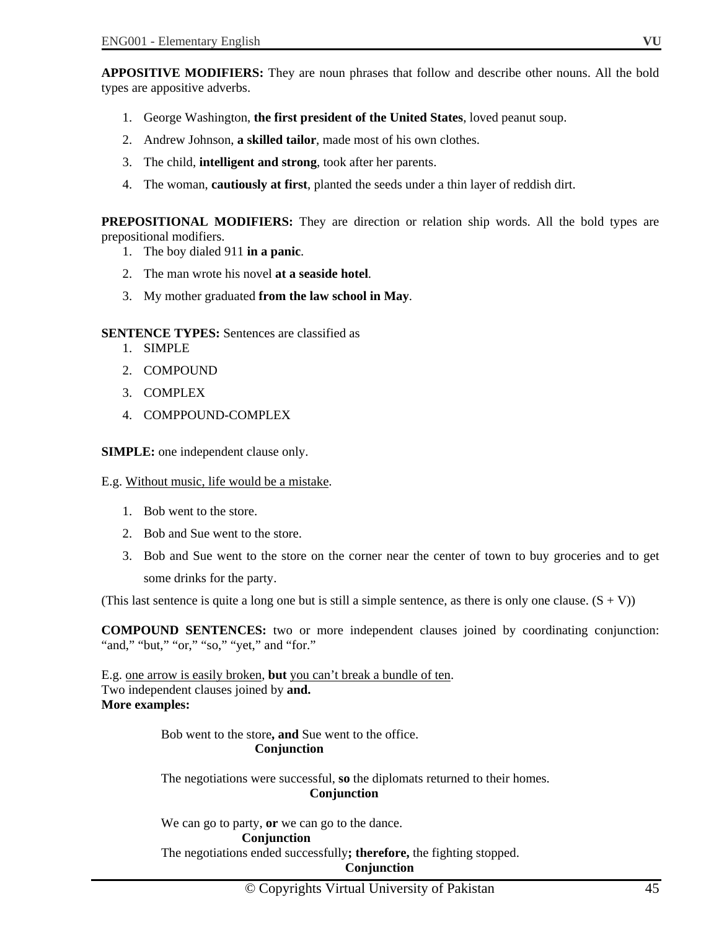**APPOSITIVE MODIFIERS:** They are noun phrases that follow and describe other nouns. All the bold types are appositive adverbs.

- 1. George Washington, **the first president of the United States**, loved peanut soup.
- 2. Andrew Johnson, **a skilled tailor**, made most of his own clothes.
- 3. The child, **intelligent and strong**, took after her parents.
- 4. The woman, **cautiously at first**, planted the seeds under a thin layer of reddish dirt.

**PREPOSITIONAL MODIFIERS:** They are direction or relation ship words. All the bold types are prepositional modifiers.

- 1. The boy dialed 911 **in a panic**.
- 2. The man wrote his novel **at a seaside hotel**.
- 3. My mother graduated **from the law school in May**.

**SENTENCE TYPES:** Sentences are classified as

- 1. SIMPLE
- 2. COMPOUND
- 3. COMPLEX
- 4. COMPPOUND-COMPLEX

**SIMPLE:** one independent clause only.

E.g. Without music, life would be a mistake.

- 1. Bob went to the store.
- 2. Bob and Sue went to the store.
- 3. Bob and Sue went to the store on the corner near the center of town to buy groceries and to get some drinks for the party.

(This last sentence is quite a long one but is still a simple sentence, as there is only one clause.  $(S + V)$ )

**COMPOUND SENTENCES:** two or more independent clauses joined by coordinating conjunction: "and," "but," "or," "so," "yet," and "for."

E.g. one arrow is easily broken, **but** you can't break a bundle of ten. Two independent clauses joined by **and. More examples:** 

> Bob went to the store**, and** Sue went to the office. **Conjunction**

The negotiations were successful, **so** the diplomats returned to their homes. **Conjunction**

We can go to party, **or** we can go to the dance.

#### **Conjunction**

The negotiations ended successfully**; therefore,** the fighting stopped.

#### **Conjunction**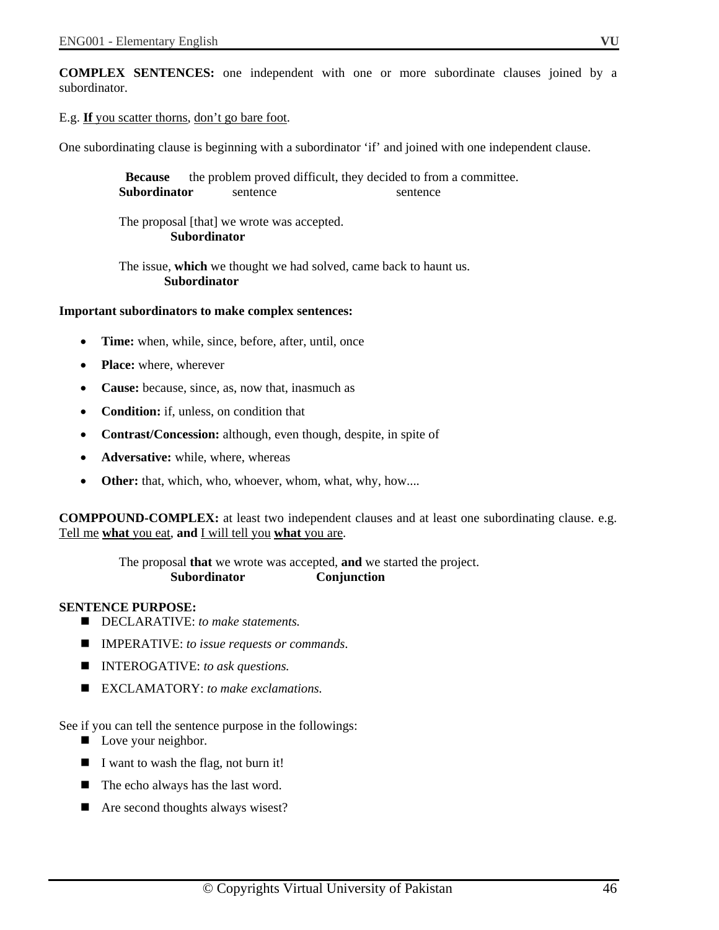**COMPLEX SENTENCES:** one independent with one or more subordinate clauses joined by a subordinator.

#### E.g. **If** you scatter thorns, don't go bare foot.

One subordinating clause is beginning with a subordinator 'if' and joined with one independent clause.

**Because** the problem proved difficult, they decided to from a committee. **Subordinator** sentence sentence

The proposal [that] we wrote was accepted. **Subordinator** 

The issue, **which** we thought we had solved, came back to haunt us. **Subordinator**

#### **Important subordinators to make complex sentences:**

- **Time:** when, while, since, before, after, until, once
- **Place:** where, wherever
- **Cause:** because, since, as, now that, inasmuch as
- **Condition:** if, unless, on condition that
- **Contrast/Concession:** although, even though, despite, in spite of
- **Adversative:** while, where, whereas
- **Other:** that, which, who, whoever, whom, what, why, how....

**COMPPOUND-COMPLEX:** at least two independent clauses and at least one subordinating clause. e.g. Tell me **what** you eat, **and** I will tell you **what** you are.

> The proposal **that** we wrote was accepted, **and** we started the project. **Subordinator Conjunction**

#### **SENTENCE PURPOSE:**

- **DECLARATIVE**: *to make statements*.
- **IMPERATIVE:** *to issue requests or commands*.
- **INTEROGATIVE**: *to ask questions*.
- **EXCLAMATORY**: *to make exclamations*.

See if you can tell the sentence purpose in the followings:

- Love your neighbor.
- $\blacksquare$  I want to wash the flag, not burn it!
- The echo always has the last word.
- Are second thoughts always wisest?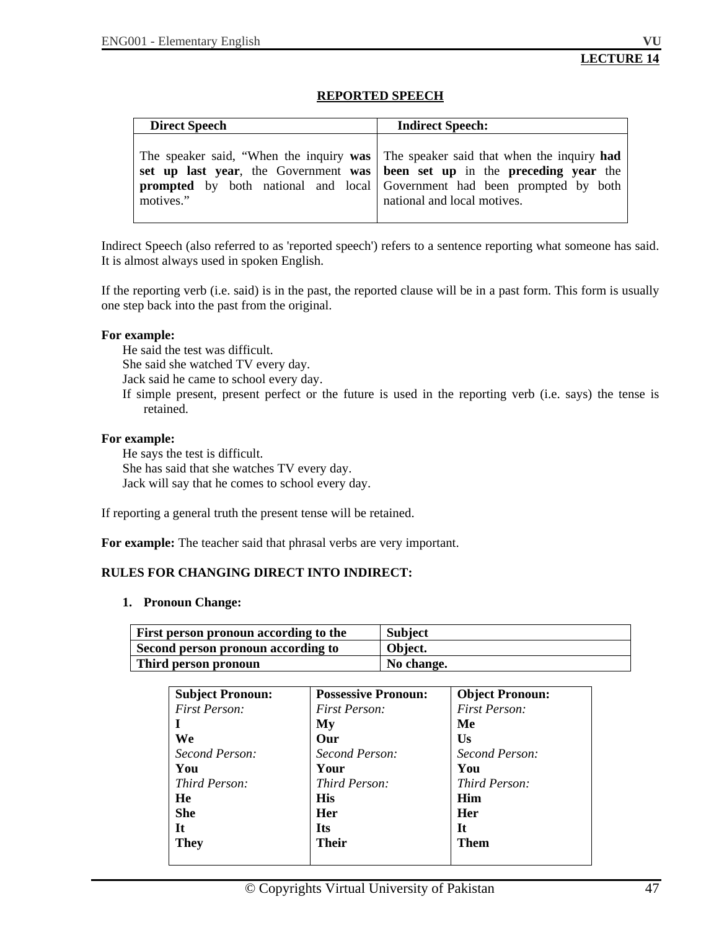## **REPORTED SPEECH**

| <b>Direct Speech</b> | <b>Indirect Speech:</b>                                                                                                                                                                                                                                                            |
|----------------------|------------------------------------------------------------------------------------------------------------------------------------------------------------------------------------------------------------------------------------------------------------------------------------|
| motives."            | The speaker said, "When the inquiry was The speaker said that when the inquiry had<br>set up last year, the Government was been set up in the preceding year the<br><b>prompted</b> by both national and local Government had been prompted by both<br>national and local motives. |

Indirect Speech (also referred to as 'reported speech') refers to a sentence reporting what someone has said. It is almost always used in spoken English.

If the reporting verb (i.e. said) is in the past, the reported clause will be in a past form. This form is usually one step back into the past from the original.

#### **For example:**

He said the test was difficult.

She said she watched TV every day.

Jack said he came to school every day.

If simple present, present perfect or the future is used in the reporting verb (i.e. says) the tense is retained.

## **For example:**

He says the test is difficult. She has said that she watches TV every day. Jack will say that he comes to school every day.

If reporting a general truth the present tense will be retained.

**For example:** The teacher said that phrasal verbs are very important.

## **RULES FOR CHANGING DIRECT INTO INDIRECT:**

#### **1. Pronoun Change:**

| First person pronoun according to the | <b>Subject</b> |
|---------------------------------------|----------------|
| Second person pronoun according to    | Object.        |
| Third person pronoun                  | No change.     |

| <b>Subject Pronoun:</b> | <b>Possessive Pronoun:</b> | <b>Object Pronoun:</b> |
|-------------------------|----------------------------|------------------------|
| <b>First Person:</b>    | <b>First Person:</b>       | <b>First Person:</b>   |
|                         | My                         | Me                     |
| We                      | Our                        | Us                     |
| Second Person:          | Second Person:             | Second Person:         |
| You                     | Your                       | You                    |
| Third Person:           | Third Person:              | Third Person:          |
| He                      | <b>His</b>                 | Him                    |
| <b>She</b>              | <b>Her</b>                 | <b>Her</b>             |
| It                      | <b>Its</b>                 | It                     |
| <b>They</b>             | <b>Their</b>               | <b>Them</b>            |
|                         |                            |                        |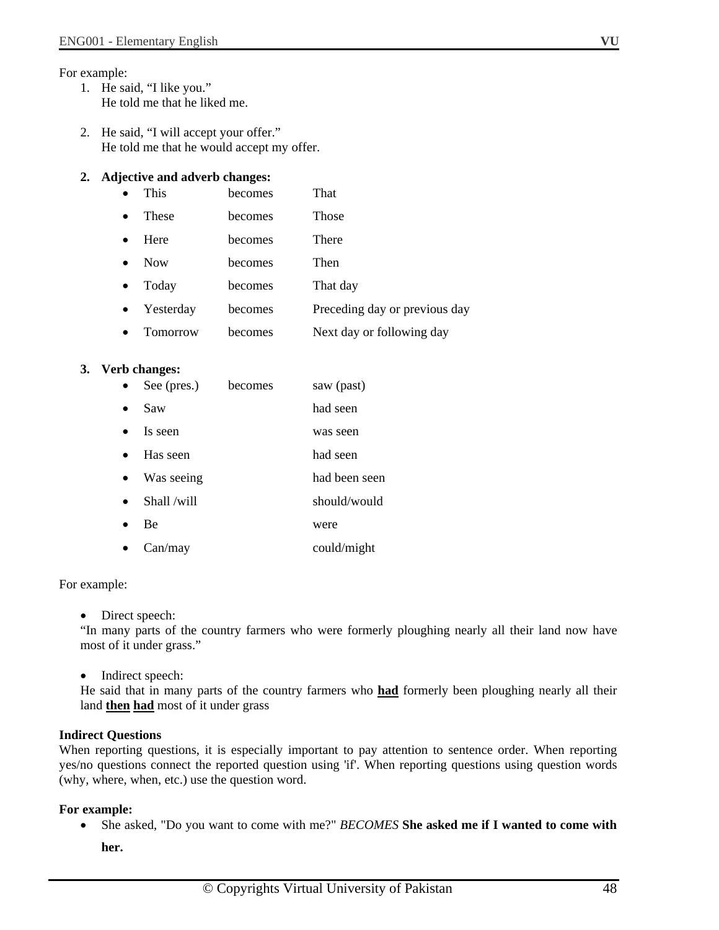## For example:

- 1. He said, "I like you." He told me that he liked me.
- 2. He said, "I will accept your offer." He told me that he would accept my offer.

## **2. Adjective and adverb changes:**

| This       | becomes | That                          |
|------------|---------|-------------------------------|
| These      | becomes | Those                         |
| Here       | becomes | There                         |
| <b>Now</b> | becomes | Then                          |
| Today      | becomes | That day                      |
| Yesterday  | becomes | Preceding day or previous day |
| Tomorrow   | becomes | Next day or following day     |

## **3. Verb changes:**

| See (pres.) | becomes | saw (past)    |
|-------------|---------|---------------|
| Saw         |         | had seen      |
| Is seen     |         | was seen      |
| Has seen    |         | had seen      |
| Was seeing  |         | had been seen |
| Shall /will |         | should/would  |
| Вe          |         | were          |
| Can/may     |         | could/might   |

## For example:

• Direct speech:

"In many parts of the country farmers who were formerly ploughing nearly all their land now have most of it under grass."

• Indirect speech:

He said that in many parts of the country farmers who **had** formerly been ploughing nearly all their land **then had** most of it under grass

## **Indirect Questions**

When reporting questions, it is especially important to pay attention to sentence order. When reporting yes/no questions connect the reported question using 'if'. When reporting questions using question words (why, where, when, etc.) use the question word.

## **For example:**

• She asked, "Do you want to come with me?" *BECOMES* **She asked me if I wanted to come with her.**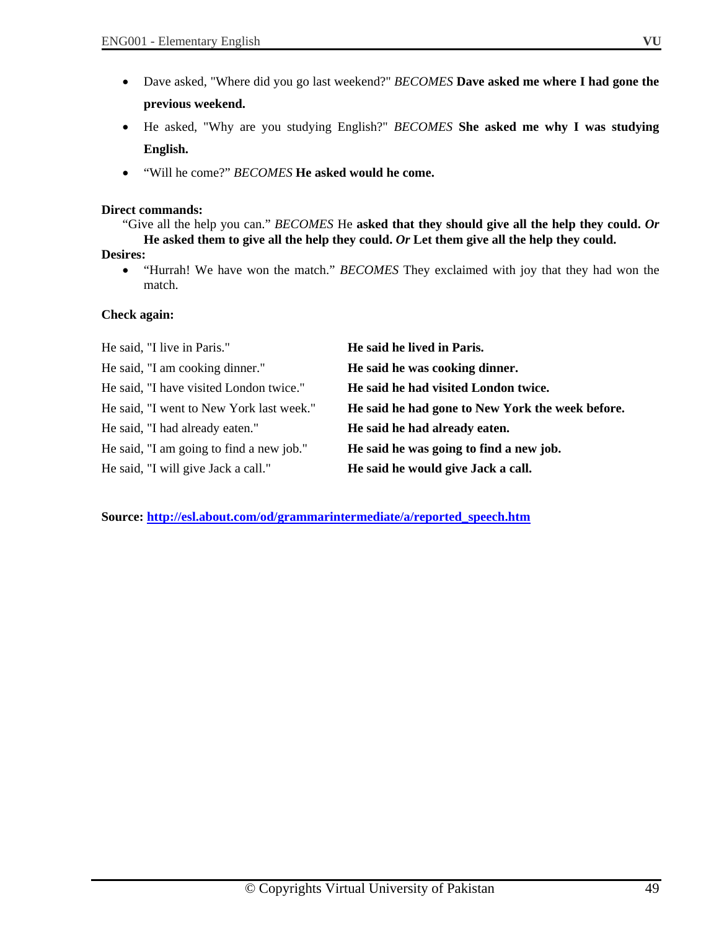- Dave asked, "Where did you go last weekend?" *BECOMES* **Dave asked me where I had gone the previous weekend.**
- He asked, "Why are you studying English?" *BECOMES* **She asked me why I was studying English.**
- "Will he come?" *BECOMES* **He asked would he come.**

## **Direct commands:**

"Give all the help you can." *BECOMES* He **asked that they should give all the help they could.** *Or* **He asked them to give all the help they could.** *Or* **Let them give all the help they could.** 

#### **Desires:**

• "Hurrah! We have won the match." *BECOMES* They exclaimed with joy that they had won the match.

## **Check again:**

He said, "I live in Paris." **He said he lived in Paris.** He said, "I am cooking dinner." **He said he was cooking dinner.** He said, "I have visited London twice." **He said he had visited London twice.** He said, "I went to New York last week." **He said he had gone to New York the week before.** He said, "I had already eaten." **He said he had already eaten.** He said, "I am going to find a new job." **He said he was going to find a new job.** He said, "I will give Jack a call." **He said he would give Jack a call.**

**Source: http://esl.about.com/od/grammarintermediate/a/reported\_speech.htm**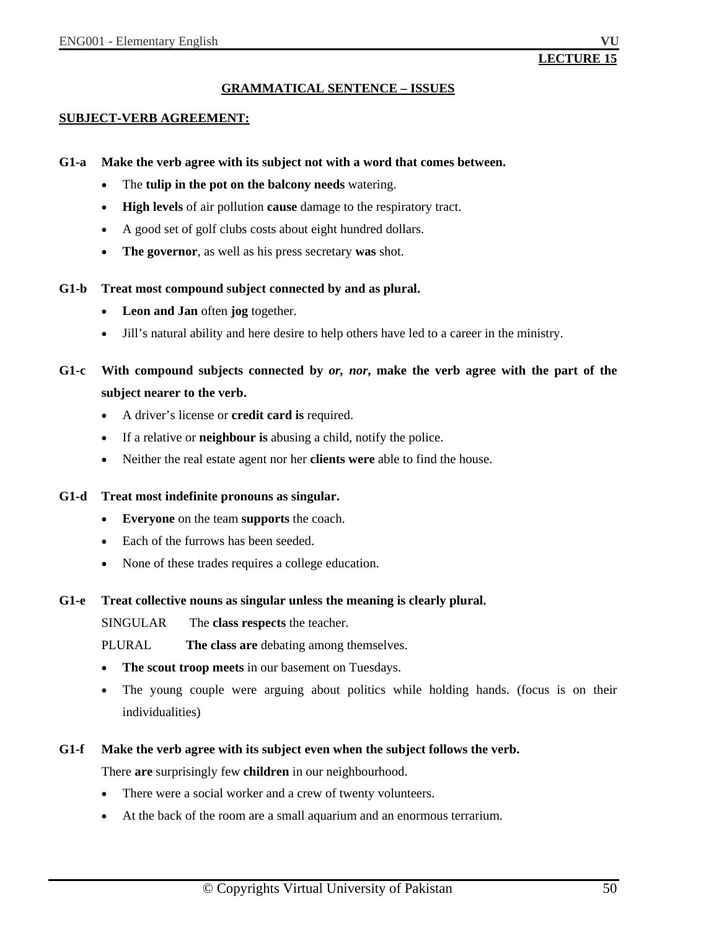## **GRAMMATICAL SENTENCE – ISSUES**

#### **SUBJECT-VERB AGREEMENT:**

**G1-a Make the verb agree with its subject not with a word that comes between.** 

- The **tulip in the pot on the balcony needs** watering.
- **High levels** of air pollution **cause** damage to the respiratory tract.
- A good set of golf clubs costs about eight hundred dollars.
- **The governor**, as well as his press secretary **was** shot.
- **G1-b Treat most compound subject connected by and as plural.** 
	- **Leon and Jan** often **jog** together.
	- Jill's natural ability and here desire to help others have led to a career in the ministry.

# **G1-c With compound subjects connected by** *or, nor***, make the verb agree with the part of the subject nearer to the verb.**

- A driver's license or **credit card is** required.
- If a relative or **neighbour is** abusing a child, notify the police.
- Neither the real estate agent nor her **clients were** able to find the house.

## **G1-d Treat most indefinite pronouns as singular.**

- **Everyone** on the team **supports** the coach.
- Each of the furrows has been seeded.
- None of these trades requires a college education.

## **G1-e Treat collective nouns as singular unless the meaning is clearly plural.**

SINGULAR The **class respects** the teacher.

PLURAL **The class are** debating among themselves.

- The scout troop meets in our basement on Tuesdays.
- The young couple were arguing about politics while holding hands. (focus is on their individualities)

## **G1-f Make the verb agree with its subject even when the subject follows the verb.**

There **are** surprisingly few **children** in our neighbourhood.

- There were a social worker and a crew of twenty volunteers.
- At the back of the room are a small aquarium and an enormous terrarium.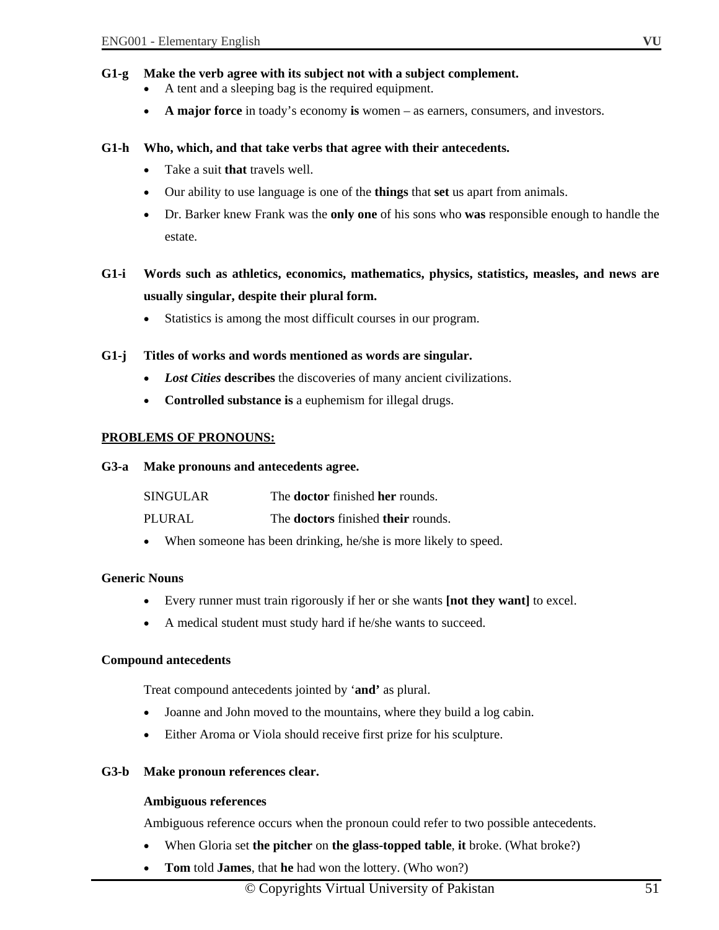## **G1-g Make the verb agree with its subject not with a subject complement.**

- A tent and a sleeping bag is the required equipment.
- **A major force** in toady's economy **is** women as earners, consumers, and investors.

## **G1-h Who, which, and that take verbs that agree with their antecedents.**

- Take a suit **that** travels well.
- Our ability to use language is one of the **things** that **set** us apart from animals.
- Dr. Barker knew Frank was the **only one** of his sons who **was** responsible enough to handle the estate.
- **G1-i Words such as athletics, economics, mathematics, physics, statistics, measles, and news are usually singular, despite their plural form.** 
	- Statistics is among the most difficult courses in our program.

## **G1-j Titles of works and words mentioned as words are singular.**

- *Lost Cities* **describes** the discoveries of many ancient civilizations.
- **Controlled substance is** a euphemism for illegal drugs.

## **PROBLEMS OF PRONOUNS:**

**G3-a Make pronouns and antecedents agree.** 

| SINGULAR | The <b>doctor</b> finished <b>her</b> rounds.    |
|----------|--------------------------------------------------|
| PLURAL   | The <b>doctors</b> finished <b>their</b> rounds. |

• When someone has been drinking, he/she is more likely to speed.

## **Generic Nouns**

- Every runner must train rigorously if her or she wants **[not they want]** to excel.
- A medical student must study hard if he/she wants to succeed.

## **Compound antecedents**

Treat compound antecedents jointed by '**and'** as plural.

- Joanne and John moved to the mountains, where they build a log cabin.
- Either Aroma or Viola should receive first prize for his sculpture.

## **G3-b Make pronoun references clear.**

## **Ambiguous references**

Ambiguous reference occurs when the pronoun could refer to two possible antecedents.

- When Gloria set **the pitcher** on **the glass-topped table**, **it** broke. (What broke?)
- **Tom** told **James**, that **he** had won the lottery. (Who won?)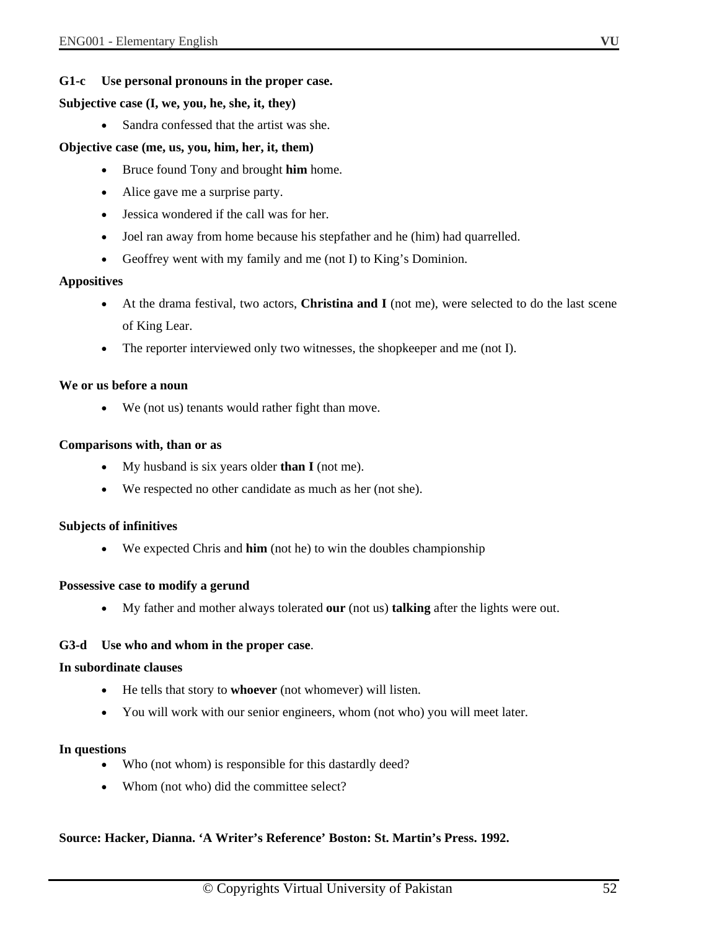# **G1-c Use personal pronouns in the proper case.**

## **Subjective case (I, we, you, he, she, it, they)**

• Sandra confessed that the artist was she.

## **Objective case (me, us, you, him, her, it, them)**

- Bruce found Tony and brought **him** home.
- Alice gave me a surprise party.
- Jessica wondered if the call was for her.
- Joel ran away from home because his stepfather and he (him) had quarrelled.
- Geoffrey went with my family and me (not I) to King's Dominion.

## **Appositives**

- At the drama festival, two actors, **Christina and I** (not me), were selected to do the last scene of King Lear.
- The reporter interviewed only two witnesses, the shopkeeper and me (not I).

## **We or us before a noun**

• We (not us) tenants would rather fight than move.

## **Comparisons with, than or as**

- My husband is six years older **than I** (not me).
- We respected no other candidate as much as her (not she).

## **Subjects of infinitives**

We expected Chris and **him** (not he) to win the doubles championship

## **Possessive case to modify a gerund**

• My father and mother always tolerated **our** (not us) **talking** after the lights were out.

## **G3-d Use who and whom in the proper case**.

## **In subordinate clauses**

- He tells that story to **whoever** (not whomever) will listen.
- You will work with our senior engineers, whom (not who) you will meet later.

## **In questions**

- Who (not whom) is responsible for this dastardly deed?
- Whom (not who) did the committee select?

## **Source: Hacker, Dianna. 'A Writer's Reference' Boston: St. Martin's Press. 1992.**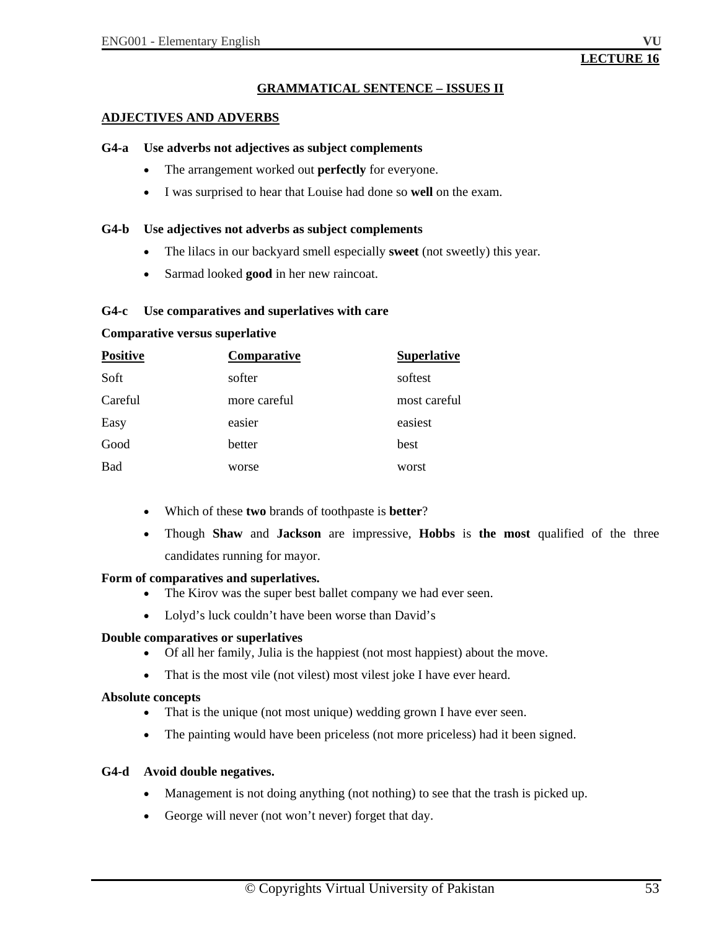# **GRAMMATICAL SENTENCE – ISSUES II**

## **ADJECTIVES AND ADVERBS**

#### **G4-a Use adverbs not adjectives as subject complements**

- The arrangement worked out **perfectly** for everyone.
- I was surprised to hear that Louise had done so **well** on the exam.

#### **G4-b Use adjectives not adverbs as subject complements**

- The lilacs in our backyard smell especially **sweet** (not sweetly) this year.
- Sarmad looked **good** in her new raincoat.

#### **G4-c Use comparatives and superlatives with care**

#### **Comparative versus superlative**

| <b>Positive</b> | Comparative  | <b>Superlative</b> |
|-----------------|--------------|--------------------|
| Soft            | softer       | softest            |
| Careful         | more careful | most careful       |
| Easy            | easier       | easiest            |
| Good            | better       | best               |
| <b>Bad</b>      | worse        | worst              |

- Which of these **two** brands of toothpaste is **better**?
- Though **Shaw** and **Jackson** are impressive, **Hobbs** is **the most** qualified of the three candidates running for mayor.

## **Form of comparatives and superlatives.**

- The Kirov was the super best ballet company we had ever seen.
- Lolyd's luck couldn't have been worse than David's

## **Double comparatives or superlatives**

- Of all her family, Julia is the happiest (not most happiest) about the move.
- That is the most vile (not vilest) most vilest joke I have ever heard.

#### **Absolute concepts**

- That is the unique (not most unique) wedding grown I have ever seen.
- The painting would have been priceless (not more priceless) had it been signed.

## **G4-d Avoid double negatives.**

- Management is not doing anything (not nothing) to see that the trash is picked up.
- George will never (not won't never) forget that day.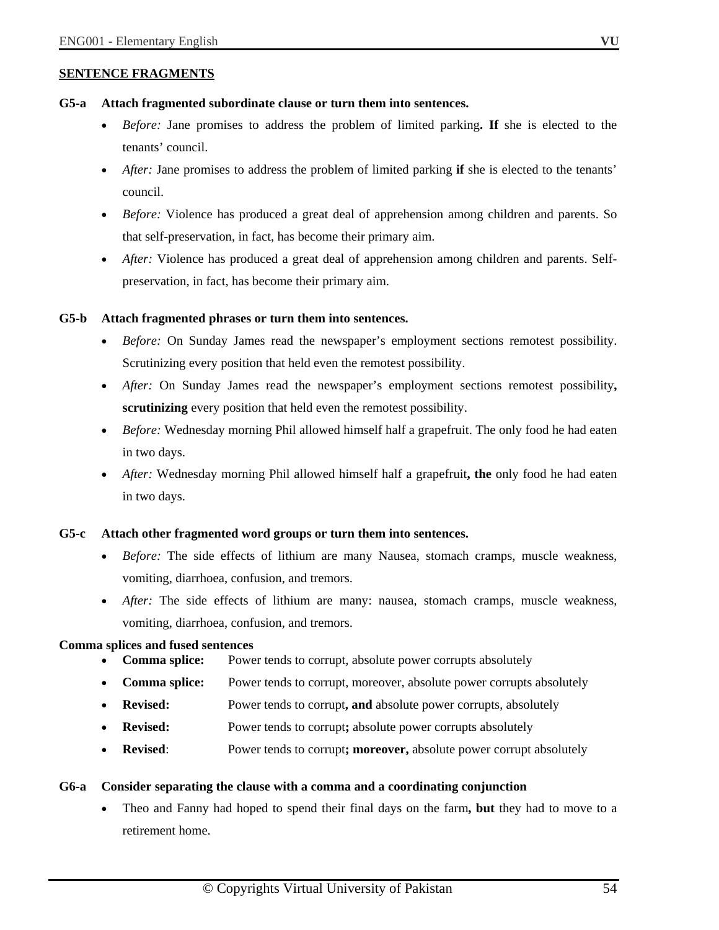## **SENTENCE FRAGMENTS**

- *Before:* Jane promises to address the problem of limited parking**. If** she is elected to the tenants' council.
- *After:* Jane promises to address the problem of limited parking **if** she is elected to the tenants' council.
- *Before:* Violence has produced a great deal of apprehension among children and parents. So that self-preservation, in fact, has become their primary aim.
- *After:* Violence has produced a great deal of apprehension among children and parents. Selfpreservation, in fact, has become their primary aim.

## **G5-b Attach fragmented phrases or turn them into sentences.**

- *Before:* On Sunday James read the newspaper's employment sections remotest possibility. Scrutinizing every position that held even the remotest possibility.
- *After:* On Sunday James read the newspaper's employment sections remotest possibility**, scrutinizing** every position that held even the remotest possibility.
- *Before:* Wednesday morning Phil allowed himself half a grapefruit. The only food he had eaten in two days.
- *After:* Wednesday morning Phil allowed himself half a grapefruit**, the** only food he had eaten in two days.

## **G5-c Attach other fragmented word groups or turn them into sentences.**

- *Before:* The side effects of lithium are many Nausea, stomach cramps, muscle weakness, vomiting, diarrhoea, confusion, and tremors.
- *After:* The side effects of lithium are many: nausea, stomach cramps, muscle weakness, vomiting, diarrhoea, confusion, and tremors.

## **Comma splices and fused sentences**

- **Comma splice:** Power tends to corrupt, absolute power corrupts absolutely
- **Comma splice:** Power tends to corrupt, moreover, absolute power corrupts absolutely
- **Revised:** Power tends to corrupt, and absolute power corrupts, absolutely
- **Revised:** Power tends to corrupt; absolute power corrupts absolutely
- **Revised:** Power tends to corrupt**; moreover,** absolute power corrupt absolutely

## **G6-a Consider separating the clause with a comma and a coordinating conjunction**

• Theo and Fanny had hoped to spend their final days on the farm**, but** they had to move to a retirement home.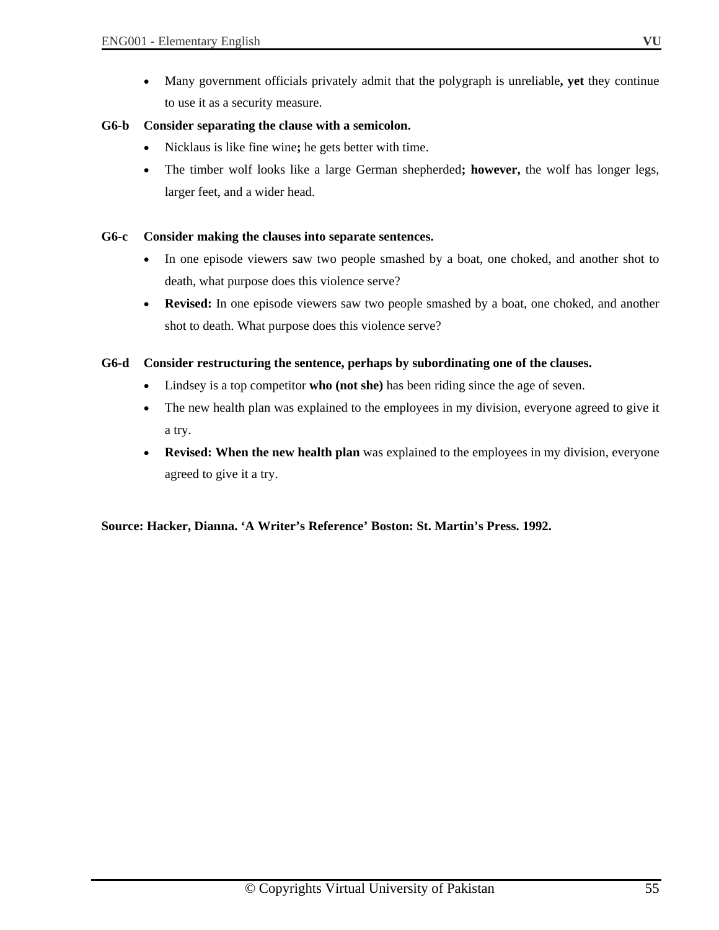• Many government officials privately admit that the polygraph is unreliable**, yet** they continue to use it as a security measure.

## **G6-b Consider separating the clause with a semicolon.**

- Nicklaus is like fine wine**;** he gets better with time.
- The timber wolf looks like a large German shepherded**; however,** the wolf has longer legs, larger feet, and a wider head.

## **G6-c Consider making the clauses into separate sentences.**

- In one episode viewers saw two people smashed by a boat, one choked, and another shot to death, what purpose does this violence serve?
- **Revised:** In one episode viewers saw two people smashed by a boat, one choked, and another shot to death. What purpose does this violence serve?

## **G6-d Consider restructuring the sentence, perhaps by subordinating one of the clauses.**

- Lindsey is a top competitor **who (not she)** has been riding since the age of seven.
- The new health plan was explained to the employees in my division, everyone agreed to give it a try.
- **Revised: When the new health plan** was explained to the employees in my division, everyone agreed to give it a try.

## **Source: Hacker, Dianna. 'A Writer's Reference' Boston: St. Martin's Press. 1992.**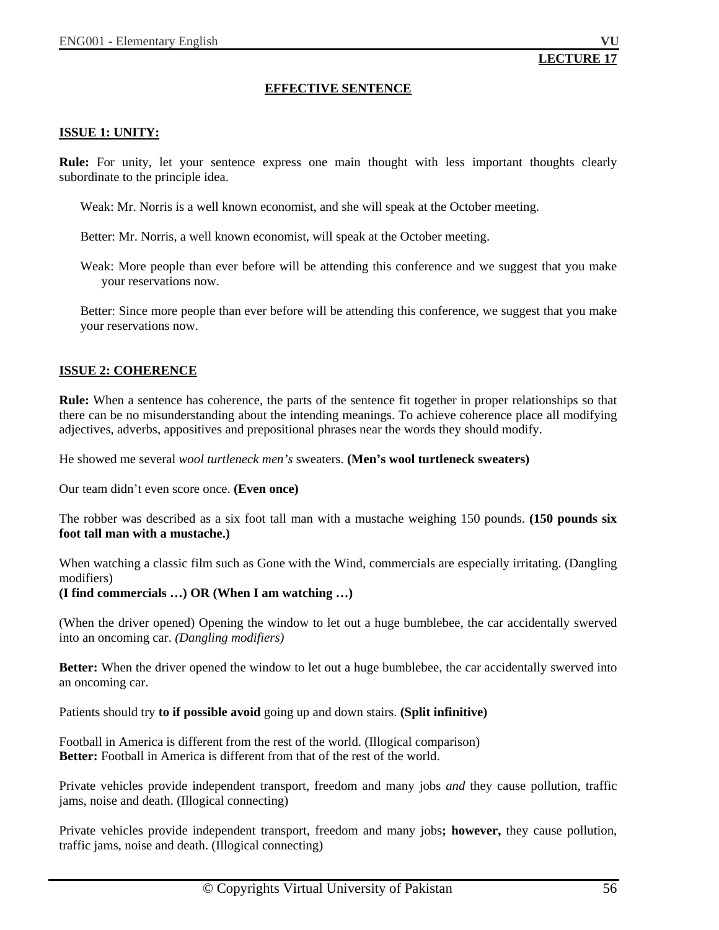## **EFFECTIVE SENTENCE**

#### **ISSUE 1: UNITY:**

**Rule:** For unity, let your sentence express one main thought with less important thoughts clearly subordinate to the principle idea.

Weak: Mr. Norris is a well known economist, and she will speak at the October meeting.

Better: Mr. Norris, a well known economist, will speak at the October meeting.

Weak: More people than ever before will be attending this conference and we suggest that you make your reservations now.

Better: Since more people than ever before will be attending this conference, we suggest that you make your reservations now.

## **ISSUE 2: COHERENCE**

**Rule:** When a sentence has coherence, the parts of the sentence fit together in proper relationships so that there can be no misunderstanding about the intending meanings. To achieve coherence place all modifying adjectives, adverbs, appositives and prepositional phrases near the words they should modify.

He showed me several *wool turtleneck men's* sweaters. **(Men's wool turtleneck sweaters)** 

Our team didn't even score once. **(Even once)** 

The robber was described as a six foot tall man with a mustache weighing 150 pounds. **(150 pounds six foot tall man with a mustache.)** 

When watching a classic film such as Gone with the Wind, commercials are especially irritating. (Dangling modifiers)

#### **(I find commercials …) OR (When I am watching …)**

(When the driver opened) Opening the window to let out a huge bumblebee, the car accidentally swerved into an oncoming car. *(Dangling modifiers)* 

**Better:** When the driver opened the window to let out a huge bumblebee, the car accidentally swerved into an oncoming car.

Patients should try **to if possible avoid** going up and down stairs. **(Split infinitive)**

Football in America is different from the rest of the world. (Illogical comparison) **Better:** Football in America is different from that of the rest of the world.

Private vehicles provide independent transport, freedom and many jobs *and* they cause pollution, traffic jams, noise and death. (Illogical connecting)

Private vehicles provide independent transport, freedom and many jobs**; however,** they cause pollution, traffic jams, noise and death. (Illogical connecting)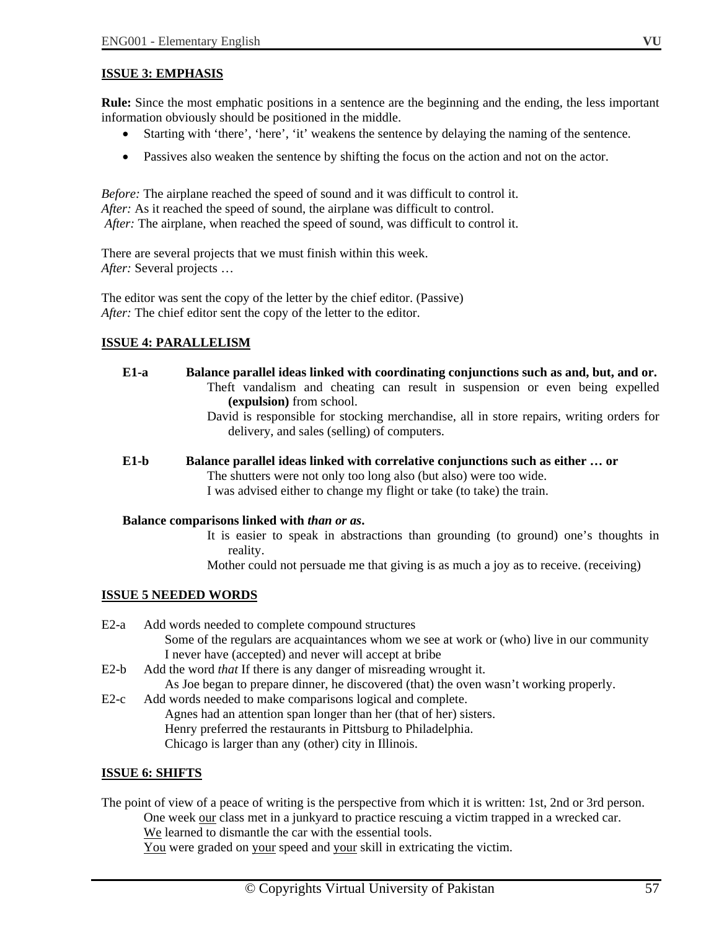# **ISSUE 3: EMPHASIS**

**Rule:** Since the most emphatic positions in a sentence are the beginning and the ending, the less important information obviously should be positioned in the middle.

- Starting with 'there', 'here', 'it' weakens the sentence by delaying the naming of the sentence.
- Passives also weaken the sentence by shifting the focus on the action and not on the actor.

*Before:* The airplane reached the speed of sound and it was difficult to control it. *After:* As it reached the speed of sound, the airplane was difficult to control. *After:* The airplane, when reached the speed of sound, was difficult to control it.

There are several projects that we must finish within this week. *After:* Several projects …

The editor was sent the copy of the letter by the chief editor. (Passive) *After:* The chief editor sent the copy of the letter to the editor.

## **ISSUE 4: PARALLELISM**

**E1-a Balance parallel ideas linked with coordinating conjunctions such as and, but, and or.** Theft vandalism and cheating can result in suspension or even being expelled **(expulsion)** from school.

David is responsible for stocking merchandise, all in store repairs, writing orders for delivery, and sales (selling) of computers.

**E1-b Balance parallel ideas linked with correlative conjunctions such as either … or** The shutters were not only too long also (but also) were too wide.

I was advised either to change my flight or take (to take) the train.

## **Balance comparisons linked with** *than or as***.**

It is easier to speak in abstractions than grounding (to ground) one's thoughts in reality.

Mother could not persuade me that giving is as much a joy as to receive. (receiving)

## **ISSUE 5 NEEDED WORDS**

E2-a Add words needed to complete compound structures Some of the regulars are acquaintances whom we see at work or (who) live in our community I never have (accepted) and never will accept at bribe

E2-b Add the word *that* If there is any danger of misreading wrought it.

As Joe began to prepare dinner, he discovered (that) the oven wasn't working properly.

E2-c Add words needed to make comparisons logical and complete. Agnes had an attention span longer than her (that of her) sisters. Henry preferred the restaurants in Pittsburg to Philadelphia. Chicago is larger than any (other) city in Illinois.

## **ISSUE 6: SHIFTS**

The point of view of a peace of writing is the perspective from which it is written: 1st, 2nd or 3rd person. One week our class met in a junkyard to practice rescuing a victim trapped in a wrecked car.

We learned to dismantle the car with the essential tools.

You were graded on your speed and your skill in extricating the victim.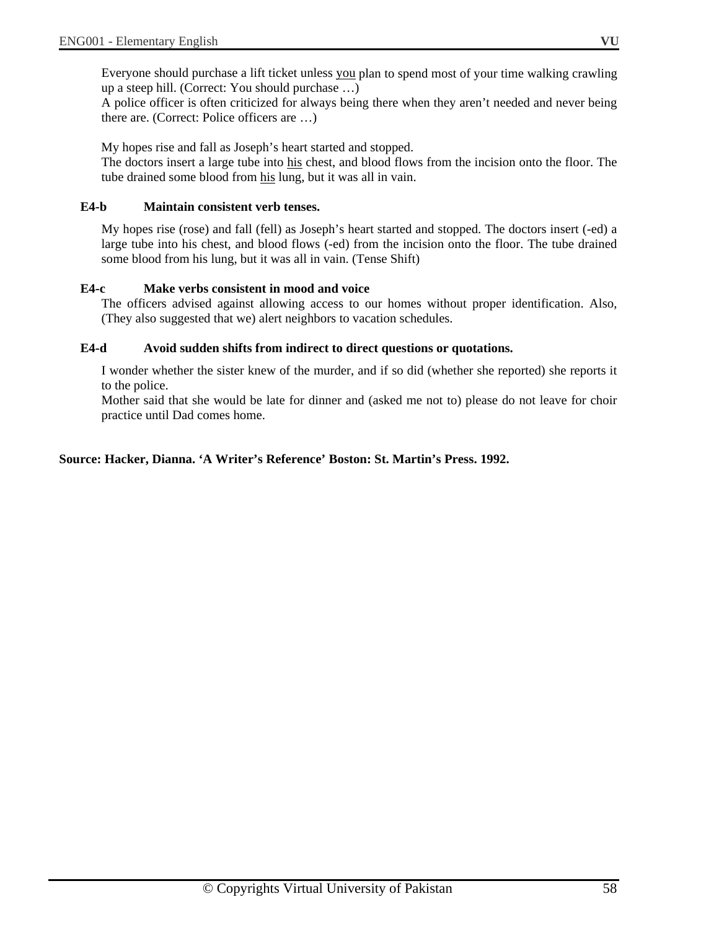Everyone should purchase a lift ticket unless you plan to spend most of your time walking crawling up a steep hill. (Correct: You should purchase …)

A police officer is often criticized for always being there when they aren't needed and never being there are. (Correct: Police officers are …)

My hopes rise and fall as Joseph's heart started and stopped.

The doctors insert a large tube into his chest, and blood flows from the incision onto the floor. The tube drained some blood from his lung, but it was all in vain.

## **E4-b Maintain consistent verb tenses.**

My hopes rise (rose) and fall (fell) as Joseph's heart started and stopped. The doctors insert (-ed) a large tube into his chest, and blood flows (-ed) from the incision onto the floor. The tube drained some blood from his lung, but it was all in vain. (Tense Shift)

## **E4-c Make verbs consistent in mood and voice**

The officers advised against allowing access to our homes without proper identification. Also, (They also suggested that we) alert neighbors to vacation schedules.

## **E4-d Avoid sudden shifts from indirect to direct questions or quotations.**

I wonder whether the sister knew of the murder, and if so did (whether she reported) she reports it to the police.

Mother said that she would be late for dinner and (asked me not to) please do not leave for choir practice until Dad comes home.

## **Source: Hacker, Dianna. 'A Writer's Reference' Boston: St. Martin's Press. 1992.**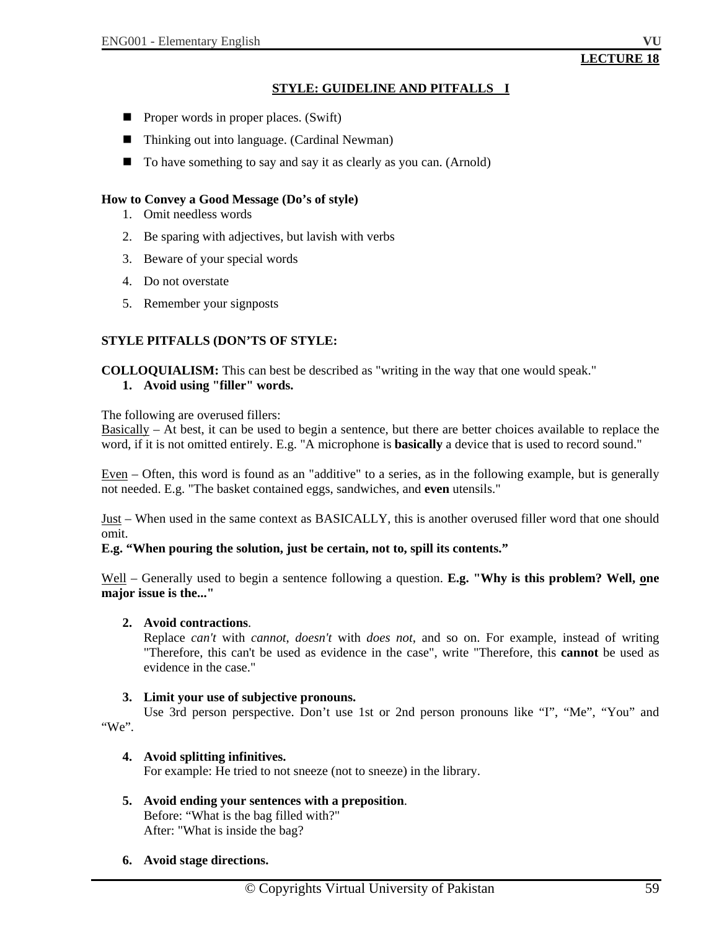## **STYLE: GUIDELINE AND PITFALLS I**

- **Proper words in proper places.** (Swift)
- Thinking out into language. (Cardinal Newman)
- To have something to say and say it as clearly as you can. (Arnold)

## **How to Convey a Good Message (Do's of style)**

- 1. Omit needless words
- 2. Be sparing with adjectives, but lavish with verbs
- 3. Beware of your special words
- 4. Do not overstate
- 5. Remember your signposts

## **STYLE PITFALLS (DON'TS OF STYLE:**

**COLLOQUIALISM:** This can best be described as "writing in the way that one would speak." **1. Avoid using "filler" words.** 

The following are overused fillers:

Basically – At best, it can be used to begin a sentence, but there are better choices available to replace the word, if it is not omitted entirely. E.g. "A microphone is **basically** a device that is used to record sound."

Even – Often, this word is found as an "additive" to a series, as in the following example, but is generally not needed. E.g. "The basket contained eggs, sandwiches, and **even** utensils."

Just – When used in the same context as BASICALLY, this is another overused filler word that one should omit.

**E.g. "When pouring the solution, just be certain, not to, spill its contents."**

Well – Generally used to begin a sentence following a question. **E.g. "Why is this problem? Well, one major issue is the..."** 

## **2. Avoid contractions**.

Replace *can't* with *cannot*, *doesn't* with *does not*, and so on. For example, instead of writing "Therefore, this can't be used as evidence in the case", write "Therefore, this **cannot** be used as evidence in the case."

## **3. Limit your use of subjective pronouns.**

Use 3rd person perspective. Don't use 1st or 2nd person pronouns like "I", "Me", "You" and "We".

## **4. Avoid splitting infinitives.**

For example: He tried to not sneeze (not to sneeze) in the library.

# **5. Avoid ending your sentences with a preposition**.

 Before: "What is the bag filled with?" After: "What is inside the bag?

## **6. Avoid stage directions.**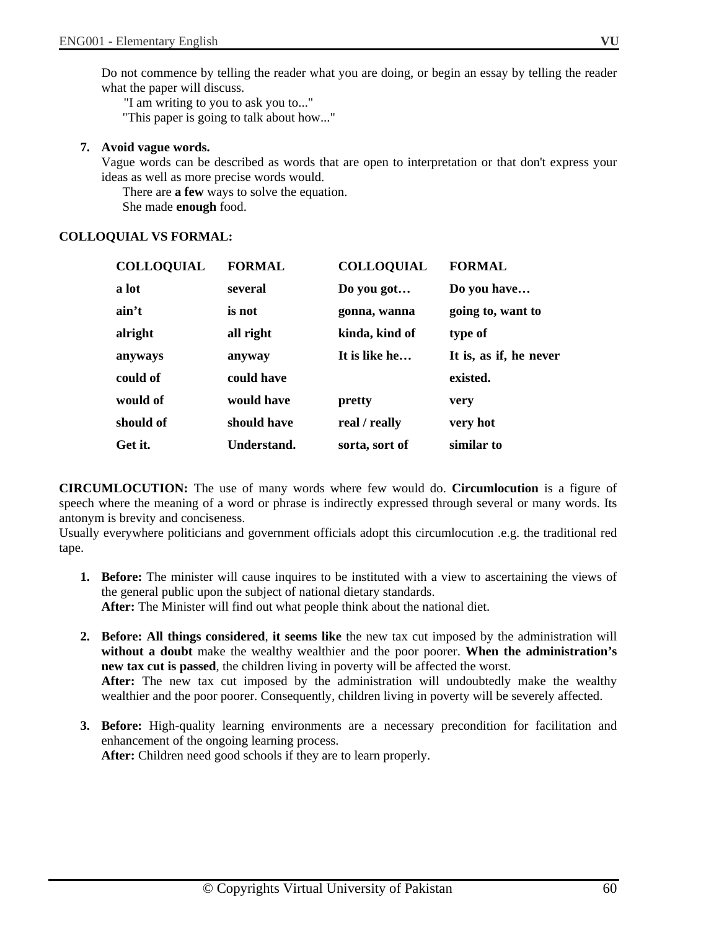Do not commence by telling the reader what you are doing, or begin an essay by telling the reader what the paper will discuss.

"I am writing to you to ask you to..."

"This paper is going to talk about how..."

#### **7. Avoid vague words.**

Vague words can be described as words that are open to interpretation or that don't express your ideas as well as more precise words would.

There are **a few** ways to solve the equation. She made **enough** food.

## **COLLOQUIAL VS FORMAL:**

| <b>COLLOQUIAL</b> | <b>FORMAL</b> | <b>COLLOQUIAL</b> | <b>FORMAL</b>          |
|-------------------|---------------|-------------------|------------------------|
| a lot             | several       | Do you got        | Do you have            |
| ain't             | is not        | gonna, wanna      | going to, want to      |
| alright           | all right     | kinda, kind of    | type of                |
| anyways           | anyway        | It is like he     | It is, as if, he never |
| could of          | could have    |                   | existed.               |
| would of          | would have    | pretty            | very                   |
| should of         | should have   | real / really     | very hot               |
| Get it.           | Understand.   | sorta, sort of    | similar to             |

**CIRCUMLOCUTION:** The use of many words where few would do. **Circumlocution** is a figure of speech where the meaning of a word or phrase is indirectly expressed through several or many words. Its antonym is brevity and conciseness.

Usually everywhere politicians and government officials adopt this circumlocution .e.g. the traditional red tape.

- **1. Before:** The minister will cause inquires to be instituted with a view to ascertaining the views of the general public upon the subject of national dietary standards.  **After:** The Minister will find out what people think about the national diet.
- **2. Before: All things considered**, **it seems like** the new tax cut imposed by the administration will **without a doubt** make the wealthy wealthier and the poor poorer. **When the administration's new tax cut is passed**, the children living in poverty will be affected the worst. **After:** The new tax cut imposed by the administration will undoubtedly make the wealthy wealthier and the poor poorer. Consequently, children living in poverty will be severely affected.
- **3. Before:** High-quality learning environments are a necessary precondition for facilitation and enhancement of the ongoing learning process.  **After:** Children need good schools if they are to learn properly.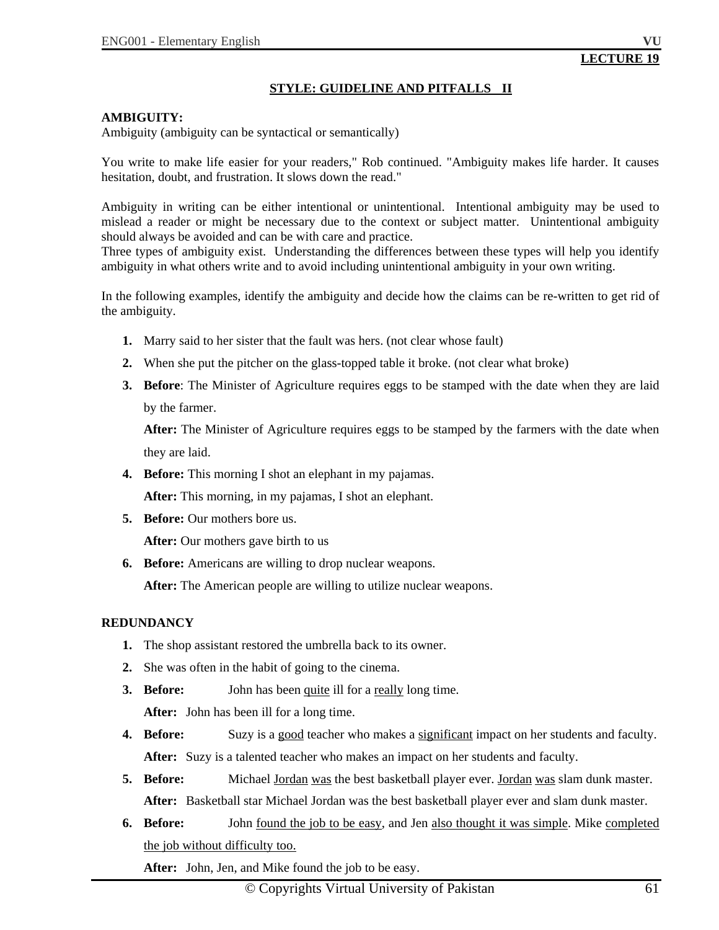## **STYLE: GUIDELINE AND PITFALLS II**

#### **AMBIGUITY:**

Ambiguity (ambiguity can be syntactical or semantically)

You write to make life easier for your readers," Rob continued. "Ambiguity makes life harder. It causes hesitation, doubt, and frustration. It slows down the read."

Ambiguity in writing can be either intentional or unintentional. Intentional ambiguity may be used to mislead a reader or might be necessary due to the context or subject matter. Unintentional ambiguity should always be avoided and can be with care and practice.

Three types of ambiguity exist. Understanding the differences between these types will help you identify ambiguity in what others write and to avoid including unintentional ambiguity in your own writing.

In the following examples, identify the ambiguity and decide how the claims can be re-written to get rid of the ambiguity.

- **1.** Marry said to her sister that the fault was hers. (not clear whose fault)
- **2.** When she put the pitcher on the glass-topped table it broke. (not clear what broke)
- **3. Before**: The Minister of Agriculture requires eggs to be stamped with the date when they are laid by the farmer.

**After:** The Minister of Agriculture requires eggs to be stamped by the farmers with the date when they are laid.

**4. Before:** This morning I shot an elephant in my pajamas.

 **After:** This morning, in my pajamas, I shot an elephant.

**5. Before:** Our mothers bore us.

 **After:** Our mothers gave birth to us

**6. Before:** Americans are willing to drop nuclear weapons.

 **After:** The American people are willing to utilize nuclear weapons.

## **REDUNDANCY**

- **1.** The shop assistant restored the umbrella back to its owner.
- **2.** She was often in the habit of going to the cinema.
- **3. Before:** John has been quite ill for a <u>really</u> long time.  **After:** John has been ill for a long time.
- **4. Before:** Suzy is a good teacher who makes a significant impact on her students and faculty.  **After:** Suzy is a talented teacher who makes an impact on her students and faculty.
- **5. Before:** Michael Jordan was the best basketball player ever. Jordan was slam dunk master.  **After:** Basketball star Michael Jordan was the best basketball player ever and slam dunk master.
- **6. Before:** John found the job to be easy, and Jen also thought it was simple. Mike completed the job without difficulty too.

After: John, Jen, and Mike found the job to be easy.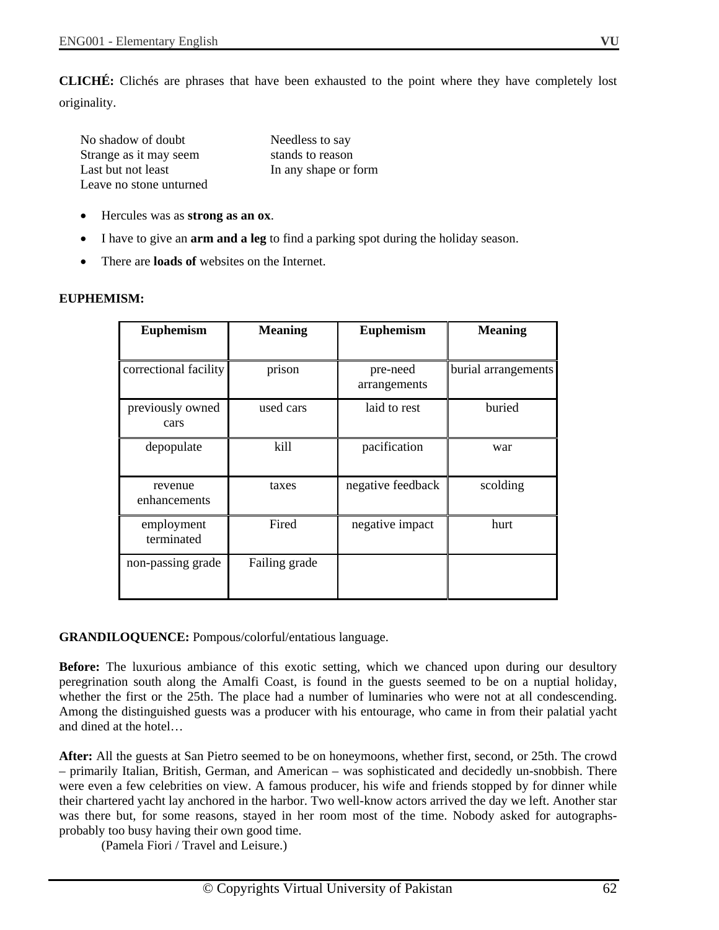**CLICHÉ:** Clichés are phrases that have been exhausted to the point where they have completely lost originality.

| No shadow of doubt      | Needless to say      |
|-------------------------|----------------------|
| Strange as it may seem  | stands to reason     |
| Last but not least      | In any shape or form |
| Leave no stone unturned |                      |

- Hercules was as **strong as an ox**.
- I have to give an **arm and a leg** to find a parking spot during the holiday season.
- There are **loads of** websites on the Internet.

## **EUPHEMISM:**

| Euphemism                | <b>Meaning</b> | Euphemism                | <b>Meaning</b>      |
|--------------------------|----------------|--------------------------|---------------------|
| correctional facility    | prison         | pre-need<br>arrangements | burial arrangements |
| previously owned<br>cars | used cars      | laid to rest             | buried              |
| depopulate               | kill           | pacification             | war                 |
| revenue<br>enhancements  | taxes          | negative feedback        | scolding            |
| employment<br>terminated | Fired          | negative impact          | hurt                |
| non-passing grade        | Failing grade  |                          |                     |

## **GRANDILOQUENCE:** Pompous/colorful/entatious language.

**Before:** The luxurious ambiance of this exotic setting, which we chanced upon during our desultory peregrination south along the Amalfi Coast, is found in the guests seemed to be on a nuptial holiday, whether the first or the 25th. The place had a number of luminaries who were not at all condescending. Among the distinguished guests was a producer with his entourage, who came in from their palatial yacht and dined at the hotel…

**After:** All the guests at San Pietro seemed to be on honeymoons, whether first, second, or 25th. The crowd – primarily Italian, British, German, and American – was sophisticated and decidedly un-snobbish. There were even a few celebrities on view. A famous producer, his wife and friends stopped by for dinner while their chartered yacht lay anchored in the harbor. Two well-know actors arrived the day we left. Another star was there but, for some reasons, stayed in her room most of the time. Nobody asked for autographsprobably too busy having their own good time.

(Pamela Fiori / Travel and Leisure.)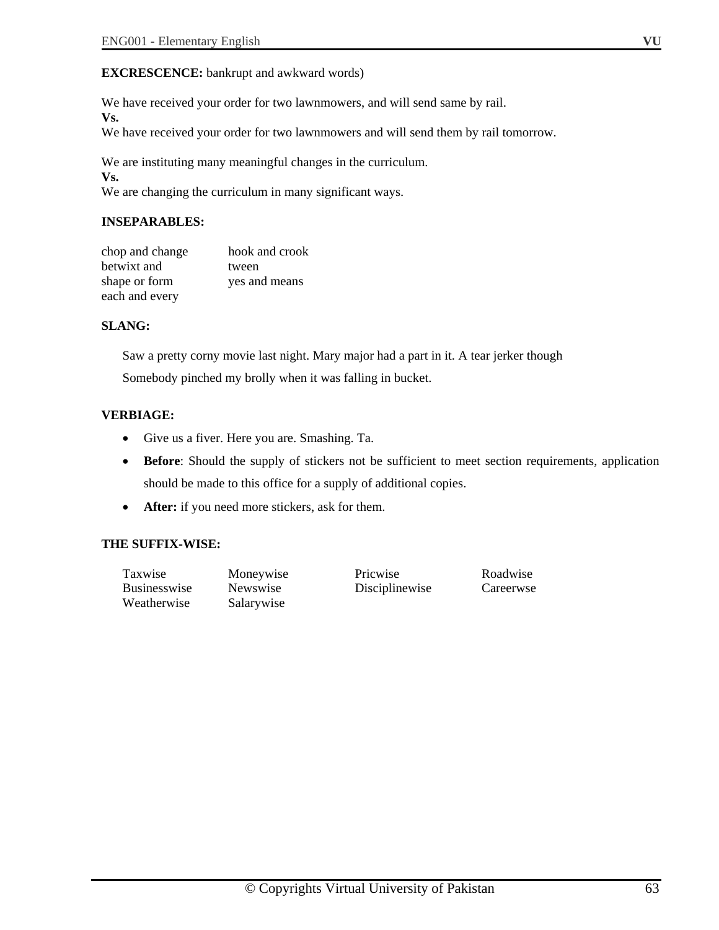## **EXCRESCENCE:** bankrupt and awkward words)

We have received your order for two lawnmowers, and will send same by rail. **Vs.**  We have received your order for two lawnmowers and will send them by rail tomorrow.

We are instituting many meaningful changes in the curriculum. **Vs.**  We are changing the curriculum in many significant ways.

## **INSEPARABLES:**

| chop and change | hook and crook |
|-----------------|----------------|
| betwixt and     | tween          |
| shape or form   | yes and means  |
| each and every  |                |

## **SLANG:**

Saw a pretty corny movie last night. Mary major had a part in it. A tear jerker though Somebody pinched my brolly when it was falling in bucket.

## **VERBIAGE:**

- Give us a fiver. Here you are. Smashing. Ta.
- **Before**: Should the supply of stickers not be sufficient to meet section requirements, application should be made to this office for a supply of additional copies.
- **After:** if you need more stickers, ask for them.

## **THE SUFFIX-WISE:**

Taxwise Moneywise Pricwise Roadwise Weatherwise Salarywise

Businesswise Newswise Disciplinewise Careerwse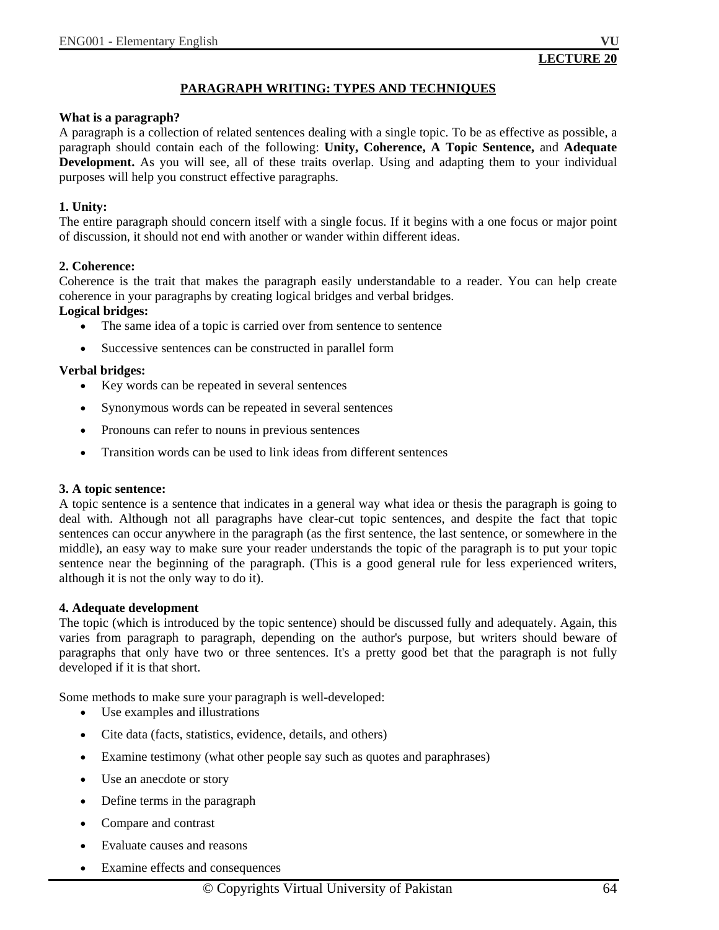# **PARAGRAPH WRITING: TYPES AND TECHNIQUES**

#### **What is a paragraph?**

A paragraph is a collection of related sentences dealing with a single topic. To be as effective as possible, a paragraph should contain each of the following: **Unity, Coherence, A Topic Sentence,** and **Adequate Development.** As you will see, all of these traits overlap. Using and adapting them to your individual purposes will help you construct effective paragraphs.

## **1. Unity:**

The entire paragraph should concern itself with a single focus. If it begins with a one focus or major point of discussion, it should not end with another or wander within different ideas.

## **2. Coherence:**

Coherence is the trait that makes the paragraph easily understandable to a reader. You can help create coherence in your paragraphs by creating logical bridges and verbal bridges.

## **Logical bridges:**

- The same idea of a topic is carried over from sentence to sentence
- Successive sentences can be constructed in parallel form

## **Verbal bridges:**

- Key words can be repeated in several sentences
- Synonymous words can be repeated in several sentences
- Pronouns can refer to nouns in previous sentences
- Transition words can be used to link ideas from different sentences

## **3. A topic sentence:**

A topic sentence is a sentence that indicates in a general way what idea or thesis the paragraph is going to deal with. Although not all paragraphs have clear-cut topic sentences, and despite the fact that topic sentences can occur anywhere in the paragraph (as the first sentence, the last sentence, or somewhere in the middle), an easy way to make sure your reader understands the topic of the paragraph is to put your topic sentence near the beginning of the paragraph. (This is a good general rule for less experienced writers, although it is not the only way to do it).

## **4. Adequate development**

The topic (which is introduced by the topic sentence) should be discussed fully and adequately. Again, this varies from paragraph to paragraph, depending on the author's purpose, but writers should beware of paragraphs that only have two or three sentences. It's a pretty good bet that the paragraph is not fully developed if it is that short.

Some methods to make sure your paragraph is well-developed:

- Use examples and illustrations
- Cite data (facts, statistics, evidence, details, and others)
- Examine testimony (what other people say such as quotes and paraphrases)
- Use an anecdote or story
- Define terms in the paragraph
- Compare and contrast
- Evaluate causes and reasons
- Examine effects and consequences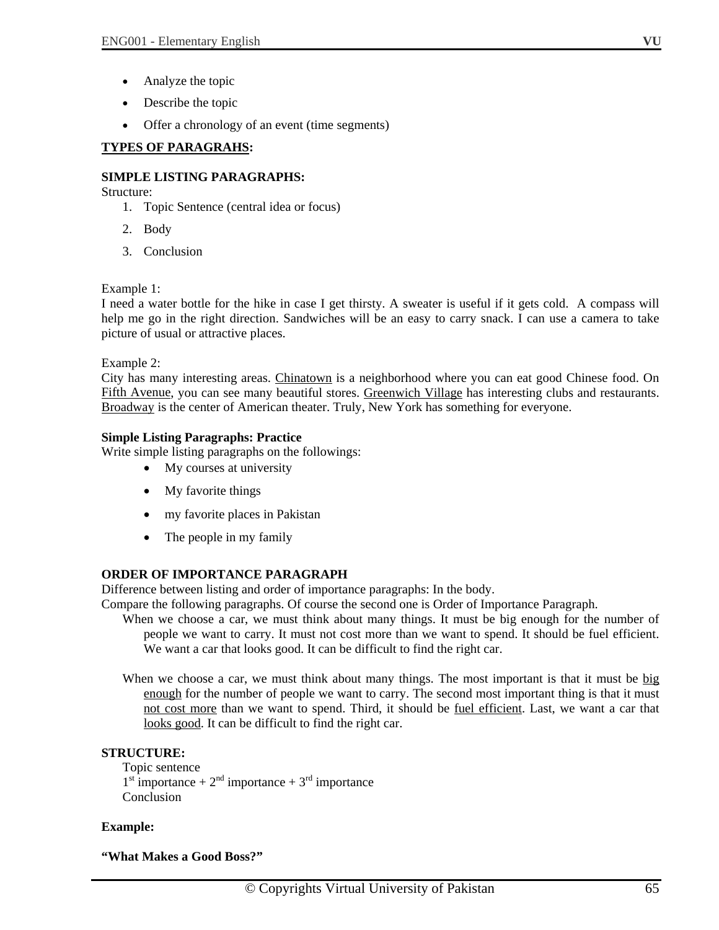- Analyze the topic
- Describe the topic
- Offer a chronology of an event (time segments)

# **TYPES OF PARAGRAHS:**

# **SIMPLE LISTING PARAGRAPHS:**

Structure:

- 1. Topic Sentence (central idea or focus)
- 2. Body
- 3. Conclusion

Example 1:

I need a water bottle for the hike in case I get thirsty. A sweater is useful if it gets cold. A compass will help me go in the right direction. Sandwiches will be an easy to carry snack. I can use a camera to take picture of usual or attractive places.

Example 2:

City has many interesting areas. Chinatown is a neighborhood where you can eat good Chinese food. On Fifth Avenue, you can see many beautiful stores. Greenwich Village has interesting clubs and restaurants. Broadway is the center of American theater. Truly, New York has something for everyone.

## **Simple Listing Paragraphs: Practice**

Write simple listing paragraphs on the followings:

- My courses at university
- My favorite things
- my favorite places in Pakistan
- The people in my family

# **ORDER OF IMPORTANCE PARAGRAPH**

Difference between listing and order of importance paragraphs: In the body.

Compare the following paragraphs. Of course the second one is Order of Importance Paragraph.

- When we choose a car, we must think about many things. It must be big enough for the number of people we want to carry. It must not cost more than we want to spend. It should be fuel efficient. We want a car that looks good. It can be difficult to find the right car.
- When we choose a car, we must think about many things. The most important is that it must be big enough for the number of people we want to carry. The second most important thing is that it must not cost more than we want to spend. Third, it should be fuel efficient. Last, we want a car that looks good. It can be difficult to find the right car.

# **STRUCTURE:**

Topic sentence  $1<sup>st</sup>$  importance +  $2<sup>nd</sup>$  importance +  $3<sup>rd</sup>$  importance Conclusion

# **Example:**

**"What Makes a Good Boss?"**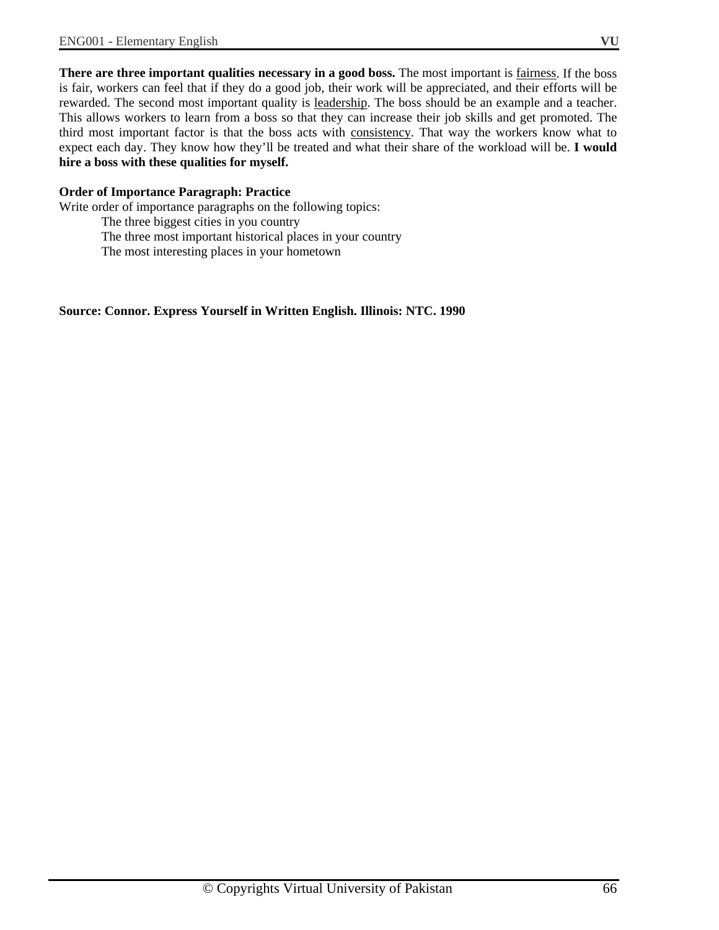**There are three important qualities necessary in a good boss.** The most important is fairness. If the boss is fair, workers can feel that if they do a good job, their work will be appreciated, and their efforts will be rewarded. The second most important quality is leadership. The boss should be an example and a teacher. This allows workers to learn from a boss so that they can increase their job skills and get promoted. The third most important factor is that the boss acts with consistency. That way the workers know what to expect each day. They know how they'll be treated and what their share of the workload will be. **I would hire a boss with these qualities for myself.**

## **Order of Importance Paragraph: Practice**

Write order of importance paragraphs on the following topics:

The three biggest cities in you country The three most important historical places in your country The most interesting places in your hometown

## **Source: Connor. Express Yourself in Written English. Illinois: NTC. 1990**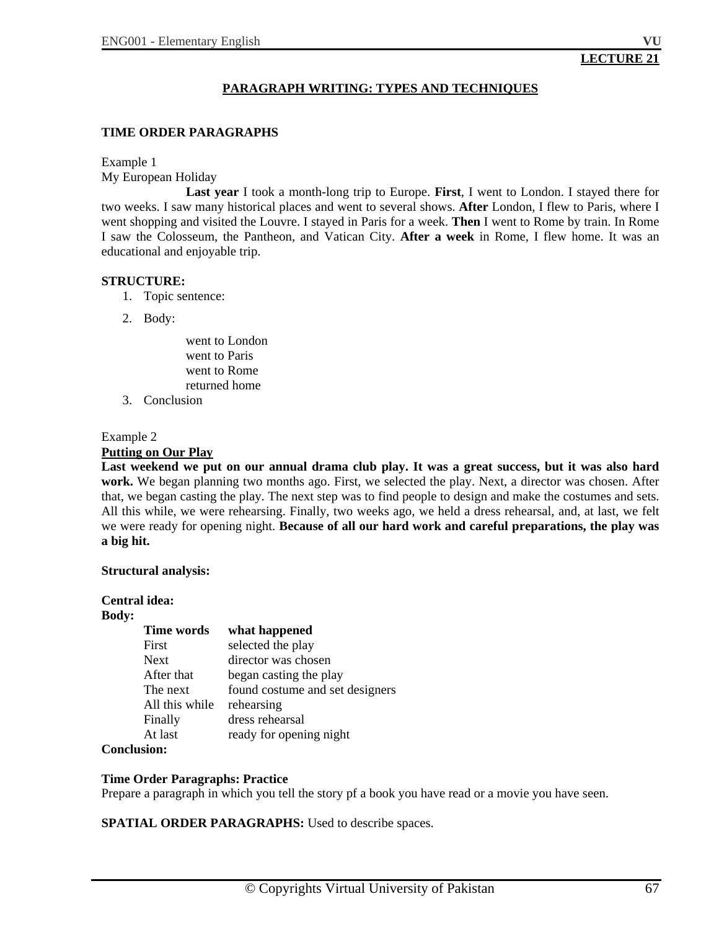## **PARAGRAPH WRITING: TYPES AND TECHNIQUES**

#### **TIME ORDER PARAGRAPHS**

Example 1

My European Holiday

 **Last year** I took a month-long trip to Europe. **First**, I went to London. I stayed there for two weeks. I saw many historical places and went to several shows. **After** London, I flew to Paris, where I went shopping and visited the Louvre. I stayed in Paris for a week. **Then** I went to Rome by train. In Rome I saw the Colosseum, the Pantheon, and Vatican City. **After a week** in Rome, I flew home. It was an educational and enjoyable trip.

#### **STRUCTURE:**

- 1. Topic sentence:
- 2. Body:

 went to London went to Paris went to Rome returned home

3. Conclusion

#### Example 2

## **Putting on Our Play**

**Last weekend we put on our annual drama club play. It was a great success, but it was also hard work.** We began planning two months ago. First, we selected the play. Next, a director was chosen. After that, we began casting the play. The next step was to find people to design and make the costumes and sets. All this while, we were rehearsing. Finally, two weeks ago, we held a dress rehearsal, and, at last, we felt we were ready for opening night. **Because of all our hard work and careful preparations, the play was a big hit.** 

#### **Structural analysis:**

# **Central idea:**

**Body:** 

| <b>Time words</b> | what happened                   |
|-------------------|---------------------------------|
| First             | selected the play               |
| Next              | director was chosen             |
| After that        | began casting the play          |
| The next          | found costume and set designers |
| All this while    | rehearsing                      |
| Finally           | dress rehearsal                 |
| At last           | ready for opening night         |
|                   |                                 |

## **Conclusion:**

## **Time Order Paragraphs: Practice**

Prepare a paragraph in which you tell the story pf a book you have read or a movie you have seen.

**SPATIAL ORDER PARAGRAPHS:** Used to describe spaces.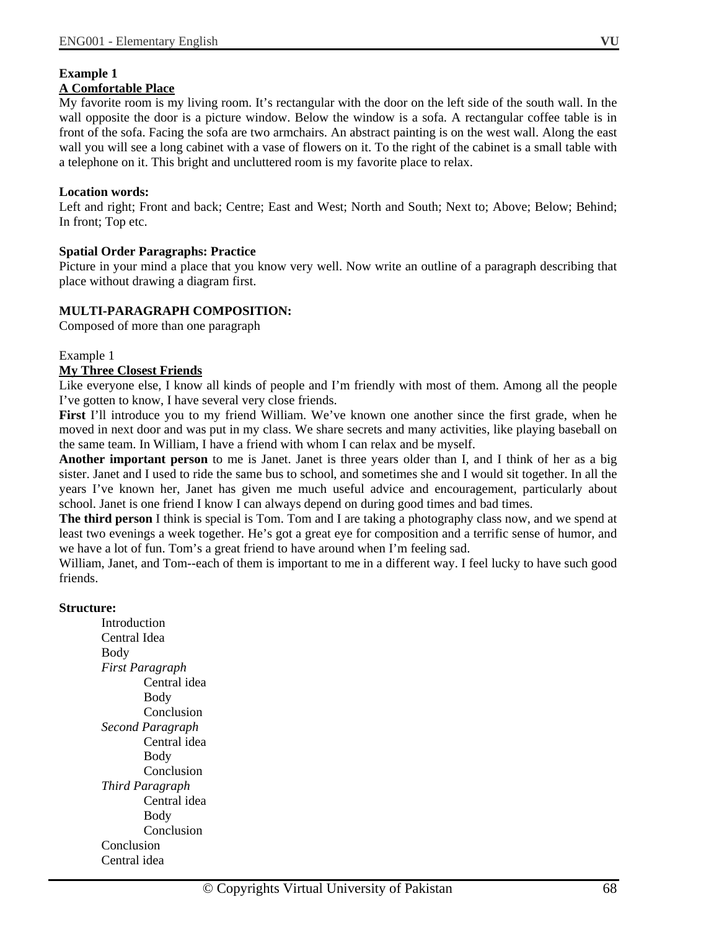# **Example 1**

# **A Comfortable Place**

My favorite room is my living room. It's rectangular with the door on the left side of the south wall. In the wall opposite the door is a picture window. Below the window is a sofa. A rectangular coffee table is in front of the sofa. Facing the sofa are two armchairs. An abstract painting is on the west wall. Along the east wall you will see a long cabinet with a vase of flowers on it. To the right of the cabinet is a small table with a telephone on it. This bright and uncluttered room is my favorite place to relax.

# **Location words:**

Left and right; Front and back; Centre; East and West; North and South; Next to; Above; Below; Behind; In front; Top etc.

# **Spatial Order Paragraphs: Practice**

Picture in your mind a place that you know very well. Now write an outline of a paragraph describing that place without drawing a diagram first.

# **MULTI-PARAGRAPH COMPOSITION:**

Composed of more than one paragraph

## Example 1

# **My Three Closest Friends**

Like everyone else, I know all kinds of people and I'm friendly with most of them. Among all the people I've gotten to know, I have several very close friends.

**First** I'll introduce you to my friend William. We've known one another since the first grade, when he moved in next door and was put in my class. We share secrets and many activities, like playing baseball on the same team. In William, I have a friend with whom I can relax and be myself.

**Another important person** to me is Janet. Janet is three years older than I, and I think of her as a big sister. Janet and I used to ride the same bus to school, and sometimes she and I would sit together. In all the years I've known her, Janet has given me much useful advice and encouragement, particularly about school. Janet is one friend I know I can always depend on during good times and bad times.

**The third person** I think is special is Tom. Tom and I are taking a photography class now, and we spend at least two evenings a week together. He's got a great eye for composition and a terrific sense of humor, and we have a lot of fun. Tom's a great friend to have around when I'm feeling sad.

William, Janet, and Tom--each of them is important to me in a different way. I feel lucky to have such good friends.

## **Structure:**

**Introduction** Central Idea Body *First Paragraph*  Central idea Body Conclusion *Second Paragraph*  Central idea Body Conclusion *Third Paragraph*  Central idea Body Conclusion Conclusion Central idea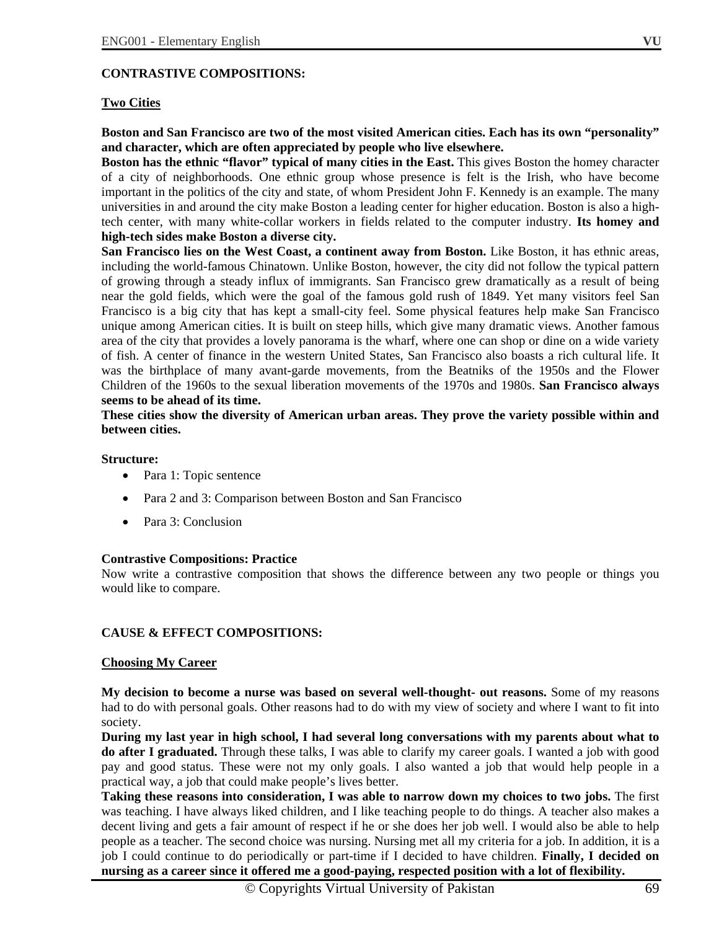## **CONTRASTIVE COMPOSITIONS:**

## **Two Cities**

## **Boston and San Francisco are two of the most visited American cities. Each has its own "personality" and character, which are often appreciated by people who live elsewhere.**

**Boston has the ethnic "flavor" typical of many cities in the East.** This gives Boston the homey character of a city of neighborhoods. One ethnic group whose presence is felt is the Irish, who have become important in the politics of the city and state, of whom President John F. Kennedy is an example. The many universities in and around the city make Boston a leading center for higher education. Boston is also a hightech center, with many white-collar workers in fields related to the computer industry. **Its homey and high-tech sides make Boston a diverse city.** 

**San Francisco lies on the West Coast, a continent away from Boston.** Like Boston, it has ethnic areas, including the world-famous Chinatown. Unlike Boston, however, the city did not follow the typical pattern of growing through a steady influx of immigrants. San Francisco grew dramatically as a result of being near the gold fields, which were the goal of the famous gold rush of 1849. Yet many visitors feel San Francisco is a big city that has kept a small-city feel. Some physical features help make San Francisco unique among American cities. It is built on steep hills, which give many dramatic views. Another famous area of the city that provides a lovely panorama is the wharf, where one can shop or dine on a wide variety of fish. A center of finance in the western United States, San Francisco also boasts a rich cultural life. It was the birthplace of many avant-garde movements, from the Beatniks of the 1950s and the Flower Children of the 1960s to the sexual liberation movements of the 1970s and 1980s. **San Francisco always seems to be ahead of its time.** 

**These cities show the diversity of American urban areas. They prove the variety possible within and between cities.** 

#### **Structure:**

- Para 1: Topic sentence
- Para 2 and 3: Comparison between Boston and San Francisco
- Para 3: Conclusion

## **Contrastive Compositions: Practice**

Now write a contrastive composition that shows the difference between any two people or things you would like to compare.

## **CAUSE & EFFECT COMPOSITIONS:**

## **Choosing My Career**

**My decision to become a nurse was based on several well-thought- out reasons.** Some of my reasons had to do with personal goals. Other reasons had to do with my view of society and where I want to fit into society.

**During my last year in high school, I had several long conversations with my parents about what to do after I graduated.** Through these talks, I was able to clarify my career goals. I wanted a job with good pay and good status. These were not my only goals. I also wanted a job that would help people in a practical way, a job that could make people's lives better.

**Taking these reasons into consideration, I was able to narrow down my choices to two jobs.** The first was teaching. I have always liked children, and I like teaching people to do things. A teacher also makes a decent living and gets a fair amount of respect if he or she does her job well. I would also be able to help people as a teacher. The second choice was nursing. Nursing met all my criteria for a job. In addition, it is a job I could continue to do periodically or part-time if I decided to have children. **Finally, I decided on nursing as a career since it offered me a good-paying, respected position with a lot of flexibility.**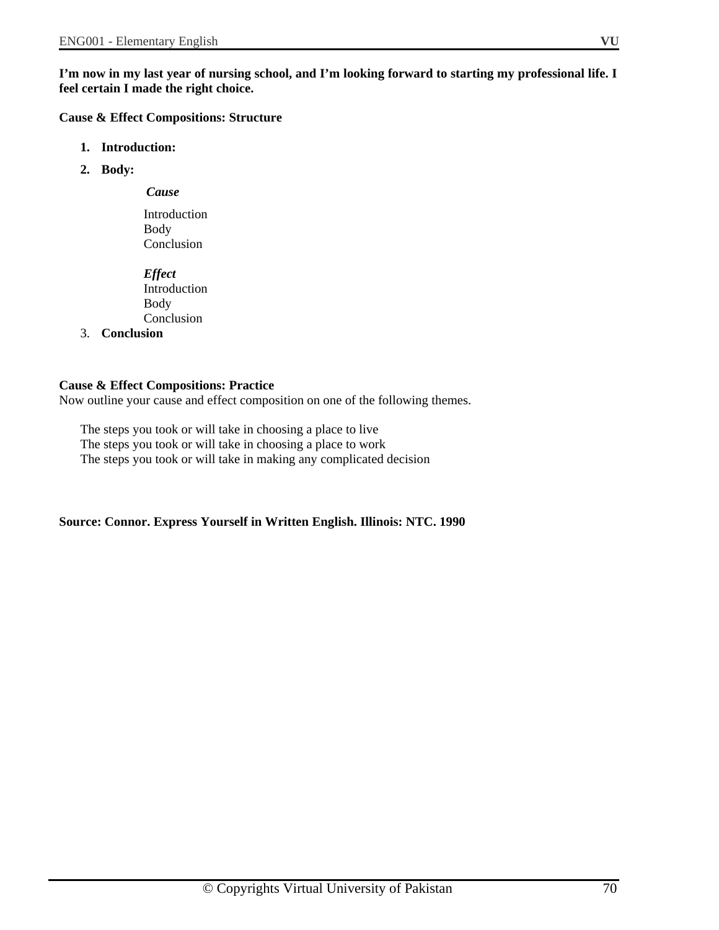**I'm now in my last year of nursing school, and I'm looking forward to starting my professional life. I feel certain I made the right choice.** 

**Cause & Effect Compositions: Structure** 

- **1. Introduction:**
- **2. Body:**

*Cause* 

- Introduction Body Conclusion
- *Effect*  Introduction Body Conclusion
- 3. **Conclusion**

## **Cause & Effect Compositions: Practice**

Now outline your cause and effect composition on one of the following themes.

The steps you took or will take in choosing a place to live

The steps you took or will take in choosing a place to work The steps you took or will take in making any complicated decision

## **Source: Connor. Express Yourself in Written English. Illinois: NTC. 1990**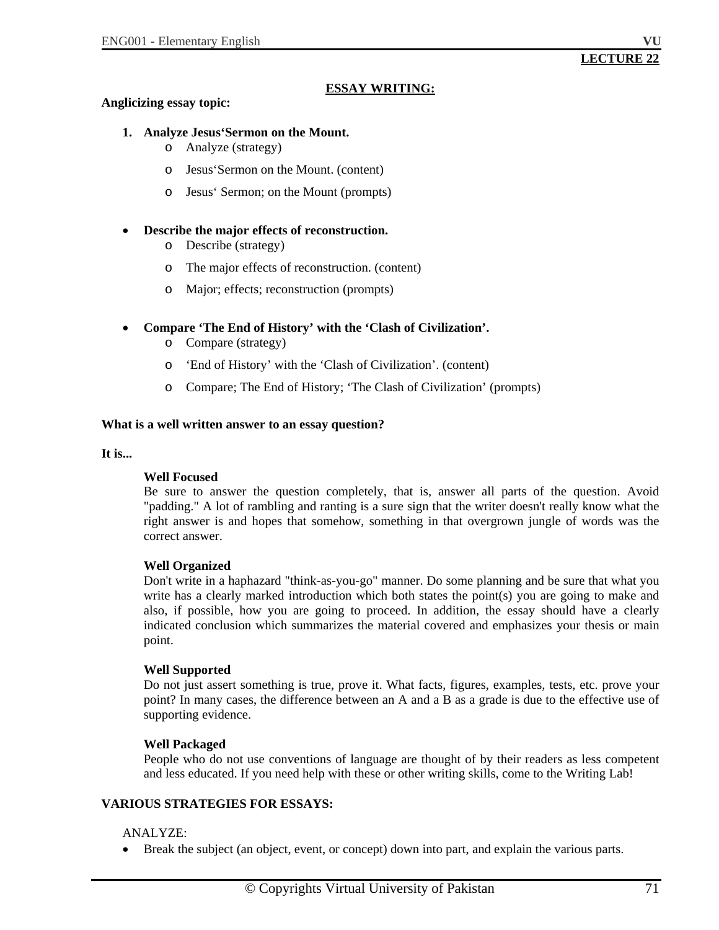### **ESSAY WRITING:**

#### **Anglicizing essay topic:**

#### **1. Analyze Jesus'Sermon on the Mount.**

- o Analyze (strategy)
- o Jesus'Sermon on the Mount. (content)
- o Jesus' Sermon; on the Mount (prompts)
- **Describe the major effects of reconstruction.** 
	- o Describe (strategy)
	- o The major effects of reconstruction. (content)
	- o Major; effects; reconstruction (prompts)

## • **Compare 'The End of History' with the 'Clash of Civilization'.**

- o Compare (strategy)
- o 'End of History' with the 'Clash of Civilization'. (content)
- o Compare; The End of History; 'The Clash of Civilization' (prompts)

#### **What is a well written answer to an essay question?**

#### **It is...**

#### **Well Focused**

Be sure to answer the question completely, that is, answer all parts of the question. Avoid "padding." A lot of rambling and ranting is a sure sign that the writer doesn't really know what the right answer is and hopes that somehow, something in that overgrown jungle of words was the correct answer.

#### **Well Organized**

Don't write in a haphazard "think-as-you-go" manner. Do some planning and be sure that what you write has a clearly marked introduction which both states the point(s) you are going to make and also, if possible, how you are going to proceed. In addition, the essay should have a clearly indicated conclusion which summarizes the material covered and emphasizes your thesis or main point.

#### **Well Supported**

Do not just assert something is true, prove it. What facts, figures, examples, tests, etc. prove your point? In many cases, the difference between an A and a B as a grade is due to the effective use of supporting evidence.

## **Well Packaged**

People who do not use conventions of language are thought of by their readers as less competent and less educated. If you need help with these or other writing skills, come to the Writing Lab!

## **VARIOUS STRATEGIES FOR ESSAYS:**

## ANALYZE:

• Break the subject (an object, event, or concept) down into part, and explain the various parts.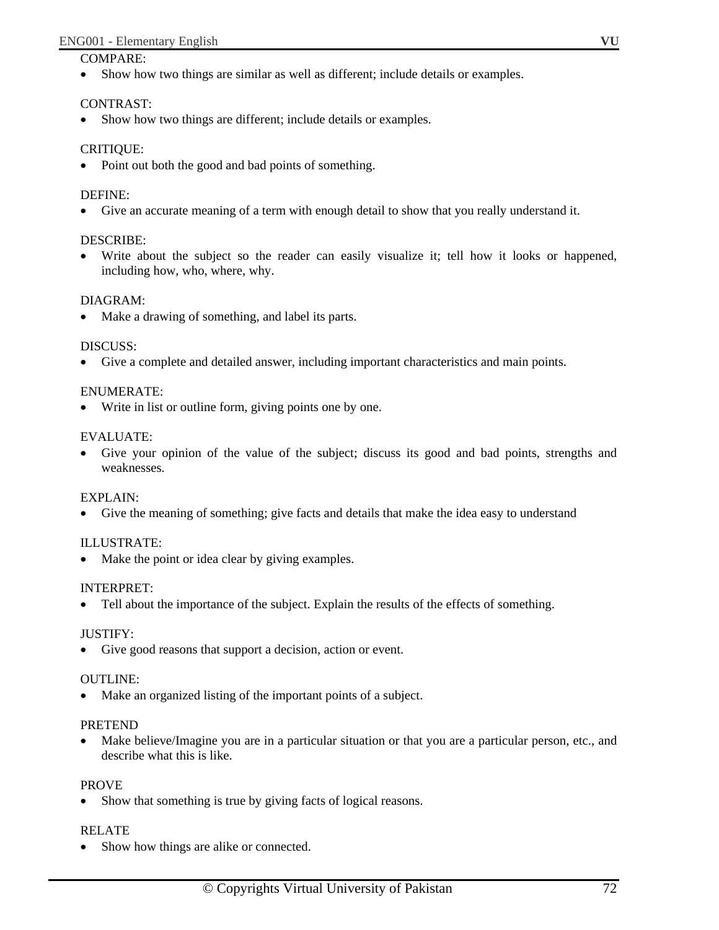## COMPARE:

• Show how two things are similar as well as different; include details or examples.

# CONTRAST:

Show how two things are different; include details or examples.

# CRITIQUE:

• Point out both the good and bad points of something.

# DEFINE:

• Give an accurate meaning of a term with enough detail to show that you really understand it.

# DESCRIBE:

Write about the subject so the reader can easily visualize it; tell how it looks or happened, including how, who, where, why.

# DIAGRAM:

• Make a drawing of something, and label its parts.

# DISCUSS:

• Give a complete and detailed answer, including important characteristics and main points.

# ENUMERATE:

• Write in list or outline form, giving points one by one.

## EVALUATE:

• Give your opinion of the value of the subject; discuss its good and bad points, strengths and weaknesses.

## EXPLAIN:

• Give the meaning of something; give facts and details that make the idea easy to understand

# ILLUSTRATE:

• Make the point or idea clear by giving examples.

## INTERPRET:

• Tell about the importance of the subject. Explain the results of the effects of something.

## JUSTIFY:

Give good reasons that support a decision, action or event.

## OUTLINE:

Make an organized listing of the important points of a subject.

## PRETEND

• Make believe/Imagine you are in a particular situation or that you are a particular person, etc., and describe what this is like.

# PROVE

• Show that something is true by giving facts of logical reasons.

# RELATE

• Show how things are alike or connected.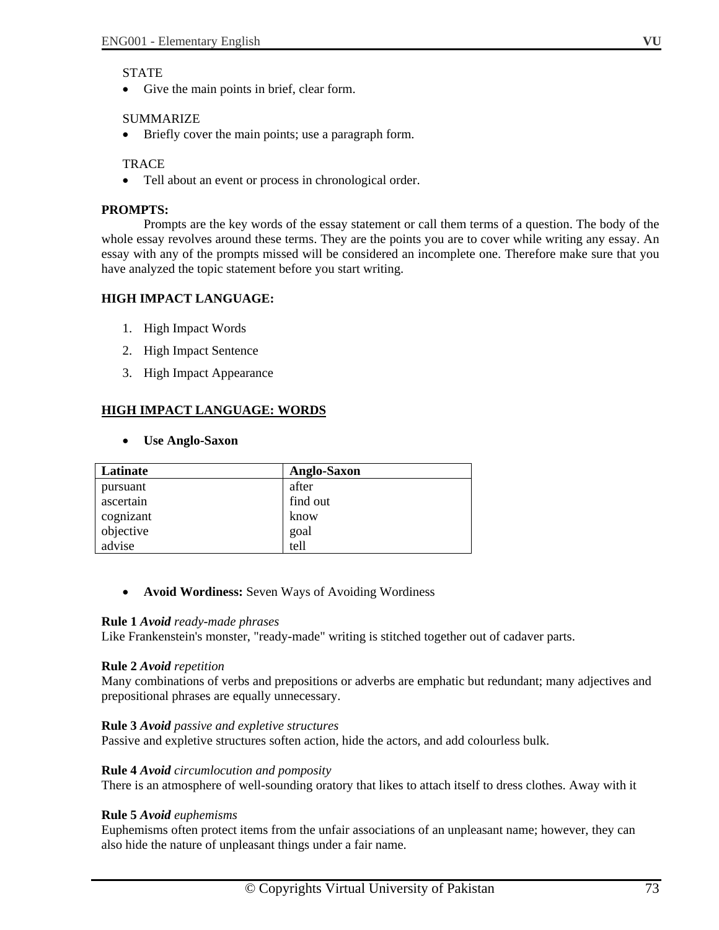# STATE

• Give the main points in brief, clear form.

# SUMMARIZE

Briefly cover the main points; use a paragraph form.

# **TRACE**

• Tell about an event or process in chronological order.

# **PROMPTS:**

 Prompts are the key words of the essay statement or call them terms of a question. The body of the whole essay revolves around these terms. They are the points you are to cover while writing any essay. An essay with any of the prompts missed will be considered an incomplete one. Therefore make sure that you have analyzed the topic statement before you start writing.

# **HIGH IMPACT LANGUAGE:**

- 1. High Impact Words
- 2. High Impact Sentence
- 3. High Impact Appearance

# **HIGH IMPACT LANGUAGE: WORDS**

• **Use Anglo-Saxon**

| Latinate  | Anglo-Saxon |
|-----------|-------------|
| pursuant  | after       |
| ascertain | find out    |
| cognizant | know        |
| objective | goal        |
| advise    | tell        |

# • **Avoid Wordiness:** Seven Ways of Avoiding Wordiness

# **Rule 1** *Avoid ready-made phrases*

Like Frankenstein's monster, "ready-made" writing is stitched together out of cadaver parts.

# **Rule 2** *Avoid repetition*

Many combinations of verbs and prepositions or adverbs are emphatic but redundant; many adjectives and prepositional phrases are equally unnecessary.

# **Rule 3** *Avoid passive and expletive structures*

Passive and expletive structures soften action, hide the actors, and add colourless bulk.

# **Rule 4** *Avoid circumlocution and pomposity*

There is an atmosphere of well-sounding oratory that likes to attach itself to dress clothes. Away with it

# **Rule 5** *Avoid euphemisms*

Euphemisms often protect items from the unfair associations of an unpleasant name; however, they can also hide the nature of unpleasant things under a fair name.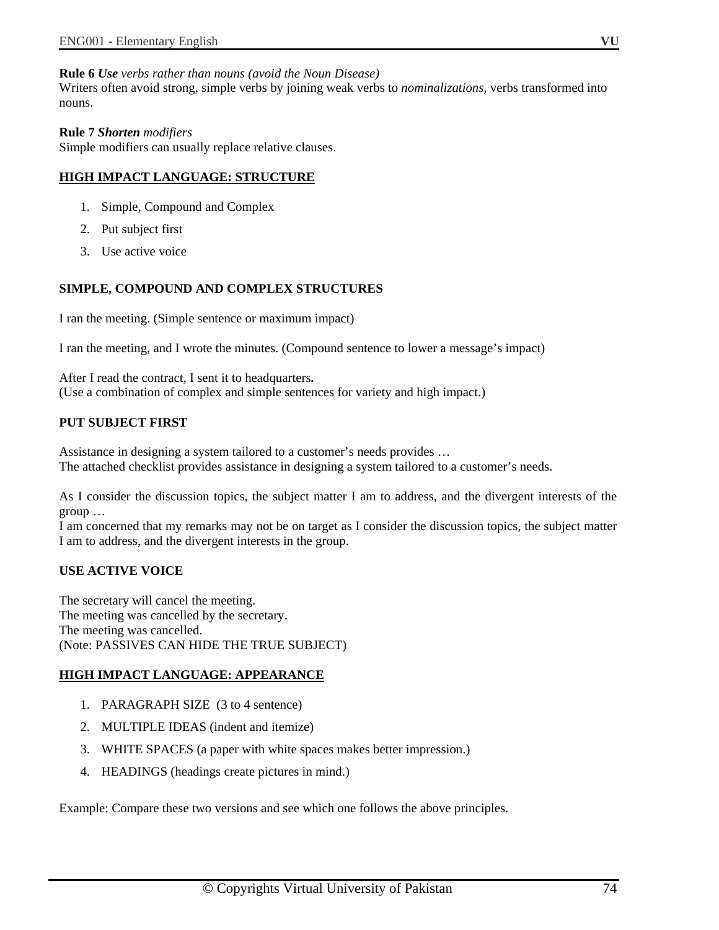## **Rule 6** *Use verbs rather than nouns (avoid the Noun Disease)*

Writers often avoid strong, simple verbs by joining weak verbs to *nominalizations*, verbs transformed into nouns.

## **Rule 7** *Shorten modifiers*

Simple modifiers can usually replace relative clauses.

# **HIGH IMPACT LANGUAGE: STRUCTURE**

- 1. Simple, Compound and Complex
- 2. Put subject first
- 3. Use active voice

# **SIMPLE, COMPOUND AND COMPLEX STRUCTURES**

I ran the meeting. (Simple sentence or maximum impact)

I ran the meeting, and I wrote the minutes. (Compound sentence to lower a message's impact)

After I read the contract, I sent it to headquarters**.**  (Use a combination of complex and simple sentences for variety and high impact.)

## **PUT SUBJECT FIRST**

Assistance in designing a system tailored to a customer's needs provides … The attached checklist provides assistance in designing a system tailored to a customer's needs.

As I consider the discussion topics, the subject matter I am to address, and the divergent interests of the group …

I am concerned that my remarks may not be on target as I consider the discussion topics, the subject matter I am to address, and the divergent interests in the group.

# **USE ACTIVE VOICE**

The secretary will cancel the meeting. The meeting was cancelled by the secretary. The meeting was cancelled. (Note: PASSIVES CAN HIDE THE TRUE SUBJECT)

# **HIGH IMPACT LANGUAGE: APPEARANCE**

- 1. PARAGRAPH SIZE (3 to 4 sentence)
- 2. MULTIPLE IDEAS (indent and itemize)
- 3. WHITE SPACES (a paper with white spaces makes better impression.)
- 4. HEADINGS (headings create pictures in mind.)

Example: Compare these two versions and see which one follows the above principles.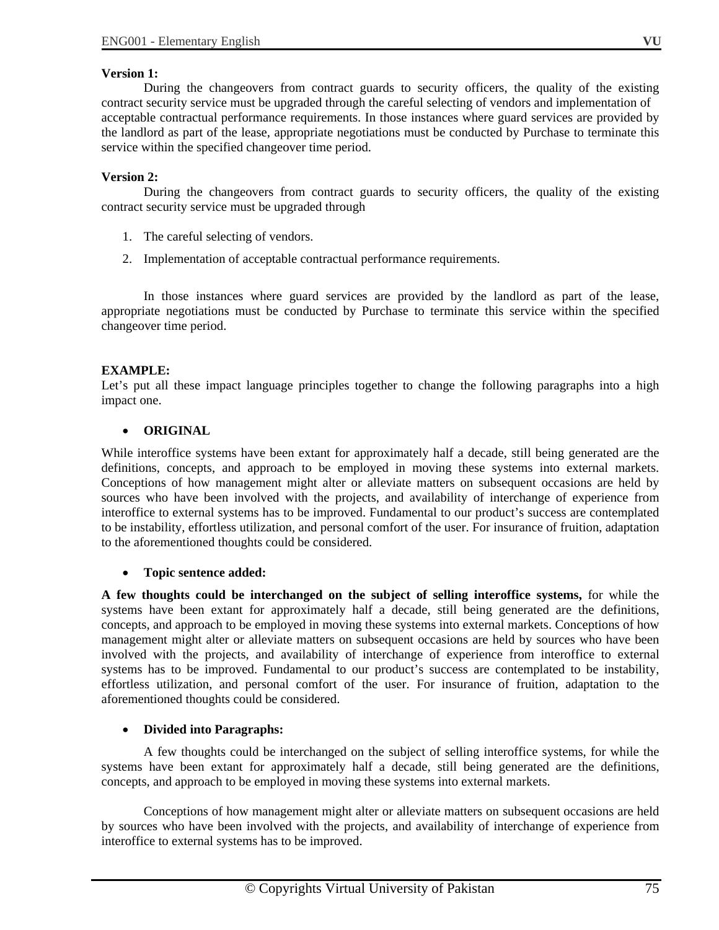# **Version 1:**

During the changeovers from contract guards to security officers, the quality of the existing contract security service must be upgraded through the careful selecting of vendors and implementation of acceptable contractual performance requirements. In those instances where guard services are provided by the landlord as part of the lease, appropriate negotiations must be conducted by Purchase to terminate this service within the specified changeover time period.

# **Version 2:**

During the changeovers from contract guards to security officers, the quality of the existing contract security service must be upgraded through

- 1. The careful selecting of vendors.
- 2. Implementation of acceptable contractual performance requirements.

In those instances where guard services are provided by the landlord as part of the lease, appropriate negotiations must be conducted by Purchase to terminate this service within the specified changeover time period.

# **EXAMPLE:**

Let's put all these impact language principles together to change the following paragraphs into a high impact one.

# • **ORIGINAL**

While interoffice systems have been extant for approximately half a decade, still being generated are the definitions, concepts, and approach to be employed in moving these systems into external markets. Conceptions of how management might alter or alleviate matters on subsequent occasions are held by sources who have been involved with the projects, and availability of interchange of experience from interoffice to external systems has to be improved. Fundamental to our product's success are contemplated to be instability, effortless utilization, and personal comfort of the user. For insurance of fruition, adaptation to the aforementioned thoughts could be considered.

# • **Topic sentence added:**

**A few thoughts could be interchanged on the subject of selling interoffice systems,** for while the systems have been extant for approximately half a decade, still being generated are the definitions, concepts, and approach to be employed in moving these systems into external markets. Conceptions of how management might alter or alleviate matters on subsequent occasions are held by sources who have been involved with the projects, and availability of interchange of experience from interoffice to external systems has to be improved. Fundamental to our product's success are contemplated to be instability, effortless utilization, and personal comfort of the user. For insurance of fruition, adaptation to the aforementioned thoughts could be considered.

# • **Divided into Paragraphs:**

A few thoughts could be interchanged on the subject of selling interoffice systems, for while the systems have been extant for approximately half a decade, still being generated are the definitions, concepts, and approach to be employed in moving these systems into external markets.

Conceptions of how management might alter or alleviate matters on subsequent occasions are held by sources who have been involved with the projects, and availability of interchange of experience from interoffice to external systems has to be improved.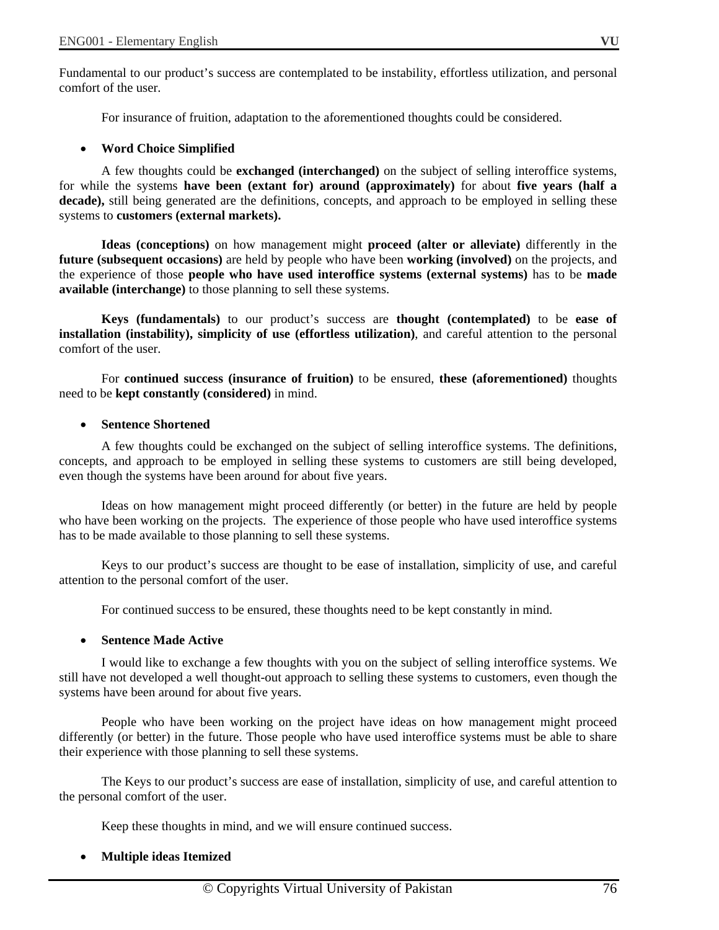Fundamental to our product's success are contemplated to be instability, effortless utilization, and personal comfort of the user.

For insurance of fruition, adaptation to the aforementioned thoughts could be considered.

### • **Word Choice Simplified**

A few thoughts could be **exchanged (interchanged)** on the subject of selling interoffice systems, for while the systems **have been (extant for) around (approximately)** for about **five years (half a**  decade), still being generated are the definitions, concepts, and approach to be employed in selling these systems to **customers (external markets).** 

**Ideas (conceptions)** on how management might **proceed (alter or alleviate)** differently in the **future (subsequent occasions)** are held by people who have been **working (involved)** on the projects, and the experience of those **people who have used interoffice systems (external systems)** has to be **made available (interchange)** to those planning to sell these systems.

**Keys (fundamentals)** to our product's success are **thought (contemplated)** to be **ease of installation (instability), simplicity of use (effortless utilization)**, and careful attention to the personal comfort of the user.

 For **continued success (insurance of fruition)** to be ensured, **these (aforementioned)** thoughts need to be **kept constantly (considered)** in mind.

#### • **Sentence Shortened**

A few thoughts could be exchanged on the subject of selling interoffice systems. The definitions, concepts, and approach to be employed in selling these systems to customers are still being developed, even though the systems have been around for about five years.

 Ideas on how management might proceed differently (or better) in the future are held by people who have been working on the projects. The experience of those people who have used interoffice systems has to be made available to those planning to sell these systems.

 Keys to our product's success are thought to be ease of installation, simplicity of use, and careful attention to the personal comfort of the user.

For continued success to be ensured, these thoughts need to be kept constantly in mind.

#### • **Sentence Made Active**

I would like to exchange a few thoughts with you on the subject of selling interoffice systems. We still have not developed a well thought-out approach to selling these systems to customers, even though the systems have been around for about five years.

 People who have been working on the project have ideas on how management might proceed differently (or better) in the future. Those people who have used interoffice systems must be able to share their experience with those planning to sell these systems.

 The Keys to our product's success are ease of installation, simplicity of use, and careful attention to the personal comfort of the user.

Keep these thoughts in mind, and we will ensure continued success.

#### • **Multiple ideas Itemized**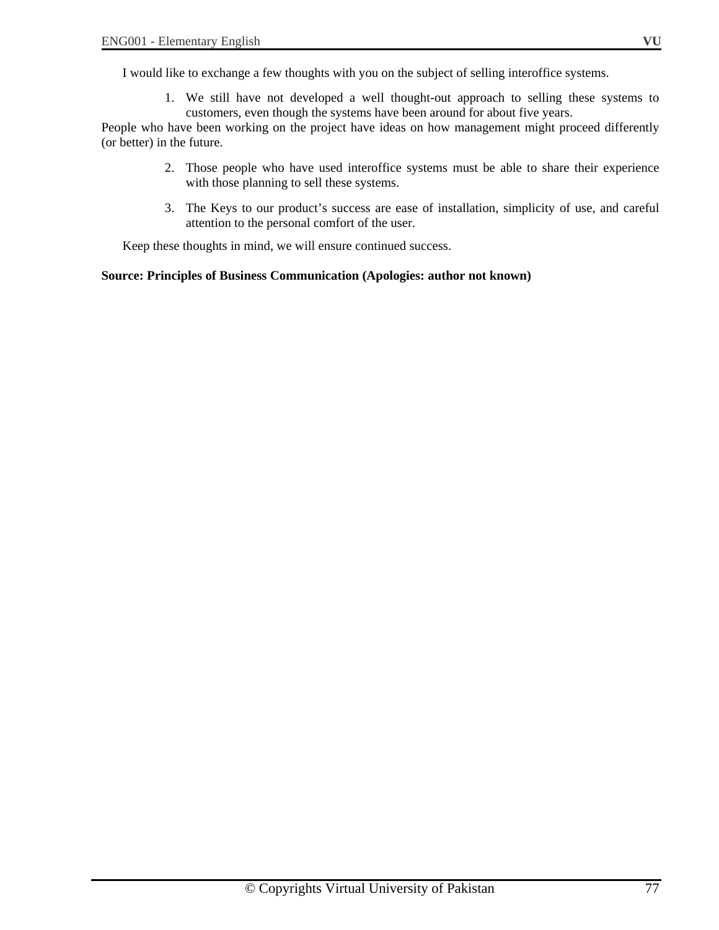I would like to exchange a few thoughts with you on the subject of selling interoffice systems.

1. We still have not developed a well thought-out approach to selling these systems to customers, even though the systems have been around for about five years.

People who have been working on the project have ideas on how management might proceed differently (or better) in the future.

- 2. Those people who have used interoffice systems must be able to share their experience with those planning to sell these systems.
- 3. The Keys to our product's success are ease of installation, simplicity of use, and careful attention to the personal comfort of the user.

Keep these thoughts in mind, we will ensure continued success.

#### **Source: Principles of Business Communication (Apologies: author not known)**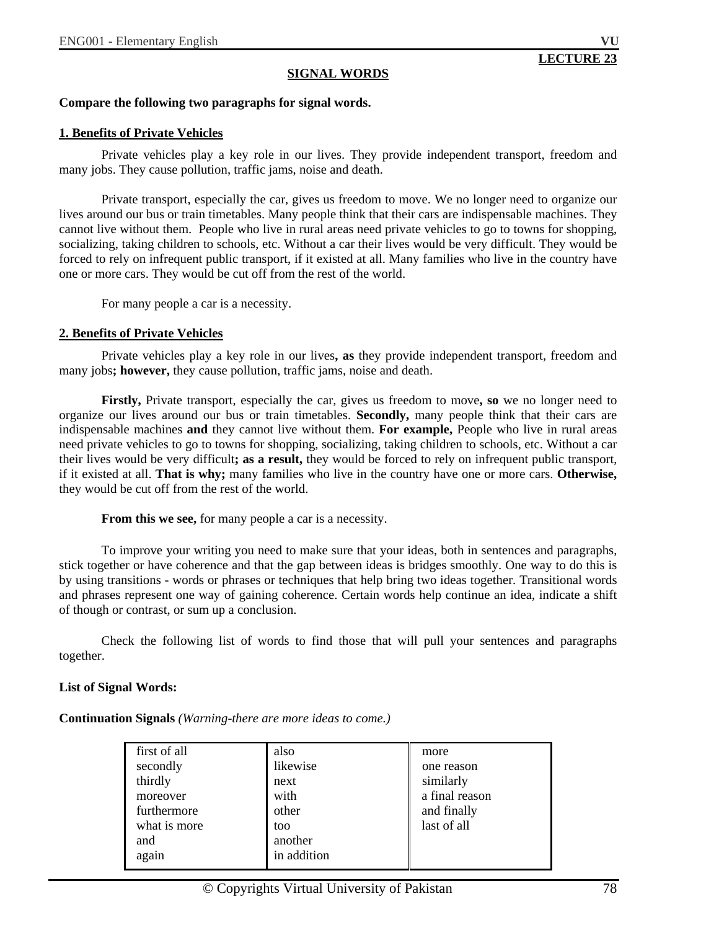## **SIGNAL WORDS**

#### **Compare the following two paragraphs for signal words.**

#### **1. Benefits of Private Vehicles**

Private vehicles play a key role in our lives. They provide independent transport, freedom and many jobs. They cause pollution, traffic jams, noise and death.

 Private transport, especially the car, gives us freedom to move. We no longer need to organize our lives around our bus or train timetables. Many people think that their cars are indispensable machines. They cannot live without them. People who live in rural areas need private vehicles to go to towns for shopping, socializing, taking children to schools, etc. Without a car their lives would be very difficult. They would be forced to rely on infrequent public transport, if it existed at all. Many families who live in the country have one or more cars. They would be cut off from the rest of the world.

For many people a car is a necessity.

## **2. Benefits of Private Vehicles**

 Private vehicles play a key role in our lives**, as** they provide independent transport, freedom and many jobs**; however,** they cause pollution, traffic jams, noise and death.

**Firstly,** Private transport, especially the car, gives us freedom to move**, so** we no longer need to organize our lives around our bus or train timetables. **Secondly,** many people think that their cars are indispensable machines **and** they cannot live without them. **For example,** People who live in rural areas need private vehicles to go to towns for shopping, socializing, taking children to schools, etc. Without a car their lives would be very difficult**; as a result,** they would be forced to rely on infrequent public transport, if it existed at all. **That is why;** many families who live in the country have one or more cars. **Otherwise,**  they would be cut off from the rest of the world.

**From this we see,** for many people a car is a necessity.

To improve your writing you need to make sure that your ideas, both in sentences and paragraphs, stick together or have coherence and that the gap between ideas is bridges smoothly. One way to do this is by using transitions - words or phrases or techniques that help bring two ideas together. Transitional words and phrases represent one way of gaining coherence. Certain words help continue an idea, indicate a shift of though or contrast, or sum up a conclusion.

Check the following list of words to find those that will pull your sentences and paragraphs together.

#### **List of Signal Words:**

|  |  | <b>Continuation Signals</b> (Warning-there are more ideas to come.) |
|--|--|---------------------------------------------------------------------|
|--|--|---------------------------------------------------------------------|

| first of all                 | also                          | more           |
|------------------------------|-------------------------------|----------------|
| secondly                     | likewise                      | one reason     |
| thirdly                      | next                          | similarly      |
| moreover                     | with                          | a final reason |
| furthermore                  | other                         | and finally    |
| what is more<br>and<br>again | too<br>another<br>in addition | last of all    |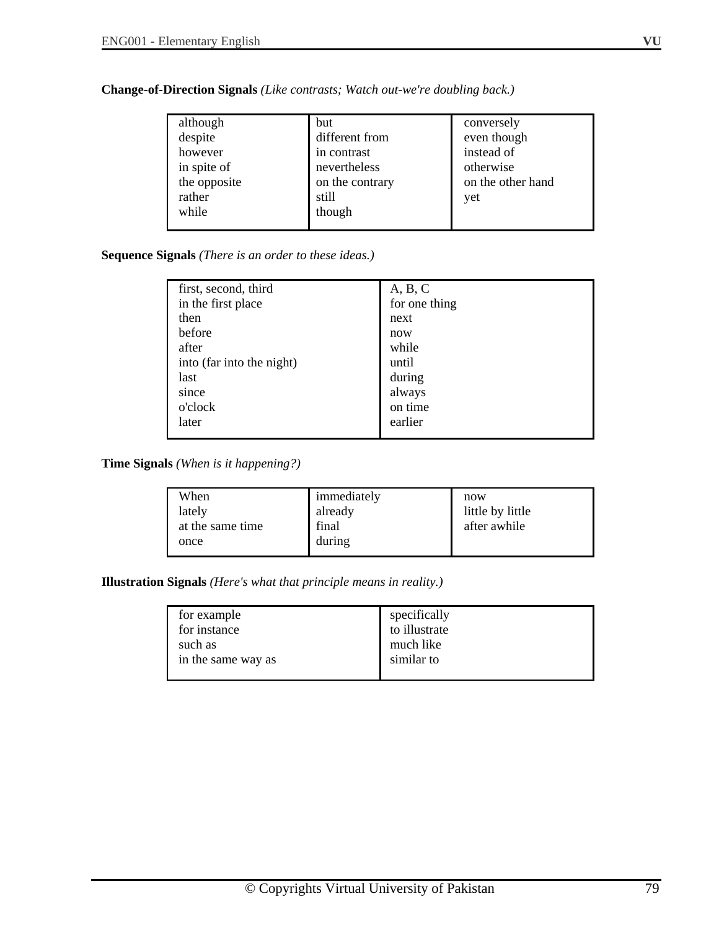| although     | but             | conversely        |
|--------------|-----------------|-------------------|
| despite      | different from  | even though       |
| however      | in contrast     | instead of        |
| in spite of  | nevertheless    | otherwise         |
| the opposite | on the contrary | on the other hand |
| rather       | still           | yet               |
| while        | though          |                   |
|              |                 |                   |

**Sequence Signals** *(There is an order to these ideas.)*

| first, second, third      | A, B, C       |
|---------------------------|---------------|
| in the first place        | for one thing |
| then                      | next          |
| before                    | now           |
| after                     | while         |
| into (far into the night) | until         |
| last                      | during        |
| since                     | always        |
| o'clock                   | on time       |
| later                     | earlier       |
|                           |               |

**Time Signals** *(When is it happening?)*

| When             | immediately | now              |
|------------------|-------------|------------------|
| lately           | already     | little by little |
| at the same time | final       | after awhile     |
| once             | during      |                  |

**Illustration Signals** *(Here's what that principle means in reality.)*

| for example<br>for instance | specifically<br>to illustrate |
|-----------------------------|-------------------------------|
|                             |                               |
| such as                     | much like                     |
| in the same way as          | similar to                    |
|                             |                               |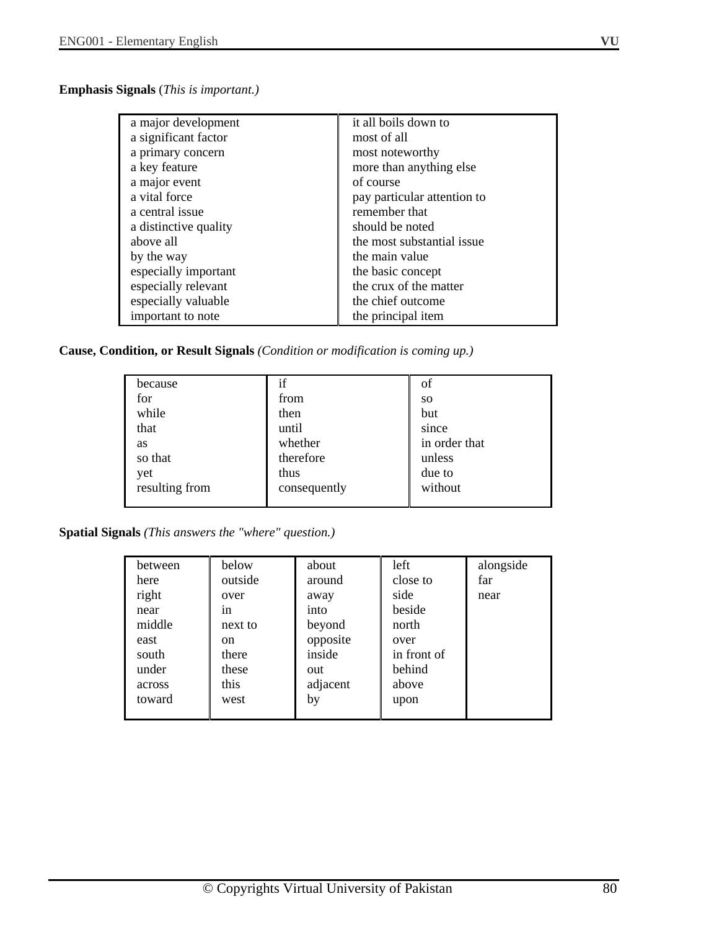| a major development   | it all boils down to        |
|-----------------------|-----------------------------|
| a significant factor  | most of all                 |
| a primary concern     | most noteworthy             |
| a key feature         | more than anything else     |
| a major event         | of course                   |
| a vital force         | pay particular attention to |
| a central issue       | remember that               |
| a distinctive quality | should be noted             |
| above all             | the most substantial issue  |
| by the way            | the main value              |
| especially important  | the basic concept           |
| especially relevant   | the crux of the matter      |
| especially valuable   | the chief outcome           |
| important to note     | the principal item          |
|                       |                             |

**Cause, Condition, or Result Signals** *(Condition or modification is coming up.)*

| because        | if           | of            |
|----------------|--------------|---------------|
| for            | from         | <b>SO</b>     |
| while          | then         | but           |
| that           | until        | since         |
| as             | whether      | in order that |
| so that        | therefore    | unless        |
| yet            | thus         | due to        |
| resulting from | consequently | without       |
|                |              |               |

**Spatial Signals** *(This answers the "where" question.)*

| between | below   | about    | left        | alongside |
|---------|---------|----------|-------------|-----------|
| here    | outside | around   | close to    | far       |
| right   | over    | away     | side        | near      |
| near    | 1n      | into     | beside      |           |
| middle  | next to | beyond   | north       |           |
| east    | on      | opposite | over        |           |
| south   | there   | inside   | in front of |           |
| under   | these   | out      | behind      |           |
| across  | this    | adjacent | above       |           |
| toward  | west    | by       | upon        |           |
|         |         |          |             |           |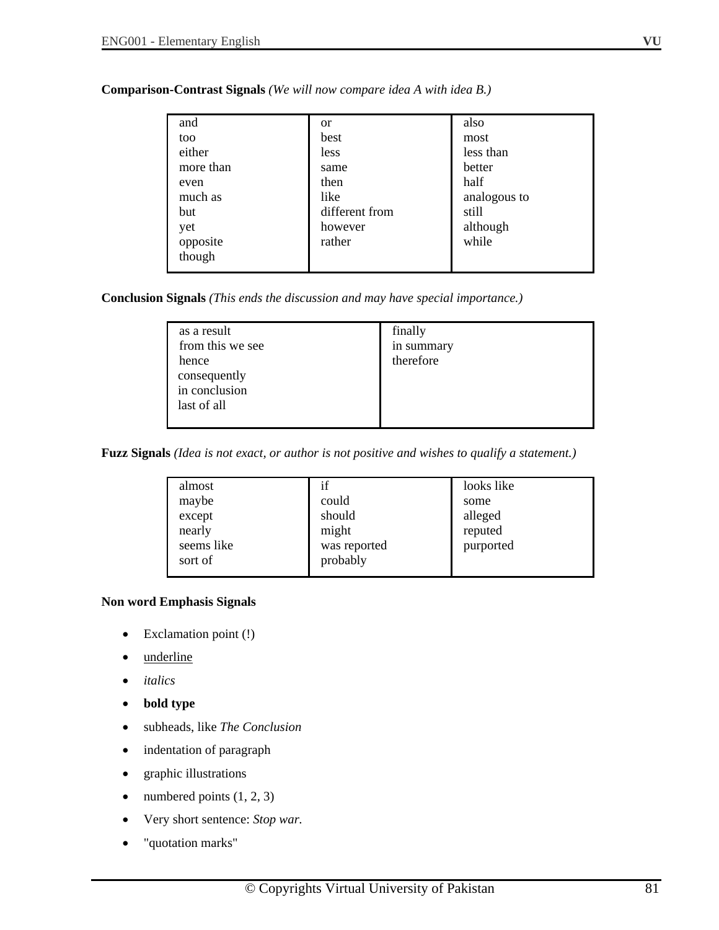**Comparison-Contrast Signals** *(We will now compare idea A with idea B.)*

| and       | <b>or</b>      | also         |
|-----------|----------------|--------------|
| too       | best           | most         |
| either    | less           | less than    |
| more than | same           | better       |
| even      | then           | half         |
| much as   | like           | analogous to |
| but       | different from | still        |
| yet       | however        | although     |
| opposite  | rather         | while        |
| though    |                |              |
|           |                |              |

**Conclusion Signals** *(This ends the discussion and may have special importance.)*

| as a result      | finally    |
|------------------|------------|
| from this we see | in summary |
| hence            | therefore  |
| consequently     |            |
| in conclusion    |            |
| last of all      |            |
|                  |            |

**Fuzz Signals** *(Idea is not exact, or author is not positive and wishes to qualify a statement.)*

| almost     | if           | looks like |
|------------|--------------|------------|
| maybe      | could        | some       |
| except     | should       | alleged    |
| nearly     | might        | reputed    |
| seems like | was reported | purported  |
| sort of    | probably     |            |
|            |              |            |

#### **Non word Emphasis Signals**

- Exclamation point (!)
- underline
- *italics*
- **bold type**
- subheads, like *The Conclusion*
- indentation of paragraph
- graphic illustrations
- numbered points  $(1, 2, 3)$
- Very short sentence: *Stop war.*
- "quotation marks"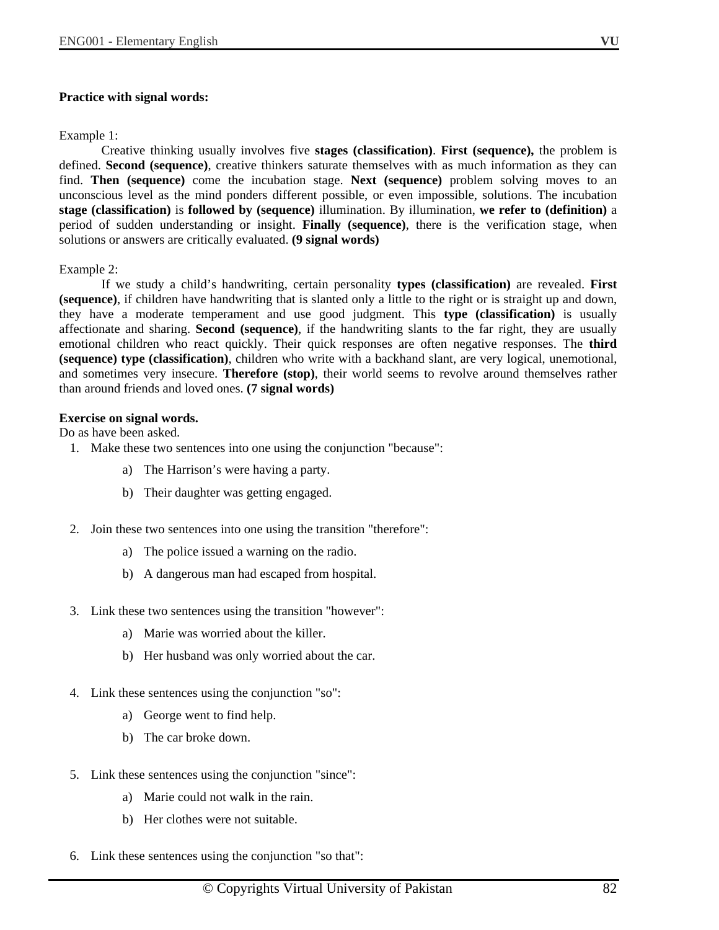# **Practice with signal words:**

# Example 1:

Creative thinking usually involves five **stages (classification)**. **First (sequence),** the problem is defined. **Second (sequence)**, creative thinkers saturate themselves with as much information as they can find. **Then (sequence)** come the incubation stage. **Next (sequence)** problem solving moves to an unconscious level as the mind ponders different possible, or even impossible, solutions. The incubation **stage (classification)** is **followed by (sequence)** illumination. By illumination, **we refer to (definition)** a period of sudden understanding or insight. **Finally (sequence)**, there is the verification stage, when solutions or answers are critically evaluated. **(9 signal words)** 

## Example 2:

If we study a child's handwriting, certain personality **types (classification)** are revealed. **First (sequence)**, if children have handwriting that is slanted only a little to the right or is straight up and down, they have a moderate temperament and use good judgment. This **type (classification)** is usually affectionate and sharing. **Second (sequence)**, if the handwriting slants to the far right, they are usually emotional children who react quickly. Their quick responses are often negative responses. The **third (sequence) type (classification)**, children who write with a backhand slant, are very logical, unemotional, and sometimes very insecure. **Therefore (stop)**, their world seems to revolve around themselves rather than around friends and loved ones. **(7 signal words)** 

## **Exercise on signal words.**

Do as have been asked.

- 1. Make these two sentences into one using the conjunction "because":
	- a) The Harrison's were having a party.
	- b) Their daughter was getting engaged.
- 2. Join these two sentences into one using the transition "therefore":
	- a) The police issued a warning on the radio.
	- b) A dangerous man had escaped from hospital.
- 3. Link these two sentences using the transition "however":
	- a) Marie was worried about the killer.
	- b) Her husband was only worried about the car.
- 4. Link these sentences using the conjunction "so":
	- a) George went to find help.
	- b) The car broke down.
- 5. Link these sentences using the conjunction "since":
	- a) Marie could not walk in the rain.
	- b) Her clothes were not suitable.
- 6. Link these sentences using the conjunction "so that":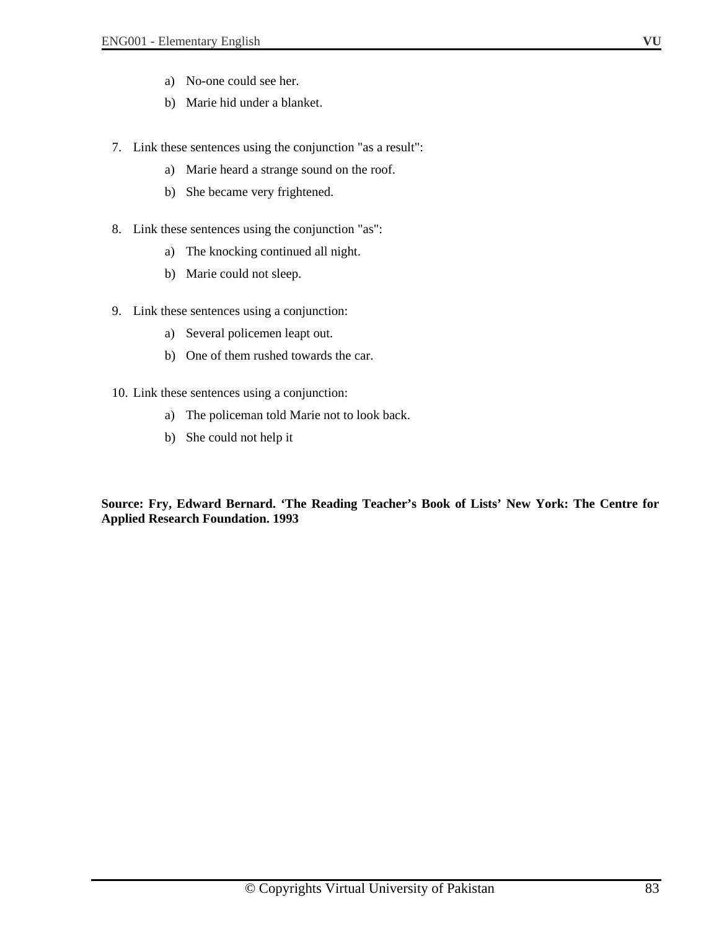- a) No-one could see her.
- b) Marie hid under a blanket.
- 7. Link these sentences using the conjunction "as a result":
	- a) Marie heard a strange sound on the roof.
	- b) She became very frightened.
- 8. Link these sentences using the conjunction "as":
	- a) The knocking continued all night.
	- b) Marie could not sleep.
- 9. Link these sentences using a conjunction:
	- a) Several policemen leapt out.
	- b) One of them rushed towards the car.
- 10. Link these sentences using a conjunction:
	- a) The policeman told Marie not to look back.
	- b) She could not help it

**Source: Fry, Edward Bernard. 'The Reading Teacher's Book of Lists' New York: The Centre for Applied Research Foundation. 1993**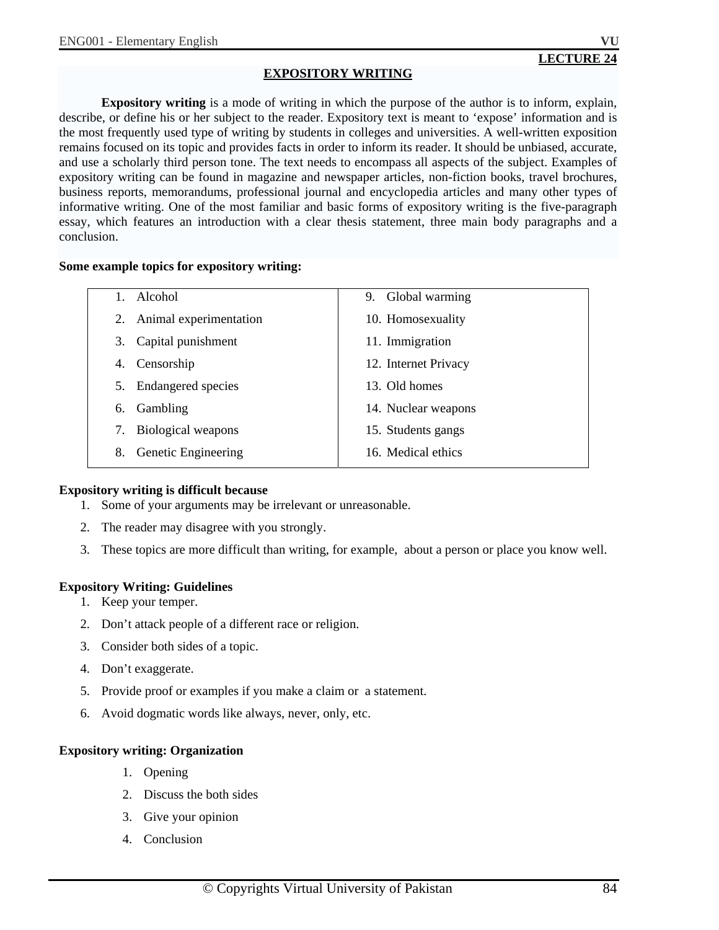# **EXPOSITORY WRITING**

**Expository writing** is a mode of writing in which the purpose of the author is to inform, explain, describe, or define his or her subject to the reader. Expository text is meant to 'expose' information and is the most frequently used type of writing by students in colleges and universities. A well-written exposition remains focused on its topic and provides facts in order to inform its reader. It should be unbiased, accurate, and use a scholarly third person tone. The text needs to encompass all aspects of the subject. Examples of expository writing can be found in magazine and newspaper articles, non-fiction books, travel brochures, business reports, memorandums, professional journal and encyclopedia articles and many other types of informative writing. One of the most familiar and basic forms of expository writing is the five-paragraph essay, which features an introduction with a clear thesis statement, three main body paragraphs and a conclusion.

#### **Some example topics for expository writing:**

|    | Alcohol                   | 9. | Global warming       |
|----|---------------------------|----|----------------------|
|    | 2. Animal experimentation |    | 10. Homosexuality    |
| 3. | Capital punishment        |    | 11. Immigration      |
| 4. | Censorship                |    | 12. Internet Privacy |
| 5. | <b>Endangered species</b> |    | 13. Old homes        |
| 6. | Gambling                  |    | 14. Nuclear weapons  |
| 7. | Biological weapons        |    | 15. Students gangs   |
| 8. | Genetic Engineering       |    | 16. Medical ethics   |
|    |                           |    |                      |

#### **Expository writing is difficult because**

- 1. Some of your arguments may be irrelevant or unreasonable.
- 2. The reader may disagree with you strongly.
- 3. These topics are more difficult than writing, for example, about a person or place you know well.

#### **Expository Writing: Guidelines**

- 1. Keep your temper.
- 2. Don't attack people of a different race or religion.
- 3. Consider both sides of a topic.
- 4. Don't exaggerate.
- 5. Provide proof or examples if you make a claim or a statement.
- 6. Avoid dogmatic words like always, never, only, etc.

#### **Expository writing: Organization**

- 1. Opening
- 2. Discuss the both sides
- 3. Give your opinion
- 4. Conclusion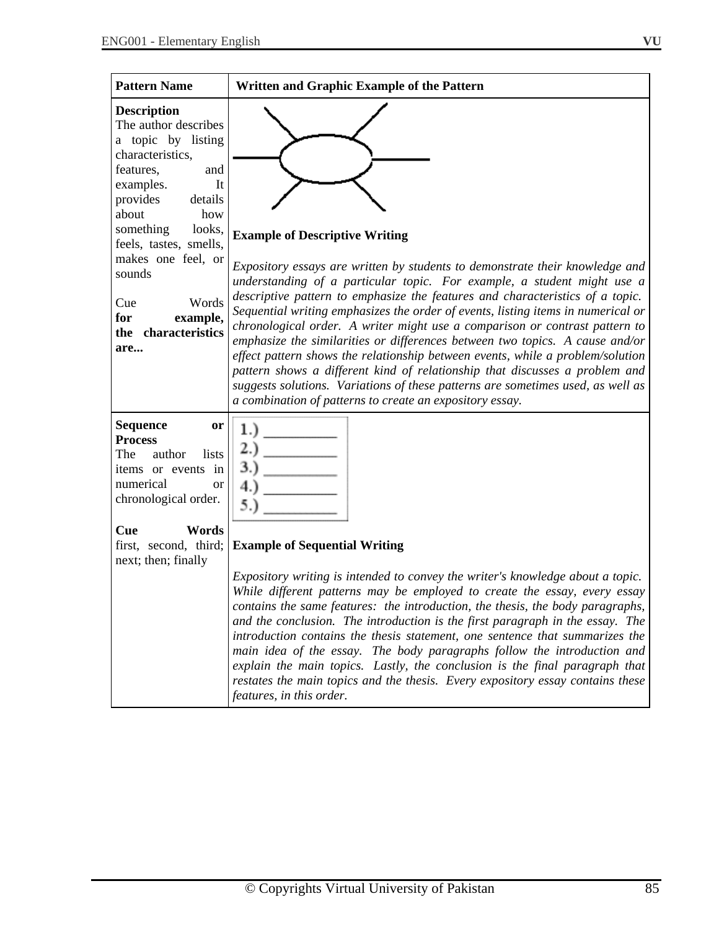| <b>Pattern Name</b>                                                                                                                                                                                                                                                                                                  | Written and Graphic Example of the Pattern                                                                                                                                                                                                                                                                                                                                                                                                                                                                                                                                                                                                                                                                                                                                                                                                           |
|----------------------------------------------------------------------------------------------------------------------------------------------------------------------------------------------------------------------------------------------------------------------------------------------------------------------|------------------------------------------------------------------------------------------------------------------------------------------------------------------------------------------------------------------------------------------------------------------------------------------------------------------------------------------------------------------------------------------------------------------------------------------------------------------------------------------------------------------------------------------------------------------------------------------------------------------------------------------------------------------------------------------------------------------------------------------------------------------------------------------------------------------------------------------------------|
| <b>Description</b><br>The author describes<br>a topic by listing<br>characteristics,<br>features,<br>and<br>examples.<br>It<br>provides<br>details<br>about<br>how<br>something<br>looks,<br>feels, tastes, smells,<br>makes one feel, or<br>sounds<br>Words<br>Cue<br>for<br>example,<br>the characteristics<br>are | <b>Example of Descriptive Writing</b><br>Expository essays are written by students to demonstrate their knowledge and<br>understanding of a particular topic. For example, a student might use a<br>descriptive pattern to emphasize the features and characteristics of a topic.<br>Sequential writing emphasizes the order of events, listing items in numerical or<br>chronological order. A writer might use a comparison or contrast pattern to<br>emphasize the similarities or differences between two topics. A cause and/or<br>effect pattern shows the relationship between events, while a problem/solution<br>pattern shows a different kind of relationship that discusses a problem and<br>suggests solutions. Variations of these patterns are sometimes used, as well as<br>a combination of patterns to create an expository essay. |
| Sequence<br>or<br><b>Process</b><br>The<br>author<br>lists<br>items or events in<br>numerical<br><b>or</b><br>chronological order.                                                                                                                                                                                   | 1.)<br>2.)<br>3.1<br>5.)                                                                                                                                                                                                                                                                                                                                                                                                                                                                                                                                                                                                                                                                                                                                                                                                                             |
| Words<br>Cue<br>first, second, third;<br>next; then; finally                                                                                                                                                                                                                                                         | <b>Example of Sequential Writing</b><br>Expository writing is intended to convey the writer's knowledge about a topic.<br>While different patterns may be employed to create the essay, every essay<br>contains the same features: the introduction, the thesis, the body paragraphs,<br>and the conclusion. The introduction is the first paragraph in the essay. The<br>introduction contains the thesis statement, one sentence that summarizes the<br>main idea of the essay. The body paragraphs follow the introduction and<br>explain the main topics. Lastly, the conclusion is the final paragraph that<br>restates the main topics and the thesis. Every expository essay contains these<br>features, in this order.                                                                                                                       |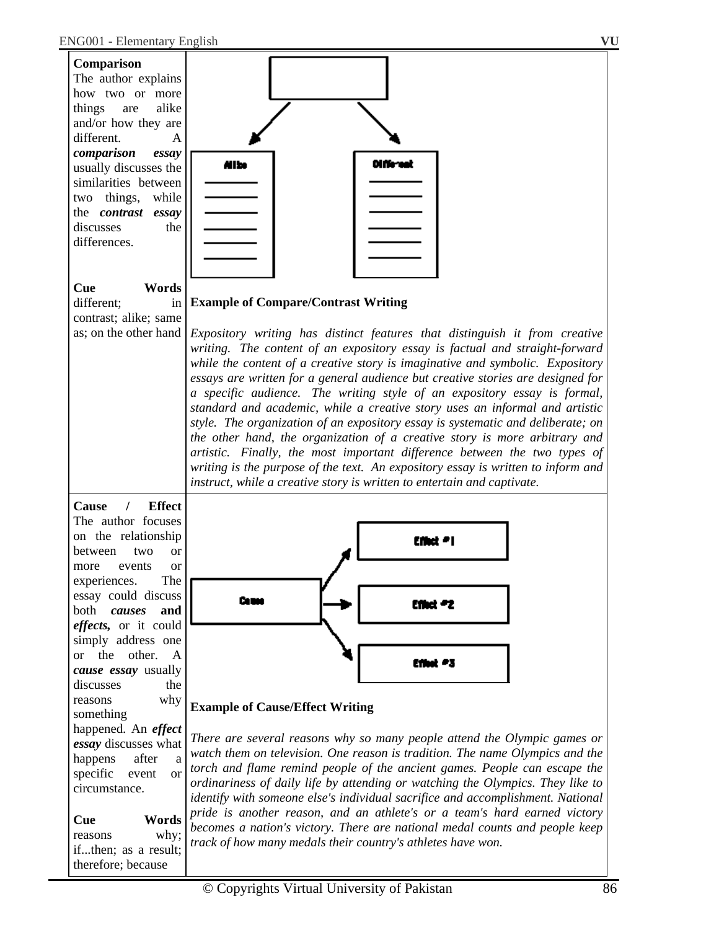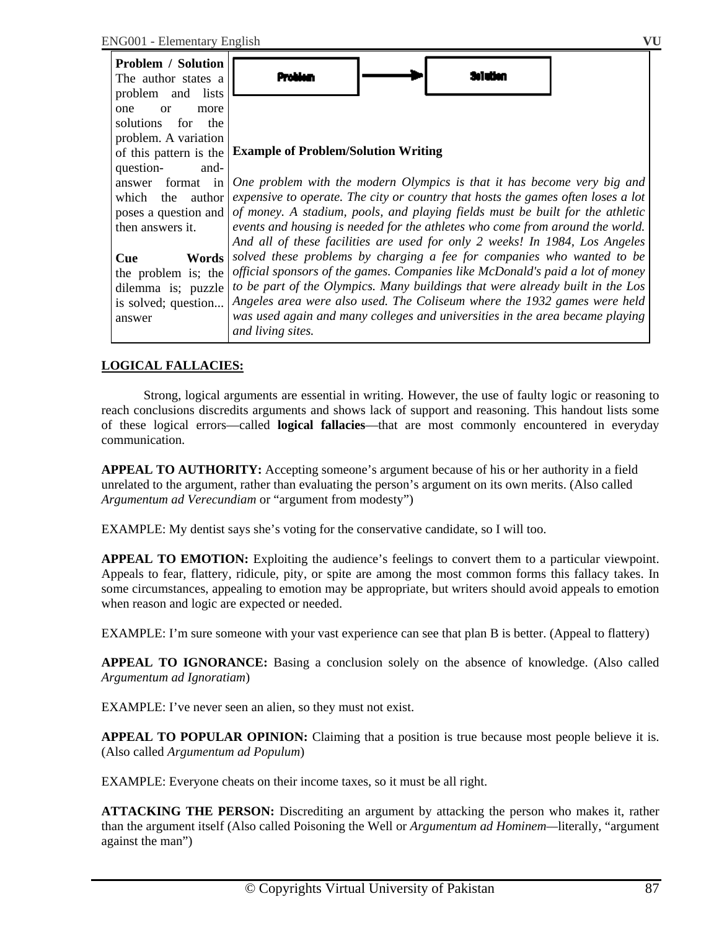| <b>Problem / Solution</b><br>The author states a  |                                                                                  |  |  |  |
|---------------------------------------------------|----------------------------------------------------------------------------------|--|--|--|
| problem and lists<br>one<br><sub>or</sub><br>more |                                                                                  |  |  |  |
| solutions for the                                 |                                                                                  |  |  |  |
| problem. A variation                              |                                                                                  |  |  |  |
| of this pattern is the                            | <b>Example of Problem/Solution Writing</b>                                       |  |  |  |
| question-<br>and-                                 |                                                                                  |  |  |  |
| answer format in                                  | One problem with the modern Olympics is that it has become very big and          |  |  |  |
| which<br>author<br>the                            | expensive to operate. The city or country that hosts the games often loses a lot |  |  |  |
| poses a question and                              | of money. A stadium, pools, and playing fields must be built for the athletic    |  |  |  |
| then answers it.                                  | events and housing is needed for the athletes who come from around the world.    |  |  |  |
|                                                   | And all of these facilities are used for only 2 weeks! In 1984, Los Angeles      |  |  |  |
| Words<br>Cue                                      | solved these problems by charging a fee for companies who wanted to be           |  |  |  |
| the problem is; the                               | official sponsors of the games. Companies like McDonald's paid a lot of money    |  |  |  |
| dilemma is; puzzle                                | to be part of the Olympics. Many buildings that were already built in the Los    |  |  |  |
| is solved; question                               | Angeles area were also used. The Coliseum where the 1932 games were held         |  |  |  |
| answer                                            | was used again and many colleges and universities in the area became playing     |  |  |  |
|                                                   | and living sites.                                                                |  |  |  |

# **LOGICAL FALLACIES:**

Strong, logical arguments are essential in writing. However, the use of faulty logic or reasoning to reach conclusions discredits arguments and shows lack of support and reasoning. This handout lists some of these logical errors—called **logical fallacies**—that are most commonly encountered in everyday communication.

**APPEAL TO AUTHORITY:** Accepting someone's argument because of his or her authority in a field unrelated to the argument, rather than evaluating the person's argument on its own merits. (Also called *Argumentum ad Verecundiam* or "argument from modesty")

EXAMPLE: My dentist says she's voting for the conservative candidate, so I will too.

**APPEAL TO EMOTION:** Exploiting the audience's feelings to convert them to a particular viewpoint. Appeals to fear, flattery, ridicule, pity, or spite are among the most common forms this fallacy takes. In some circumstances, appealing to emotion may be appropriate, but writers should avoid appeals to emotion when reason and logic are expected or needed.

EXAMPLE: I'm sure someone with your vast experience can see that plan B is better. (Appeal to flattery)

**APPEAL TO IGNORANCE:** Basing a conclusion solely on the absence of knowledge. (Also called *Argumentum ad Ignoratiam*)

EXAMPLE: I've never seen an alien, so they must not exist.

**APPEAL TO POPULAR OPINION:** Claiming that a position is true because most people believe it is. (Also called *Argumentum ad Populum*)

EXAMPLE: Everyone cheats on their income taxes, so it must be all right.

**ATTACKING THE PERSON:** Discrediting an argument by attacking the person who makes it, rather than the argument itself (Also called Poisoning the Well or *Argumentum ad Hominem—*literally, "argument against the man")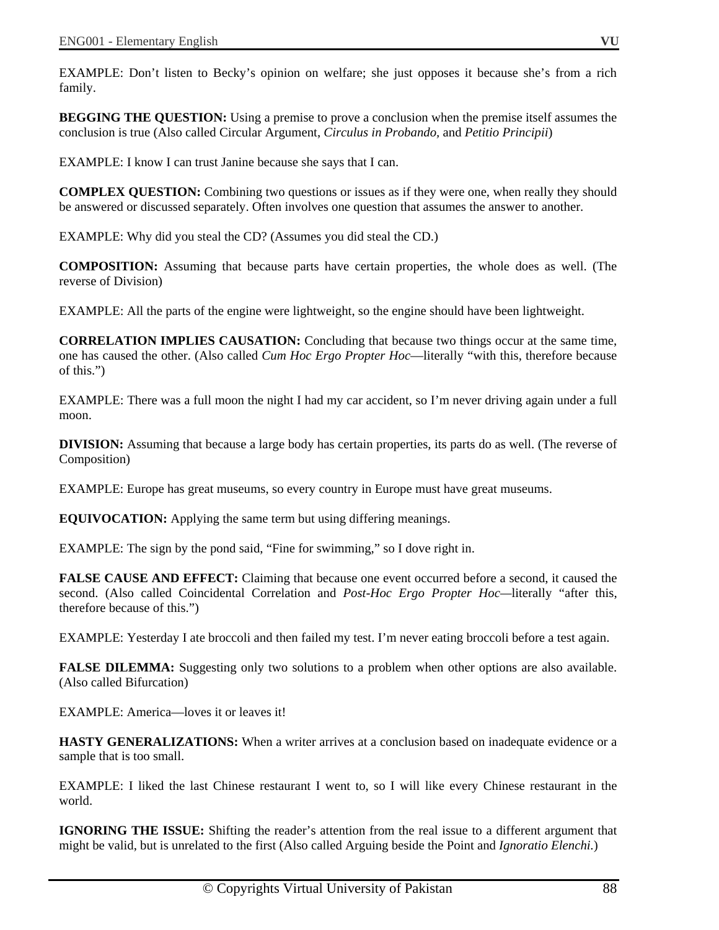EXAMPLE: Don't listen to Becky's opinion on welfare; she just opposes it because she's from a rich family.

**BEGGING THE QUESTION:** Using a premise to prove a conclusion when the premise itself assumes the conclusion is true (Also called Circular Argument, *Circulus in Probando,* and *Petitio Principii*)

EXAMPLE: I know I can trust Janine because she says that I can.

**COMPLEX QUESTION:** Combining two questions or issues as if they were one, when really they should be answered or discussed separately. Often involves one question that assumes the answer to another.

EXAMPLE: Why did you steal the CD? (Assumes you did steal the CD.)

**COMPOSITION:** Assuming that because parts have certain properties, the whole does as well. (The reverse of Division)

EXAMPLE: All the parts of the engine were lightweight, so the engine should have been lightweight.

**CORRELATION IMPLIES CAUSATION:** Concluding that because two things occur at the same time, one has caused the other. (Also called *Cum Hoc Ergo Propter Hoc*—literally "with this, therefore because of this.")

EXAMPLE: There was a full moon the night I had my car accident, so I'm never driving again under a full moon.

**DIVISION:** Assuming that because a large body has certain properties, its parts do as well. (The reverse of Composition)

EXAMPLE: Europe has great museums, so every country in Europe must have great museums.

**EQUIVOCATION:** Applying the same term but using differing meanings.

EXAMPLE: The sign by the pond said, "Fine for swimming," so I dove right in.

**FALSE CAUSE AND EFFECT:** Claiming that because one event occurred before a second, it caused the second. (Also called Coincidental Correlation and *Post-Hoc Ergo Propter Hoc—*literally "after this, therefore because of this.")

EXAMPLE: Yesterday I ate broccoli and then failed my test. I'm never eating broccoli before a test again.

**FALSE DILEMMA:** Suggesting only two solutions to a problem when other options are also available. (Also called Bifurcation)

EXAMPLE: America—loves it or leaves it!

**HASTY GENERALIZATIONS:** When a writer arrives at a conclusion based on inadequate evidence or a sample that is too small.

EXAMPLE: I liked the last Chinese restaurant I went to, so I will like every Chinese restaurant in the world.

**IGNORING THE ISSUE:** Shifting the reader's attention from the real issue to a different argument that might be valid, but is unrelated to the first (Also called Arguing beside the Point and *Ignoratio Elenchi.*)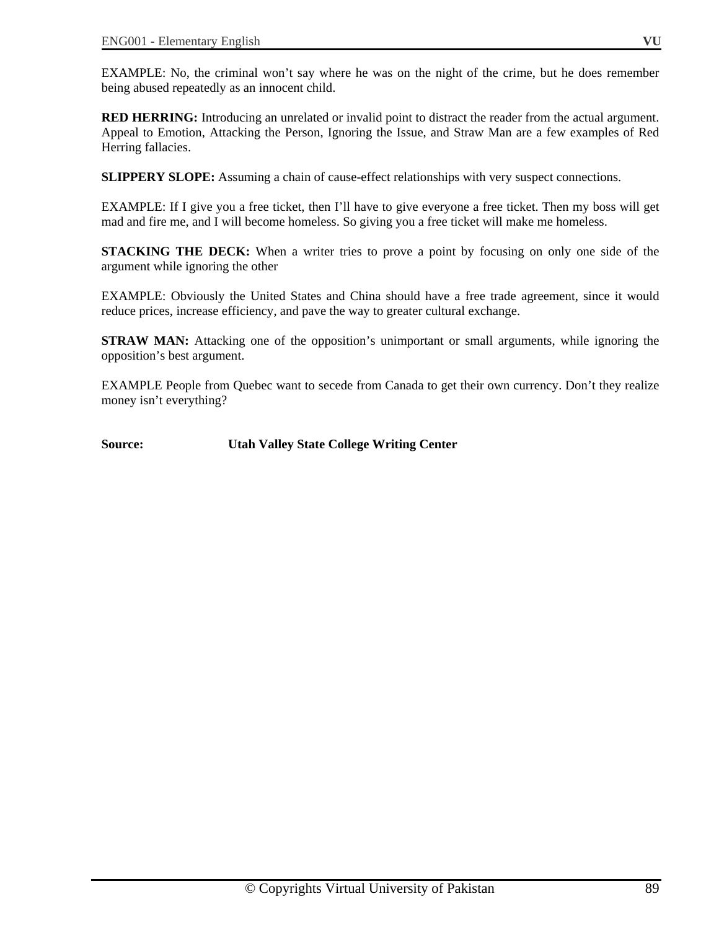EXAMPLE: No, the criminal won't say where he was on the night of the crime, but he does remember being abused repeatedly as an innocent child.

**RED HERRING:** Introducing an unrelated or invalid point to distract the reader from the actual argument. Appeal to Emotion, Attacking the Person, Ignoring the Issue, and Straw Man are a few examples of Red Herring fallacies.

**SLIPPERY SLOPE:** Assuming a chain of cause-effect relationships with very suspect connections.

EXAMPLE: If I give you a free ticket, then I'll have to give everyone a free ticket. Then my boss will get mad and fire me, and I will become homeless. So giving you a free ticket will make me homeless.

**STACKING THE DECK:** When a writer tries to prove a point by focusing on only one side of the argument while ignoring the other

EXAMPLE: Obviously the United States and China should have a free trade agreement, since it would reduce prices, increase efficiency, and pave the way to greater cultural exchange.

**STRAW MAN:** Attacking one of the opposition's unimportant or small arguments, while ignoring the opposition's best argument.

EXAMPLE People from Quebec want to secede from Canada to get their own currency. Don't they realize money isn't everything?

**Source: Utah Valley State College Writing Center**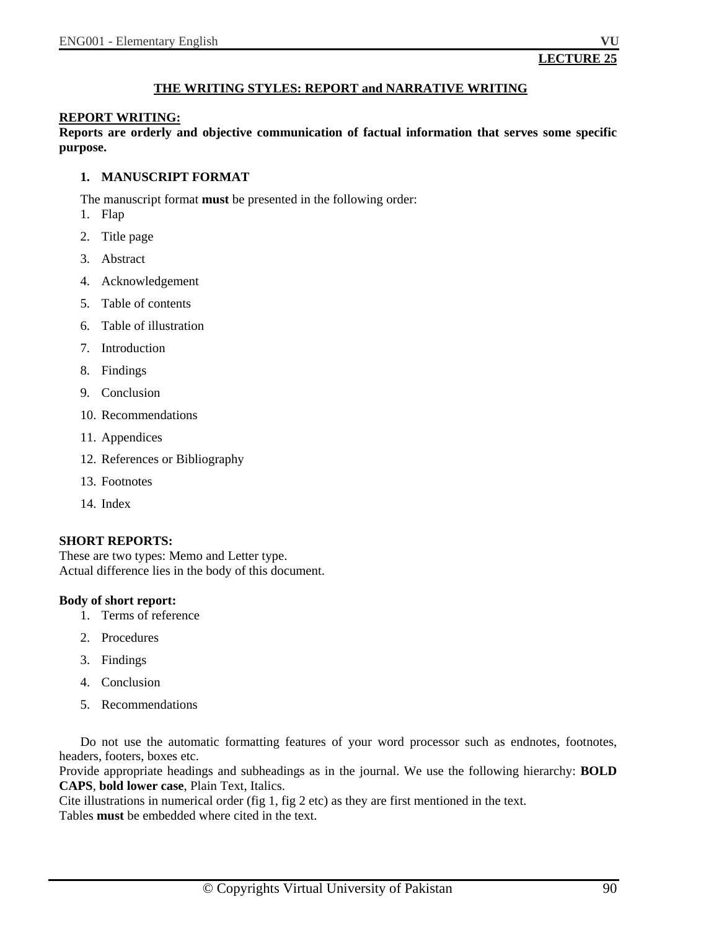# **THE WRITING STYLES: REPORT and NARRATIVE WRITING**

#### **REPORT WRITING:**

**Reports are orderly and objective communication of factual information that serves some specific purpose.** 

### **1. MANUSCRIPT FORMAT**

The manuscript format **must** be presented in the following order:

- 1. Flap
- 2. Title page
- 3. Abstract
- 4. Acknowledgement
- 5. Table of contents
- 6. Table of illustration
- 7. Introduction
- 8. Findings
- 9. Conclusion
- 10. Recommendations
- 11. Appendices
- 12. References or Bibliography
- 13. Footnotes
- 14. Index

# **SHORT REPORTS:**

These are two types: Memo and Letter type. Actual difference lies in the body of this document.

#### **Body of short report:**

- 1. Terms of reference
- 2. Procedures
- 3. Findings
- 4. Conclusion
- 5. Recommendations

Do not use the automatic formatting features of your word processor such as endnotes, footnotes, headers, footers, boxes etc.

Provide appropriate headings and subheadings as in the journal. We use the following hierarchy: **BOLD CAPS**, **bold lower case**, Plain Text, Italics.

Cite illustrations in numerical order (fig 1, fig 2 etc) as they are first mentioned in the text. Tables **must** be embedded where cited in the text.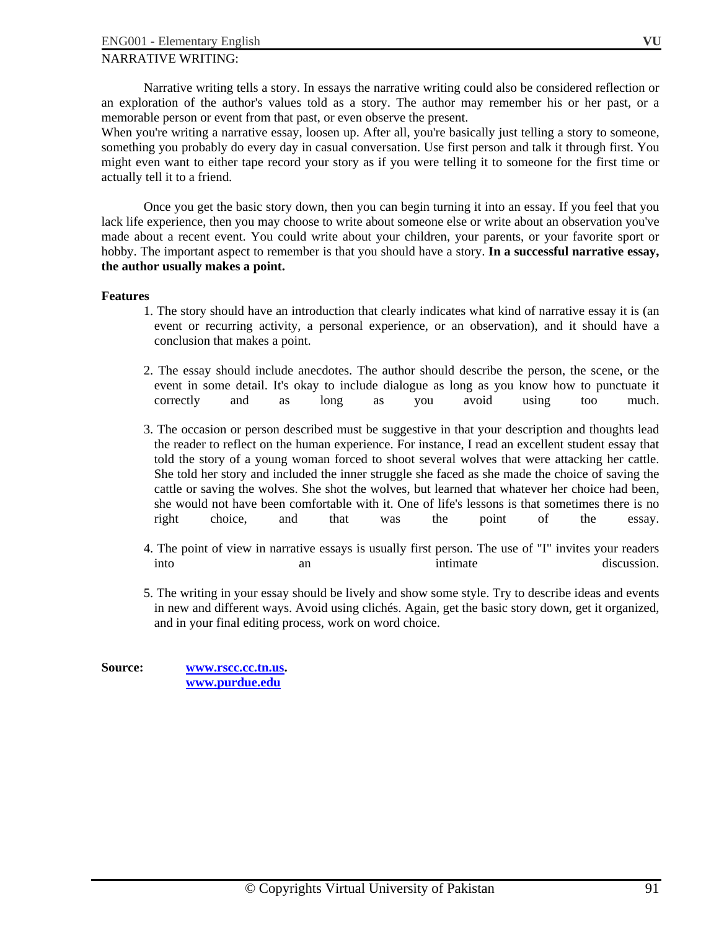# NARRATIVE WRITING:

Narrative writing tells a story. In essays the narrative writing could also be considered reflection or an exploration of the author's values told as a story. The author may remember his or her past, or a memorable person or event from that past, or even observe the present.

When you're writing a narrative essay, loosen up. After all, you're basically just telling a story to someone, something you probably do every day in casual conversation. Use first person and talk it through first. You might even want to either tape record your story as if you were telling it to someone for the first time or actually tell it to a friend.

Once you get the basic story down, then you can begin turning it into an essay. If you feel that you lack life experience, then you may choose to write about someone else or write about an observation you've made about a recent event. You could write about your children, your parents, or your favorite sport or hobby. The important aspect to remember is that you should have a story. **In a successful narrative essay, the author usually makes a point.**

## **Features**

- 1. The story should have an introduction that clearly indicates what kind of narrative essay it is (an event or recurring activity, a personal experience, or an observation), and it should have a conclusion that makes a point.
- 2. The essay should include anecdotes. The author should describe the person, the scene, or the event in some detail. It's okay to include dialogue as long as you know how to punctuate it correctly and as long as you avoid using too much.
- 3. The occasion or person described must be suggestive in that your description and thoughts lead the reader to reflect on the human experience. For instance, I read an excellent student essay that told the story of a young woman forced to shoot several wolves that were attacking her cattle. She told her story and included the inner struggle she faced as she made the choice of saving the cattle or saving the wolves. She shot the wolves, but learned that whatever her choice had been, she would not have been comfortable with it. One of life's lessons is that sometimes there is no right choice, and that was the point of the essay.
- 4. The point of view in narrative essays is usually first person. The use of "I" invites your readers into an intimate discussion.
- 5. The writing in your essay should be lively and show some style. Try to describe ideas and events in new and different ways. Avoid using clichés. Again, get the basic story down, get it organized, and in your final editing process, work on word choice.

Source: **www.rscc.cc.tn.us. www.purdue.edu**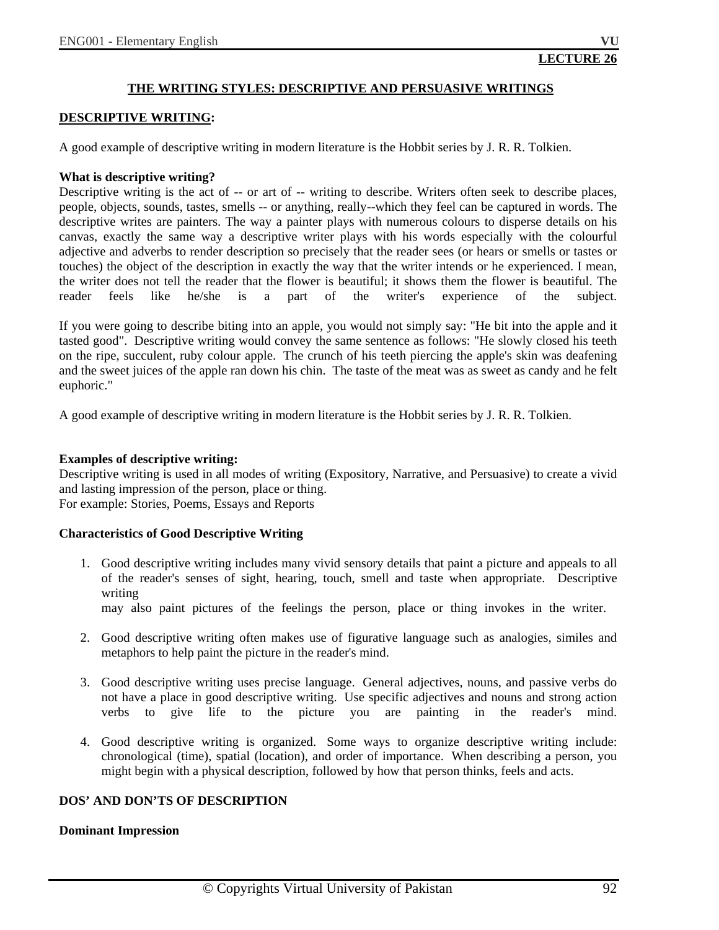### **THE WRITING STYLES: DESCRIPTIVE AND PERSUASIVE WRITINGS**

#### **DESCRIPTIVE WRITING:**

A good example of descriptive writing in modern literature is the Hobbit series by J. R. R. Tolkien.

#### **What is descriptive writing?**

Descriptive writing is the act of -- or art of -- writing to describe. Writers often seek to describe places, people, objects, sounds, tastes, smells -- or anything, really--which they feel can be captured in words. The descriptive writes are painters. The way a painter plays with numerous colours to disperse details on his canvas, exactly the same way a descriptive writer plays with his words especially with the colourful adjective and adverbs to render description so precisely that the reader sees (or hears or smells or tastes or touches) the object of the description in exactly the way that the writer intends or he experienced. I mean, the writer does not tell the reader that the flower is beautiful; it shows them the flower is beautiful. The reader feels like he/she is a part of the writer's experience of the subject.

If you were going to describe biting into an apple, you would not simply say: "He bit into the apple and it tasted good". Descriptive writing would convey the same sentence as follows: "He slowly closed his teeth on the ripe, succulent, ruby colour apple. The crunch of his teeth piercing the apple's skin was deafening and the sweet juices of the apple ran down his chin. The taste of the meat was as sweet as candy and he felt euphoric."

A good example of descriptive writing in modern literature is the Hobbit series by J. R. R. Tolkien.

#### **Examples of descriptive writing:**

Descriptive writing is used in all modes of writing (Expository, Narrative, and Persuasive) to create a vivid and lasting impression of the person, place or thing. For example: Stories, Poems, Essays and Reports

#### **Characteristics of Good Descriptive Writing**

1. Good descriptive writing includes many vivid sensory details that paint a picture and appeals to all of the reader's senses of sight, hearing, touch, smell and taste when appropriate. Descriptive writing

may also paint pictures of the feelings the person, place or thing invokes in the writer.

- 2. Good descriptive writing often makes use of figurative language such as analogies, similes and metaphors to help paint the picture in the reader's mind.
- 3. Good descriptive writing uses precise language. General adjectives, nouns, and passive verbs do not have a place in good descriptive writing. Use specific adjectives and nouns and strong action verbs to give life to the picture you are painting in the reader's mind.
- 4. Good descriptive writing is organized. Some ways to organize descriptive writing include: chronological (time), spatial (location), and order of importance. When describing a person, you might begin with a physical description, followed by how that person thinks, feels and acts.

#### **DOS' AND DON'TS OF DESCRIPTION**

#### **Dominant Impression**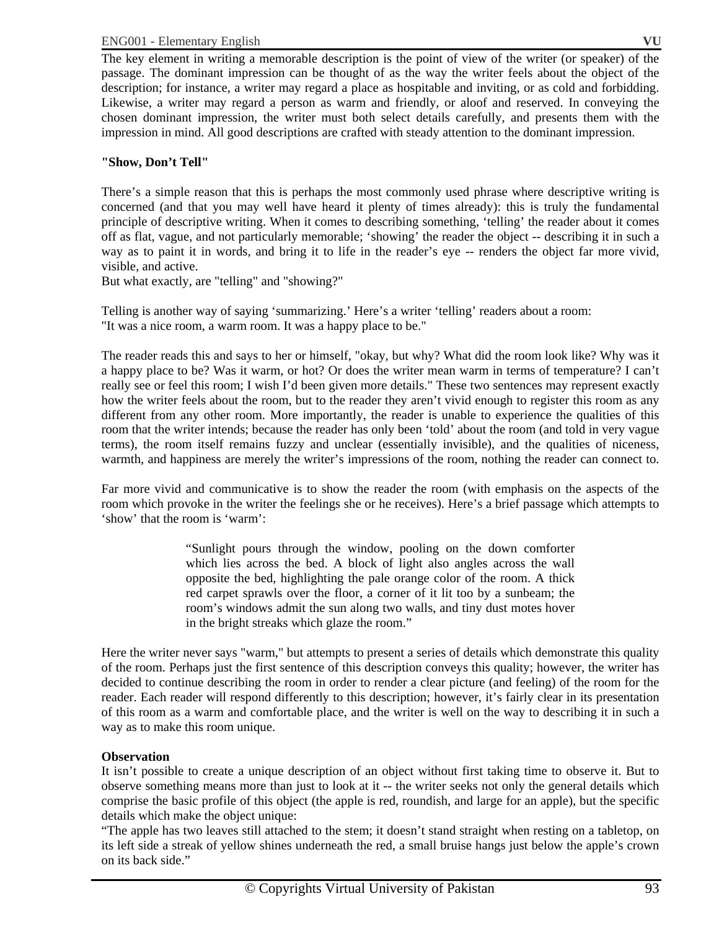The key element in writing a memorable description is the point of view of the writer (or speaker) of the passage. The dominant impression can be thought of as the way the writer feels about the object of the description; for instance, a writer may regard a place as hospitable and inviting, or as cold and forbidding. Likewise, a writer may regard a person as warm and friendly, or aloof and reserved. In conveying the chosen dominant impression, the writer must both select details carefully, and presents them with the impression in mind. All good descriptions are crafted with steady attention to the dominant impression.

# **"Show, Don't Tell"**

There's a simple reason that this is perhaps the most commonly used phrase where descriptive writing is concerned (and that you may well have heard it plenty of times already): this is truly the fundamental principle of descriptive writing. When it comes to describing something, 'telling' the reader about it comes off as flat, vague, and not particularly memorable; 'showing' the reader the object -- describing it in such a way as to paint it in words, and bring it to life in the reader's eye -- renders the object far more vivid, visible, and active.

But what exactly, are "telling" and "showing?"

Telling is another way of saying 'summarizing.' Here's a writer 'telling' readers about a room: "It was a nice room, a warm room. It was a happy place to be."

The reader reads this and says to her or himself, "okay, but why? What did the room look like? Why was it a happy place to be? Was it warm, or hot? Or does the writer mean warm in terms of temperature? I can't really see or feel this room; I wish I'd been given more details." These two sentences may represent exactly how the writer feels about the room, but to the reader they aren't vivid enough to register this room as any different from any other room. More importantly, the reader is unable to experience the qualities of this room that the writer intends; because the reader has only been 'told' about the room (and told in very vague terms), the room itself remains fuzzy and unclear (essentially invisible), and the qualities of niceness, warmth, and happiness are merely the writer's impressions of the room, nothing the reader can connect to.

Far more vivid and communicative is to show the reader the room (with emphasis on the aspects of the room which provoke in the writer the feelings she or he receives). Here's a brief passage which attempts to 'show' that the room is 'warm':

> "Sunlight pours through the window, pooling on the down comforter which lies across the bed. A block of light also angles across the wall opposite the bed, highlighting the pale orange color of the room. A thick red carpet sprawls over the floor, a corner of it lit too by a sunbeam; the room's windows admit the sun along two walls, and tiny dust motes hover in the bright streaks which glaze the room."

Here the writer never says "warm," but attempts to present a series of details which demonstrate this quality of the room. Perhaps just the first sentence of this description conveys this quality; however, the writer has decided to continue describing the room in order to render a clear picture (and feeling) of the room for the reader. Each reader will respond differently to this description; however, it's fairly clear in its presentation of this room as a warm and comfortable place, and the writer is well on the way to describing it in such a way as to make this room unique.

# **Observation**

It isn't possible to create a unique description of an object without first taking time to observe it. But to observe something means more than just to look at it -- the writer seeks not only the general details which comprise the basic profile of this object (the apple is red, roundish, and large for an apple), but the specific details which make the object unique:

"The apple has two leaves still attached to the stem; it doesn't stand straight when resting on a tabletop, on its left side a streak of yellow shines underneath the red, a small bruise hangs just below the apple's crown on its back side."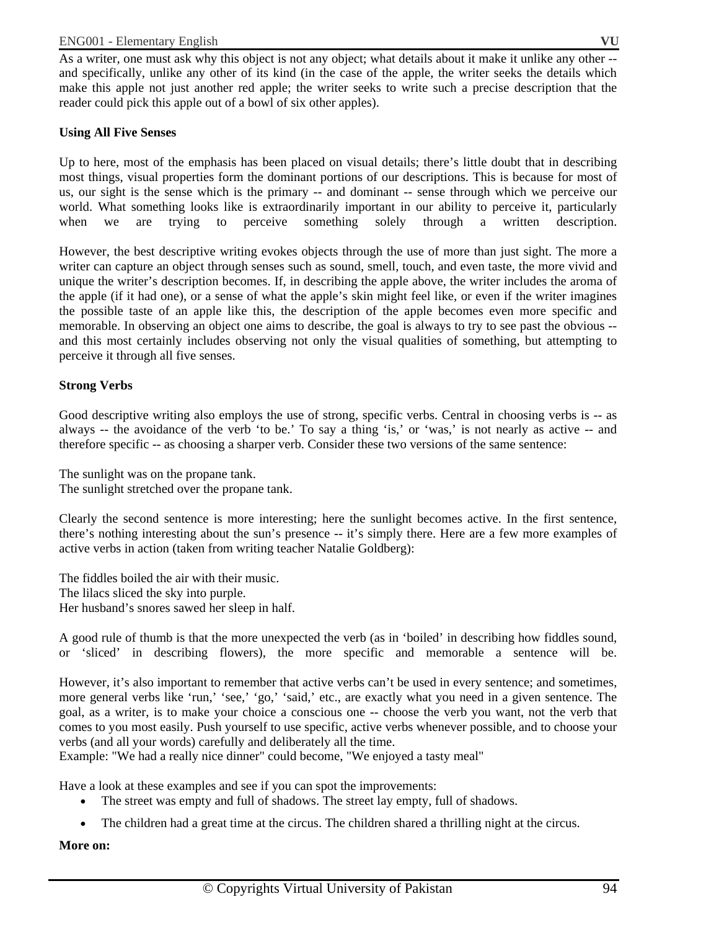As a writer, one must ask why this object is not any object; what details about it make it unlike any other - and specifically, unlike any other of its kind (in the case of the apple, the writer seeks the details which make this apple not just another red apple; the writer seeks to write such a precise description that the reader could pick this apple out of a bowl of six other apples).

# **Using All Five Senses**

Up to here, most of the emphasis has been placed on visual details; there's little doubt that in describing most things, visual properties form the dominant portions of our descriptions. This is because for most of us, our sight is the sense which is the primary -- and dominant -- sense through which we perceive our world. What something looks like is extraordinarily important in our ability to perceive it, particularly when we are trying to perceive something solely through a written description.

However, the best descriptive writing evokes objects through the use of more than just sight. The more a writer can capture an object through senses such as sound, smell, touch, and even taste, the more vivid and unique the writer's description becomes. If, in describing the apple above, the writer includes the aroma of the apple (if it had one), or a sense of what the apple's skin might feel like, or even if the writer imagines the possible taste of an apple like this, the description of the apple becomes even more specific and memorable. In observing an object one aims to describe, the goal is always to try to see past the obvious - and this most certainly includes observing not only the visual qualities of something, but attempting to perceive it through all five senses.

# **Strong Verbs**

Good descriptive writing also employs the use of strong, specific verbs. Central in choosing verbs is -- as always -- the avoidance of the verb 'to be.' To say a thing 'is,' or 'was,' is not nearly as active -- and therefore specific -- as choosing a sharper verb. Consider these two versions of the same sentence:

The sunlight was on the propane tank. The sunlight stretched over the propane tank.

Clearly the second sentence is more interesting; here the sunlight becomes active. In the first sentence, there's nothing interesting about the sun's presence -- it's simply there. Here are a few more examples of active verbs in action (taken from writing teacher Natalie Goldberg):

The fiddles boiled the air with their music. The lilacs sliced the sky into purple. Her husband's snores sawed her sleep in half.

A good rule of thumb is that the more unexpected the verb (as in 'boiled' in describing how fiddles sound, or 'sliced' in describing flowers), the more specific and memorable a sentence will be.

However, it's also important to remember that active verbs can't be used in every sentence; and sometimes, more general verbs like 'run,' 'see,' 'go,' 'said,' etc., are exactly what you need in a given sentence. The goal, as a writer, is to make your choice a conscious one -- choose the verb you want, not the verb that comes to you most easily. Push yourself to use specific, active verbs whenever possible, and to choose your verbs (and all your words) carefully and deliberately all the time.

Example: "We had a really nice dinner" could become, "We enjoyed a tasty meal"

Have a look at these examples and see if you can spot the improvements:

- The street was empty and full of shadows. The street lay empty, full of shadows.
- The children had a great time at the circus. The children shared a thrilling night at the circus.

# **More on:**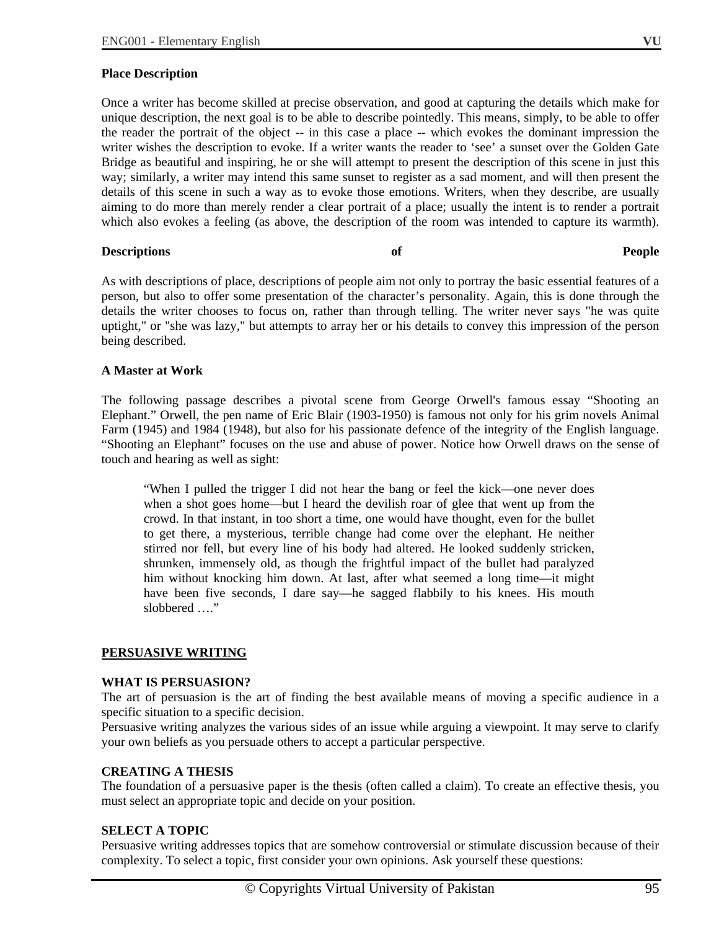## **Place Description**

Once a writer has become skilled at precise observation, and good at capturing the details which make for unique description, the next goal is to be able to describe pointedly. This means, simply, to be able to offer the reader the portrait of the object -- in this case a place -- which evokes the dominant impression the writer wishes the description to evoke. If a writer wants the reader to 'see' a sunset over the Golden Gate Bridge as beautiful and inspiring, he or she will attempt to present the description of this scene in just this way; similarly, a writer may intend this same sunset to register as a sad moment, and will then present the details of this scene in such a way as to evoke those emotions. Writers, when they describe, are usually aiming to do more than merely render a clear portrait of a place; usually the intent is to render a portrait which also evokes a feeling (as above, the description of the room was intended to capture its warmth).

#### **Descriptions** of People **People**

As with descriptions of place, descriptions of people aim not only to portray the basic essential features of a person, but also to offer some presentation of the character's personality. Again, this is done through the details the writer chooses to focus on, rather than through telling. The writer never says "he was quite uptight," or "she was lazy," but attempts to array her or his details to convey this impression of the person being described.

## **A Master at Work**

The following passage describes a pivotal scene from George Orwell's famous essay "Shooting an Elephant." Orwell, the pen name of Eric Blair (1903-1950) is famous not only for his grim novels Animal Farm (1945) and 1984 (1948), but also for his passionate defence of the integrity of the English language. "Shooting an Elephant" focuses on the use and abuse of power. Notice how Orwell draws on the sense of touch and hearing as well as sight:

"When I pulled the trigger I did not hear the bang or feel the kick—one never does when a shot goes home—but I heard the devilish roar of glee that went up from the crowd. In that instant, in too short a time, one would have thought, even for the bullet to get there, a mysterious, terrible change had come over the elephant. He neither stirred nor fell, but every line of his body had altered. He looked suddenly stricken, shrunken, immensely old, as though the frightful impact of the bullet had paralyzed him without knocking him down. At last, after what seemed a long time—it might have been five seconds, I dare say—he sagged flabbily to his knees. His mouth slobbered …."

# **PERSUASIVE WRITING**

#### **WHAT IS PERSUASION?**

The art of persuasion is the art of finding the best available means of moving a specific audience in a specific situation to a specific decision.

Persuasive writing analyzes the various sides of an issue while arguing a viewpoint. It may serve to clarify your own beliefs as you persuade others to accept a particular perspective.

# **CREATING A THESIS**

The foundation of a persuasive paper is the thesis (often called a claim). To create an effective thesis, you must select an appropriate topic and decide on your position.

# **SELECT A TOPIC**

Persuasive writing addresses topics that are somehow controversial or stimulate discussion because of their complexity. To select a topic, first consider your own opinions. Ask yourself these questions: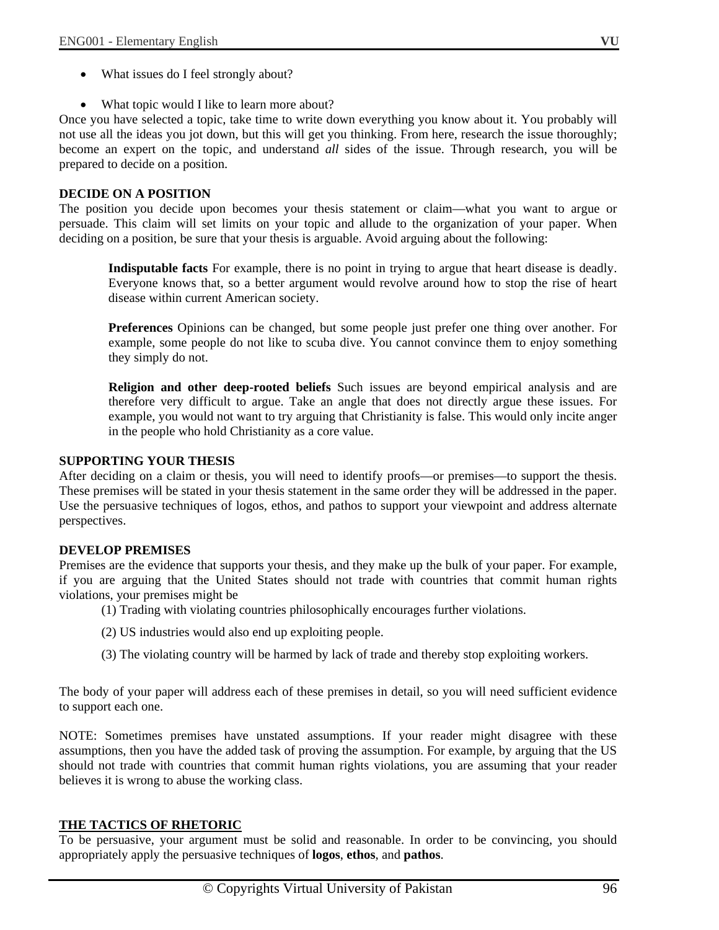- What issues do I feel strongly about?
- What topic would I like to learn more about?

Once you have selected a topic, take time to write down everything you know about it. You probably will not use all the ideas you jot down, but this will get you thinking. From here, research the issue thoroughly; become an expert on the topic, and understand *all* sides of the issue. Through research, you will be prepared to decide on a position.

# **DECIDE ON A POSITION**

The position you decide upon becomes your thesis statement or claim—what you want to argue or persuade. This claim will set limits on your topic and allude to the organization of your paper. When deciding on a position, be sure that your thesis is arguable. Avoid arguing about the following:

**Indisputable facts** For example, there is no point in trying to argue that heart disease is deadly. Everyone knows that, so a better argument would revolve around how to stop the rise of heart disease within current American society.

**Preferences** Opinions can be changed, but some people just prefer one thing over another. For example, some people do not like to scuba dive. You cannot convince them to enjoy something they simply do not.

**Religion and other deep-rooted beliefs** Such issues are beyond empirical analysis and are therefore very difficult to argue. Take an angle that does not directly argue these issues. For example, you would not want to try arguing that Christianity is false. This would only incite anger in the people who hold Christianity as a core value.

### **SUPPORTING YOUR THESIS**

After deciding on a claim or thesis, you will need to identify proofs—or premises—to support the thesis. These premises will be stated in your thesis statement in the same order they will be addressed in the paper. Use the persuasive techniques of logos, ethos, and pathos to support your viewpoint and address alternate perspectives.

# **DEVELOP PREMISES**

Premises are the evidence that supports your thesis, and they make up the bulk of your paper. For example, if you are arguing that the United States should not trade with countries that commit human rights violations, your premises might be

- (1) Trading with violating countries philosophically encourages further violations.
- (2) US industries would also end up exploiting people.
- (3) The violating country will be harmed by lack of trade and thereby stop exploiting workers.

The body of your paper will address each of these premises in detail, so you will need sufficient evidence to support each one.

NOTE: Sometimes premises have unstated assumptions. If your reader might disagree with these assumptions, then you have the added task of proving the assumption. For example, by arguing that the US should not trade with countries that commit human rights violations, you are assuming that your reader believes it is wrong to abuse the working class.

#### **THE TACTICS OF RHETORIC**

To be persuasive, your argument must be solid and reasonable. In order to be convincing, you should appropriately apply the persuasive techniques of **logos**, **ethos**, and **pathos**.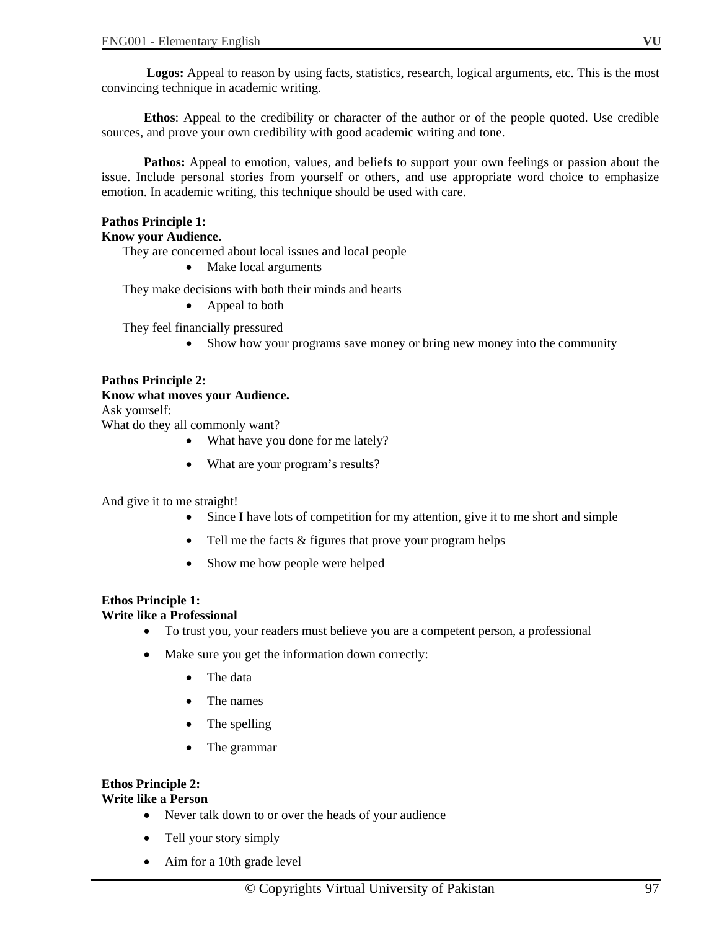**Logos:** Appeal to reason by using facts, statistics, research, logical arguments, etc. This is the most convincing technique in academic writing.

 **Ethos**: Appeal to the credibility or character of the author or of the people quoted. Use credible sources, and prove your own credibility with good academic writing and tone.

**Pathos:** Appeal to emotion, values, and beliefs to support your own feelings or passion about the issue. Include personal stories from yourself or others, and use appropriate word choice to emphasize emotion. In academic writing, this technique should be used with care.

# **Pathos Principle 1:**

#### **Know your Audience.**

They are concerned about local issues and local people

• Make local arguments

They make decisions with both their minds and hearts

• Appeal to both

They feel financially pressured

• Show how your programs save money or bring new money into the community

# **Pathos Principle 2:**

#### **Know what moves your Audience.**

Ask yourself:

What do they all commonly want?

- What have you done for me lately?
- What are your program's results?

And give it to me straight!

- Since I have lots of competition for my attention, give it to me short and simple
- Tell me the facts & figures that prove your program helps
- Show me how people were helped

# **Ethos Principle 1:**

**Write like a Professional**

- To trust you, your readers must believe you are a competent person, a professional
- Make sure you get the information down correctly:
	- The data
	- The names
	- The spelling
	- The grammar

#### **Ethos Principle 2:**

#### **Write like a Person**

- Never talk down to or over the heads of your audience
- Tell your story simply
- Aim for a 10th grade level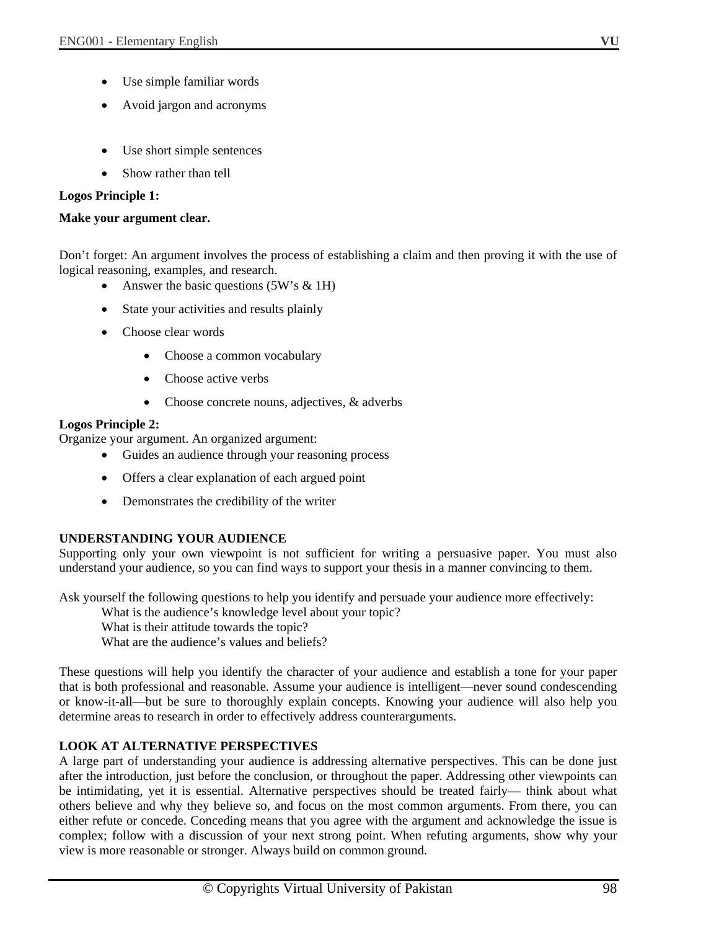- Use simple familiar words
- Avoid jargon and acronyms
- Use short simple sentences
- Show rather than tell

# **Logos Principle 1:**

# **Make your argument clear.**

Don't forget: An argument involves the process of establishing a claim and then proving it with the use of logical reasoning, examples, and research.

- Answer the basic questions (5W's & 1H)
- State your activities and results plainly
- Choose clear words
	- Choose a common vocabulary
	- Choose active verbs
	- Choose concrete nouns, adjectives, & adverbs

# **Logos Principle 2:**

Organize your argument. An organized argument:

- Guides an audience through your reasoning process
- Offers a clear explanation of each argued point
- Demonstrates the credibility of the writer

# **UNDERSTANDING YOUR AUDIENCE**

Supporting only your own viewpoint is not sufficient for writing a persuasive paper. You must also understand your audience, so you can find ways to support your thesis in a manner convincing to them.

Ask yourself the following questions to help you identify and persuade your audience more effectively:

What is the audience's knowledge level about your topic?

What is their attitude towards the topic?

What are the audience's values and beliefs?

These questions will help you identify the character of your audience and establish a tone for your paper that is both professional and reasonable. Assume your audience is intelligent—never sound condescending or know-it-all—but be sure to thoroughly explain concepts. Knowing your audience will also help you determine areas to research in order to effectively address counterarguments.

# **LOOK AT ALTERNATIVE PERSPECTIVES**

A large part of understanding your audience is addressing alternative perspectives. This can be done just after the introduction, just before the conclusion, or throughout the paper. Addressing other viewpoints can be intimidating, yet it is essential. Alternative perspectives should be treated fairly— think about what others believe and why they believe so, and focus on the most common arguments. From there, you can either refute or concede. Conceding means that you agree with the argument and acknowledge the issue is complex; follow with a discussion of your next strong point. When refuting arguments, show why your view is more reasonable or stronger. Always build on common ground.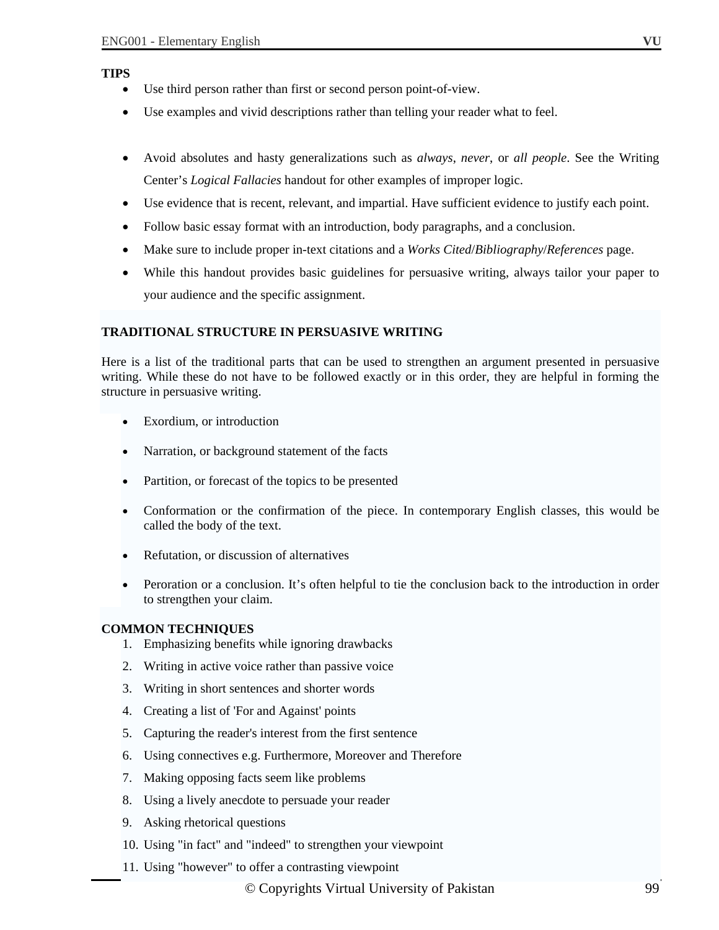#### **TIPS**

- Use third person rather than first or second person point-of-view.
- Use examples and vivid descriptions rather than telling your reader what to feel.
- Avoid absolutes and hasty generalizations such as *always*, *never*, or *all people*. See the Writing Center's *Logical Fallacies* handout for other examples of improper logic.
- Use evidence that is recent, relevant, and impartial. Have sufficient evidence to justify each point.
- Follow basic essay format with an introduction, body paragraphs, and a conclusion.
- Make sure to include proper in-text citations and a *Works Cited*/*Bibliography*/*References* page.
- While this handout provides basic guidelines for persuasive writing, always tailor your paper to your audience and the specific assignment.

#### **TRADITIONAL STRUCTURE IN PERSUASIVE WRITING**

Here is a list of the traditional parts that can be used to strengthen an argument presented in persuasive writing. While these do not have to be followed exactly or in this order, they are helpful in forming the structure in persuasive writing.

- Exordium, or introduction
- Narration, or background statement of the facts
- Partition, or forecast of the topics to be presented
- Conformation or the confirmation of the piece. In contemporary English classes, this would be called the body of the text.
- Refutation, or discussion of alternatives
- Peroration or a conclusion. It's often helpful to tie the conclusion back to the introduction in order to strengthen your claim.

#### **COMMON TECHNIQUES**

- 1. Emphasizing benefits while ignoring drawbacks
- 2. Writing in active voice rather than passive voice
- 3. Writing in short sentences and shorter words
- 4. Creating a list of 'For and Against' points
- 5. Capturing the reader's interest from the first sentence
- 6. Using connectives e.g. Furthermore, Moreover and Therefore
- 7. Making opposing facts seem like problems
- 8. Using a lively anecdote to persuade your reader
- 9. Asking rhetorical questions
- 10. Using "in fact" and "indeed" to strengthen your viewpoint
- 11. Using "however" to offer a contrasting viewpoint

© Copyrights Virtual University of Pakistan 99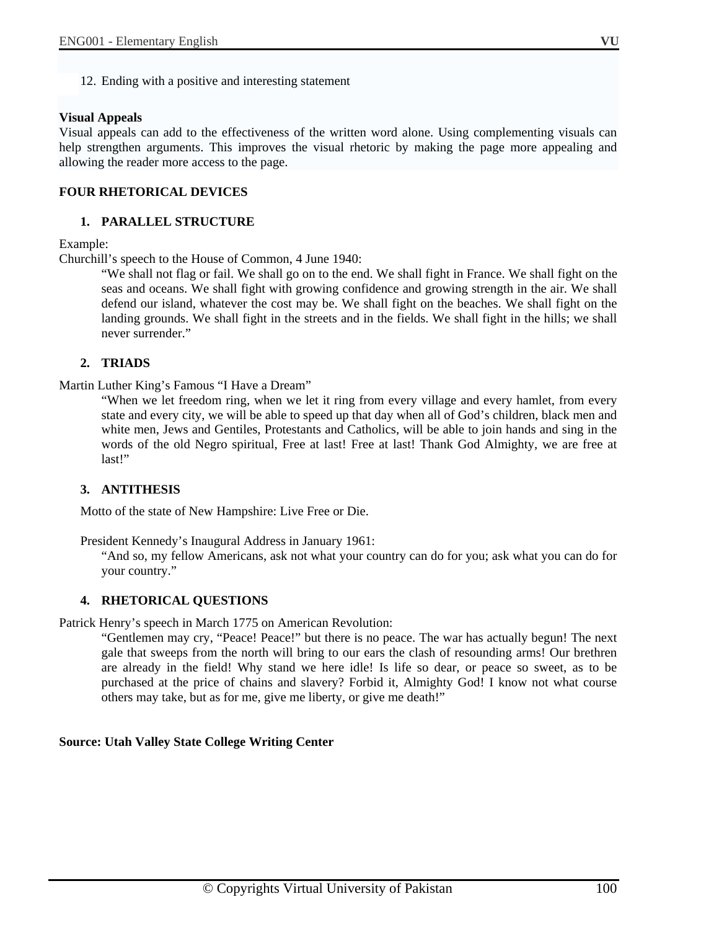12. Ending with a positive and interesting statement

#### **Visual Appeals**

Visual appeals can add to the effectiveness of the written word alone. Using complementing visuals can help strengthen arguments. This improves the visual rhetoric by making the page more appealing and allowing the reader more access to the page.

#### **FOUR RHETORICAL DEVICES**

### **1. PARALLEL STRUCTURE**

Example:

Churchill's speech to the House of Common, 4 June 1940:

"We shall not flag or fail. We shall go on to the end. We shall fight in France. We shall fight on the seas and oceans. We shall fight with growing confidence and growing strength in the air. We shall defend our island, whatever the cost may be. We shall fight on the beaches. We shall fight on the landing grounds. We shall fight in the streets and in the fields. We shall fight in the hills; we shall never surrender."

#### **2. TRIADS**

Martin Luther King's Famous "I Have a Dream"

"When we let freedom ring, when we let it ring from every village and every hamlet, from every state and every city, we will be able to speed up that day when all of God's children, black men and white men, Jews and Gentiles, Protestants and Catholics, will be able to join hands and sing in the words of the old Negro spiritual, Free at last! Free at last! Thank God Almighty, we are free at last!"

#### **3. ANTITHESIS**

Motto of the state of New Hampshire: Live Free or Die.

President Kennedy's Inaugural Address in January 1961:

"And so, my fellow Americans, ask not what your country can do for you; ask what you can do for your country."

#### **4. RHETORICAL QUESTIONS**

Patrick Henry's speech in March 1775 on American Revolution:

"Gentlemen may cry, "Peace! Peace!" but there is no peace. The war has actually begun! The next gale that sweeps from the north will bring to our ears the clash of resounding arms! Our brethren are already in the field! Why stand we here idle! Is life so dear, or peace so sweet, as to be purchased at the price of chains and slavery? Forbid it, Almighty God! I know not what course others may take, but as for me, give me liberty, or give me death!"

#### **Source: Utah Valley State College Writing Center**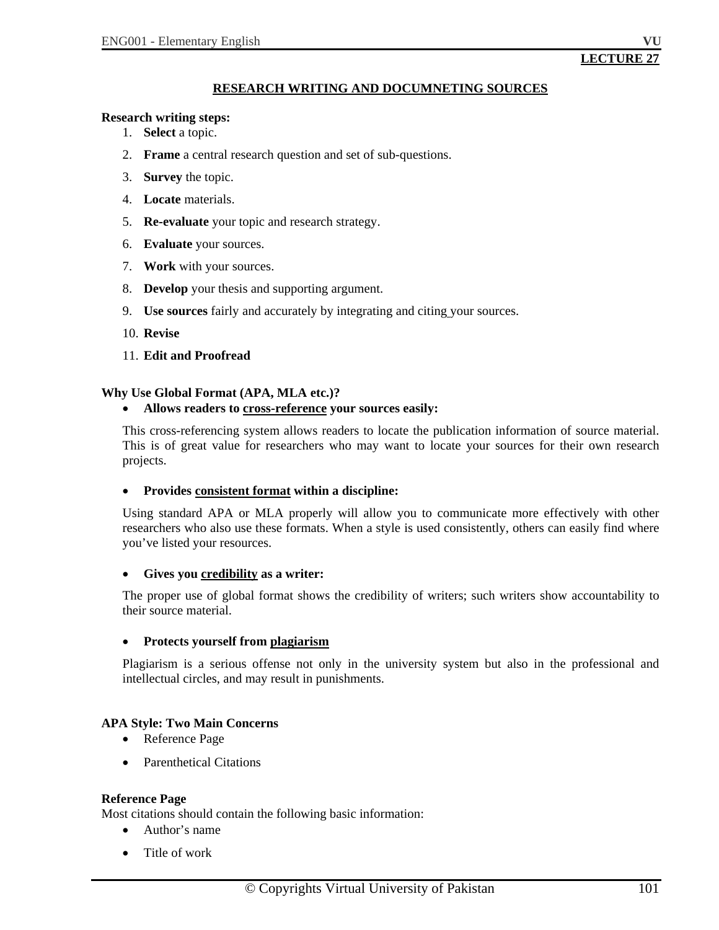#### **RESEARCH WRITING AND DOCUMNETING SOURCES**

#### **Research writing steps:**

- 1. **Select** a topic.
- 2. **Frame** a central research question and set of sub-questions.
- 3. **Survey** the topic.
- 4. **Locate** materials.
- 5. **Re-evaluate** your topic and research strategy.
- 6. **Evaluate** your sources.
- 7. **Work** with your sources.
- 8. **Develop** your thesis and supporting argument.
- 9. **Use sources** fairly and accurately by integrating and citing your sources.
- 10. **Revise**
- 11. **Edit and Proofread**

#### **Why Use Global Format (APA, MLA etc.)?**

#### • **Allows readers to cross-reference your sources easily:**

This cross-referencing system allows readers to locate the publication information of source material. This is of great value for researchers who may want to locate your sources for their own research projects.

#### • **Provides consistent format within a discipline:**

Using standard APA or MLA properly will allow you to communicate more effectively with other researchers who also use these formats. When a style is used consistently, others can easily find where you've listed your resources.

#### • **Gives you credibility as a writer:**

The proper use of global format shows the credibility of writers; such writers show accountability to their source material.

#### • **Protects yourself from plagiarism**

Plagiarism is a serious offense not only in the university system but also in the professional and intellectual circles, and may result in punishments.

# **APA Style: Two Main Concerns**

- Reference Page
- Parenthetical Citations

#### **Reference Page**

Most citations should contain the following basic information:

- Author's name
- Title of work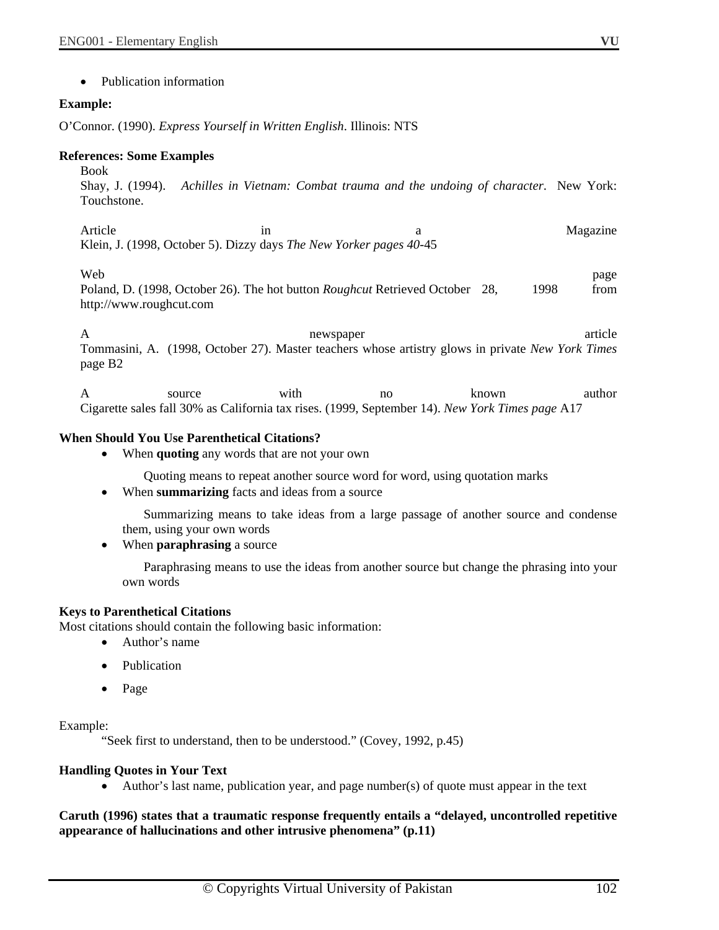# **Example:**

O'Connor. (1990). *Express Yourself in Written English*. Illinois: NTS

# **References: Some Examples**

Book

Shay, J. (1994). *Achilles in Vietnam: Combat trauma and the undoing of character*. New York: Touchstone.

| Article |                                                                    | Magazine |
|---------|--------------------------------------------------------------------|----------|
|         | Klein, J. (1998, October 5). Dizzy days The New Yorker pages 40-45 |          |

Web page Poland, D. (1998, October 26). The hot button *Roughcut* Retrieved October 28, 1998 from http://www.roughcut.com

A newspaper article article Tommasini, A. (1998, October 27). Master teachers whose artistry glows in private *New York Times* page B2

A source with no known author Cigarette sales fall 30% as California tax rises. (1999, September 14). *New York Times page* A17

#### **When Should You Use Parenthetical Citations?**

• When **quoting** any words that are not your own

Quoting means to repeat another source word for word, using quotation marks

• When **summarizing** facts and ideas from a source

Summarizing means to take ideas from a large passage of another source and condense them, using your own words

• When **paraphrasing** a source

Paraphrasing means to use the ideas from another source but change the phrasing into your own words

# **Keys to Parenthetical Citations**

Most citations should contain the following basic information:

- Author's name
- **Publication**
- Page

Example:

"Seek first to understand, then to be understood." (Covey, 1992, p.45)

# **Handling Quotes in Your Text**

• Author's last name, publication year, and page number(s) of quote must appear in the text

## **Caruth (1996) states that a traumatic response frequently entails a "delayed, uncontrolled repetitive appearance of hallucinations and other intrusive phenomena" (p.11)**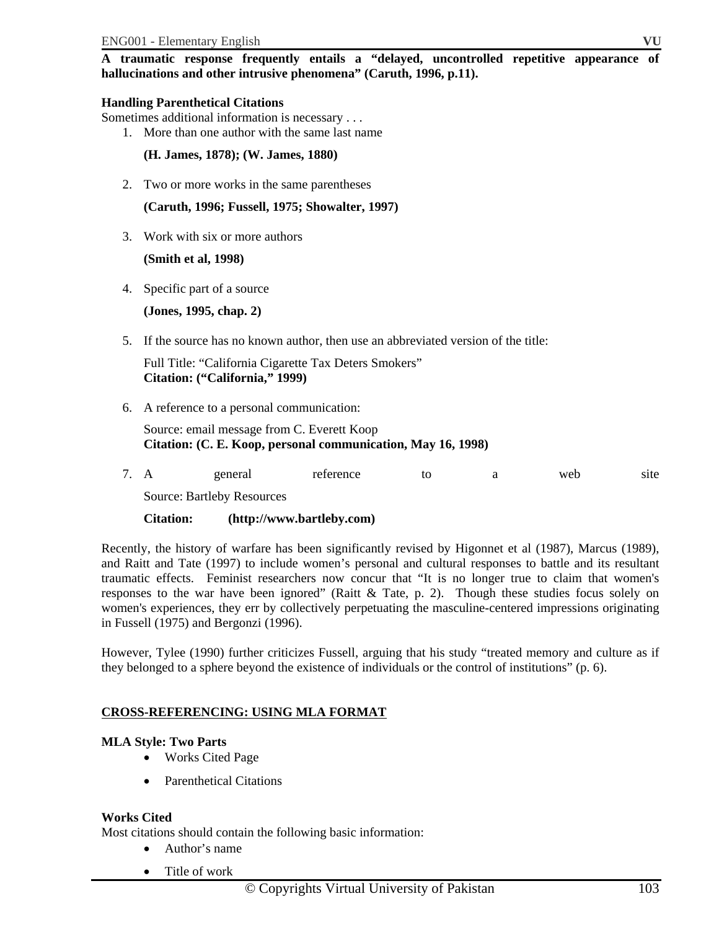# **Handling Parenthetical Citations**

Sometimes additional information is necessary . . .

1. More than one author with the same last name

 **(H. James, 1878); (W. James, 1880)** 

2. Two or more works in the same parentheses

 **(Caruth, 1996; Fussell, 1975; Showalter, 1997)** 

3. Work with six or more authors

 **(Smith et al, 1998)** 

4. Specific part of a source

 **(Jones, 1995, chap. 2)** 

5. If the source has no known author, then use an abbreviated version of the title:

 Full Title: "California Cigarette Tax Deters Smokers"  **Citation: ("California," 1999)** 

6. A reference to a personal communication:

 Source: email message from C. Everett Koop  **Citation: (C. E. Koop, personal communication, May 16, 1998)** 

7. A general reference to a web site

Source: Bartleby Resources

#### **Citation: (http://www.bartleby.com)**

Recently, the history of warfare has been significantly revised by Higonnet et al (1987), Marcus (1989), and Raitt and Tate (1997) to include women's personal and cultural responses to battle and its resultant traumatic effects. Feminist researchers now concur that "It is no longer true to claim that women's responses to the war have been ignored" (Raitt  $\&$  Tate, p. 2). Though these studies focus solely on women's experiences, they err by collectively perpetuating the masculine-centered impressions originating in Fussell (1975) and Bergonzi (1996).

However, Tylee (1990) further criticizes Fussell, arguing that his study "treated memory and culture as if they belonged to a sphere beyond the existence of individuals or the control of institutions" (p. 6).

#### **CROSS-REFERENCING: USING MLA FORMAT**

#### **MLA Style: Two Parts**

- Works Cited Page
- Parenthetical Citations

#### **Works Cited**

Most citations should contain the following basic information:

- Author's name
- Title of work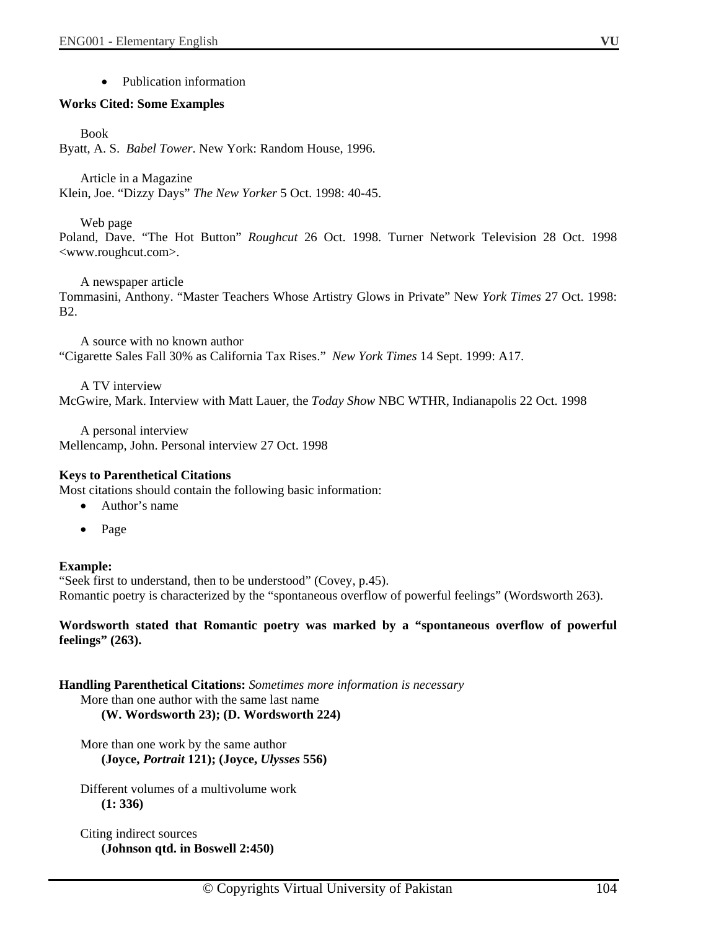• Publication information

# **Works Cited: Some Examples**

Book

Byatt, A. S. *Babel Tower*. New York: Random House, 1996.

Article in a Magazine Klein, Joe. "Dizzy Days" *The New Yorker* 5 Oct. 1998: 40-45.

Web page

Poland, Dave. "The Hot Button" *Roughcut* 26 Oct. 1998. Turner Network Television 28 Oct. 1998 <www.roughcut.com>.

A newspaper article

Tommasini, Anthony. "Master Teachers Whose Artistry Glows in Private" New *York Times* 27 Oct. 1998: B2.

A source with no known author "Cigarette Sales Fall 30% as California Tax Rises." *New York Times* 14 Sept. 1999: A17.

A TV interview McGwire, Mark. Interview with Matt Lauer, the *Today Show* NBC WTHR, Indianapolis 22 Oct. 1998

A personal interview Mellencamp, John. Personal interview 27 Oct. 1998

# **Keys to Parenthetical Citations**

Most citations should contain the following basic information:

- Author's name
- Page

#### **Example:**

"Seek first to understand, then to be understood" (Covey, p.45). Romantic poetry is characterized by the "spontaneous overflow of powerful feelings" (Wordsworth 263).

**Wordsworth stated that Romantic poetry was marked by a "spontaneous overflow of powerful feelings" (263).**

**Handling Parenthetical Citations:** *Sometimes more information is necessary*

More than one author with the same last name  **(W. Wordsworth 23); (D. Wordsworth 224)** 

More than one work by the same author  **(Joyce,** *Portrait* **121); (Joyce,** *Ulysses* **556)** 

Different volumes of a multivolume work  **(1: 336)** 

Citing indirect sources  **(Johnson qtd. in Boswell 2:450)**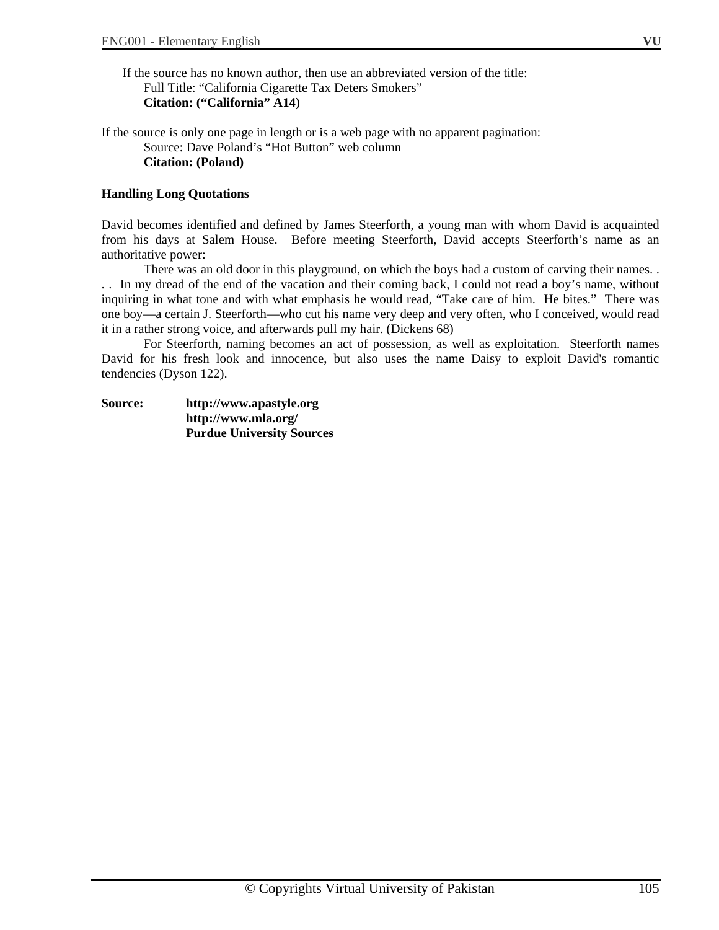If the source has no known author, then use an abbreviated version of the title: Full Title: "California Cigarette Tax Deters Smokers"  **Citation: ("California" A14)** 

If the source is only one page in length or is a web page with no apparent pagination: Source: Dave Poland's "Hot Button" web column  **Citation: (Poland)** 

# **Handling Long Quotations**

David becomes identified and defined by James Steerforth, a young man with whom David is acquainted from his days at Salem House. Before meeting Steerforth, David accepts Steerforth's name as an authoritative power:

 There was an old door in this playground, on which the boys had a custom of carving their names. . . . In my dread of the end of the vacation and their coming back, I could not read a boy's name, without inquiring in what tone and with what emphasis he would read, "Take care of him. He bites." There was one boy—a certain J. Steerforth—who cut his name very deep and very often, who I conceived, would read it in a rather strong voice, and afterwards pull my hair. (Dickens 68)

 For Steerforth, naming becomes an act of possession, as well as exploitation. Steerforth names David for his fresh look and innocence, but also uses the name Daisy to exploit David's romantic tendencies (Dyson 122).

**Source: http://www.apastyle.org http://www.mla.org/ Purdue University Sources**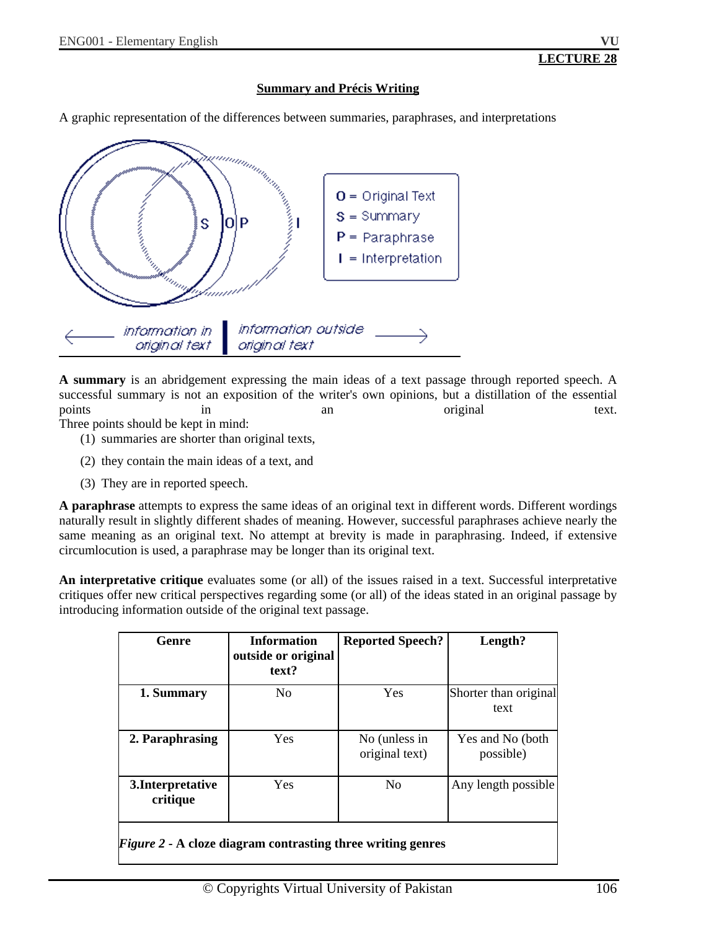#### **Summary and Précis Writing**



**A summary** is an abridgement expressing the main ideas of a text passage through reported speech. A successful summary is not an exposition of the writer's own opinions, but a distillation of the essential points in an an original text. Three points should be kept in mind:

(1) summaries are shorter than original texts,

- (2) they contain the main ideas of a text, and
- (3) They are in reported speech.

**A paraphrase** attempts to express the same ideas of an original text in different words. Different wordings naturally result in slightly different shades of meaning. However, successful paraphrases achieve nearly the same meaning as an original text. No attempt at brevity is made in paraphrasing. Indeed, if extensive circumlocution is used, a paraphrase may be longer than its original text.

**An interpretative critique** evaluates some (or all) of the issues raised in a text. Successful interpretative critiques offer new critical perspectives regarding some (or all) of the ideas stated in an original passage by introducing information outside of the original text passage.

| Genre                        | <b>Information</b><br>outside or original<br>text? | <b>Reported Speech?</b>         | Length?                       |
|------------------------------|----------------------------------------------------|---------------------------------|-------------------------------|
| 1. Summary                   | No                                                 | Yes                             | Shorter than original<br>text |
| 2. Paraphrasing              | Yes                                                | No (unless in<br>original text) | Yes and No (both<br>possible) |
| 3.Interpretative<br>critique | Yes                                                | No                              | Any length possible           |

*Figure 2* **- A cloze diagram contrasting three writing genres**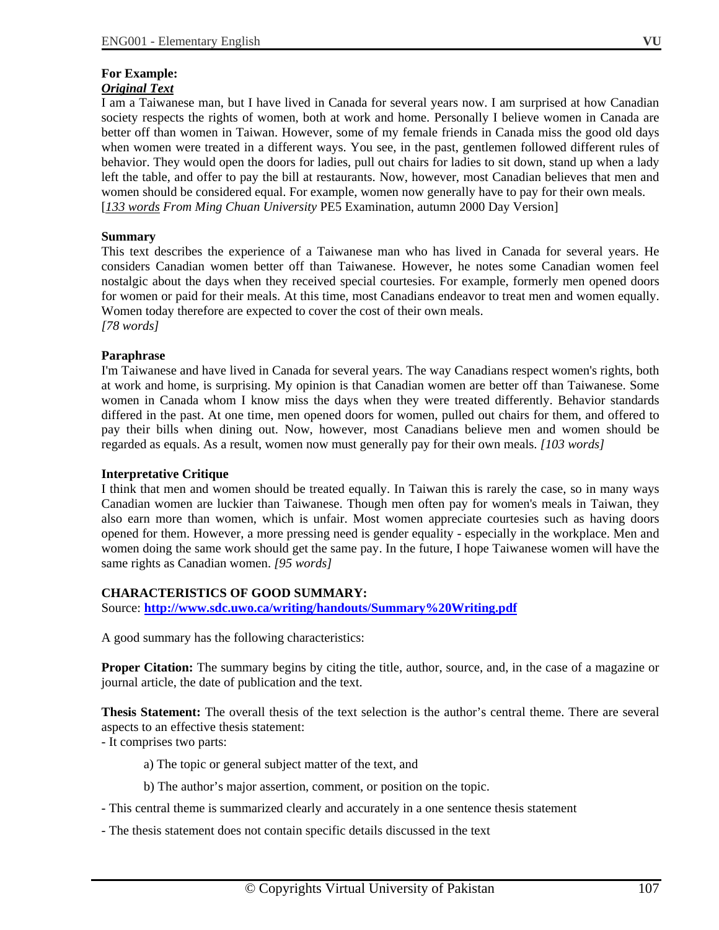# **For Example:**

# *Original Text*

I am a Taiwanese man, but I have lived in Canada for several years now. I am surprised at how Canadian society respects the rights of women, both at work and home. Personally I believe women in Canada are better off than women in Taiwan. However, some of my female friends in Canada miss the good old days when women were treated in a different ways. You see, in the past, gentlemen followed different rules of behavior. They would open the doors for ladies, pull out chairs for ladies to sit down, stand up when a lady left the table, and offer to pay the bill at restaurants. Now, however, most Canadian believes that men and women should be considered equal. For example, women now generally have to pay for their own meals. [*133 words From Ming Chuan University* PE5 Examination, autumn 2000 Day Version]

# **Summary**

This text describes the experience of a Taiwanese man who has lived in Canada for several years. He considers Canadian women better off than Taiwanese. However, he notes some Canadian women feel nostalgic about the days when they received special courtesies. For example, formerly men opened doors for women or paid for their meals. At this time, most Canadians endeavor to treat men and women equally. Women today therefore are expected to cover the cost of their own meals. *[78 words]*

# **Paraphrase**

I'm Taiwanese and have lived in Canada for several years. The way Canadians respect women's rights, both at work and home, is surprising. My opinion is that Canadian women are better off than Taiwanese. Some women in Canada whom I know miss the days when they were treated differently. Behavior standards differed in the past. At one time, men opened doors for women, pulled out chairs for them, and offered to pay their bills when dining out. Now, however, most Canadians believe men and women should be regarded as equals. As a result, women now must generally pay for their own meals. *[103 words]* 

# **Interpretative Critique**

I think that men and women should be treated equally. In Taiwan this is rarely the case, so in many ways Canadian women are luckier than Taiwanese. Though men often pay for women's meals in Taiwan, they also earn more than women, which is unfair. Most women appreciate courtesies such as having doors opened for them. However, a more pressing need is gender equality - especially in the workplace. Men and women doing the same work should get the same pay. In the future, I hope Taiwanese women will have the same rights as Canadian women. *[95 words]* 

# **CHARACTERISTICS OF GOOD SUMMARY:**

Source: **http://www.sdc.uwo.ca/writing/handouts/Summary%20Writing.pdf**

A good summary has the following characteristics:

**Proper Citation:** The summary begins by citing the title, author, source, and, in the case of a magazine or journal article, the date of publication and the text.

**Thesis Statement:** The overall thesis of the text selection is the author's central theme. There are several aspects to an effective thesis statement:

- It comprises two parts:
	- a) The topic or general subject matter of the text, and
	- b) The author's major assertion, comment, or position on the topic.
- This central theme is summarized clearly and accurately in a one sentence thesis statement
- The thesis statement does not contain specific details discussed in the text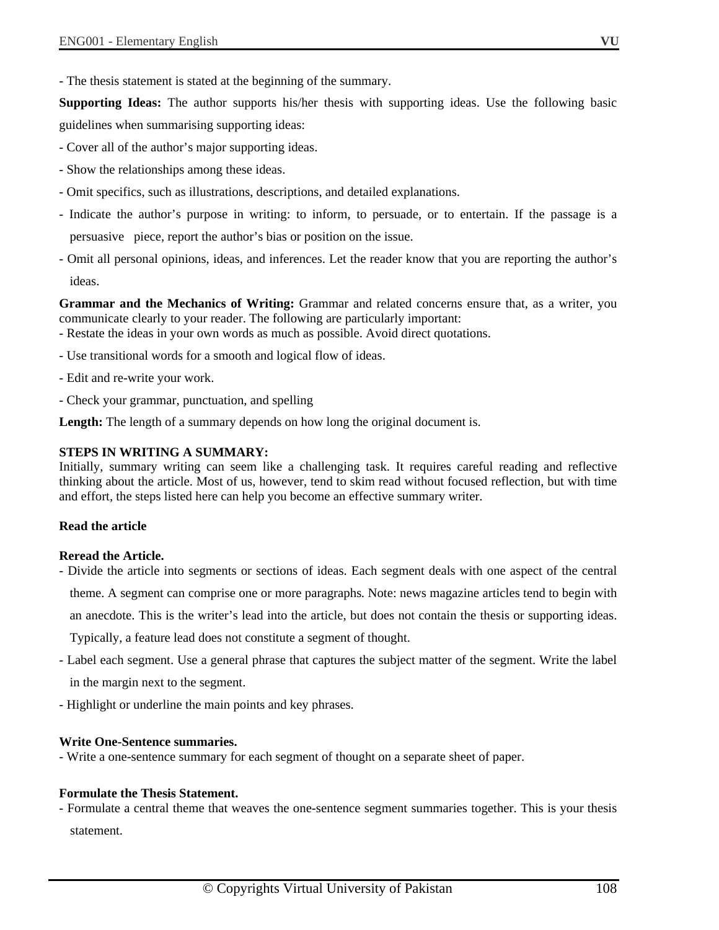**Supporting Ideas:** The author supports his/her thesis with supporting ideas. Use the following basic guidelines when summarising supporting ideas:

- Cover all of the author's major supporting ideas.
- Show the relationships among these ideas.
- Omit specifics, such as illustrations, descriptions, and detailed explanations.
- Indicate the author's purpose in writing: to inform, to persuade, or to entertain. If the passage is a persuasive piece, report the author's bias or position on the issue.
- Omit all personal opinions, ideas, and inferences. Let the reader know that you are reporting the author's ideas.

**Grammar and the Mechanics of Writing:** Grammar and related concerns ensure that, as a writer, you communicate clearly to your reader. The following are particularly important:

- Restate the ideas in your own words as much as possible. Avoid direct quotations.
- Use transitional words for a smooth and logical flow of ideas.
- Edit and re-write your work.
- Check your grammar, punctuation, and spelling

Length: The length of a summary depends on how long the original document is.

## **STEPS IN WRITING A SUMMARY:**

Initially, summary writing can seem like a challenging task. It requires careful reading and reflective thinking about the article. Most of us, however, tend to skim read without focused reflection, but with time and effort, the steps listed here can help you become an effective summary writer.

# **Read the article**

## **Reread the Article.**

- Divide the article into segments or sections of ideas. Each segment deals with one aspect of the central theme. A segment can comprise one or more paragraphs. Note: news magazine articles tend to begin with an anecdote. This is the writer's lead into the article, but does not contain the thesis or supporting ideas.

Typically, a feature lead does not constitute a segment of thought.

- Label each segment. Use a general phrase that captures the subject matter of the segment. Write the label in the margin next to the segment.
- Highlight or underline the main points and key phrases.

#### **Write One-Sentence summaries.**

- Write a one-sentence summary for each segment of thought on a separate sheet of paper.

#### **Formulate the Thesis Statement.**

- Formulate a central theme that weaves the one-sentence segment summaries together. This is your thesis

statement.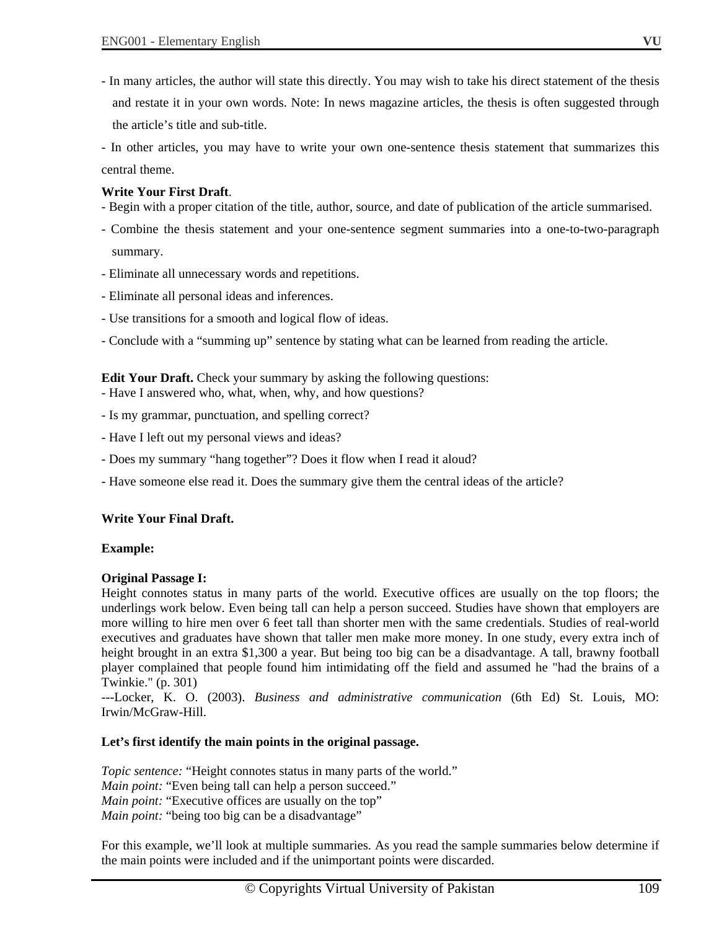- In many articles, the author will state this directly. You may wish to take his direct statement of the thesis and restate it in your own words. Note: In news magazine articles, the thesis is often suggested through the article's title and sub-title.

- In other articles, you may have to write your own one-sentence thesis statement that summarizes this central theme.

### **Write Your First Draft**.

- Begin with a proper citation of the title, author, source, and date of publication of the article summarised.
- Combine the thesis statement and your one-sentence segment summaries into a one-to-two-paragraph summary.
- Eliminate all unnecessary words and repetitions.
- Eliminate all personal ideas and inferences.
- Use transitions for a smooth and logical flow of ideas.
- Conclude with a "summing up" sentence by stating what can be learned from reading the article.

**Edit Your Draft.** Check your summary by asking the following questions:

- Have I answered who, what, when, why, and how questions?
- Is my grammar, punctuation, and spelling correct?
- Have I left out my personal views and ideas?
- Does my summary "hang together"? Does it flow when I read it aloud?
- Have someone else read it. Does the summary give them the central ideas of the article?

#### **Write Your Final Draft.**

#### **Example:**

#### **Original Passage I:**

Height connotes status in many parts of the world. Executive offices are usually on the top floors; the underlings work below. Even being tall can help a person succeed. Studies have shown that employers are more willing to hire men over 6 feet tall than shorter men with the same credentials. Studies of real-world executives and graduates have shown that taller men make more money. In one study, every extra inch of height brought in an extra \$1,300 a year. But being too big can be a disadvantage. A tall, brawny football player complained that people found him intimidating off the field and assumed he "had the brains of a Twinkie." (p. 301)

---Locker, K. O. (2003). *Business and administrative communication* (6th Ed) St. Louis, MO: Irwin/McGraw-Hill.

#### **Let's first identify the main points in the original passage.**

*Topic sentence:* "Height connotes status in many parts of the world." *Main point:* "Even being tall can help a person succeed." *Main point:* "Executive offices are usually on the top" *Main point:* "being too big can be a disadvantage"

For this example, we'll look at multiple summaries. As you read the sample summaries below determine if the main points were included and if the unimportant points were discarded.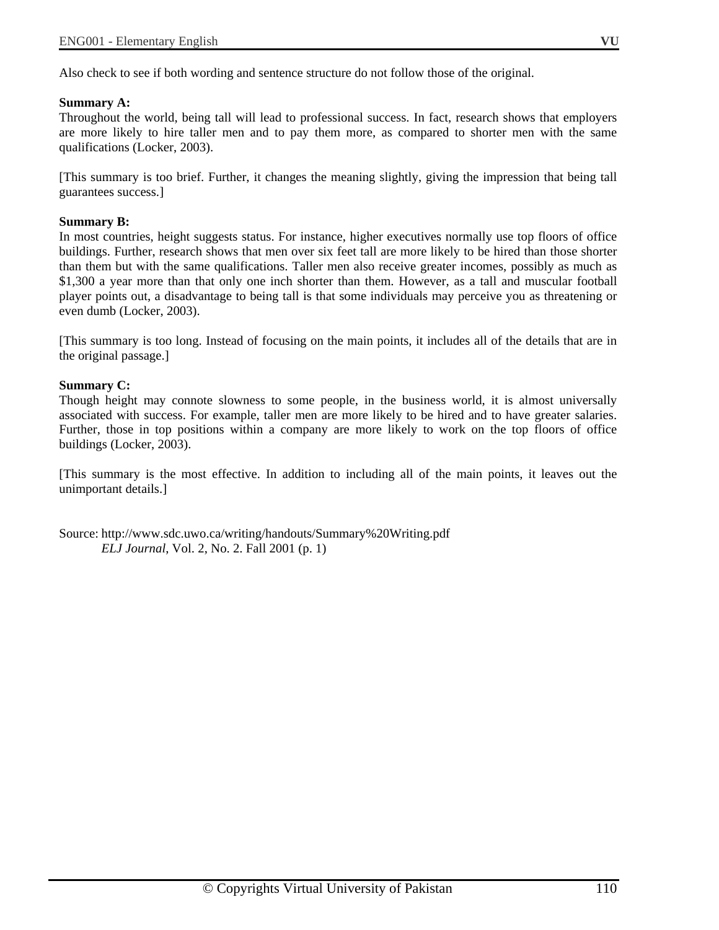## **Summary A:**

Throughout the world, being tall will lead to professional success. In fact, research shows that employers are more likely to hire taller men and to pay them more, as compared to shorter men with the same qualifications (Locker, 2003).

[This summary is too brief. Further, it changes the meaning slightly, giving the impression that being tall guarantees success.]

## **Summary B:**

In most countries, height suggests status. For instance, higher executives normally use top floors of office buildings. Further, research shows that men over six feet tall are more likely to be hired than those shorter than them but with the same qualifications. Taller men also receive greater incomes, possibly as much as \$1,300 a year more than that only one inch shorter than them. However, as a tall and muscular football player points out, a disadvantage to being tall is that some individuals may perceive you as threatening or even dumb (Locker, 2003).

[This summary is too long. Instead of focusing on the main points, it includes all of the details that are in the original passage.]

## **Summary C:**

Though height may connote slowness to some people, in the business world, it is almost universally associated with success. For example, taller men are more likely to be hired and to have greater salaries. Further, those in top positions within a company are more likely to work on the top floors of office buildings (Locker, 2003).

[This summary is the most effective. In addition to including all of the main points, it leaves out the unimportant details.]

Source: http://www.sdc.uwo.ca/writing/handouts/Summary%20Writing.pdf *ELJ Journal*, Vol. 2, No. 2. Fall 2001 (p. 1)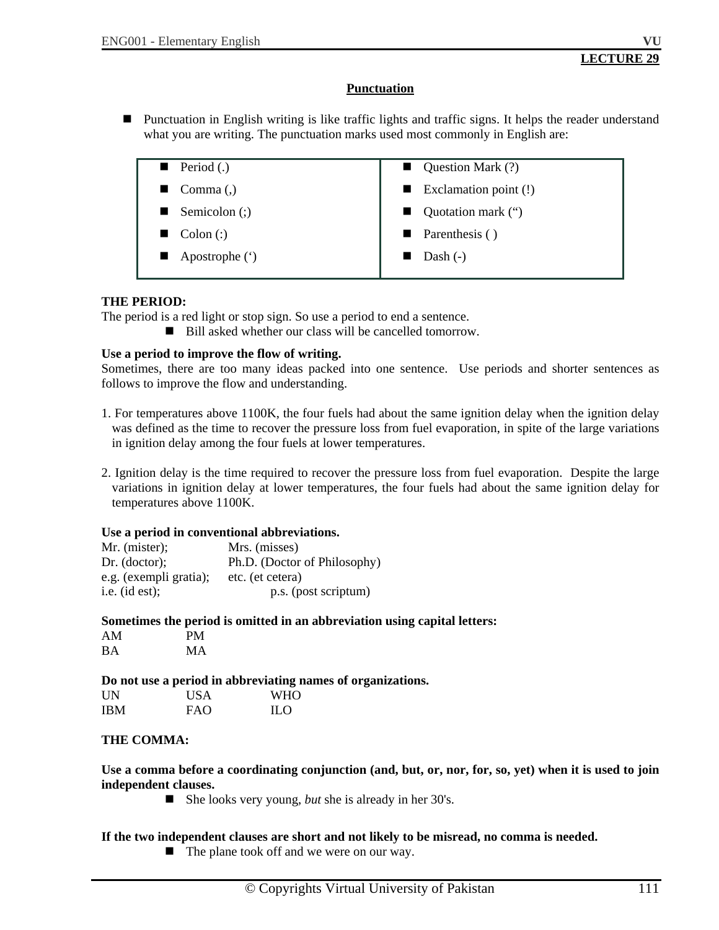# **Punctuation**

 Punctuation in English writing is like traffic lights and traffic signs. It helps the reader understand what you are writing. The punctuation marks used most commonly in English are:

| <b>Period</b> (.)             | <b>Question Mark</b> $(?)$           |
|-------------------------------|--------------------------------------|
| $\blacksquare$ Comma (,)      | $\blacksquare$ Exclamation point (!) |
| Semicolon $($ ; $)$           | $\blacksquare$ Quotation mark (")    |
| Colon $\left( \cdot \right)$  | $\blacksquare$ Parenthesis ()        |
| Apostrophe $($ <sup>'</sup> ) | $\blacksquare$ Dash (-)              |
|                               |                                      |

### **THE PERIOD:**

The period is a red light or stop sign. So use a period to end a sentence.

■ Bill asked whether our class will be cancelled tomorrow.

#### **Use a period to improve the flow of writing.**

Sometimes, there are too many ideas packed into one sentence. Use periods and shorter sentences as follows to improve the flow and understanding.

- 1. For temperatures above 1100K, the four fuels had about the same ignition delay when the ignition delay was defined as the time to recover the pressure loss from fuel evaporation, in spite of the large variations in ignition delay among the four fuels at lower temperatures.
- 2. Ignition delay is the time required to recover the pressure loss from fuel evaporation. Despite the large variations in ignition delay at lower temperatures, the four fuels had about the same ignition delay for temperatures above 1100K.

#### **Use a period in conventional abbreviations.**

| $Mr.$ (mister);        | Mrs. (misses)                |
|------------------------|------------------------------|
| $Dr.$ (doctor);        | Ph.D. (Doctor of Philosophy) |
| e.g. (exempli gratia); | etc. (et cetera)             |
| i.e. $(id est)$ ;      | p.s. (post scriptum)         |

|  | Sometimes the period is omitted in an abbreviation using capital letters: |  |
|--|---------------------------------------------------------------------------|--|
|  |                                                                           |  |

| AM        | <b>PM</b> |
|-----------|-----------|
| <b>BA</b> | МA        |

**Do not use a period in abbreviating names of organizations.** 

| UN         | <b>USA</b> | <b>WHO</b> |
|------------|------------|------------|
| <b>IBM</b> | <b>FAO</b> | H O        |

## **THE COMMA:**

**Use a comma before a coordinating conjunction (and, but, or, nor, for, so, yet) when it is used to join independent clauses.** 

■ She looks very young, *but* she is already in her 30's.

#### **If the two independent clauses are short and not likely to be misread, no comma is needed.**

■ The plane took off and we were on our way.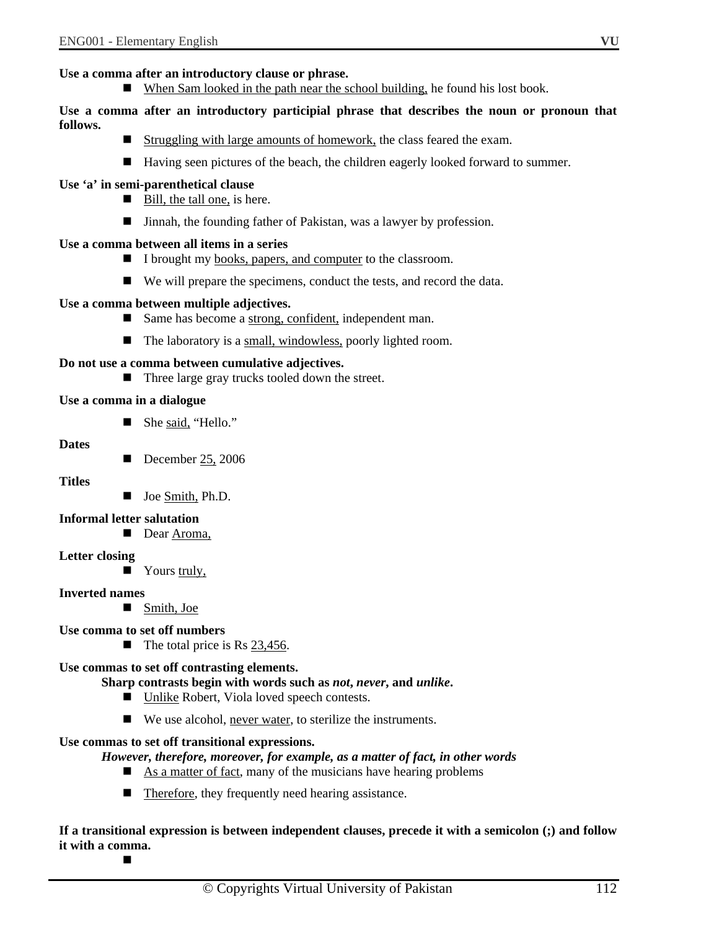### **Use a comma after an introductory clause or phrase.**

When Sam looked in the path near the school building, he found his lost book.

**Use a comma after an introductory participial phrase that describes the noun or pronoun that follows.** 

- Struggling with large amounts of homework, the class feared the exam.
- Having seen pictures of the beach, the children eagerly looked forward to summer.

### **Use 'a' in semi-parenthetical clause**

- Bill, the tall one, is here.
- Jinnah, the founding father of Pakistan, was a lawyer by profession.

#### **Use a comma between all items in a series**

- I brought my books, papers, and computer to the classroom.
- We will prepare the specimens, conduct the tests, and record the data.

### **Use a comma between multiple adjectives.**

- Same has become a strong, confident, independent man.
- The laboratory is a small, windowless, poorly lighted room.

## **Do not use a comma between cumulative adjectives.**

■ Three large gray trucks tooled down the street.

## **Use a comma in a dialogue**

■ She said, "Hello."

## **Dates**

December 25, 2006

## **Titles**

■ Joe Smith, Ph.D.

## **Informal letter salutation**

Dear Aroma,

## **Letter closing**

■ Yours truly,

## **Inverted names**

Smith, Joe

## **Use comma to set off numbers**

 $\blacksquare$ 

 $\blacksquare$  The total price is Rs 23,456.

## **Use commas to set off contrasting elements.**

- **Sharp contrasts begin with words such as** *not***,** *never***, and** *unlike***.** 
	- Unlike Robert, Viola loved speech contests.
	- We use alcohol, never water, to sterilize the instruments.

## **Use commas to set off transitional expressions.**

## *However, therefore, moreover, for example, as a matter of fact, in other words*

- $\blacksquare$  As a matter of fact, many of the musicians have hearing problems
- **Therefore, they frequently need hearing assistance.**

### **If a transitional expression is between independent clauses, precede it with a semicolon (;) and follow it with a comma.**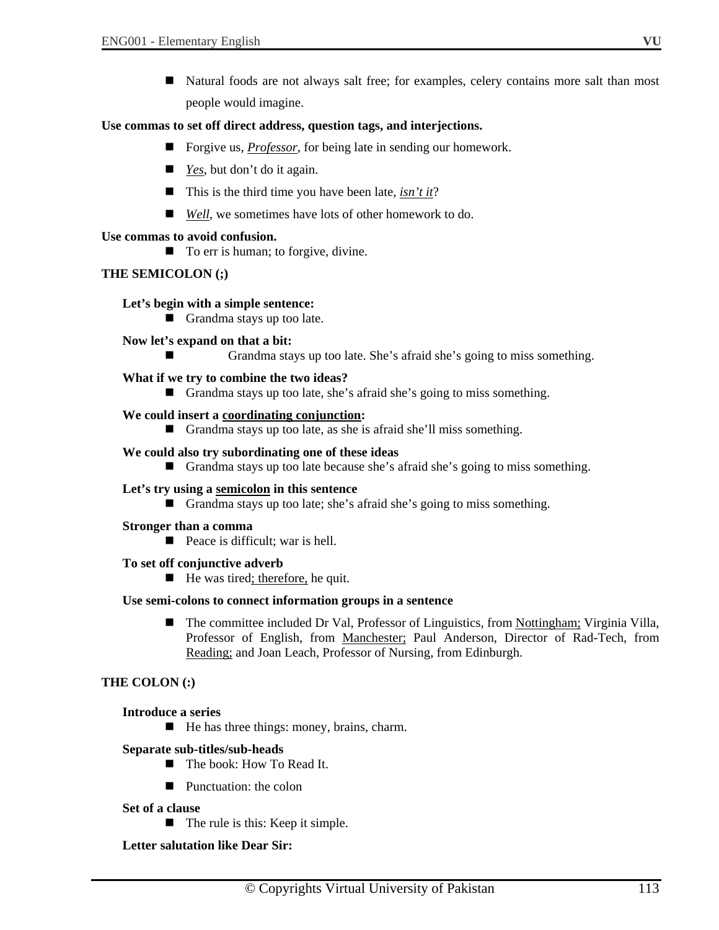Natural foods are not always salt free; for examples, celery contains more salt than most people would imagine.

### **Use commas to set off direct address, question tags, and interjections.**

- Forgive us, *Professor*, for being late in sending our homework.
- *<u>Yes</u>*, but don't do it again.
- This is the third time you have been late, *isn't it*?
- *Well*, we sometimes have lots of other homework to do.

#### **Use commas to avoid confusion.**

■ To err is human; to forgive, divine.

#### **THE SEMICOLON (;)**

#### **Let's begin with a simple sentence:**

Grandma stays up too late.

#### **Now let's expand on that a bit:**

Grandma stays up too late. She's afraid she's going to miss something.

#### **What if we try to combine the two ideas?**

Grandma stays up too late, she's afraid she's going to miss something.

### **We could insert a coordinating conjunction:**

Grandma stays up too late, as she is afraid she'll miss something.

### **We could also try subordinating one of these ideas**

Grandma stays up too late because she's afraid she's going to miss something.

#### **Let's try using a semicolon in this sentence**

Grandma stays up too late; she's afraid she's going to miss something.

#### **Stronger than a comma**

**Peace is difficult: war is hell.** 

#### **To set off conjunctive adverb**

He was tired; therefore, he quit.

#### **Use semi-colons to connect information groups in a sentence**

 The committee included Dr Val, Professor of Linguistics, from Nottingham; Virginia Villa, Professor of English, from Manchester; Paul Anderson, Director of Rad-Tech, from Reading; and Joan Leach, Professor of Nursing, from Edinburgh.

## **THE COLON (:)**

#### **Introduce a series**

■ He has three things: money, brains, charm.

#### **Separate sub-titles/sub-heads**

- The book: How To Read It.
- **Punctuation: the colon**

#### **Set of a clause**

 $\blacksquare$  The rule is this: Keep it simple.

## **Letter salutation like Dear Sir:**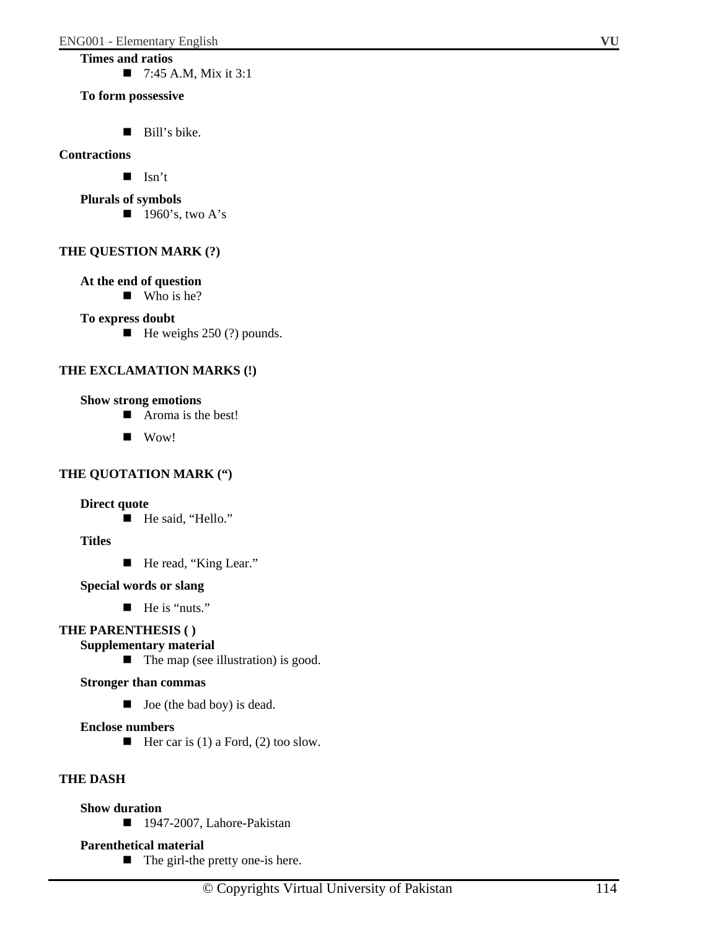**Times and ratios** 

 $\blacksquare$  7:45 A.M, Mix it 3:1

#### **To form possessive**

Bill's bike.

### **Contractions**

 $\blacksquare$  Isn't

**Plurals of symbols** 

 $\blacksquare$  1960's, two A's

### **THE QUESTION MARK (?)**

#### **At the end of question**

■ Who is he?

#### **To express doubt**

 $\blacksquare$  He weighs 250 (?) pounds.

#### **THE EXCLAMATION MARKS (!)**

#### **Show strong emotions**

- Aroma is the best!
- Wow!

#### **THE QUOTATION MARK (")**

#### **Direct quote**

■ He said, "Hello."

### **Titles**

■ He read, "King Lear."

#### **Special words or slang**

He is "nuts."

#### **THE PARENTHESIS ( )**

# **Supplementary material**

 $\blacksquare$  The map (see illustration) is good.

#### **Stronger than commas**

■ Joe (the bad boy) is dead.

#### **Enclose numbers**

Her car is (1) a Ford, (2) too slow.

#### **THE DASH**

#### **Show duration**

■ 1947-2007, Lahore-Pakistan

### **Parenthetical material**

 $\blacksquare$  The girl-the pretty one-is here.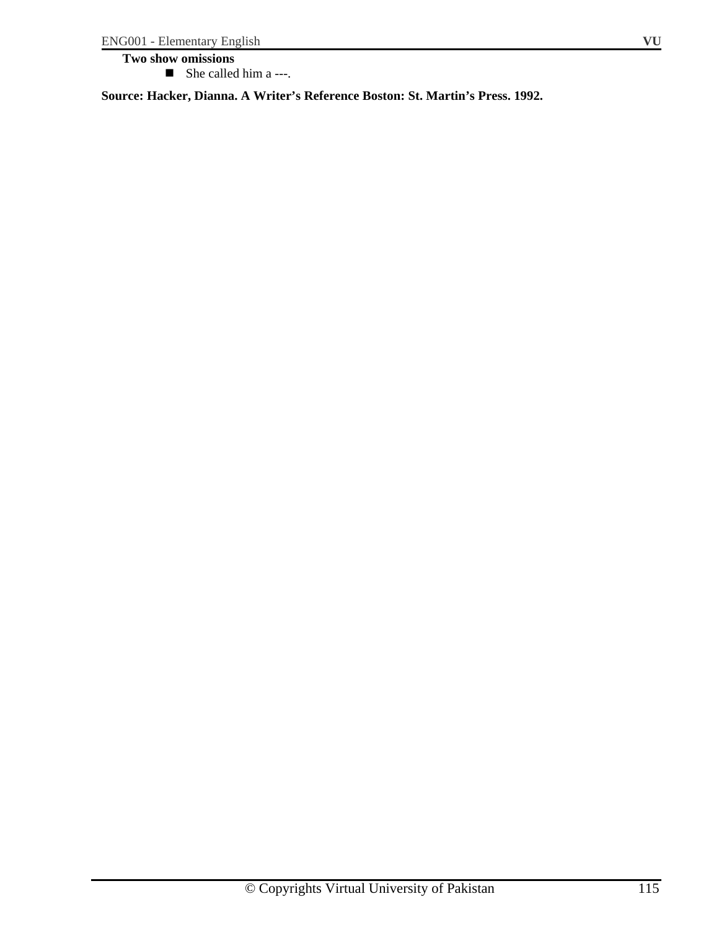**Two show omissions**  ■ She called him a ---.

**Source: Hacker, Dianna. A Writer's Reference Boston: St. Martin's Press. 1992.**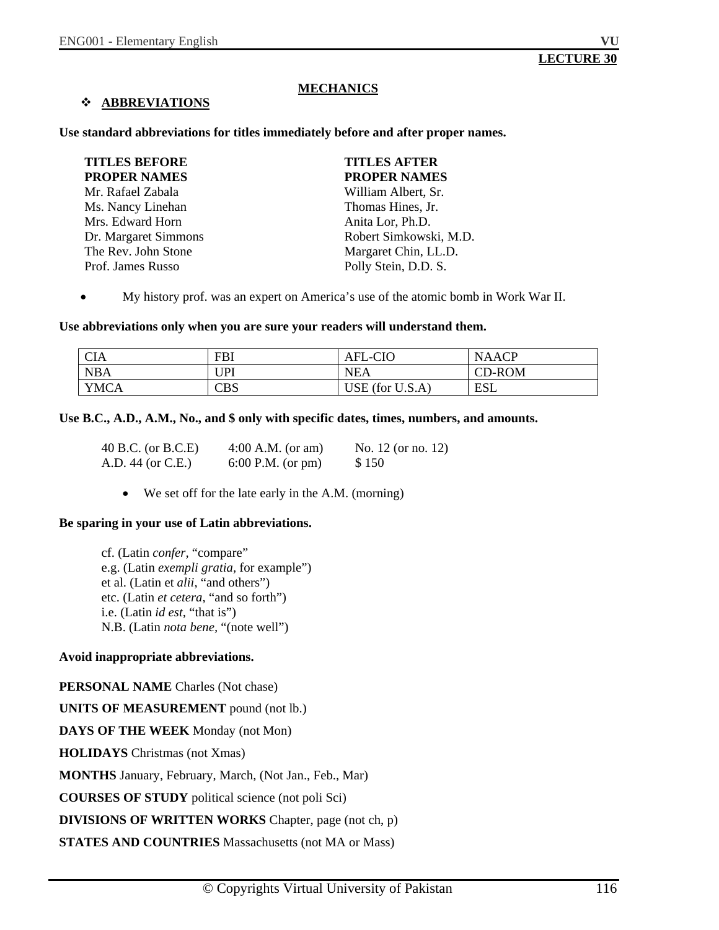## **MECHANICS**

### **ABBREVIATIONS**

**Use standard abbreviations for titles immediately before and after proper names.** 

| <b>TITLES BEFORE</b> | <b>TITLES AFTER</b>    |
|----------------------|------------------------|
| <b>PROPER NAMES</b>  | <b>PROPER NAMES</b>    |
| Mr. Rafael Zabala    | William Albert, Sr.    |
| Ms. Nancy Linehan    | Thomas Hines, Jr.      |
| Mrs. Edward Horn     | Anita Lor, Ph.D.       |
| Dr. Margaret Simmons | Robert Simkowski, M.D. |
| The Rev. John Stone  | Margaret Chin, LL.D.   |
| Prof. James Russo    | Polly Stein, D.D. S.   |

• My history prof. was an expert on America's use of the atomic bomb in Work War II.

#### **Use abbreviations only when you are sure your readers will understand them.**

| <b>CIA</b> | <b>FBI</b> | AFL-CIO         | <b>NAACP</b>  |
|------------|------------|-----------------|---------------|
| <b>NBA</b> | UPI        | <b>NEA</b>      | <b>CD-ROM</b> |
| YMCA       | <b>CBS</b> | USE (for U.S.A) | <b>ESL</b>    |

#### **Use B.C., A.D., A.M., No., and \$ only with specific dates, times, numbers, and amounts.**

| 40 B.C. (or B.C.E) | 4:00 A.M. (or am)   | No. $12$ (or no. $12$ ) |
|--------------------|---------------------|-------------------------|
| A.D. 44 (or C.E.)  | $6:00$ P.M. (or pm) | \$150                   |

• We set off for the late early in the A.M. (morning)

#### **Be sparing in your use of Latin abbreviations.**

cf. (Latin *confer,* "compare" e.g. (Latin *exempli gratia,* for example") et al. (Latin et *alii*, "and others") etc. (Latin *et cetera*, "and so forth") i.e. (Latin *id est,* "that is") N.B. (Latin *nota bene,* "(note well")

#### **Avoid inappropriate abbreviations.**

**PERSONAL NAME** Charles (Not chase)

**UNITS OF MEASUREMENT** pound (not lb.)

**DAYS OF THE WEEK** Monday (not Mon)

**HOLIDAYS** Christmas (not Xmas)

**MONTHS** January, February, March, (Not Jan., Feb., Mar)

**COURSES OF STUDY** political science (not poli Sci)

**DIVISIONS OF WRITTEN WORKS** Chapter, page (not ch, p)

**STATES AND COUNTRIES** Massachusetts (not MA or Mass)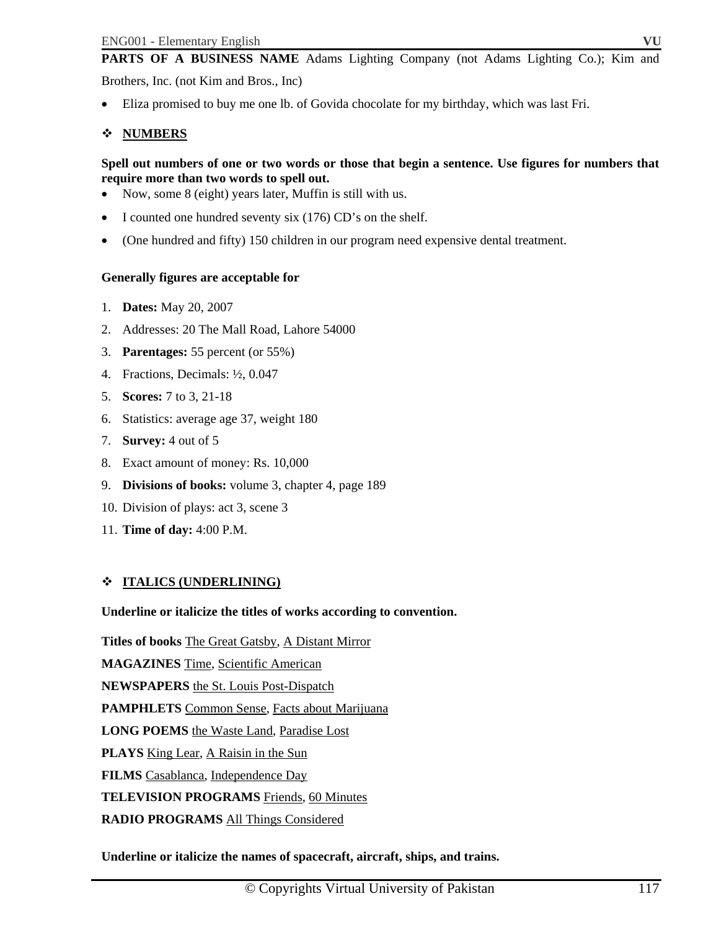**PARTS OF A BUSINESS NAME** Adams Lighting Company (not Adams Lighting Co.); Kim and Brothers, Inc. (not Kim and Bros., Inc)

• Eliza promised to buy me one lb. of Govida chocolate for my birthday, which was last Fri.

# **NUMBERS**

## **Spell out numbers of one or two words or those that begin a sentence. Use figures for numbers that require more than two words to spell out.**

- Now, some 8 (eight) years later, Muffin is still with us.
- I counted one hundred seventy six (176) CD's on the shelf.
- (One hundred and fifty) 150 children in our program need expensive dental treatment.

## **Generally figures are acceptable for**

- 1. **Dates:** May 20, 2007
- 2. Addresses: 20 The Mall Road, Lahore 54000
- 3. **Parentages:** 55 percent (or 55%)
- 4. Fractions, Decimals: ½, 0.047
- 5. **Scores:** 7 to 3, 21-18
- 6. Statistics: average age 37, weight 180
- 7. **Survey:** 4 out of 5
- 8. Exact amount of money: Rs. 10,000
- 9. **Divisions of books:** volume 3, chapter 4, page 189
- 10. Division of plays: act 3, scene 3
- 11. **Time of day:** 4:00 P.M.

## **ITALICS (UNDERLINING)**

#### **Underline or italicize the titles of works according to convention.**

**Titles of books** The Great Gatsby, A Distant Mirror **MAGAZINES** Time, Scientific American **NEWSPAPERS** the St. Louis Post-Dispatch **PAMPHLETS** Common Sense, Facts about Marijuana **LONG POEMS** the Waste Land, Paradise Lost **PLAYS** King Lear, A Raisin in the Sun **FILMS** Casablanca, Independence Day **TELEVISION PROGRAMS** Friends, 60 Minutes **RADIO PROGRAMS** All Things Considered

**Underline or italicize the names of spacecraft, aircraft, ships, and trains.**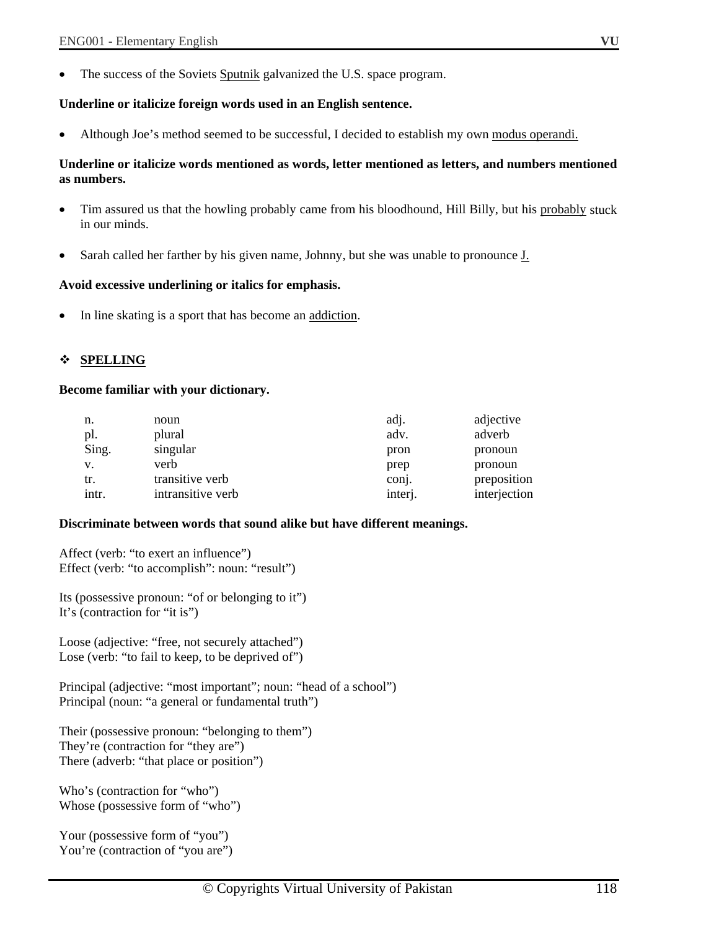The success of the Soviets Sputnik galvanized the U.S. space program.

### **Underline or italicize foreign words used in an English sentence.**

Although Joe's method seemed to be successful, I decided to establish my own modus operandi.

### **Underline or italicize words mentioned as words, letter mentioned as letters, and numbers mentioned as numbers.**

- Tim assured us that the howling probably came from his bloodhound, Hill Billy, but his probably stuck in our minds.
- Sarah called her farther by his given name, Johnny, but she was unable to pronounce J.

### **Avoid excessive underlining or italics for emphasis.**

• In line skating is a sport that has become an <u>addiction</u>.

## **SPELLING**

#### **Become familiar with your dictionary.**

| n.    | noun              | adj.    | adjective    |
|-------|-------------------|---------|--------------|
| pl.   | plural            | adv.    | adverb       |
| Sing. | singular          | pron    | pronoun      |
| v.    | verb              | prep    | pronoun      |
| tr.   | transitive verb   | conj.   | preposition  |
| intr. | intransitive verb | interj. | interjection |

## **Discriminate between words that sound alike but have different meanings.**

Affect (verb: "to exert an influence") Effect (verb: "to accomplish": noun: "result")

Its (possessive pronoun: "of or belonging to it") It's (contraction for "it is")

Loose (adjective: "free, not securely attached") Lose (verb: "to fail to keep, to be deprived of")

Principal (adjective: "most important"; noun: "head of a school") Principal (noun: "a general or fundamental truth")

Their (possessive pronoun: "belonging to them") They're (contraction for "they are") There (adverb: "that place or position")

Who's (contraction for "who") Whose (possessive form of "who")

Your (possessive form of "you") You're (contraction of "you are")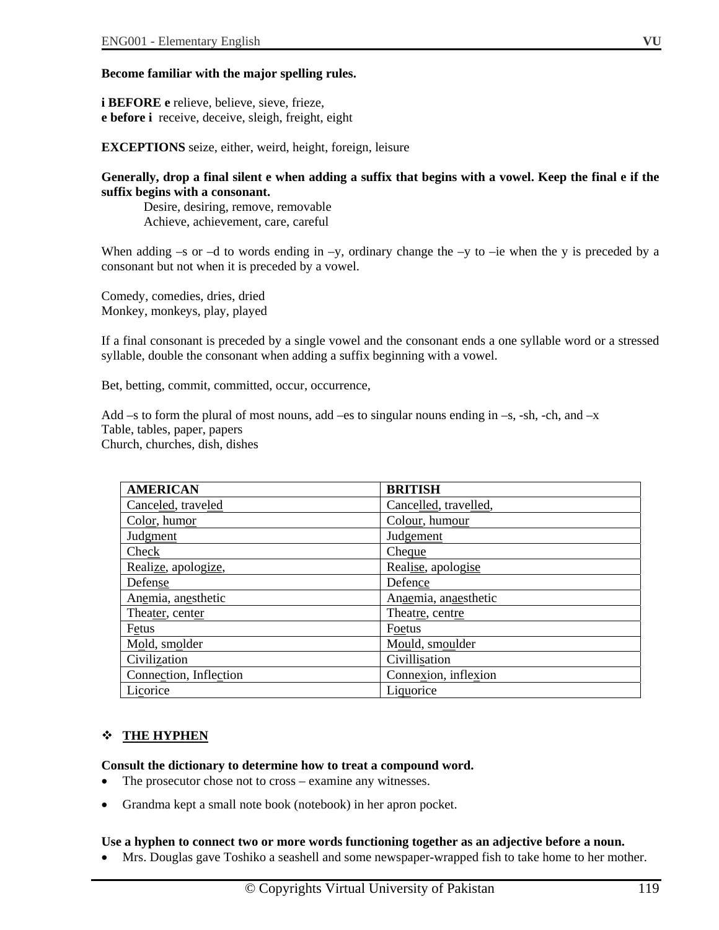**i BEFORE e** relieve, believe, sieve, frieze, **e before i** receive, deceive, sleigh, freight, eight

**EXCEPTIONS** seize, either, weird, height, foreign, leisure

#### **Generally, drop a final silent e when adding a suffix that begins with a vowel. Keep the final e if the suffix begins with a consonant.**

Desire, desiring, remove, removable Achieve, achievement, care, careful

When adding –s or –d to words ending in –y, ordinary change the –y to –ie when the y is preceded by a consonant but not when it is preceded by a vowel.

Comedy, comedies, dries, dried Monkey, monkeys, play, played

If a final consonant is preceded by a single vowel and the consonant ends a one syllable word or a stressed syllable, double the consonant when adding a suffix beginning with a vowel.

Bet, betting, commit, committed, occur, occurrence,

Add –s to form the plural of most nouns, add –es to singular nouns ending in –s, -sh, -ch, and –x Table, tables, paper, papers Church, churches, dish, dishes

| <b>AMERICAN</b>        | <b>BRITISH</b>        |
|------------------------|-----------------------|
| Canceled, traveled     | Cancelled, travelled, |
| Color, humor           | Colour, humour        |
| Judgment               | Judgement             |
| Check                  | Cheque                |
| Realize, apologize,    | Realise, apologise    |
| Defense                | Defence               |
| Anemia, anesthetic     | Anaemia, anaesthetic  |
| Theater, center        | Theatre, centre       |
| Fetus                  | Foetus                |
| Mold, smolder          | Mould, smoulder       |
| Civilization           | Civillisation         |
| Connection, Inflection | Connexion, inflexion  |
| Licorice               | Liquorice             |

## **THE HYPHEN**

**Consult the dictionary to determine how to treat a compound word.** 

- The prosecutor chose not to cross examine any witnesses.
- Grandma kept a small note book (notebook) in her apron pocket.

#### **Use a hyphen to connect two or more words functioning together as an adjective before a noun.**

• Mrs. Douglas gave Toshiko a seashell and some newspaper-wrapped fish to take home to her mother.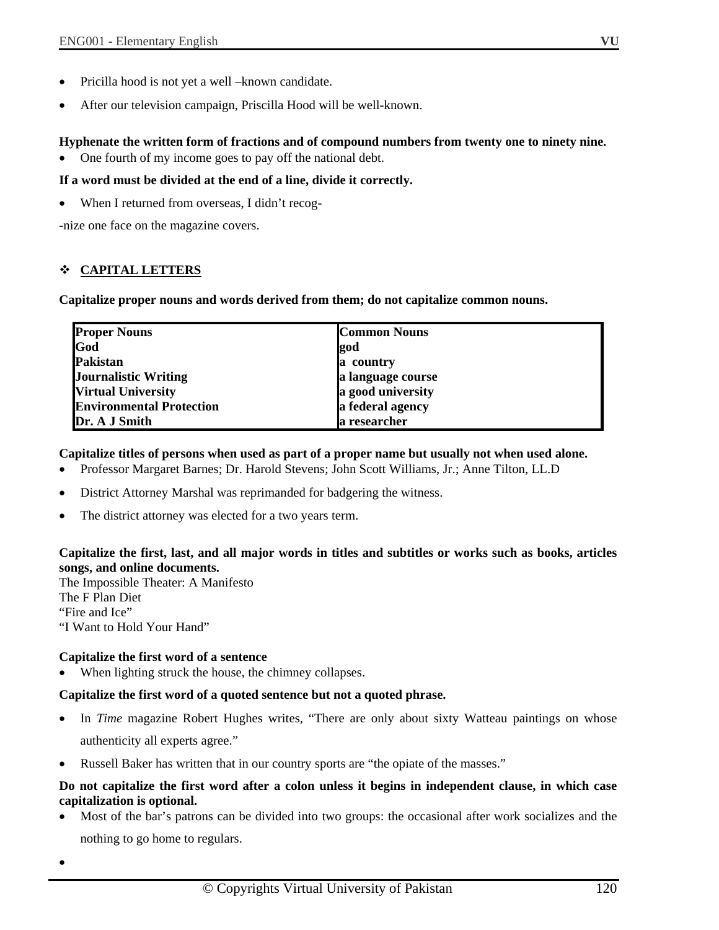- Pricilla hood is not yet a well –known candidate.
- After our television campaign, Priscilla Hood will be well-known.

### **Hyphenate the written form of fractions and of compound numbers from twenty one to ninety nine.**

• One fourth of my income goes to pay off the national debt.

### **If a word must be divided at the end of a line, divide it correctly.**

• When I returned from overseas, I didn't recog-

-nize one face on the magazine covers.

# **CAPITAL LETTERS**

**Capitalize proper nouns and words derived from them; do not capitalize common nouns.** 

| <b>Proper Nouns</b>             | <b>Common Nouns</b> |
|---------------------------------|---------------------|
| God                             | god                 |
| <b>Pakistan</b>                 | a country           |
| <b>Journalistic Writing</b>     | a language course   |
| <b>Virtual University</b>       | a good university   |
| <b>Environmental Protection</b> | a federal agency    |
| Dr. A J Smith                   | a researcher        |

**Capitalize titles of persons when used as part of a proper name but usually not when used alone.** 

- Professor Margaret Barnes; Dr. Harold Stevens; John Scott Williams, Jr.; Anne Tilton, LL.D
- District Attorney Marshal was reprimanded for badgering the witness.
- The district attorney was elected for a two years term.

# **Capitalize the first, last, and all major words in titles and subtitles or works such as books, articles songs, and online documents.**

The Impossible Theater: A Manifesto The F Plan Diet "Fire and Ice" "I Want to Hold Your Hand"

#### **Capitalize the first word of a sentence**

When lighting struck the house, the chimney collapses.

#### **Capitalize the first word of a quoted sentence but not a quoted phrase.**

- In *Time* magazine Robert Hughes writes, "There are only about sixty Watteau paintings on whose authenticity all experts agree."
- Russell Baker has written that in our country sports are "the opiate of the masses."

### **Do not capitalize the first word after a colon unless it begins in independent clause, in which case capitalization is optional.**

• Most of the bar's patrons can be divided into two groups: the occasional after work socializes and the nothing to go home to regulars.

•